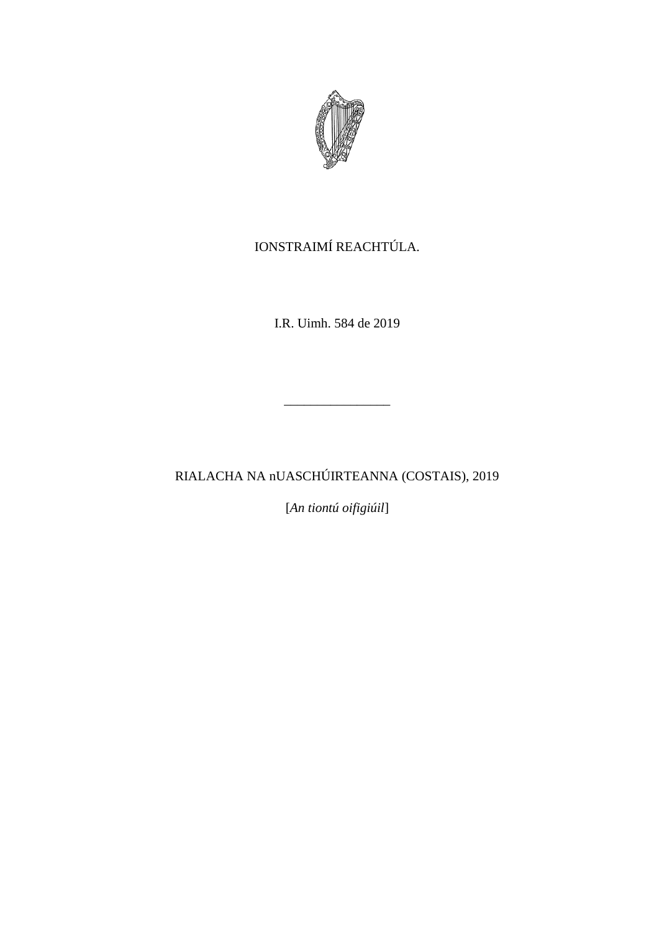

# IONSTRAIMÍ REACHTÚLA.

I.R. Uimh. 584 de 2019

\_\_\_\_\_\_\_\_\_\_\_\_\_\_\_\_

RIALACHA NA nUASCHÚIRTEANNA (COSTAIS), 2019

[*An tiontú oifigiúil*]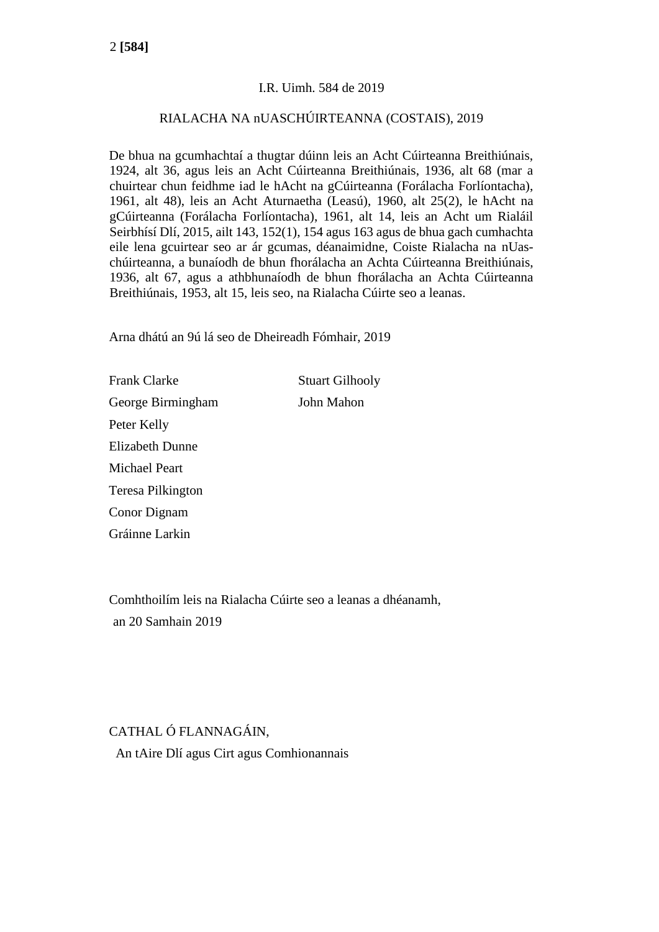#### I.R. Uimh. 584 de 2019

#### RIALACHA NA nUASCHÚIRTEANNA (COSTAIS), 2019

De bhua na gcumhachtaí a thugtar dúinn leis an Acht Cúirteanna Breithiúnais, 1924, alt 36, agus leis an Acht Cúirteanna Breithiúnais, 1936, alt 68 (mar a chuirtear chun feidhme iad le hAcht na gCúirteanna (Forálacha Forlíontacha), 1961, alt 48), leis an Acht Aturnaetha (Leasú), 1960, alt 25(2), le hAcht na gCúirteanna (Forálacha Forlíontacha), 1961, alt 14, leis an Acht um Rialáil Seirbhísí Dlí, 2015, ailt 143, 152(1), 154 agus 163 agus de bhua gach cumhachta eile lena gcuirtear seo ar ár gcumas, déanaimidne, Coiste Rialacha na nUaschúirteanna, a bunaíodh de bhun fhorálacha an Achta Cúirteanna Breithiúnais, 1936, alt 67, agus a athbhunaíodh de bhun fhorálacha an Achta Cúirteanna Breithiúnais, 1953, alt 15, leis seo, na Rialacha Cúirte seo a leanas.

Arna dhátú an 9ú lá seo de Dheireadh Fómhair, 2019

Frank Clarke Stuart Gilhooly George Birmingham John Mahon Peter Kelly Elizabeth Dunne Michael Peart Teresa Pilkington Conor Dignam Gráinne Larkin

Comhthoilím leis na Rialacha Cúirte seo a leanas a dhéanamh, an 20 Samhain 2019

CATHAL Ó FLANNAGÁIN, An tAire Dlí agus Cirt agus Comhionannais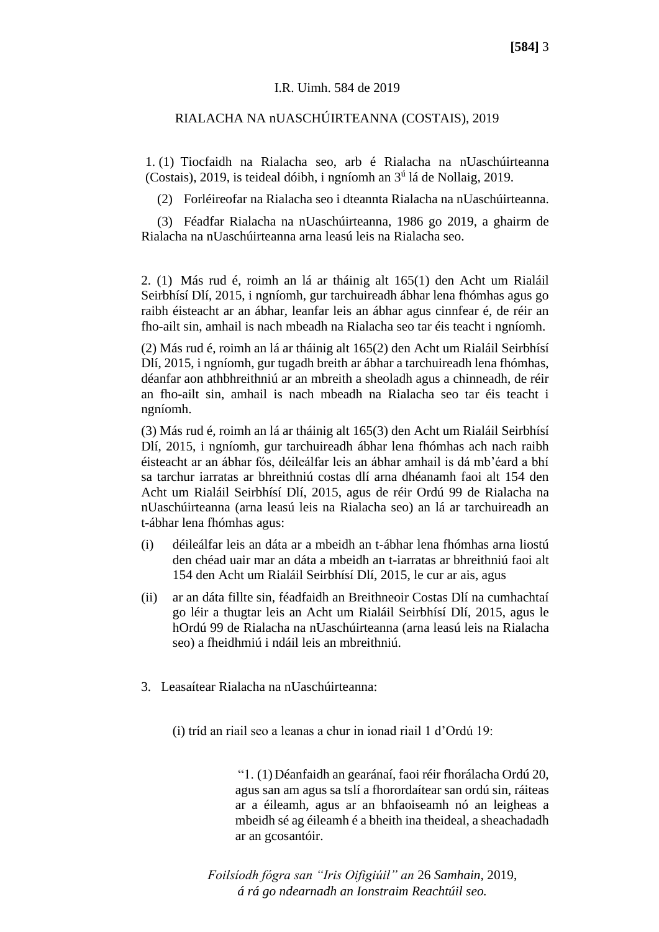#### I.R. Uimh. 584 de 2019

#### RIALACHA NA nUASCHÚIRTEANNA (COSTAIS), 2019

1. (1) Tiocfaidh na Rialacha seo, arb é Rialacha na nUaschúirteanna (Costais), 2019, is teideal dóibh, i ngníomh an 3<sup>ú</sup> lá de Nollaig, 2019.

(2) Forléireofar na Rialacha seo i dteannta Rialacha na nUaschúirteanna.

(3) Féadfar Rialacha na nUaschúirteanna, 1986 go 2019, a ghairm de Rialacha na nUaschúirteanna arna leasú leis na Rialacha seo.

2. (1) Más rud é, roimh an lá ar tháinig alt 165(1) den Acht um Rialáil Seirbhísí Dlí, 2015, i ngníomh, gur tarchuireadh ábhar lena fhómhas agus go raibh éisteacht ar an ábhar, leanfar leis an ábhar agus cinnfear é, de réir an fho-ailt sin, amhail is nach mbeadh na Rialacha seo tar éis teacht i ngníomh.

(2) Más rud é, roimh an lá ar tháinig alt 165(2) den Acht um Rialáil Seirbhísí Dlí, 2015, i ngníomh, gur tugadh breith ar ábhar a tarchuireadh lena fhómhas, déanfar aon athbhreithniú ar an mbreith a sheoladh agus a chinneadh, de réir an fho-ailt sin, amhail is nach mbeadh na Rialacha seo tar éis teacht i ngníomh.

(3) Más rud é, roimh an lá ar tháinig alt 165(3) den Acht um Rialáil Seirbhísí Dlí, 2015, i ngníomh, gur tarchuireadh ábhar lena fhómhas ach nach raibh éisteacht ar an ábhar fós, déileálfar leis an ábhar amhail is dá mb'éard a bhí sa tarchur iarratas ar bhreithniú costas dlí arna dhéanamh faoi alt 154 den Acht um Rialáil Seirbhísí Dlí, 2015, agus de réir Ordú 99 de Rialacha na nUaschúirteanna (arna leasú leis na Rialacha seo) an lá ar tarchuireadh an t-ábhar lena fhómhas agus:

- (i) déileálfar leis an dáta ar a mbeidh an t-ábhar lena fhómhas arna liostú den chéad uair mar an dáta a mbeidh an t-iarratas ar bhreithniú faoi alt 154 den Acht um Rialáil Seirbhísí Dlí, 2015, le cur ar ais, agus
- (ii) ar an dáta fillte sin, féadfaidh an Breithneoir Costas Dlí na cumhachtaí go léir a thugtar leis an Acht um Rialáil Seirbhísí Dlí, 2015, agus le hOrdú 99 de Rialacha na nUaschúirteanna (arna leasú leis na Rialacha seo) a fheidhmiú i ndáil leis an mbreithniú.
- 3. Leasaítear Rialacha na nUaschúirteanna:

(i) tríd an riail seo a leanas a chur in ionad riail 1 d'Ordú 19:

"1. (1)Déanfaidh an gearánaí, faoi réir fhorálacha Ordú 20, agus san am agus sa tslí a fhorordaítear san ordú sin, ráiteas ar a éileamh, agus ar an bhfaoiseamh nó an leigheas a mbeidh sé ag éileamh é a bheith ina theideal, a sheachadadh ar an gcosantóir.

*Foilsíodh fógra san "Iris Oifigiúil" an* 26 *Samhain,* 2019, *á rá go ndearnadh an Ionstraim Reachtúil seo.*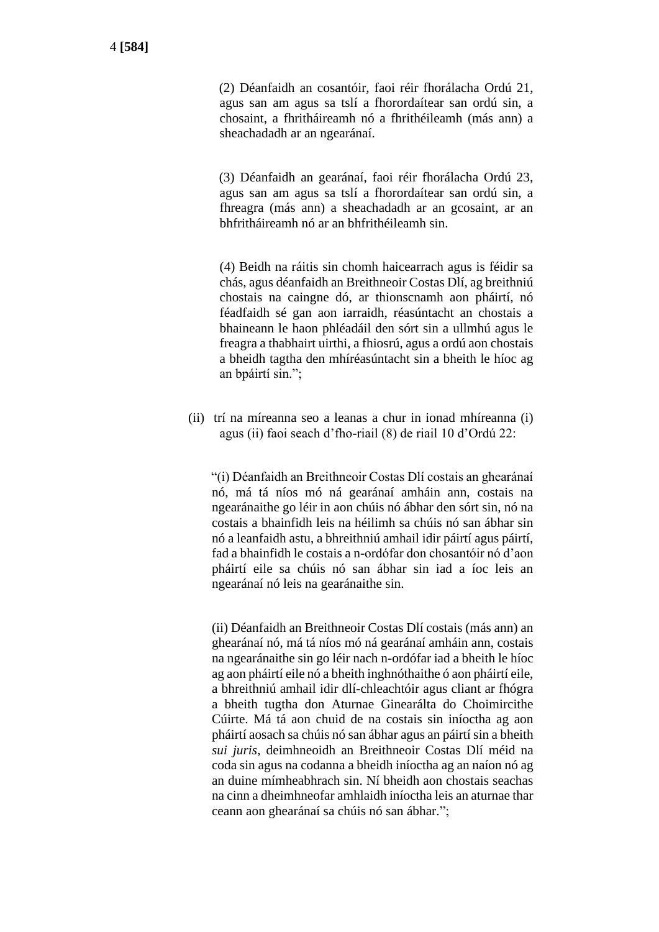(2) Déanfaidh an cosantóir, faoi réir fhorálacha Ordú 21, agus san am agus sa tslí a fhorordaítear san ordú sin, a chosaint, a fhritháireamh nó a fhrithéileamh (más ann) a sheachadadh ar an ngearánaí.

(3) Déanfaidh an gearánaí, faoi réir fhorálacha Ordú 23, agus san am agus sa tslí a fhorordaítear san ordú sin, a fhreagra (más ann) a sheachadadh ar an gcosaint, ar an bhfritháireamh nó ar an bhfrithéileamh sin.

(4) Beidh na ráitis sin chomh haicearrach agus is féidir sa chás, agus déanfaidh an Breithneoir Costas Dlí, ag breithniú chostais na caingne dó, ar thionscnamh aon pháirtí, nó féadfaidh sé gan aon iarraidh, réasúntacht an chostais a bhaineann le haon phléadáil den sórt sin a ullmhú agus le freagra a thabhairt uirthi, a fhiosrú, agus a ordú aon chostais a bheidh tagtha den mhíréasúntacht sin a bheith le híoc ag an bpáirtí sin.";

(ii) trí na míreanna seo a leanas a chur in ionad mhíreanna (i) agus (ii) faoi seach d'fho-riail (8) de riail 10 d'Ordú 22:

"(i) Déanfaidh an Breithneoir Costas Dlí costais an ghearánaí nó, má tá níos mó ná gearánaí amháin ann, costais na ngearánaithe go léir in aon chúis nó ábhar den sórt sin, nó na costais a bhainfidh leis na héilimh sa chúis nó san ábhar sin nó a leanfaidh astu, a bhreithniú amhail idir páirtí agus páirtí, fad a bhainfidh le costais a n-ordófar don chosantóir nó d'aon pháirtí eile sa chúis nó san ábhar sin iad a íoc leis an ngearánaí nó leis na gearánaithe sin.

(ii) Déanfaidh an Breithneoir Costas Dlí costais (más ann) an ghearánaí nó, má tá níos mó ná gearánaí amháin ann, costais na ngearánaithe sin go léir nach n-ordófar iad a bheith le híoc ag aon pháirtí eile nó a bheith inghnóthaithe ó aon pháirtí eile, a bhreithniú amhail idir dlí-chleachtóir agus cliant ar fhógra a bheith tugtha don Aturnae Ginearálta do Choimircithe Cúirte. Má tá aon chuid de na costais sin iníoctha ag aon pháirtí aosach sa chúis nó san ábhar agus an páirtí sin a bheith *sui juris*, deimhneoidh an Breithneoir Costas Dlí méid na coda sin agus na codanna a bheidh iníoctha ag an naíon nó ag an duine mímheabhrach sin. Ní bheidh aon chostais seachas na cinn a dheimhneofar amhlaidh iníoctha leis an aturnae thar ceann aon ghearánaí sa chúis nó san ábhar.";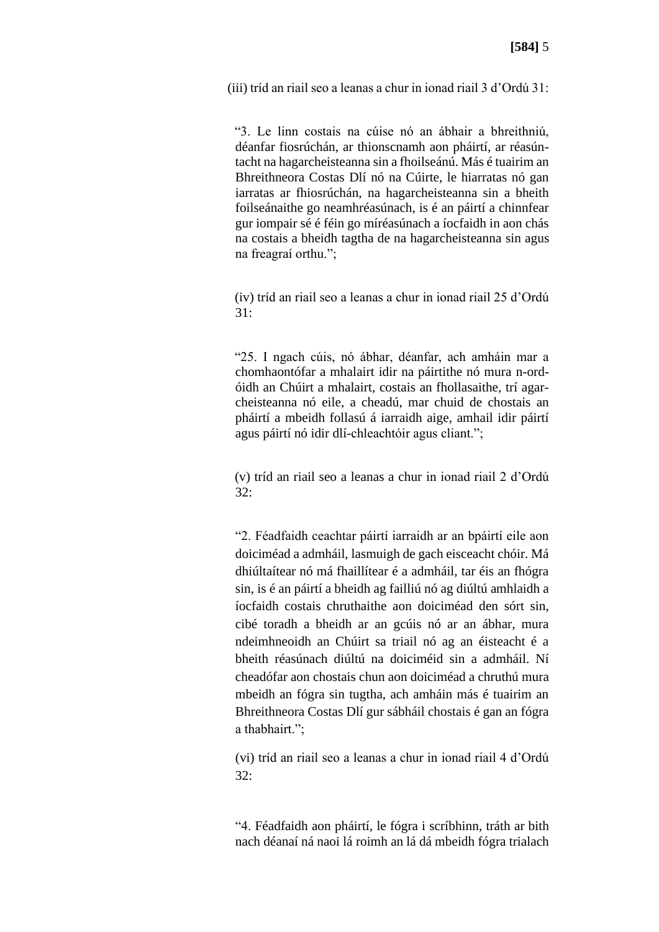(iii) tríd an riail seo a leanas a chur in ionad riail 3 d'Ordú 31:

"3. Le linn costais na cúise nó an ábhair a bhreithniú, déanfar fiosrúchán, ar thionscnamh aon pháirtí, ar réasúntacht na hagarcheisteanna sin a fhoilseánú. Más é tuairim an Bhreithneora Costas Dlí nó na Cúirte, le hiarratas nó gan iarratas ar fhiosrúchán, na hagarcheisteanna sin a bheith foilseánaithe go neamhréasúnach, is é an páirtí a chinnfear gur iompair sé é féin go míréasúnach a íocfaidh in aon chás na costais a bheidh tagtha de na hagarcheisteanna sin agus na freagraí orthu.";

(iv) tríd an riail seo a leanas a chur in ionad riail 25 d'Ordú  $31.$ 

"25. I ngach cúis, nó ábhar, déanfar, ach amháin mar a chomhaontófar a mhalairt idir na páirtithe nó mura n-ordóidh an Chúirt a mhalairt, costais an fhollasaithe, trí agarcheisteanna nó eile, a cheadú, mar chuid de chostais an pháirtí a mbeidh follasú á iarraidh aige, amhail idir páirtí agus páirtí nó idir dlí-chleachtóir agus cliant.";

(v) tríd an riail seo a leanas a chur in ionad riail 2 d'Ordú  $32:$ 

"2. Féadfaidh ceachtar páirtí iarraidh ar an bpáirtí eile aon doiciméad a admháil, lasmuigh de gach eisceacht chóir. Má dhiúltaítear nó má fhaillítear é a admháil, tar éis an fhógra sin, is é an páirtí a bheidh ag failliú nó ag diúltú amhlaidh a íocfaidh costais chruthaithe aon doiciméad den sórt sin, cibé toradh a bheidh ar an gcúis nó ar an ábhar, mura ndeimhneoidh an Chúirt sa triail nó ag an éisteacht é a bheith réasúnach diúltú na doiciméid sin a admháil. Ní cheadófar aon chostais chun aon doiciméad a chruthú mura mbeidh an fógra sin tugtha, ach amháin más é tuairim an Bhreithneora Costas Dlí gur sábháil chostais é gan an fógra a thabhairt.";

(vi) tríd an riail seo a leanas a chur in ionad riail 4 d'Ordú 32:

"4. Féadfaidh aon pháirtí, le fógra i scríbhinn, tráth ar bith nach déanaí ná naoi lá roimh an lá dá mbeidh fógra trialach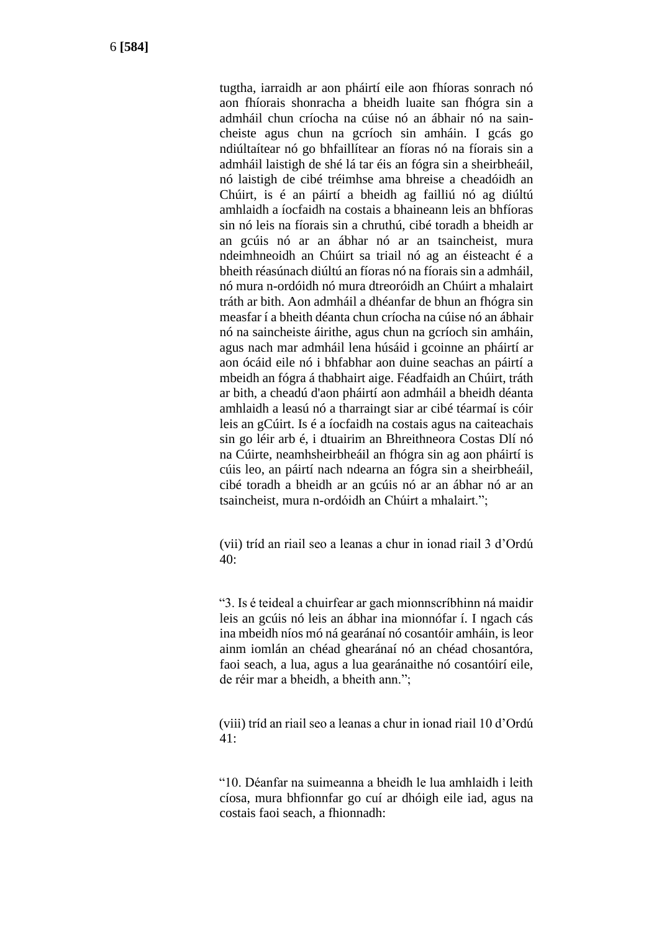tugtha, iarraidh ar aon pháirtí eile aon fhíoras sonrach nó aon fhíorais shonracha a bheidh luaite san fhógra sin a admháil chun críocha na cúise nó an ábhair nó na saincheiste agus chun na gcríoch sin amháin. I gcás go ndiúltaítear nó go bhfaillítear an fíoras nó na fíorais sin a admháil laistigh de shé lá tar éis an fógra sin a sheirbheáil, nó laistigh de cibé tréimhse ama bhreise a cheadóidh an Chúirt, is é an páirtí a bheidh ag failliú nó ag diúltú amhlaidh a íocfaidh na costais a bhaineann leis an bhfíoras sin nó leis na fíorais sin a chruthú, cibé toradh a bheidh ar an gcúis nó ar an ábhar nó ar an tsaincheist, mura ndeimhneoidh an Chúirt sa triail nó ag an éisteacht é a bheith réasúnach diúltú an fíoras nó na fíorais sin a admháil, nó mura n-ordóidh nó mura dtreoróidh an Chúirt a mhalairt tráth ar bith. Aon admháil a dhéanfar de bhun an fhógra sin measfar í a bheith déanta chun críocha na cúise nó an ábhair nó na saincheiste áirithe, agus chun na gcríoch sin amháin, agus nach mar admháil lena húsáid i gcoinne an pháirtí ar aon ócáid eile nó i bhfabhar aon duine seachas an páirtí a mbeidh an fógra á thabhairt aige. Féadfaidh an Chúirt, tráth ar bith, a cheadú d'aon pháirtí aon admháil a bheidh déanta amhlaidh a leasú nó a tharraingt siar ar cibé téarmaí is cóir leis an gCúirt. Is é a íocfaidh na costais agus na caiteachais sin go léir arb é, i dtuairim an Bhreithneora Costas Dlí nó na Cúirte, neamhsheirbheáil an fhógra sin ag aon pháirtí is cúis leo, an páirtí nach ndearna an fógra sin a sheirbheáil, cibé toradh a bheidh ar an gcúis nó ar an ábhar nó ar an tsaincheist, mura n-ordóidh an Chúirt a mhalairt.";

(vii) tríd an riail seo a leanas a chur in ionad riail 3 d'Ordú 40:

"3. Is é teideal a chuirfear ar gach mionnscríbhinn ná maidir leis an gcúis nó leis an ábhar ina mionnófar í. I ngach cás ina mbeidh níos mó ná gearánaí nó cosantóir amháin, is leor ainm iomlán an chéad ghearánaí nó an chéad chosantóra, faoi seach, a lua, agus a lua gearánaithe nó cosantóirí eile, de réir mar a bheidh, a bheith ann.";

(viii) tríd an riail seo a leanas a chur in ionad riail 10 d'Ordú 41:

"10. Déanfar na suimeanna a bheidh le lua amhlaidh i leith cíosa, mura bhfionnfar go cuí ar dhóigh eile iad, agus na costais faoi seach, a fhionnadh: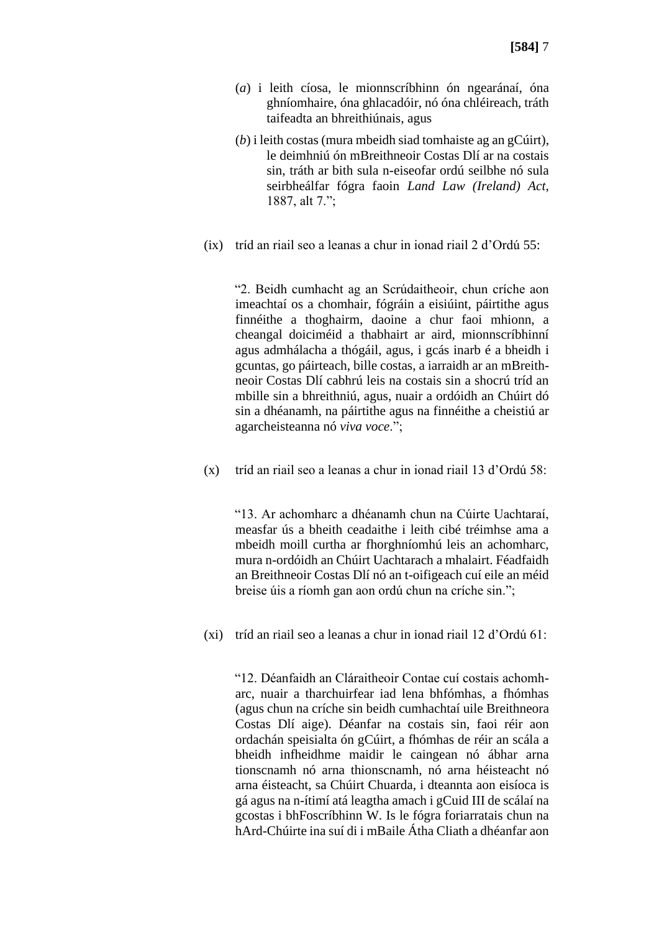- (*a*) i leith cíosa, le mionnscríbhinn ón ngearánaí, óna ghníomhaire, óna ghlacadóir, nó óna chléireach, tráth taifeadta an bhreithiúnais, agus
- (*b*) i leith costas (mura mbeidh siad tomhaiste ag an gCúirt), le deimhniú ón mBreithneoir Costas Dlí ar na costais sin, tráth ar bith sula n-eiseofar ordú seilbhe nó sula seirbheálfar fógra faoin *Land Law (Ireland) Act*, 1887, alt 7.";
- (ix) tríd an riail seo a leanas a chur in ionad riail 2 d'Ordú 55:

"2. Beidh cumhacht ag an Scrúdaitheoir, chun críche aon imeachtaí os a chomhair, fógráin a eisiúint, páirtithe agus finnéithe a thoghairm, daoine a chur faoi mhionn, a cheangal doiciméid a thabhairt ar aird, mionnscríbhinní agus admhálacha a thógáil, agus, i gcás inarb é a bheidh i gcuntas, go páirteach, bille costas, a iarraidh ar an mBreithneoir Costas Dlí cabhrú leis na costais sin a shocrú tríd an mbille sin a bhreithniú, agus, nuair a ordóidh an Chúirt dó sin a dhéanamh, na páirtithe agus na finnéithe a cheistiú ar agarcheisteanna nó *viva voce*.";

(x) tríd an riail seo a leanas a chur in ionad riail 13 d'Ordú 58:

"13. Ar achomharc a dhéanamh chun na Cúirte Uachtaraí, measfar ús a bheith ceadaithe i leith cibé tréimhse ama a mbeidh moill curtha ar fhorghníomhú leis an achomharc, mura n-ordóidh an Chúirt Uachtarach a mhalairt. Féadfaidh an Breithneoir Costas Dlí nó an t-oifigeach cuí eile an méid breise úis a ríomh gan aon ordú chun na críche sin.";

(xi) tríd an riail seo a leanas a chur in ionad riail 12 d'Ordú 61:

"12. Déanfaidh an Cláraitheoir Contae cuí costais achomharc, nuair a tharchuirfear iad lena bhfómhas, a fhómhas (agus chun na críche sin beidh cumhachtaí uile Breithneora Costas Dlí aige). Déanfar na costais sin, faoi réir aon ordachán speisialta ón gCúirt, a fhómhas de réir an scála a bheidh infheidhme maidir le caingean nó ábhar arna tionscnamh nó arna thionscnamh, nó arna héisteacht nó arna éisteacht, sa Chúirt Chuarda, i dteannta aon eisíoca is gá agus na n-ítimí atá leagtha amach i gCuid III de scálaí na gcostas i bhFoscríbhinn W. Is le fógra foriarratais chun na hArd-Chúirte ina suí di i mBaile Átha Cliath a dhéanfar aon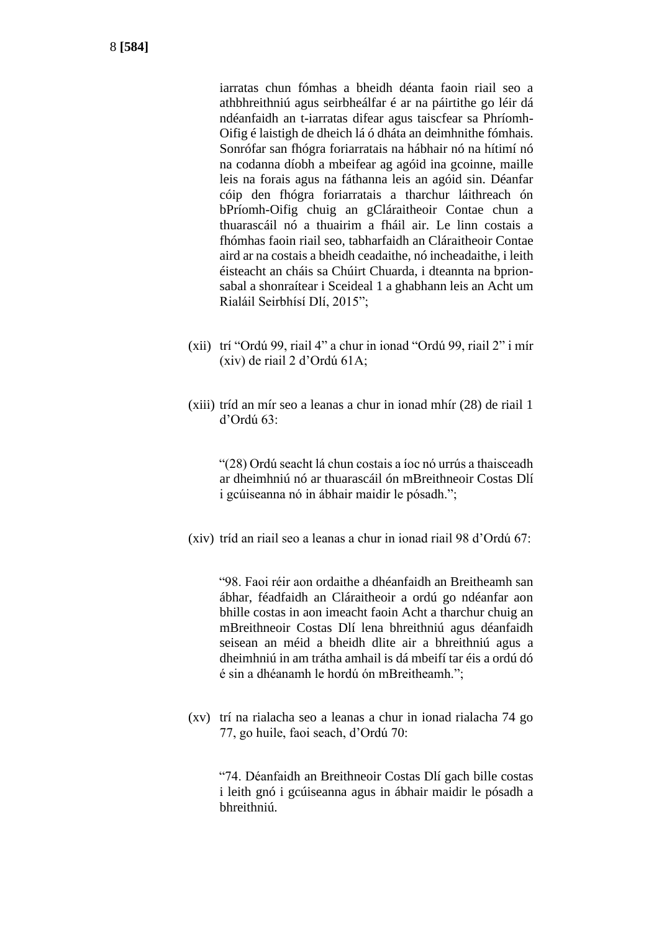iarratas chun fómhas a bheidh déanta faoin riail seo a athbhreithniú agus seirbheálfar é ar na páirtithe go léir dá ndéanfaidh an t-iarratas difear agus taiscfear sa Phríomh-Oifig é laistigh de dheich lá ó dháta an deimhnithe fómhais. Sonrófar san fhógra foriarratais na hábhair nó na hítimí nó na codanna díobh a mbeifear ag agóid ina gcoinne, maille leis na forais agus na fáthanna leis an agóid sin. Déanfar cóip den fhógra foriarratais a tharchur láithreach ón bPríomh-Oifig chuig an gCláraitheoir Contae chun a thuarascáil nó a thuairim a fháil air. Le linn costais a fhómhas faoin riail seo, tabharfaidh an Cláraitheoir Contae aird ar na costais a bheidh ceadaithe, nó incheadaithe, i leith éisteacht an cháis sa Chúirt Chuarda, i dteannta na bprionsabal a shonraítear i Sceideal 1 a ghabhann leis an Acht um Rialáil Seirbhísí Dlí, 2015";

- (xii) trí "Ordú 99, riail 4" a chur in ionad "Ordú 99, riail 2" i mír (xiv) de riail 2 d'Ordú 61A;
- (xiii) tríd an mír seo a leanas a chur in ionad mhír (28) de riail 1 d'Ordú 63:

"(28) Ordú seacht lá chun costais a íoc nó urrús a thaisceadh ar dheimhniú nó ar thuarascáil ón mBreithneoir Costas Dlí i gcúiseanna nó in ábhair maidir le pósadh.";

(xiv) tríd an riail seo a leanas a chur in ionad riail 98 d'Ordú 67:

"98. Faoi réir aon ordaithe a dhéanfaidh an Breitheamh san ábhar, féadfaidh an Cláraitheoir a ordú go ndéanfar aon bhille costas in aon imeacht faoin Acht a tharchur chuig an mBreithneoir Costas Dlí lena bhreithniú agus déanfaidh seisean an méid a bheidh dlite air a bhreithniú agus a dheimhniú in am trátha amhail is dá mbeifí tar éis a ordú dó é sin a dhéanamh le hordú ón mBreitheamh.";

(xv) trí na rialacha seo a leanas a chur in ionad rialacha 74 go 77, go huile, faoi seach, d'Ordú 70:

"74. Déanfaidh an Breithneoir Costas Dlí gach bille costas i leith gnó i gcúiseanna agus in ábhair maidir le pósadh a bhreithniú.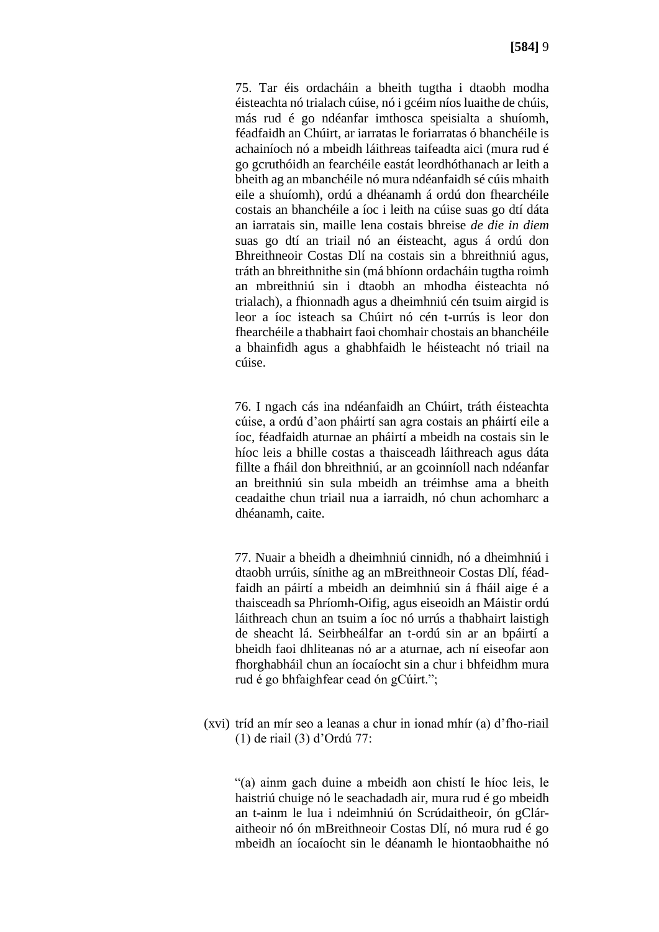75. Tar éis ordacháin a bheith tugtha i dtaobh modha éisteachta nó trialach cúise, nó i gcéim níos luaithe de chúis, más rud é go ndéanfar imthosca speisialta a shuíomh, féadfaidh an Chúirt, ar iarratas le foriarratas ó bhanchéile is achainíoch nó a mbeidh láithreas taifeadta aici (mura rud é go gcruthóidh an fearchéile eastát leordhóthanach ar leith a bheith ag an mbanchéile nó mura ndéanfaidh sé cúis mhaith eile a shuíomh), ordú a dhéanamh á ordú don fhearchéile costais an bhanchéile a íoc i leith na cúise suas go dtí dáta an iarratais sin, maille lena costais bhreise *de die in diem* suas go dtí an triail nó an éisteacht, agus á ordú don Bhreithneoir Costas Dlí na costais sin a bhreithniú agus, tráth an bhreithnithe sin (má bhíonn ordacháin tugtha roimh an mbreithniú sin i dtaobh an mhodha éisteachta nó trialach), a fhionnadh agus a dheimhniú cén tsuim airgid is leor a íoc isteach sa Chúirt nó cén t-urrús is leor don fhearchéile a thabhairt faoi chomhair chostais an bhanchéile a bhainfidh agus a ghabhfaidh le héisteacht nó triail na cúise.

76. I ngach cás ina ndéanfaidh an Chúirt, tráth éisteachta cúise, a ordú d'aon pháirtí san agra costais an pháirtí eile a íoc, féadfaidh aturnae an pháirtí a mbeidh na costais sin le híoc leis a bhille costas a thaisceadh láithreach agus dáta fillte a fháil don bhreithniú, ar an gcoinníoll nach ndéanfar an breithniú sin sula mbeidh an tréimhse ama a bheith ceadaithe chun triail nua a iarraidh, nó chun achomharc a dhéanamh, caite.

77. Nuair a bheidh a dheimhniú cinnidh, nó a dheimhniú i dtaobh urrúis, sínithe ag an mBreithneoir Costas Dlí, féadfaidh an páirtí a mbeidh an deimhniú sin á fháil aige é a thaisceadh sa Phríomh-Oifig, agus eiseoidh an Máistir ordú láithreach chun an tsuim a íoc nó urrús a thabhairt laistigh de sheacht lá. Seirbheálfar an t-ordú sin ar an bpáirtí a bheidh faoi dhliteanas nó ar a aturnae, ach ní eiseofar aon fhorghabháil chun an íocaíocht sin a chur i bhfeidhm mura rud é go bhfaighfear cead ón gCúirt.";

(xvi) tríd an mír seo a leanas a chur in ionad mhír (a) d'fho-riail (1) de riail (3) d'Ordú 77:

"(a) ainm gach duine a mbeidh aon chistí le híoc leis, le haistriú chuige nó le seachadadh air, mura rud é go mbeidh an t-ainm le lua i ndeimhniú ón Scrúdaitheoir, ón gCláraitheoir nó ón mBreithneoir Costas Dlí, nó mura rud é go mbeidh an íocaíocht sin le déanamh le hiontaobhaithe nó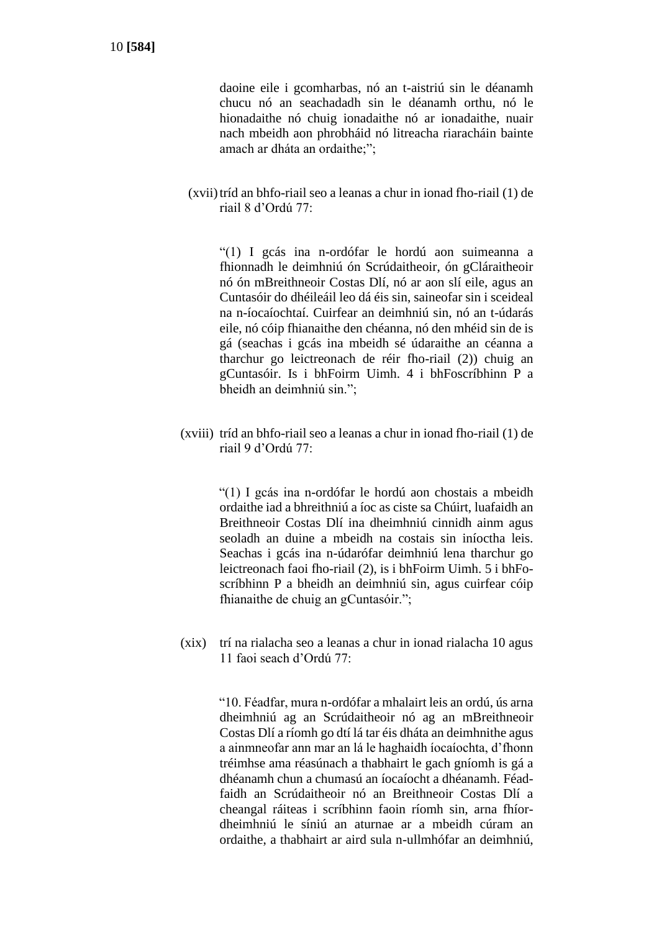daoine eile i gcomharbas, nó an t-aistriú sin le déanamh chucu nó an seachadadh sin le déanamh orthu, nó le hionadaithe nó chuig ionadaithe nó ar ionadaithe, nuair nach mbeidh aon phrobháid nó litreacha riaracháin bainte amach ar dháta an ordaithe;";

(xvii)tríd an bhfo-riail seo a leanas a chur in ionad fho-riail (1) de riail 8 d'Ordú 77:

"(1) I gcás ina n-ordófar le hordú aon suimeanna a fhionnadh le deimhniú ón Scrúdaitheoir, ón gCláraitheoir nó ón mBreithneoir Costas Dlí, nó ar aon slí eile, agus an Cuntasóir do dhéileáil leo dá éis sin, saineofar sin i sceideal na n-íocaíochtaí. Cuirfear an deimhniú sin, nó an t-údarás eile, nó cóip fhianaithe den chéanna, nó den mhéid sin de is gá (seachas i gcás ina mbeidh sé údaraithe an céanna a tharchur go leictreonach de réir fho-riail (2)) chuig an gCuntasóir. Is i bhFoirm Uimh. 4 i bhFoscríbhinn P a bheidh an deimhniú sin.";

(xviii) tríd an bhfo-riail seo a leanas a chur in ionad fho-riail (1) de riail 9 d'Ordú 77:

> "(1) I gcás ina n-ordófar le hordú aon chostais a mbeidh ordaithe iad a bhreithniú a íoc as ciste sa Chúirt, luafaidh an Breithneoir Costas Dlí ina dheimhniú cinnidh ainm agus seoladh an duine a mbeidh na costais sin iníoctha leis. Seachas i gcás ina n-údarófar deimhniú lena tharchur go leictreonach faoi fho-riail (2), is i bhFoirm Uimh. 5 i bhFoscríbhinn P a bheidh an deimhniú sin, agus cuirfear cóip fhianaithe de chuig an gCuntasóir.";

(xix) trí na rialacha seo a leanas a chur in ionad rialacha 10 agus 11 faoi seach d'Ordú 77:

> "10. Féadfar, mura n-ordófar a mhalairt leis an ordú, ús arna dheimhniú ag an Scrúdaitheoir nó ag an mBreithneoir Costas Dlí a ríomh go dtí lá tar éis dháta an deimhnithe agus a ainmneofar ann mar an lá le haghaidh íocaíochta, d'fhonn tréimhse ama réasúnach a thabhairt le gach gníomh is gá a dhéanamh chun a chumasú an íocaíocht a dhéanamh. Féadfaidh an Scrúdaitheoir nó an Breithneoir Costas Dlí a cheangal ráiteas i scríbhinn faoin ríomh sin, arna fhíordheimhniú le síniú an aturnae ar a mbeidh cúram an ordaithe, a thabhairt ar aird sula n-ullmhófar an deimhniú,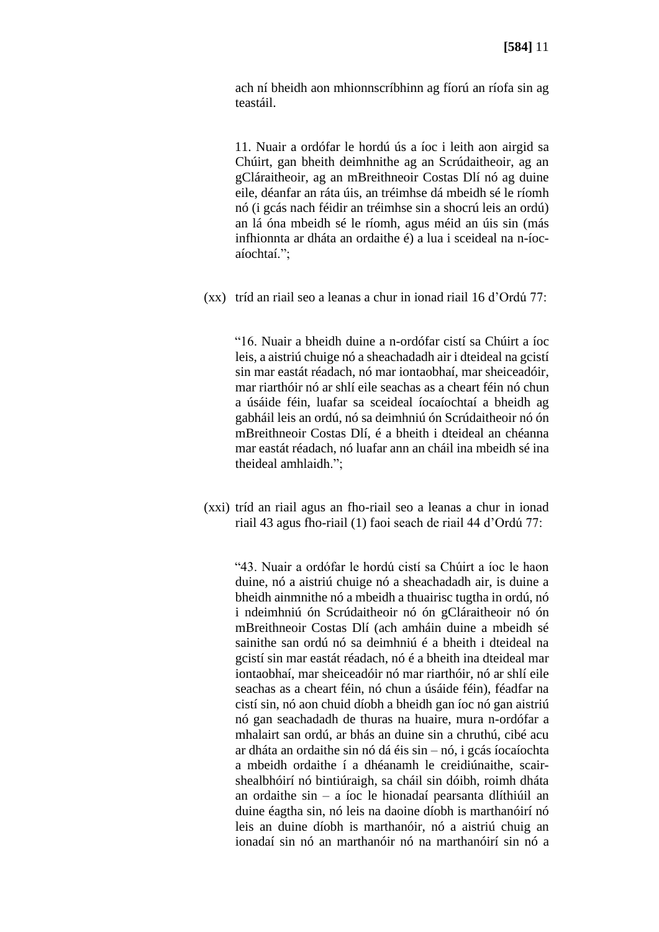ach ní bheidh aon mhionnscríbhinn ag fíorú an ríofa sin ag teastáil.

11. Nuair a ordófar le hordú ús a íoc i leith aon airgid sa Chúirt, gan bheith deimhnithe ag an Scrúdaitheoir, ag an gCláraitheoir, ag an mBreithneoir Costas Dlí nó ag duine eile, déanfar an ráta úis, an tréimhse dá mbeidh sé le ríomh nó (i gcás nach féidir an tréimhse sin a shocrú leis an ordú) an lá óna mbeidh sé le ríomh, agus méid an úis sin (más infhionnta ar dháta an ordaithe é) a lua i sceideal na n-íocaíochtaí.";

(xx) tríd an riail seo a leanas a chur in ionad riail 16 d'Ordú 77:

"16. Nuair a bheidh duine a n-ordófar cistí sa Chúirt a íoc leis, a aistriú chuige nó a sheachadadh air i dteideal na gcistí sin mar eastát réadach, nó mar iontaobhaí, mar sheiceadóir, mar riarthóir nó ar shlí eile seachas as a cheart féin nó chun a úsáide féin, luafar sa sceideal íocaíochtaí a bheidh ag gabháil leis an ordú, nó sa deimhniú ón Scrúdaitheoir nó ón mBreithneoir Costas Dlí, é a bheith i dteideal an chéanna mar eastát réadach, nó luafar ann an cháil ina mbeidh sé ina theideal amhlaidh.";

(xxi) tríd an riail agus an fho-riail seo a leanas a chur in ionad riail 43 agus fho-riail (1) faoi seach de riail 44 d'Ordú 77:

"43. Nuair a ordófar le hordú cistí sa Chúirt a íoc le haon duine, nó a aistriú chuige nó a sheachadadh air, is duine a bheidh ainmnithe nó a mbeidh a thuairisc tugtha in ordú, nó i ndeimhniú ón Scrúdaitheoir nó ón gCláraitheoir nó ón mBreithneoir Costas Dlí (ach amháin duine a mbeidh sé sainithe san ordú nó sa deimhniú é a bheith i dteideal na gcistí sin mar eastát réadach, nó é a bheith ina dteideal mar iontaobhaí, mar sheiceadóir nó mar riarthóir, nó ar shlí eile seachas as a cheart féin, nó chun a úsáide féin), féadfar na cistí sin, nó aon chuid díobh a bheidh gan íoc nó gan aistriú nó gan seachadadh de thuras na huaire, mura n-ordófar a mhalairt san ordú, ar bhás an duine sin a chruthú, cibé acu ar dháta an ordaithe sin nó dá éis sin – nó, i gcás íocaíochta a mbeidh ordaithe í a dhéanamh le creidiúnaithe, scairshealbhóirí nó bintiúraigh, sa cháil sin dóibh, roimh dháta an ordaithe sin – a íoc le hionadaí pearsanta dlíthiúil an duine éagtha sin, nó leis na daoine díobh is marthanóirí nó leis an duine díobh is marthanóir, nó a aistriú chuig an ionadaí sin nó an marthanóir nó na marthanóirí sin nó a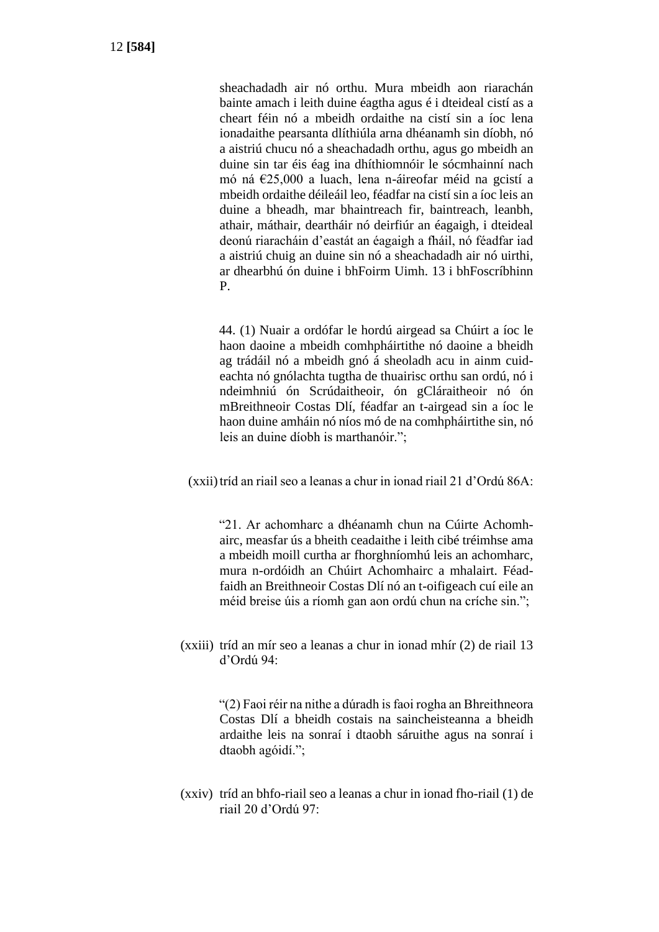sheachadadh air nó orthu. Mura mbeidh aon riarachán bainte amach i leith duine éagtha agus é i dteideal cistí as a cheart féin nó a mbeidh ordaithe na cistí sin a íoc lena ionadaithe pearsanta dlíthiúla arna dhéanamh sin díobh, nó a aistriú chucu nó a sheachadadh orthu, agus go mbeidh an duine sin tar éis éag ina dhíthiomnóir le sócmhainní nach mó ná €25,000 a luach, lena n-áireofar méid na gcistí a mbeidh ordaithe déileáil leo, féadfar na cistí sin a íoc leis an duine a bheadh, mar bhaintreach fir, baintreach, leanbh, athair, máthair, deartháir nó deirfiúr an éagaigh, i dteideal deonú riaracháin d'eastát an éagaigh a fháil, nó féadfar iad a aistriú chuig an duine sin nó a sheachadadh air nó uirthi, ar dhearbhú ón duine i bhFoirm Uimh. 13 i bhFoscríbhinn P.

44. (1) Nuair a ordófar le hordú airgead sa Chúirt a íoc le haon daoine a mbeidh comhpháirtithe nó daoine a bheidh ag trádáil nó a mbeidh gnó á sheoladh acu in ainm cuideachta nó gnólachta tugtha de thuairisc orthu san ordú, nó i ndeimhniú ón Scrúdaitheoir, ón gCláraitheoir nó ón mBreithneoir Costas Dlí, féadfar an t-airgead sin a íoc le haon duine amháin nó níos mó de na comhpháirtithe sin, nó leis an duine díobh is marthanóir.";

(xxii)tríd an riail seo a leanas a chur in ionad riail 21 d'Ordú 86A:

"21. Ar achomharc a dhéanamh chun na Cúirte Achomhairc, measfar ús a bheith ceadaithe i leith cibé tréimhse ama a mbeidh moill curtha ar fhorghníomhú leis an achomharc, mura n-ordóidh an Chúirt Achomhairc a mhalairt. Féadfaidh an Breithneoir Costas Dlí nó an t-oifigeach cuí eile an méid breise úis a ríomh gan aon ordú chun na críche sin.";

(xxiii) tríd an mír seo a leanas a chur in ionad mhír (2) de riail 13 d'Ordú 94:

> "(2) Faoi réir na nithe a dúradh is faoi rogha an Bhreithneora Costas Dlí a bheidh costais na saincheisteanna a bheidh ardaithe leis na sonraí i dtaobh sáruithe agus na sonraí i dtaobh agóidí.";

(xxiv) tríd an bhfo-riail seo a leanas a chur in ionad fho-riail (1) de riail 20 d'Ordú 97: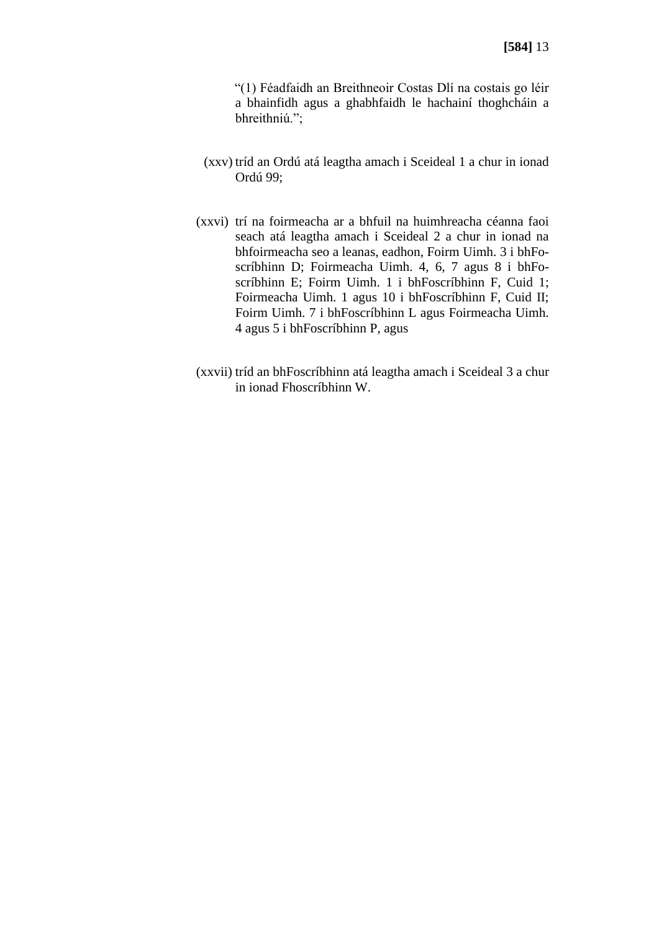"(1) Féadfaidh an Breithneoir Costas Dlí na costais go léir a bhainfidh agus a ghabhfaidh le hachainí thoghcháin a bhreithniú.";

- (xxv) tríd an Ordú atá leagtha amach i Sceideal 1 a chur in ionad Ordú 99;
- (xxvi) trí na foirmeacha ar a bhfuil na huimhreacha céanna faoi seach atá leagtha amach i Sceideal 2 a chur in ionad na bhfoirmeacha seo a leanas, eadhon, Foirm Uimh. 3 i bhFoscríbhinn D; Foirmeacha Uimh. 4, 6, 7 agus 8 i bhFoscríbhinn E; Foirm Uimh. 1 i bhFoscríbhinn F, Cuid 1; Foirmeacha Uimh. 1 agus 10 i bhFoscríbhinn F, Cuid II; Foirm Uimh. 7 i bhFoscríbhinn L agus Foirmeacha Uimh. 4 agus 5 i bhFoscríbhinn P, agus
- (xxvii) tríd an bhFoscríbhinn atá leagtha amach i Sceideal 3 a chur in ionad Fhoscríbhinn W.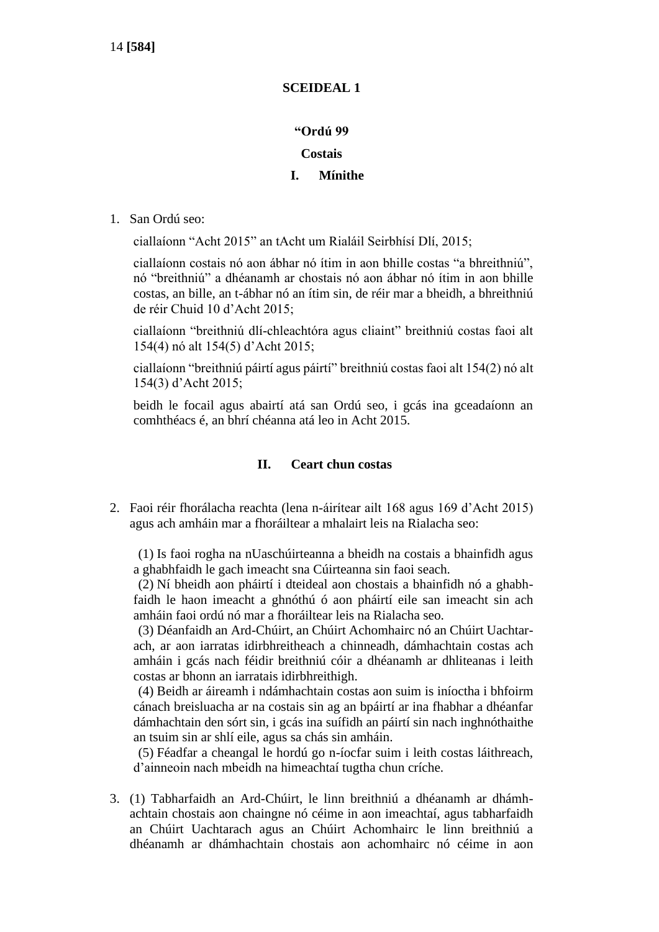# **SCEIDEAL 1**

# **"Ordú 99**

# **Costais**

# **I. Mínithe**

1. San Ordú seo:

ciallaíonn "Acht 2015" an tAcht um Rialáil Seirbhísí Dlí, 2015;

ciallaíonn costais nó aon ábhar nó ítim in aon bhille costas "a bhreithniú", nó "breithniú" a dhéanamh ar chostais nó aon ábhar nó ítim in aon bhille costas, an bille, an t-ábhar nó an ítim sin, de réir mar a bheidh, a bhreithniú de réir Chuid 10 d'Acht 2015;

ciallaíonn "breithniú dlí-chleachtóra agus cliaint" breithniú costas faoi alt 154(4) nó alt 154(5) d'Acht 2015;

ciallaíonn "breithniú páirtí agus páirtí" breithniú costas faoi alt 154(2) nó alt 154(3) d'Acht 2015;

beidh le focail agus abairtí atá san Ordú seo, i gcás ina gceadaíonn an comhthéacs é, an bhrí chéanna atá leo in Acht 2015.

# **II. Ceart chun costas**

2. Faoi réir fhorálacha reachta (lena n-áirítear ailt 168 agus 169 d'Acht 2015) agus ach amháin mar a fhoráiltear a mhalairt leis na Rialacha seo:

(1) Is faoi rogha na nUaschúirteanna a bheidh na costais a bhainfidh agus a ghabhfaidh le gach imeacht sna Cúirteanna sin faoi seach.

(2) Ní bheidh aon pháirtí i dteideal aon chostais a bhainfidh nó a ghabhfaidh le haon imeacht a ghnóthú ó aon pháirtí eile san imeacht sin ach amháin faoi ordú nó mar a fhoráiltear leis na Rialacha seo.

(3) Déanfaidh an Ard-Chúirt, an Chúirt Achomhairc nó an Chúirt Uachtarach, ar aon iarratas idirbhreitheach a chinneadh, dámhachtain costas ach amháin i gcás nach féidir breithniú cóir a dhéanamh ar dhliteanas i leith costas ar bhonn an iarratais idirbhreithigh.

(4) Beidh ar áireamh i ndámhachtain costas aon suim is iníoctha i bhfoirm cánach breisluacha ar na costais sin ag an bpáirtí ar ina fhabhar a dhéanfar dámhachtain den sórt sin, i gcás ina suífidh an páirtí sin nach inghnóthaithe an tsuim sin ar shlí eile, agus sa chás sin amháin.

(5) Féadfar a cheangal le hordú go n-íocfar suim i leith costas láithreach, d'ainneoin nach mbeidh na himeachtaí tugtha chun críche.

3. (1) Tabharfaidh an Ard-Chúirt, le linn breithniú a dhéanamh ar dhámhachtain chostais aon chaingne nó céime in aon imeachtaí, agus tabharfaidh an Chúirt Uachtarach agus an Chúirt Achomhairc le linn breithniú a dhéanamh ar dhámhachtain chostais aon achomhairc nó céime in aon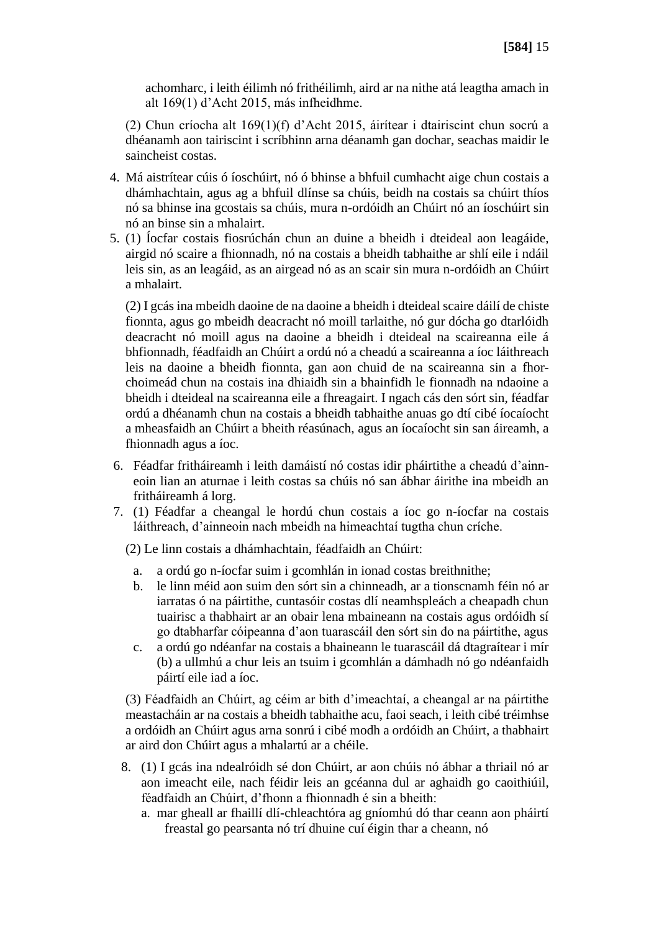achomharc, i leith éilimh nó frithéilimh, aird ar na nithe atá leagtha amach in alt 169(1) d'Acht 2015, más infheidhme.

(2) Chun críocha alt 169(1)(f) d'Acht 2015, áirítear i dtairiscint chun socrú a dhéanamh aon tairiscint i scríbhinn arna déanamh gan dochar, seachas maidir le saincheist costas.

- 4. Má aistrítear cúis ó íoschúirt, nó ó bhinse a bhfuil cumhacht aige chun costais a dhámhachtain, agus ag a bhfuil dlínse sa chúis, beidh na costais sa chúirt thíos nó sa bhinse ina gcostais sa chúis, mura n-ordóidh an Chúirt nó an íoschúirt sin nó an binse sin a mhalairt.
- 5. (1) Íocfar costais fiosrúchán chun an duine a bheidh i dteideal aon leagáide, airgid nó scaire a fhionnadh, nó na costais a bheidh tabhaithe ar shlí eile i ndáil leis sin, as an leagáid, as an airgead nó as an scair sin mura n-ordóidh an Chúirt a mhalairt.

(2) I gcás ina mbeidh daoine de na daoine a bheidh i dteideal scaire dáilí de chiste fionnta, agus go mbeidh deacracht nó moill tarlaithe, nó gur dócha go dtarlóidh deacracht nó moill agus na daoine a bheidh i dteideal na scaireanna eile á bhfionnadh, féadfaidh an Chúirt a ordú nó a cheadú a scaireanna a íoc láithreach leis na daoine a bheidh fionnta, gan aon chuid de na scaireanna sin a fhorchoimeád chun na costais ina dhiaidh sin a bhainfidh le fionnadh na ndaoine a bheidh i dteideal na scaireanna eile a fhreagairt. I ngach cás den sórt sin, féadfar ordú a dhéanamh chun na costais a bheidh tabhaithe anuas go dtí cibé íocaíocht a mheasfaidh an Chúirt a bheith réasúnach, agus an íocaíocht sin san áireamh, a fhionnadh agus a íoc.

- 6. Féadfar fritháireamh i leith damáistí nó costas idir pháirtithe a cheadú d'ainneoin lian an aturnae i leith costas sa chúis nó san ábhar áirithe ina mbeidh an fritháireamh á lorg.
- 7. (1) Féadfar a cheangal le hordú chun costais a íoc go n-íocfar na costais láithreach, d'ainneoin nach mbeidh na himeachtaí tugtha chun críche.

(2) Le linn costais a dhámhachtain, féadfaidh an Chúirt:

- a. a ordú go n-íocfar suim i gcomhlán in ionad costas breithnithe;
- b. le linn méid aon suim den sórt sin a chinneadh, ar a tionscnamh féin nó ar iarratas ó na páirtithe, cuntasóir costas dlí neamhspleách a cheapadh chun tuairisc a thabhairt ar an obair lena mbaineann na costais agus ordóidh sí go dtabharfar cóipeanna d'aon tuarascáil den sórt sin do na páirtithe, agus
- c. a ordú go ndéanfar na costais a bhaineann le tuarascáil dá dtagraítear i mír (b) a ullmhú a chur leis an tsuim i gcomhlán a dámhadh nó go ndéanfaidh páirtí eile iad a íoc.

(3) Féadfaidh an Chúirt, ag céim ar bith d'imeachtaí, a cheangal ar na páirtithe meastacháin ar na costais a bheidh tabhaithe acu, faoi seach, i leith cibé tréimhse a ordóidh an Chúirt agus arna sonrú i cibé modh a ordóidh an Chúirt, a thabhairt ar aird don Chúirt agus a mhalartú ar a chéile.

- 8. (1) I gcás ina ndealróidh sé don Chúirt, ar aon chúis nó ábhar a thriail nó ar aon imeacht eile, nach féidir leis an gcéanna dul ar aghaidh go caoithiúil, féadfaidh an Chúirt, d'fhonn a fhionnadh é sin a bheith:
	- a. mar gheall ar fhaillí dlí-chleachtóra ag gníomhú dó thar ceann aon pháirtí freastal go pearsanta nó trí dhuine cuí éigin thar a cheann, nó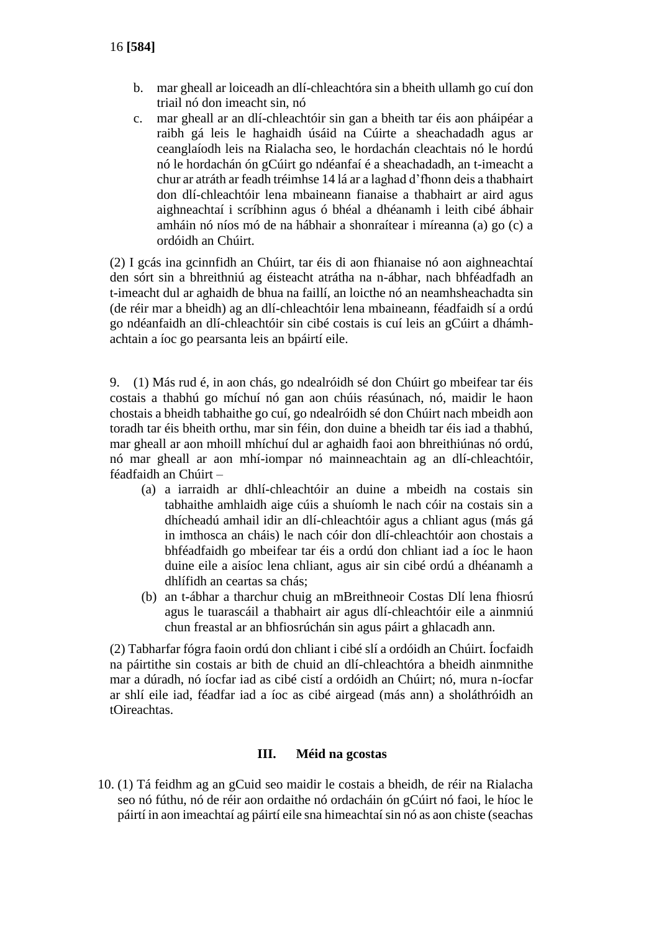- b. mar gheall ar loiceadh an dlí-chleachtóra sin a bheith ullamh go cuí don triail nó don imeacht sin, nó
- c. mar gheall ar an dlí-chleachtóir sin gan a bheith tar éis aon pháipéar a raibh gá leis le haghaidh úsáid na Cúirte a sheachadadh agus ar ceanglaíodh leis na Rialacha seo, le hordachán cleachtais nó le hordú nó le hordachán ón gCúirt go ndéanfaí é a sheachadadh, an t-imeacht a chur ar atráth ar feadh tréimhse 14 lá ar a laghad d'fhonn deis a thabhairt don dlí-chleachtóir lena mbaineann fianaise a thabhairt ar aird agus aighneachtaí i scríbhinn agus ó bhéal a dhéanamh i leith cibé ábhair amháin nó níos mó de na hábhair a shonraítear i míreanna (a) go (c) a ordóidh an Chúirt.

(2) I gcás ina gcinnfidh an Chúirt, tar éis di aon fhianaise nó aon aighneachtaí den sórt sin a bhreithniú ag éisteacht atrátha na n-ábhar, nach bhféadfadh an t-imeacht dul ar aghaidh de bhua na faillí, an loicthe nó an neamhsheachadta sin (de réir mar a bheidh) ag an dlí-chleachtóir lena mbaineann, féadfaidh sí a ordú go ndéanfaidh an dlí-chleachtóir sin cibé costais is cuí leis an gCúirt a dhámhachtain a íoc go pearsanta leis an bpáirtí eile.

9. (1) Más rud é, in aon chás, go ndealróidh sé don Chúirt go mbeifear tar éis costais a thabhú go míchuí nó gan aon chúis réasúnach, nó, maidir le haon chostais a bheidh tabhaithe go cuí, go ndealróidh sé don Chúirt nach mbeidh aon toradh tar éis bheith orthu, mar sin féin, don duine a bheidh tar éis iad a thabhú, mar gheall ar aon mhoill mhíchuí dul ar aghaidh faoi aon bhreithiúnas nó ordú, nó mar gheall ar aon mhí-iompar nó mainneachtain ag an dlí-chleachtóir, féadfaidh an Chúirt –

- (a) a iarraidh ar dhlí-chleachtóir an duine a mbeidh na costais sin tabhaithe amhlaidh aige cúis a shuíomh le nach cóir na costais sin a dhícheadú amhail idir an dlí-chleachtóir agus a chliant agus (más gá in imthosca an cháis) le nach cóir don dlí-chleachtóir aon chostais a bhféadfaidh go mbeifear tar éis a ordú don chliant iad a íoc le haon duine eile a aisíoc lena chliant, agus air sin cibé ordú a dhéanamh a dhlífidh an ceartas sa chás;
- (b) an t-ábhar a tharchur chuig an mBreithneoir Costas Dlí lena fhiosrú agus le tuarascáil a thabhairt air agus dlí-chleachtóir eile a ainmniú chun freastal ar an bhfiosrúchán sin agus páirt a ghlacadh ann.

(2) Tabharfar fógra faoin ordú don chliant i cibé slí a ordóidh an Chúirt. Íocfaidh na páirtithe sin costais ar bith de chuid an dlí-chleachtóra a bheidh ainmnithe mar a dúradh, nó íocfar iad as cibé cistí a ordóidh an Chúirt; nó, mura n-íocfar ar shlí eile iad, féadfar iad a íoc as cibé airgead (más ann) a sholáthróidh an tOireachtas.

#### **III. Méid na gcostas**

10. (1) Tá feidhm ag an gCuid seo maidir le costais a bheidh, de réir na Rialacha seo nó fúthu, nó de réir aon ordaithe nó ordacháin ón gCúirt nó faoi, le híoc le páirtí in aon imeachtaí ag páirtí eile sna himeachtaí sin nó as aon chiste (seachas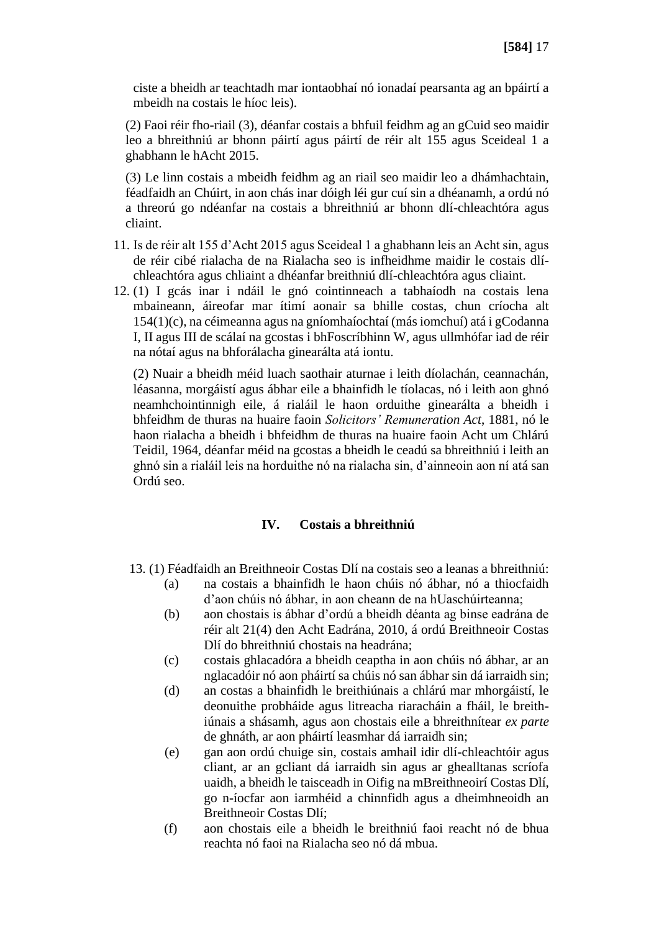ciste a bheidh ar teachtadh mar iontaobhaí nó ionadaí pearsanta ag an bpáirtí a mbeidh na costais le híoc leis).

(2) Faoi réir fho-riail (3), déanfar costais a bhfuil feidhm ag an gCuid seo maidir leo a bhreithniú ar bhonn páirtí agus páirtí de réir alt 155 agus Sceideal 1 a ghabhann le hAcht 2015.

(3) Le linn costais a mbeidh feidhm ag an riail seo maidir leo a dhámhachtain, féadfaidh an Chúirt, in aon chás inar dóigh léi gur cuí sin a dhéanamh, a ordú nó a threorú go ndéanfar na costais a bhreithniú ar bhonn dlí-chleachtóra agus cliaint.

- 11. Is de réir alt 155 d'Acht 2015 agus Sceideal 1 a ghabhann leis an Acht sin, agus de réir cibé rialacha de na Rialacha seo is infheidhme maidir le costais dlíchleachtóra agus chliaint a dhéanfar breithniú dlí-chleachtóra agus cliaint.
- 12. (1) I gcás inar i ndáil le gnó cointinneach a tabhaíodh na costais lena mbaineann, áireofar mar ítimí aonair sa bhille costas, chun críocha alt 154(1)(c), na céimeanna agus na gníomhaíochtaí (más iomchuí) atá i gCodanna I, II agus III de scálaí na gcostas i bhFoscríbhinn W, agus ullmhófar iad de réir na nótaí agus na bhforálacha ginearálta atá iontu.

(2) Nuair a bheidh méid luach saothair aturnae i leith díolachán, ceannachán, léasanna, morgáistí agus ábhar eile a bhainfidh le tíolacas, nó i leith aon ghnó neamhchointinnigh eile, á rialáil le haon orduithe ginearálta a bheidh i bhfeidhm de thuras na huaire faoin *Solicitors' Remuneration Act*, 1881, nó le haon rialacha a bheidh i bhfeidhm de thuras na huaire faoin Acht um Chlárú Teidil, 1964, déanfar méid na gcostas a bheidh le ceadú sa bhreithniú i leith an ghnó sin a rialáil leis na horduithe nó na rialacha sin, d'ainneoin aon ní atá san Ordú seo.

#### **IV. Costais a bhreithniú**

- 13. (1) Féadfaidh an Breithneoir Costas Dlí na costais seo a leanas a bhreithniú:
	- (a) na costais a bhainfidh le haon chúis nó ábhar, nó a thiocfaidh d'aon chúis nó ábhar, in aon cheann de na hUaschúirteanna;
	- (b) aon chostais is ábhar d'ordú a bheidh déanta ag binse eadrána de réir alt 21(4) den Acht Eadrána, 2010, á ordú Breithneoir Costas Dlí do bhreithniú chostais na headrána;
	- (c) costais ghlacadóra a bheidh ceaptha in aon chúis nó ábhar, ar an nglacadóir nó aon pháirtí sa chúis nó san ábhar sin dá iarraidh sin;
	- (d) an costas a bhainfidh le breithiúnais a chlárú mar mhorgáistí, le deonuithe probháide agus litreacha riaracháin a fháil, le breithiúnais a shásamh, agus aon chostais eile a bhreithnítear *ex parte* de ghnáth, ar aon pháirtí leasmhar dá iarraidh sin;
	- (e) gan aon ordú chuige sin, costais amhail idir dlí-chleachtóir agus cliant, ar an gcliant dá iarraidh sin agus ar ghealltanas scríofa uaidh, a bheidh le taisceadh in Oifig na mBreithneoirí Costas Dlí, go n-íocfar aon iarmhéid a chinnfidh agus a dheimhneoidh an Breithneoir Costas Dlí;
	- (f) aon chostais eile a bheidh le breithniú faoi reacht nó de bhua reachta nó faoi na Rialacha seo nó dá mbua.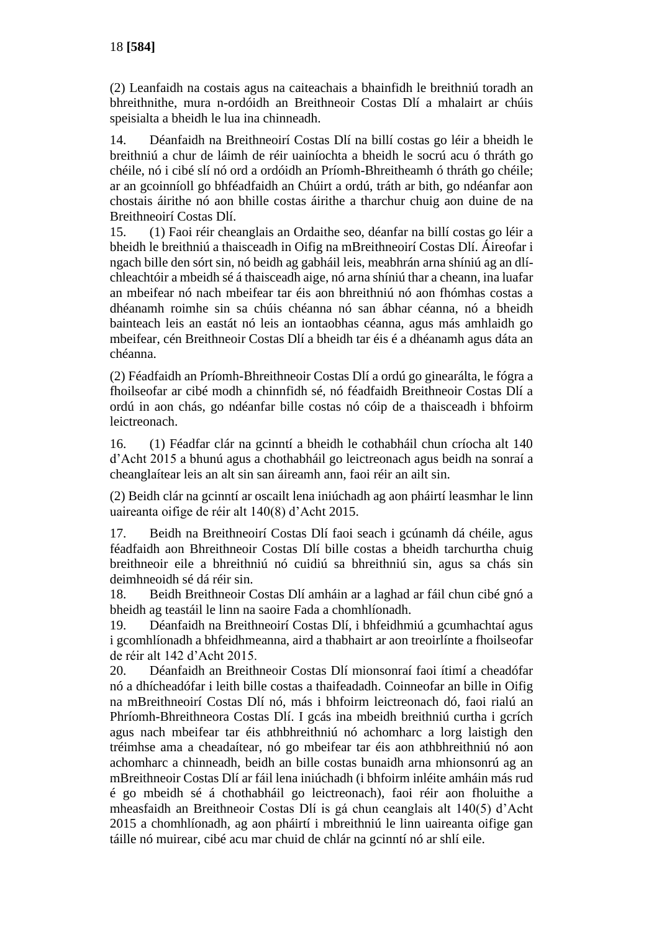(2) Leanfaidh na costais agus na caiteachais a bhainfidh le breithniú toradh an bhreithnithe, mura n-ordóidh an Breithneoir Costas Dlí a mhalairt ar chúis speisialta a bheidh le lua ina chinneadh.

14. Déanfaidh na Breithneoirí Costas Dlí na billí costas go léir a bheidh le breithniú a chur de láimh de réir uainíochta a bheidh le socrú acu ó thráth go chéile, nó i cibé slí nó ord a ordóidh an Príomh-Bhreitheamh ó thráth go chéile; ar an gcoinníoll go bhféadfaidh an Chúirt a ordú, tráth ar bith, go ndéanfar aon chostais áirithe nó aon bhille costas áirithe a tharchur chuig aon duine de na Breithneoirí Costas Dlí.

15. (1) Faoi réir cheanglais an Ordaithe seo, déanfar na billí costas go léir a bheidh le breithniú a thaisceadh in Oifig na mBreithneoirí Costas Dlí. Áireofar i ngach bille den sórt sin, nó beidh ag gabháil leis, meabhrán arna shíniú ag an dlíchleachtóir a mbeidh sé á thaisceadh aige, nó arna shíniú thar a cheann, ina luafar an mbeifear nó nach mbeifear tar éis aon bhreithniú nó aon fhómhas costas a dhéanamh roimhe sin sa chúis chéanna nó san ábhar céanna, nó a bheidh bainteach leis an eastát nó leis an iontaobhas céanna, agus más amhlaidh go mbeifear, cén Breithneoir Costas Dlí a bheidh tar éis é a dhéanamh agus dáta an chéanna.

(2) Féadfaidh an Príomh-Bhreithneoir Costas Dlí a ordú go ginearálta, le fógra a fhoilseofar ar cibé modh a chinnfidh sé, nó féadfaidh Breithneoir Costas Dlí a ordú in aon chás, go ndéanfar bille costas nó cóip de a thaisceadh i bhfoirm leictreonach.

16. (1) Féadfar clár na gcinntí a bheidh le cothabháil chun críocha alt 140 d'Acht 2015 a bhunú agus a chothabháil go leictreonach agus beidh na sonraí a cheanglaítear leis an alt sin san áireamh ann, faoi réir an ailt sin.

(2) Beidh clár na gcinntí ar oscailt lena iniúchadh ag aon pháirtí leasmhar le linn uaireanta oifige de réir alt 140(8) d'Acht 2015.

17. Beidh na Breithneoirí Costas Dlí faoi seach i gcúnamh dá chéile, agus féadfaidh aon Bhreithneoir Costas Dlí bille costas a bheidh tarchurtha chuig breithneoir eile a bhreithniú nó cuidiú sa bhreithniú sin, agus sa chás sin deimhneoidh sé dá réir sin.

18. Beidh Breithneoir Costas Dlí amháin ar a laghad ar fáil chun cibé gnó a bheidh ag teastáil le linn na saoire Fada a chomhlíonadh.

19. Déanfaidh na Breithneoirí Costas Dlí, i bhfeidhmiú a gcumhachtaí agus i gcomhlíonadh a bhfeidhmeanna, aird a thabhairt ar aon treoirlínte a fhoilseofar de réir alt 142 d'Acht 2015.

20. Déanfaidh an Breithneoir Costas Dlí mionsonraí faoi ítimí a cheadófar nó a dhícheadófar i leith bille costas a thaifeadadh. Coinneofar an bille in Oifig na mBreithneoirí Costas Dlí nó, más i bhfoirm leictreonach dó, faoi rialú an Phríomh-Bhreithneora Costas Dlí. I gcás ina mbeidh breithniú curtha i gcrích agus nach mbeifear tar éis athbhreithniú nó achomharc a lorg laistigh den tréimhse ama a cheadaítear, nó go mbeifear tar éis aon athbhreithniú nó aon achomharc a chinneadh, beidh an bille costas bunaidh arna mhionsonrú ag an mBreithneoir Costas Dlí ar fáil lena iniúchadh (i bhfoirm inléite amháin más rud é go mbeidh sé á chothabháil go leictreonach), faoi réir aon fholuithe a mheasfaidh an Breithneoir Costas Dlí is gá chun ceanglais alt 140(5) d'Acht 2015 a chomhlíonadh, ag aon pháirtí i mbreithniú le linn uaireanta oifige gan táille nó muirear, cibé acu mar chuid de chlár na gcinntí nó ar shlí eile.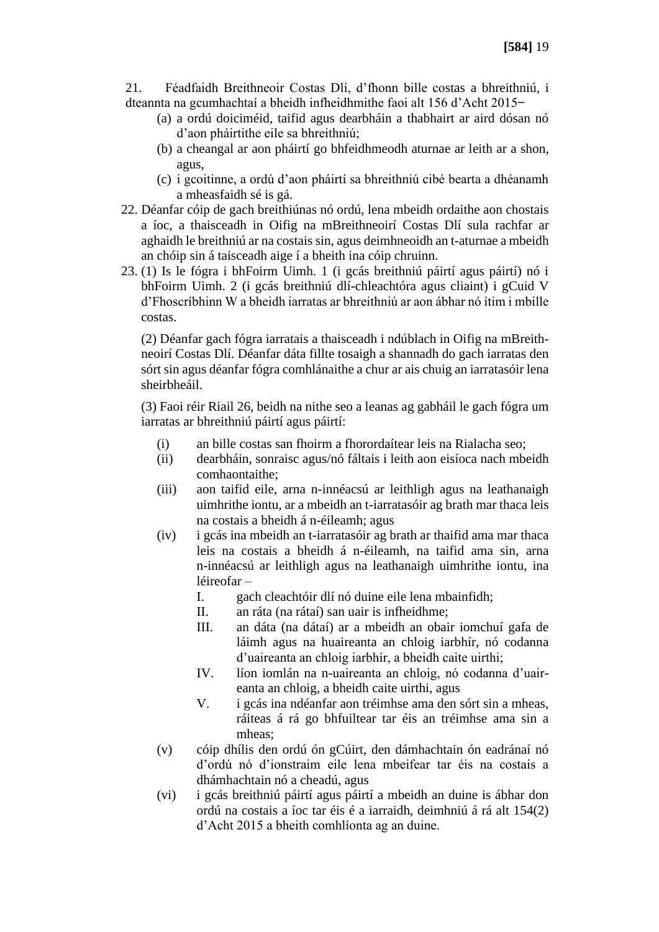21. Féadfaidh Breithneoir Costas Dlí, d'fhonn bille costas a bhreithniú, i dteannta na gcumhachtaí a bheidh infheidhmithe faoi alt 156 d'Acht 2015-

- (a) a ordú doiciméid, taifid agus dearbháin a thabhairt ar aird dósan nó d'aon pháirtithe eile sa bhreithniú;
- (b) a cheangal ar aon pháirtí go bhfeidhmeodh aturnae ar leith ar a shon, agus,
- (c) i gcoitinne, a ordú d'aon pháirtí sa bhreithniú cibé bearta a dhéanamh a mheasfaidh sé is gá.
- 22. Déanfar cóip de gach breithiúnas nó ordú, lena mbeidh ordaithe aon chostais a íoc, a thaisceadh in Oifig na mBreithneoirí Costas Dlí sula rachfar ar aghaidh le breithniú ar na costais sin, agus deimhneoidh an t-aturnae a mbeidh an chóip sin á taisceadh aige í a bheith ina cóip chruinn.
- 23. (1) Is le fógra i bhFoirm Uimh. 1 (i gcás breithniú páirtí agus páirtí) nó i bhFoirm Uimh. 2 (i gcás breithniú dlí-chleachtóra agus cliaint) i gCuid V d'Fhoscríbhinn W a bheidh iarratas ar bhreithniú ar aon ábhar nó ítim i mbille costas.

(2) Déanfar gach fógra iarratais a thaisceadh i ndúblach in Oifig na mBreithneoirí Costas Dlí. Déanfar dáta fillte tosaigh a shannadh do gach iarratas den sórt sin agus déanfar fógra comhlánaithe a chur ar ais chuig an iarratasóir lena sheirbheáil.

(3) Faoi réir Riail 26, beidh na nithe seo a leanas ag gabháil le gach fógra um iarratas ar bhreithniú páirtí agus páirtí:

- (i) an bille costas san fhoirm a fhorordaítear leis na Rialacha seo;
- (ii) dearbháin, sonraisc agus/nó fáltais i leith aon eisíoca nach mbeidh comhaontaithe;
- (iii) aon taifid eile, arna n-innéacsú ar leithligh agus na leathanaigh uimhrithe iontu, ar a mbeidh an t-iarratasóir ag brath mar thaca leis na costais a bheidh á n-éileamh; agus
- (iv) i gcás ina mbeidh an t-iarratasóir ag brath ar thaifid ama mar thaca leis na costais a bheidh á n-éileamh, na taifid ama sin, arna n-innéacsú ar leithligh agus na leathanaigh uimhrithe iontu, ina léireofar –
	- I. gach cleachtóir dlí nó duine eile lena mbainfidh;
	- II. an ráta (na rátaí) san uair is infheidhme;
	- III. an dáta (na dátaí) ar a mbeidh an obair iomchuí gafa de láimh agus na huaireanta an chloig iarbhír, nó codanna d'uaireanta an chloig iarbhír, a bheidh caite uirthi;
	- IV. líon iomlán na n-uaireanta an chloig, nó codanna d'uaireanta an chloig, a bheidh caite uirthi, agus
	- V. i gcás ina ndéanfar aon tréimhse ama den sórt sin a mheas, ráiteas á rá go bhfuiltear tar éis an tréimhse ama sin a mheas;
- (v) cóip dhílis den ordú ón gCúirt, den dámhachtain ón eadránaí nó d'ordú nó d'ionstraim eile lena mbeifear tar éis na costais a dhámhachtain nó a cheadú, agus
- (vi) i gcás breithniú páirtí agus páirtí a mbeidh an duine is ábhar don ordú na costais a íoc tar éis é a iarraidh, deimhniú á rá alt 154(2) d'Acht 2015 a bheith comhlíonta ag an duine.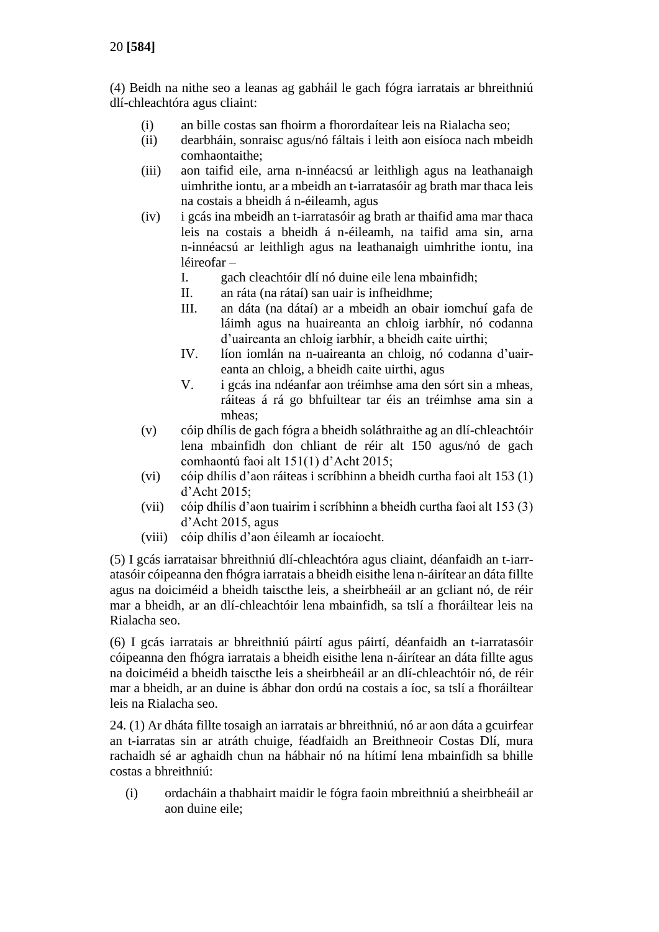(4) Beidh na nithe seo a leanas ag gabháil le gach fógra iarratais ar bhreithniú dlí-chleachtóra agus cliaint:

- (i) an bille costas san fhoirm a fhorordaítear leis na Rialacha seo;
- (ii) dearbháin, sonraisc agus/nó fáltais i leith aon eisíoca nach mbeidh comhaontaithe;
- (iii) aon taifid eile, arna n-innéacsú ar leithligh agus na leathanaigh uimhrithe iontu, ar a mbeidh an t-iarratasóir ag brath mar thaca leis na costais a bheidh á n-éileamh, agus
- (iv) i gcás ina mbeidh an t-iarratasóir ag brath ar thaifid ama mar thaca leis na costais a bheidh á n-éileamh, na taifid ama sin, arna n-innéacsú ar leithligh agus na leathanaigh uimhrithe iontu, ina léireofar –
	- I. gach cleachtóir dlí nó duine eile lena mbainfidh;
	- II. an ráta (na rátaí) san uair is infheidhme;
	- III. an dáta (na dátaí) ar a mbeidh an obair iomchuí gafa de láimh agus na huaireanta an chloig iarbhír, nó codanna d'uaireanta an chloig iarbhír, a bheidh caite uirthi;
	- IV. líon iomlán na n-uaireanta an chloig, nó codanna d'uaireanta an chloig, a bheidh caite uirthi, agus
	- V. i gcás ina ndéanfar aon tréimhse ama den sórt sin a mheas, ráiteas á rá go bhfuiltear tar éis an tréimhse ama sin a mheas;
- (v) cóip dhílis de gach fógra a bheidh soláthraithe ag an dlí-chleachtóir lena mbainfidh don chliant de réir alt 150 agus/nó de gach comhaontú faoi alt 151(1) d'Acht 2015;
- (vi) cóip dhílis d'aon ráiteas i scríbhinn a bheidh curtha faoi alt 153 (1) d'Acht 2015;
- (vii) cóip dhílis d'aon tuairim i scríbhinn a bheidh curtha faoi alt 153 (3) d'Acht 2015, agus
- (viii) cóip dhílis d'aon éileamh ar íocaíocht.

(5) I gcás iarrataisar bhreithniú dlí-chleachtóra agus cliaint, déanfaidh an t-iarratasóir cóipeanna den fhógra iarratais a bheidh eisithe lena n-áirítear an dáta fillte agus na doiciméid a bheidh taiscthe leis, a sheirbheáil ar an gcliant nó, de réir mar a bheidh, ar an dlí-chleachtóir lena mbainfidh, sa tslí a fhoráiltear leis na Rialacha seo.

(6) I gcás iarratais ar bhreithniú páirtí agus páirtí, déanfaidh an t-iarratasóir cóipeanna den fhógra iarratais a bheidh eisithe lena n-áirítear an dáta fillte agus na doiciméid a bheidh taiscthe leis a sheirbheáil ar an dlí-chleachtóir nó, de réir mar a bheidh, ar an duine is ábhar don ordú na costais a íoc, sa tslí a fhoráiltear leis na Rialacha seo.

24. (1) Ar dháta fillte tosaigh an iarratais ar bhreithniú, nó ar aon dáta a gcuirfear an t-iarratas sin ar atráth chuige, féadfaidh an Breithneoir Costas Dlí, mura rachaidh sé ar aghaidh chun na hábhair nó na hítimí lena mbainfidh sa bhille costas a bhreithniú:

(i) ordacháin a thabhairt maidir le fógra faoin mbreithniú a sheirbheáil ar aon duine eile;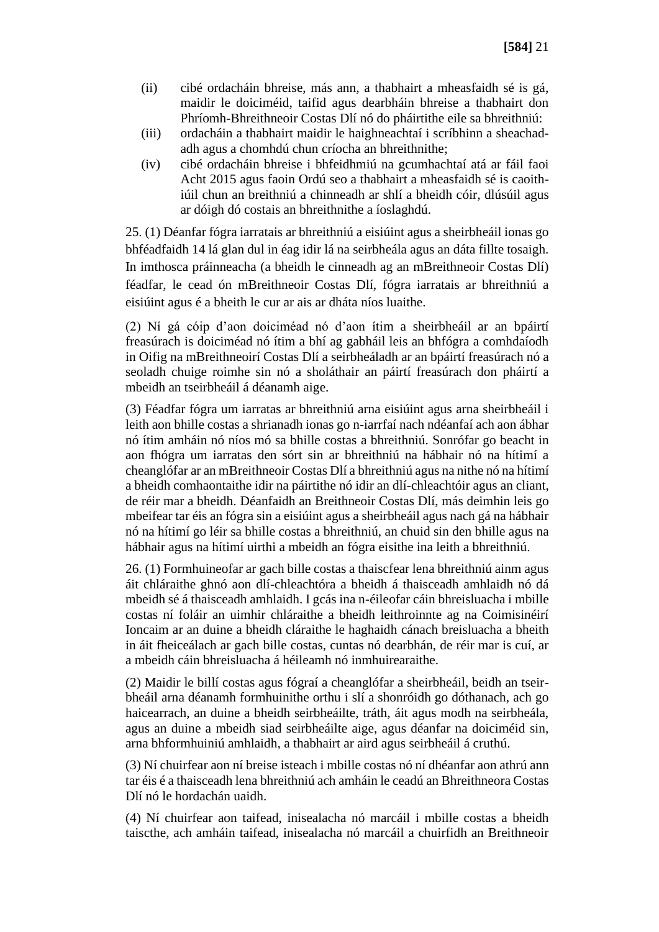- (ii) cibé ordacháin bhreise, más ann, a thabhairt a mheasfaidh sé is gá, maidir le doiciméid, taifid agus dearbháin bhreise a thabhairt don Phríomh-Bhreithneoir Costas Dlí nó do pháirtithe eile sa bhreithniú:
- (iii) ordacháin a thabhairt maidir le haighneachtaí i scríbhinn a sheachadadh agus a chomhdú chun críocha an bhreithnithe;
- (iv) cibé ordacháin bhreise i bhfeidhmiú na gcumhachtaí atá ar fáil faoi Acht 2015 agus faoin Ordú seo a thabhairt a mheasfaidh sé is caoithiúil chun an breithniú a chinneadh ar shlí a bheidh cóir, dlúsúil agus ar dóigh dó costais an bhreithnithe a íoslaghdú.

25. (1) Déanfar fógra iarratais ar bhreithniú a eisiúint agus a sheirbheáil ionas go bhféadfaidh 14 lá glan dul in éag idir lá na seirbheála agus an dáta fillte tosaigh. In imthosca práinneacha (a bheidh le cinneadh ag an mBreithneoir Costas Dlí) féadfar, le cead ón mBreithneoir Costas Dlí, fógra iarratais ar bhreithniú a eisiúint agus é a bheith le cur ar ais ar dháta níos luaithe.

(2) Ní gá cóip d'aon doiciméad nó d'aon ítim a sheirbheáil ar an bpáirtí freasúrach is doiciméad nó ítim a bhí ag gabháil leis an bhfógra a comhdaíodh in Oifig na mBreithneoirí Costas Dlí a seirbheáladh ar an bpáirtí freasúrach nó a seoladh chuige roimhe sin nó a sholáthair an páirtí freasúrach don pháirtí a mbeidh an tseirbheáil á déanamh aige.

(3) Féadfar fógra um iarratas ar bhreithniú arna eisiúint agus arna sheirbheáil i leith aon bhille costas a shrianadh ionas go n-iarrfaí nach ndéanfaí ach aon ábhar nó ítim amháin nó níos mó sa bhille costas a bhreithniú. Sonrófar go beacht in aon fhógra um iarratas den sórt sin ar bhreithniú na hábhair nó na hítimí a cheanglófar ar an mBreithneoir Costas Dlí a bhreithniú agus na nithe nó na hítimí a bheidh comhaontaithe idir na páirtithe nó idir an dlí-chleachtóir agus an cliant, de réir mar a bheidh. Déanfaidh an Breithneoir Costas Dlí, más deimhin leis go mbeifear tar éis an fógra sin a eisiúint agus a sheirbheáil agus nach gá na hábhair nó na hítimí go léir sa bhille costas a bhreithniú, an chuid sin den bhille agus na hábhair agus na hítimí uirthi a mbeidh an fógra eisithe ina leith a bhreithniú.

26. (1) Formhuineofar ar gach bille costas a thaiscfear lena bhreithniú ainm agus áit chláraithe ghnó aon dlí-chleachtóra a bheidh á thaisceadh amhlaidh nó dá mbeidh sé á thaisceadh amhlaidh. I gcás ina n-éileofar cáin bhreisluacha i mbille costas ní foláir an uimhir chláraithe a bheidh leithroinnte ag na Coimisinéirí Ioncaim ar an duine a bheidh cláraithe le haghaidh cánach breisluacha a bheith in áit fheiceálach ar gach bille costas, cuntas nó dearbhán, de réir mar is cuí, ar a mbeidh cáin bhreisluacha á héileamh nó inmhuirearaithe.

(2) Maidir le billí costas agus fógraí a cheanglófar a sheirbheáil, beidh an tseirbheáil arna déanamh formhuinithe orthu i slí a shonróidh go dóthanach, ach go haicearrach, an duine a bheidh seirbheáilte, tráth, áit agus modh na seirbheála, agus an duine a mbeidh siad seirbheáilte aige, agus déanfar na doiciméid sin, arna bhformhuiniú amhlaidh, a thabhairt ar aird agus seirbheáil á cruthú.

(3) Ní chuirfear aon ní breise isteach i mbille costas nó ní dhéanfar aon athrú ann tar éis é a thaisceadh lena bhreithniú ach amháin le ceadú an Bhreithneora Costas Dlí nó le hordachán uaidh.

(4) Ní chuirfear aon taifead, inisealacha nó marcáil i mbille costas a bheidh taiscthe, ach amháin taifead, inisealacha nó marcáil a chuirfidh an Breithneoir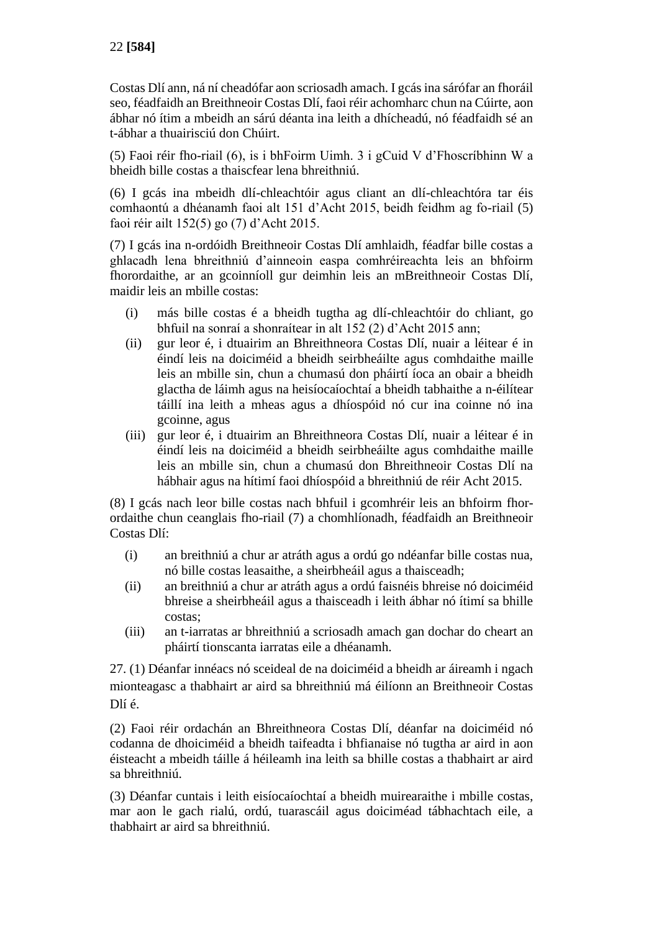Costas Dlí ann, ná ní cheadófar aon scriosadh amach. I gcás ina sárófar an fhoráil seo, féadfaidh an Breithneoir Costas Dlí, faoi réir achomharc chun na Cúirte, aon ábhar nó ítim a mbeidh an sárú déanta ina leith a dhícheadú, nó féadfaidh sé an t-ábhar a thuairisciú don Chúirt.

(5) Faoi réir fho-riail (6), is i bhFoirm Uimh. 3 i gCuid V d'Fhoscríbhinn W a bheidh bille costas a thaiscfear lena bhreithniú.

(6) I gcás ina mbeidh dlí-chleachtóir agus cliant an dlí-chleachtóra tar éis comhaontú a dhéanamh faoi alt 151 d'Acht 2015, beidh feidhm ag fo-riail (5) faoi réir ailt 152(5) go (7) d'Acht 2015.

(7) I gcás ina n-ordóidh Breithneoir Costas Dlí amhlaidh, féadfar bille costas a ghlacadh lena bhreithniú d'ainneoin easpa comhréireachta leis an bhfoirm fhorordaithe, ar an gcoinníoll gur deimhin leis an mBreithneoir Costas Dlí, maidir leis an mbille costas:

- (i) más bille costas é a bheidh tugtha ag dlí-chleachtóir do chliant, go bhfuil na sonraí a shonraítear in alt 152 (2) d'Acht 2015 ann;
- (ii) gur leor é, i dtuairim an Bhreithneora Costas Dlí, nuair a léitear é in éindí leis na doiciméid a bheidh seirbheáilte agus comhdaithe maille leis an mbille sin, chun a chumasú don pháirtí íoca an obair a bheidh glactha de láimh agus na heisíocaíochtaí a bheidh tabhaithe a n-éilítear táillí ina leith a mheas agus a dhíospóid nó cur ina coinne nó ina gcoinne, agus
- (iii) gur leor é, i dtuairim an Bhreithneora Costas Dlí, nuair a léitear é in éindí leis na doiciméid a bheidh seirbheáilte agus comhdaithe maille leis an mbille sin, chun a chumasú don Bhreithneoir Costas Dlí na hábhair agus na hítimí faoi dhíospóid a bhreithniú de réir Acht 2015.

(8) I gcás nach leor bille costas nach bhfuil i gcomhréir leis an bhfoirm fhorordaithe chun ceanglais fho-riail (7) a chomhlíonadh, féadfaidh an Breithneoir Costas Dlí:

- (i) an breithniú a chur ar atráth agus a ordú go ndéanfar bille costas nua, nó bille costas leasaithe, a sheirbheáil agus a thaisceadh;
- (ii) an breithniú a chur ar atráth agus a ordú faisnéis bhreise nó doiciméid bhreise a sheirbheáil agus a thaisceadh i leith ábhar nó ítimí sa bhille costas;
- (iii) an t-iarratas ar bhreithniú a scriosadh amach gan dochar do cheart an pháirtí tionscanta iarratas eile a dhéanamh.

27. (1) Déanfar innéacs nó sceideal de na doiciméid a bheidh ar áireamh i ngach mionteagasc a thabhairt ar aird sa bhreithniú má éilíonn an Breithneoir Costas Dlí é.

(2) Faoi réir ordachán an Bhreithneora Costas Dlí, déanfar na doiciméid nó codanna de dhoiciméid a bheidh taifeadta i bhfianaise nó tugtha ar aird in aon éisteacht a mbeidh táille á héileamh ina leith sa bhille costas a thabhairt ar aird sa bhreithniú.

(3) Déanfar cuntais i leith eisíocaíochtaí a bheidh muirearaithe i mbille costas, mar aon le gach rialú, ordú, tuarascáil agus doiciméad tábhachtach eile, a thabhairt ar aird sa bhreithniú.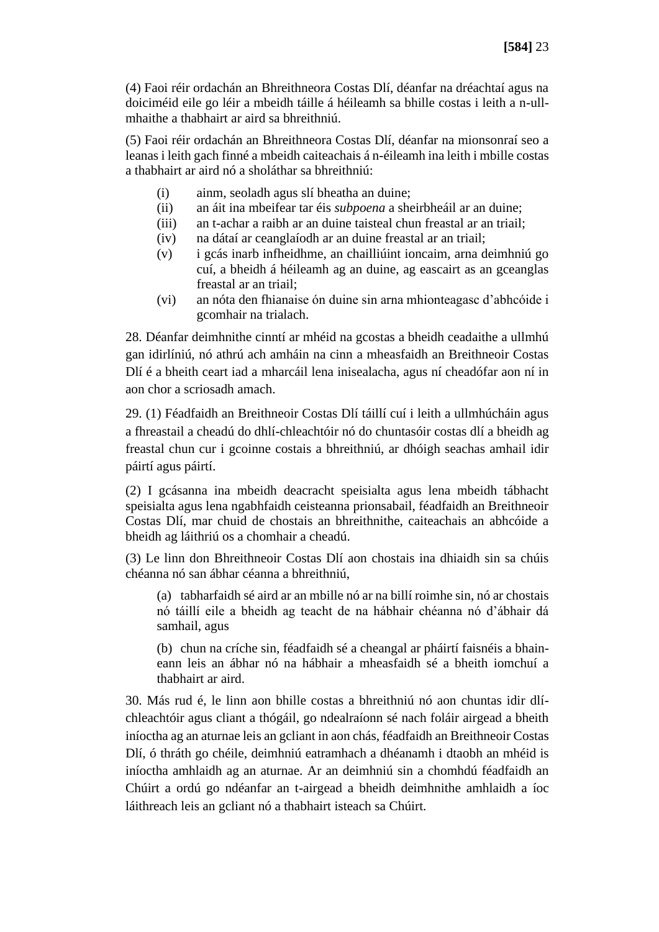(4) Faoi réir ordachán an Bhreithneora Costas Dlí, déanfar na dréachtaí agus na doiciméid eile go léir a mbeidh táille á héileamh sa bhille costas i leith a n-ullmhaithe a thabhairt ar aird sa bhreithniú.

(5) Faoi réir ordachán an Bhreithneora Costas Dlí, déanfar na mionsonraí seo a leanas i leith gach finné a mbeidh caiteachais á n-éileamh ina leith i mbille costas a thabhairt ar aird nó a sholáthar sa bhreithniú:

- (i) ainm, seoladh agus slí bheatha an duine;
- (ii) an áit ina mbeifear tar éis *subpoena* a sheirbheáil ar an duine;
- (iii) an t-achar a raibh ar an duine taisteal chun freastal ar an triail;
- (iv) na dátaí ar ceanglaíodh ar an duine freastal ar an triail;
- (v) i gcás inarb infheidhme, an chailliúint ioncaim, arna deimhniú go cuí, a bheidh á héileamh ag an duine, ag eascairt as an gceanglas freastal ar an triail;
- (vi) an nóta den fhianaise ón duine sin arna mhionteagasc d'abhcóide i gcomhair na trialach.

28. Déanfar deimhnithe cinntí ar mhéid na gcostas a bheidh ceadaithe a ullmhú gan idirlíniú, nó athrú ach amháin na cinn a mheasfaidh an Breithneoir Costas Dlí é a bheith ceart iad a mharcáil lena inisealacha, agus ní cheadófar aon ní in aon chor a scriosadh amach.

29. (1) Féadfaidh an Breithneoir Costas Dlí táillí cuí i leith a ullmhúcháin agus a fhreastail a cheadú do dhlí-chleachtóir nó do chuntasóir costas dlí a bheidh ag freastal chun cur i gcoinne costais a bhreithniú, ar dhóigh seachas amhail idir páirtí agus páirtí.

(2) I gcásanna ina mbeidh deacracht speisialta agus lena mbeidh tábhacht speisialta agus lena ngabhfaidh ceisteanna prionsabail, féadfaidh an Breithneoir Costas Dlí, mar chuid de chostais an bhreithnithe, caiteachais an abhcóide a bheidh ag láithriú os a chomhair a cheadú.

(3) Le linn don Bhreithneoir Costas Dlí aon chostais ina dhiaidh sin sa chúis chéanna nó san ábhar céanna a bhreithniú,

(a) tabharfaidh sé aird ar an mbille nó ar na billí roimhe sin, nó ar chostais nó táillí eile a bheidh ag teacht de na hábhair chéanna nó d'ábhair dá samhail, agus

(b) chun na críche sin, féadfaidh sé a cheangal ar pháirtí faisnéis a bhaineann leis an ábhar nó na hábhair a mheasfaidh sé a bheith iomchuí a thabhairt ar aird.

30. Más rud é, le linn aon bhille costas a bhreithniú nó aon chuntas idir dlíchleachtóir agus cliant a thógáil, go ndealraíonn sé nach foláir airgead a bheith iníoctha ag an aturnae leis an gcliant in aon chás, féadfaidh an Breithneoir Costas Dlí, ó thráth go chéile, deimhniú eatramhach a dhéanamh i dtaobh an mhéid is iníoctha amhlaidh ag an aturnae. Ar an deimhniú sin a chomhdú féadfaidh an Chúirt a ordú go ndéanfar an t-airgead a bheidh deimhnithe amhlaidh a íoc láithreach leis an gcliant nó a thabhairt isteach sa Chúirt.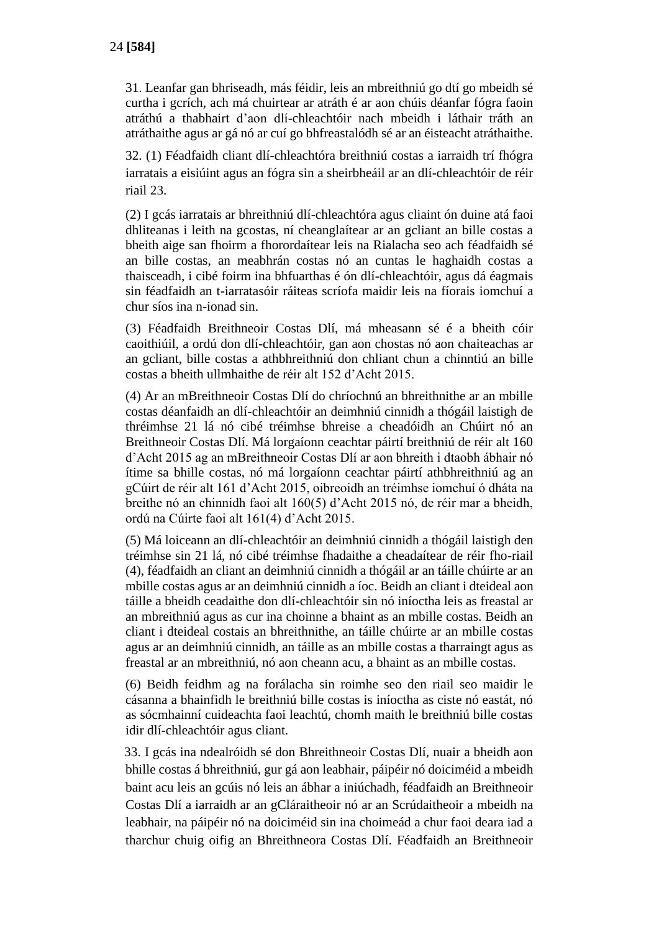31. Leanfar gan bhriseadh, más féidir, leis an mbreithniú go dtí go mbeidh sé curtha i gcrích, ach má chuirtear ar atráth é ar aon chúis déanfar fógra faoin atráthú a thabhairt d'aon dlí-chleachtóir nach mbeidh i láthair tráth an atráthaithe agus ar gá nó ar cuí go bhfreastalódh sé ar an éisteacht atráthaithe.

32. (1) Féadfaidh cliant dlí-chleachtóra breithniú costas a iarraidh trí fhógra iarratais a eisiúint agus an fógra sin a sheirbheáil ar an dlí-chleachtóir de réir riail 23.

(2) I gcás iarratais ar bhreithniú dlí-chleachtóra agus cliaint ón duine atá faoi dhliteanas i leith na gcostas, ní cheanglaítear ar an gcliant an bille costas a bheith aige san fhoirm a fhorordaítear leis na Rialacha seo ach féadfaidh sé an bille costas, an meabhrán costas nó an cuntas le haghaidh costas a thaisceadh, i cibé foirm ina bhfuarthas é ón dlí-chleachtóir, agus dá éagmais sin féadfaidh an t-iarratasóir ráiteas scríofa maidir leis na fíorais iomchuí a chur síos ina n-ionad sin.

(3) Féadfaidh Breithneoir Costas Dlí, má mheasann sé é a bheith cóir caoithiúil, a ordú don dlí-chleachtóir, gan aon chostas nó aon chaiteachas ar an gcliant, bille costas a athbhreithniú don chliant chun a chinntiú an bille costas a bheith ullmhaithe de réir alt 152 d'Acht 2015.

(4) Ar an mBreithneoir Costas Dlí do chríochnú an bhreithnithe ar an mbille costas déanfaidh an dlí-chleachtóir an deimhniú cinnidh a thógáil laistigh de thréimhse 21 lá nó cibé tréimhse bhreise a cheadóidh an Chúirt nó an Breithneoir Costas Dlí. Má lorgaíonn ceachtar páirtí breithniú de réir alt 160 d'Acht 2015 ag an mBreithneoir Costas Dlí ar aon bhreith i dtaobh ábhair nó ítime sa bhille costas, nó má lorgaíonn ceachtar páirtí athbhreithniú ag an gCúirt de réir alt 161 d'Acht 2015, oibreoidh an tréimhse iomchuí ó dháta na breithe nó an chinnidh faoi alt 160(5) d'Acht 2015 nó, de réir mar a bheidh, ordú na Cúirte faoi alt 161(4) d'Acht 2015.

(5) Má loiceann an dlí-chleachtóir an deimhniú cinnidh a thógáil laistigh den tréimhse sin 21 lá, nó cibé tréimhse fhadaithe a cheadaítear de réir fho-riail (4), féadfaidh an cliant an deimhniú cinnidh a thógáil ar an táille chúirte ar an mbille costas agus ar an deimhniú cinnidh a íoc. Beidh an cliant i dteideal aon táille a bheidh ceadaithe don dlí-chleachtóir sin nó iníoctha leis as freastal ar an mbreithniú agus as cur ina choinne a bhaint as an mbille costas. Beidh an cliant i dteideal costais an bhreithnithe, an táille chúirte ar an mbille costas agus ar an deimhniú cinnidh, an táille as an mbille costas a tharraingt agus as freastal ar an mbreithniú, nó aon cheann acu, a bhaint as an mbille costas.

(6) Beidh feidhm ag na forálacha sin roimhe seo den riail seo maidir le cásanna a bhainfidh le breithniú bille costas is iníoctha as ciste nó eastát, nó as sócmhainní cuideachta faoi leachtú, chomh maith le breithniú bille costas idir dlí-chleachtóir agus cliant.

 33. I gcás ina ndealróidh sé don Bhreithneoir Costas Dlí, nuair a bheidh aon bhille costas á bhreithniú, gur gá aon leabhair, páipéir nó doiciméid a mbeidh baint acu leis an gcúis nó leis an ábhar a iniúchadh, féadfaidh an Breithneoir Costas Dlí a iarraidh ar an gCláraitheoir nó ar an Scrúdaitheoir a mbeidh na leabhair, na páipéir nó na doiciméid sin ina choimeád a chur faoi deara iad a tharchur chuig oifig an Bhreithneora Costas Dlí. Féadfaidh an Breithneoir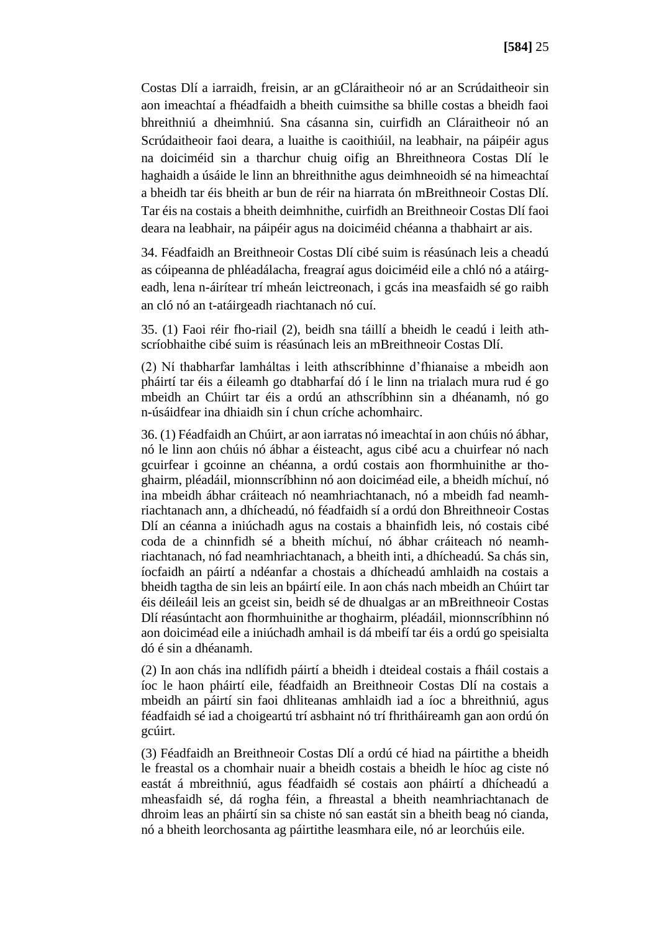Costas Dlí a iarraidh, freisin, ar an gCláraitheoir nó ar an Scrúdaitheoir sin aon imeachtaí a fhéadfaidh a bheith cuimsithe sa bhille costas a bheidh faoi bhreithniú a dheimhniú. Sna cásanna sin, cuirfidh an Cláraitheoir nó an Scrúdaitheoir faoi deara, a luaithe is caoithiúil, na leabhair, na páipéir agus na doiciméid sin a tharchur chuig oifig an Bhreithneora Costas Dlí le haghaidh a úsáide le linn an bhreithnithe agus deimhneoidh sé na himeachtaí a bheidh tar éis bheith ar bun de réir na hiarrata ón mBreithneoir Costas Dlí. Tar éis na costais a bheith deimhnithe, cuirfidh an Breithneoir Costas Dlí faoi deara na leabhair, na páipéir agus na doiciméid chéanna a thabhairt ar ais.

34. Féadfaidh an Breithneoir Costas Dlí cibé suim is réasúnach leis a cheadú as cóipeanna de phléadálacha, freagraí agus doiciméid eile a chló nó a atáirgeadh, lena n-áirítear trí mheán leictreonach, i gcás ina measfaidh sé go raibh an cló nó an t-atáirgeadh riachtanach nó cuí.

35. (1) Faoi réir fho-riail (2), beidh sna táillí a bheidh le ceadú i leith athscríobhaithe cibé suim is réasúnach leis an mBreithneoir Costas Dlí.

(2) Ní thabharfar lamháltas i leith athscríbhinne d'fhianaise a mbeidh aon pháirtí tar éis a éileamh go dtabharfaí dó í le linn na trialach mura rud é go mbeidh an Chúirt tar éis a ordú an athscríbhinn sin a dhéanamh, nó go n-úsáidfear ina dhiaidh sin í chun críche achomhairc.

36. (1) Féadfaidh an Chúirt, ar aon iarratas nó imeachtaí in aon chúis nó ábhar, nó le linn aon chúis nó ábhar a éisteacht, agus cibé acu a chuirfear nó nach gcuirfear i gcoinne an chéanna, a ordú costais aon fhormhuinithe ar thoghairm, pléadáil, mionnscríbhinn nó aon doiciméad eile, a bheidh míchuí, nó ina mbeidh ábhar cráiteach nó neamhriachtanach, nó a mbeidh fad neamhriachtanach ann, a dhícheadú, nó féadfaidh sí a ordú don Bhreithneoir Costas Dlí an céanna a iniúchadh agus na costais a bhainfidh leis, nó costais cibé coda de a chinnfidh sé a bheith míchuí, nó ábhar cráiteach nó neamhriachtanach, nó fad neamhriachtanach, a bheith inti, a dhícheadú. Sa chás sin, íocfaidh an páirtí a ndéanfar a chostais a dhícheadú amhlaidh na costais a bheidh tagtha de sin leis an bpáirtí eile. In aon chás nach mbeidh an Chúirt tar éis déileáil leis an gceist sin, beidh sé de dhualgas ar an mBreithneoir Costas Dlí réasúntacht aon fhormhuinithe ar thoghairm, pléadáil, mionnscríbhinn nó aon doiciméad eile a iniúchadh amhail is dá mbeifí tar éis a ordú go speisialta dó é sin a dhéanamh.

(2) In aon chás ina ndlífidh páirtí a bheidh i dteideal costais a fháil costais a íoc le haon pháirtí eile, féadfaidh an Breithneoir Costas Dlí na costais a mbeidh an páirtí sin faoi dhliteanas amhlaidh iad a íoc a bhreithniú, agus féadfaidh sé iad a choigeartú trí asbhaint nó trí fhritháireamh gan aon ordú ón gcúirt.

(3) Féadfaidh an Breithneoir Costas Dlí a ordú cé hiad na páirtithe a bheidh le freastal os a chomhair nuair a bheidh costais a bheidh le híoc ag ciste nó eastát á mbreithniú, agus féadfaidh sé costais aon pháirtí a dhícheadú a mheasfaidh sé, dá rogha féin, a fhreastal a bheith neamhriachtanach de dhroim leas an pháirtí sin sa chiste nó san eastát sin a bheith beag nó cianda, nó a bheith leorchosanta ag páirtithe leasmhara eile, nó ar leorchúis eile.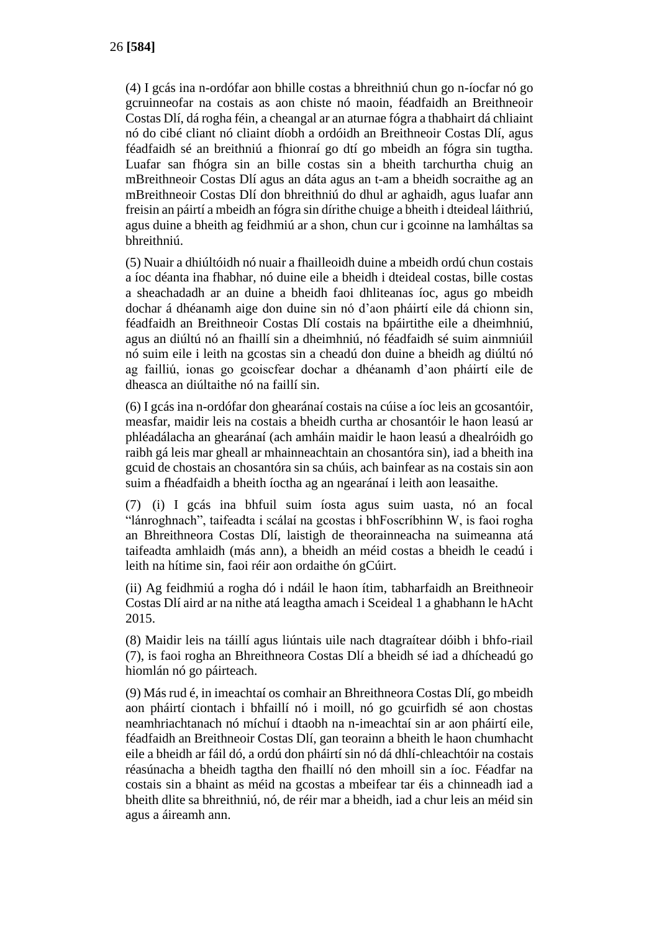(4) I gcás ina n-ordófar aon bhille costas a bhreithniú chun go n-íocfar nó go gcruinneofar na costais as aon chiste nó maoin, féadfaidh an Breithneoir Costas Dlí, dá rogha féin, a cheangal ar an aturnae fógra a thabhairt dá chliaint nó do cibé cliant nó cliaint díobh a ordóidh an Breithneoir Costas Dlí, agus féadfaidh sé an breithniú a fhionraí go dtí go mbeidh an fógra sin tugtha. Luafar san fhógra sin an bille costas sin a bheith tarchurtha chuig an mBreithneoir Costas Dlí agus an dáta agus an t-am a bheidh socraithe ag an mBreithneoir Costas Dlí don bhreithniú do dhul ar aghaidh, agus luafar ann freisin an páirtí a mbeidh an fógra sin dírithe chuige a bheith i dteideal láithriú, agus duine a bheith ag feidhmiú ar a shon, chun cur i gcoinne na lamháltas sa bhreithniú.

(5) Nuair a dhiúltóidh nó nuair a fhailleoidh duine a mbeidh ordú chun costais a íoc déanta ina fhabhar, nó duine eile a bheidh i dteideal costas, bille costas a sheachadadh ar an duine a bheidh faoi dhliteanas íoc, agus go mbeidh dochar á dhéanamh aige don duine sin nó d'aon pháirtí eile dá chionn sin, féadfaidh an Breithneoir Costas Dlí costais na bpáirtithe eile a dheimhniú, agus an diúltú nó an fhaillí sin a dheimhniú, nó féadfaidh sé suim ainmniúil nó suim eile i leith na gcostas sin a cheadú don duine a bheidh ag diúltú nó ag failliú, ionas go gcoiscfear dochar a dhéanamh d'aon pháirtí eile de dheasca an diúltaithe nó na faillí sin.

(6) I gcás ina n-ordófar don ghearánaí costais na cúise a íoc leis an gcosantóir, measfar, maidir leis na costais a bheidh curtha ar chosantóir le haon leasú ar phléadálacha an ghearánaí (ach amháin maidir le haon leasú a dhealróidh go raibh gá leis mar gheall ar mhainneachtain an chosantóra sin), iad a bheith ina gcuid de chostais an chosantóra sin sa chúis, ach bainfear as na costais sin aon suim a fhéadfaidh a bheith íoctha ag an ngearánaí i leith aon leasaithe.

(7) (i) I gcás ina bhfuil suim íosta agus suim uasta, nó an focal "lánroghnach", taifeadta i scálaí na gcostas i bhFoscríbhinn W, is faoi rogha an Bhreithneora Costas Dlí, laistigh de theorainneacha na suimeanna atá taifeadta amhlaidh (más ann), a bheidh an méid costas a bheidh le ceadú i leith na hítime sin, faoi réir aon ordaithe ón gCúirt.

(ii) Ag feidhmiú a rogha dó i ndáil le haon ítim, tabharfaidh an Breithneoir Costas Dlí aird ar na nithe atá leagtha amach i Sceideal 1 a ghabhann le hAcht 2015.

(8) Maidir leis na táillí agus liúntais uile nach dtagraítear dóibh i bhfo-riail (7), is faoi rogha an Bhreithneora Costas Dlí a bheidh sé iad a dhícheadú go hiomlán nó go páirteach.

(9) Más rud é, in imeachtaí os comhair an Bhreithneora Costas Dlí, go mbeidh aon pháirtí ciontach i bhfaillí nó i moill, nó go gcuirfidh sé aon chostas neamhriachtanach nó míchuí i dtaobh na n-imeachtaí sin ar aon pháirtí eile, féadfaidh an Breithneoir Costas Dlí, gan teorainn a bheith le haon chumhacht eile a bheidh ar fáil dó, a ordú don pháirtí sin nó dá dhlí-chleachtóir na costais réasúnacha a bheidh tagtha den fhaillí nó den mhoill sin a íoc. Féadfar na costais sin a bhaint as méid na gcostas a mbeifear tar éis a chinneadh iad a bheith dlite sa bhreithniú, nó, de réir mar a bheidh, iad a chur leis an méid sin agus a áireamh ann.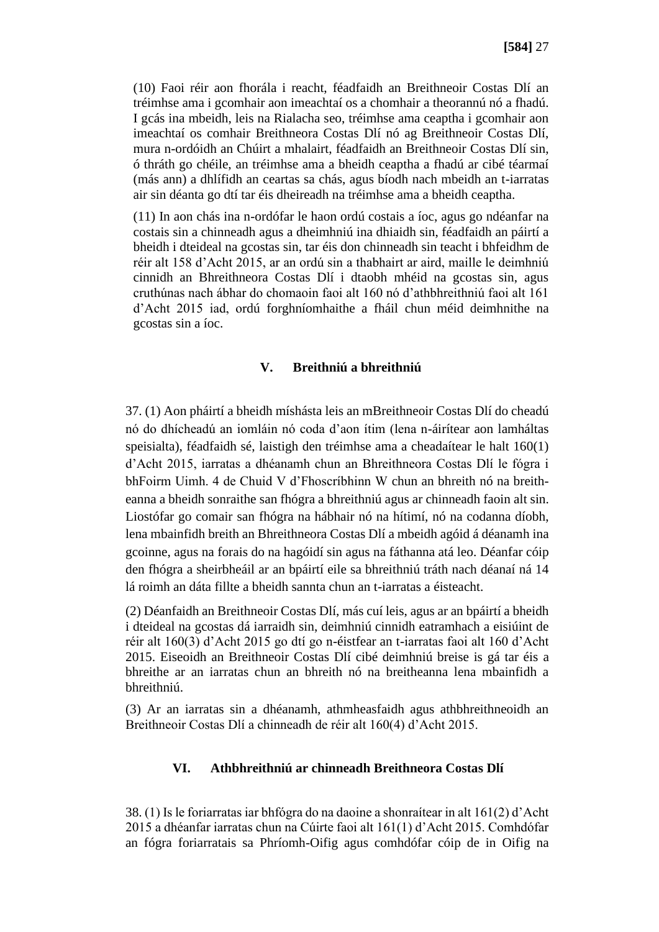(10) Faoi réir aon fhorála i reacht, féadfaidh an Breithneoir Costas Dlí an tréimhse ama i gcomhair aon imeachtaí os a chomhair a theorannú nó a fhadú. I gcás ina mbeidh, leis na Rialacha seo, tréimhse ama ceaptha i gcomhair aon imeachtaí os comhair Breithneora Costas Dlí nó ag Breithneoir Costas Dlí, mura n-ordóidh an Chúirt a mhalairt, féadfaidh an Breithneoir Costas Dlí sin, ó thráth go chéile, an tréimhse ama a bheidh ceaptha a fhadú ar cibé téarmaí (más ann) a dhlífidh an ceartas sa chás, agus bíodh nach mbeidh an t-iarratas air sin déanta go dtí tar éis dheireadh na tréimhse ama a bheidh ceaptha.

(11) In aon chás ina n-ordófar le haon ordú costais a íoc, agus go ndéanfar na costais sin a chinneadh agus a dheimhniú ina dhiaidh sin, féadfaidh an páirtí a bheidh i dteideal na gcostas sin, tar éis don chinneadh sin teacht i bhfeidhm de réir alt 158 d'Acht 2015, ar an ordú sin a thabhairt ar aird, maille le deimhniú cinnidh an Bhreithneora Costas Dlí i dtaobh mhéid na gcostas sin, agus cruthúnas nach ábhar do chomaoin faoi alt 160 nó d'athbhreithniú faoi alt 161 d'Acht 2015 iad, ordú forghníomhaithe a fháil chun méid deimhnithe na gcostas sin a íoc.

#### **V. Breithniú a bhreithniú**

37. (1) Aon pháirtí a bheidh míshásta leis an mBreithneoir Costas Dlí do cheadú nó do dhícheadú an iomláin nó coda d'aon ítim (lena n-áirítear aon lamháltas speisialta), féadfaidh sé, laistigh den tréimhse ama a cheadaítear le halt 160(1) d'Acht 2015, iarratas a dhéanamh chun an Bhreithneora Costas Dlí le fógra i bhFoirm Uimh. 4 de Chuid V d'Fhoscríbhinn W chun an bhreith nó na breitheanna a bheidh sonraithe san fhógra a bhreithniú agus ar chinneadh faoin alt sin. Liostófar go comair san fhógra na hábhair nó na hítimí, nó na codanna díobh, lena mbainfidh breith an Bhreithneora Costas Dlí a mbeidh agóid á déanamh ina gcoinne, agus na forais do na hagóidí sin agus na fáthanna atá leo. Déanfar cóip den fhógra a sheirbheáil ar an bpáirtí eile sa bhreithniú tráth nach déanaí ná 14 lá roimh an dáta fillte a bheidh sannta chun an t-iarratas a éisteacht.

(2) Déanfaidh an Breithneoir Costas Dlí, más cuí leis, agus ar an bpáirtí a bheidh i dteideal na gcostas dá iarraidh sin, deimhniú cinnidh eatramhach a eisiúint de réir alt 160(3) d'Acht 2015 go dtí go n-éistfear an t-iarratas faoi alt 160 d'Acht 2015. Eiseoidh an Breithneoir Costas Dlí cibé deimhniú breise is gá tar éis a bhreithe ar an iarratas chun an bhreith nó na breitheanna lena mbainfidh a bhreithniú.

(3) Ar an iarratas sin a dhéanamh, athmheasfaidh agus athbhreithneoidh an Breithneoir Costas Dlí a chinneadh de réir alt 160(4) d'Acht 2015.

#### **VI. Athbhreithniú ar chinneadh Breithneora Costas Dlí**

38. (1) Is le foriarratas iar bhfógra do na daoine a shonraítear in alt 161(2) d'Acht 2015 a dhéanfar iarratas chun na Cúirte faoi alt 161(1) d'Acht 2015. Comhdófar an fógra foriarratais sa Phríomh-Oifig agus comhdófar cóip de in Oifig na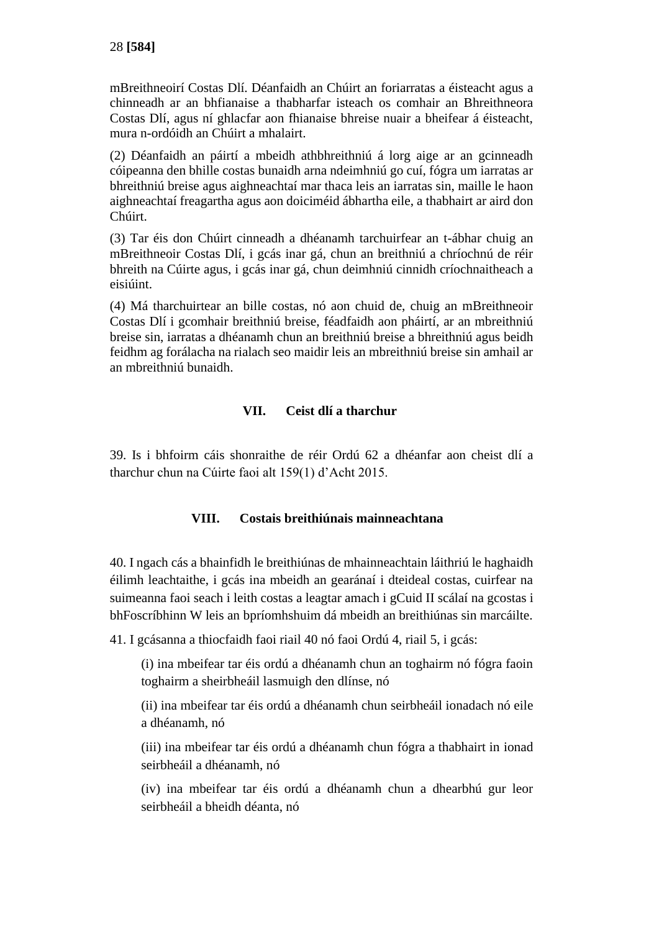mBreithneoirí Costas Dlí. Déanfaidh an Chúirt an foriarratas a éisteacht agus a chinneadh ar an bhfianaise a thabharfar isteach os comhair an Bhreithneora Costas Dlí, agus ní ghlacfar aon fhianaise bhreise nuair a bheifear á éisteacht, mura n-ordóidh an Chúirt a mhalairt.

(2) Déanfaidh an páirtí a mbeidh athbhreithniú á lorg aige ar an gcinneadh cóipeanna den bhille costas bunaidh arna ndeimhniú go cuí, fógra um iarratas ar bhreithniú breise agus aighneachtaí mar thaca leis an iarratas sin, maille le haon aighneachtaí freagartha agus aon doiciméid ábhartha eile, a thabhairt ar aird don Chúirt.

(3) Tar éis don Chúirt cinneadh a dhéanamh tarchuirfear an t-ábhar chuig an mBreithneoir Costas Dlí, i gcás inar gá, chun an breithniú a chríochnú de réir bhreith na Cúirte agus, i gcás inar gá, chun deimhniú cinnidh críochnaitheach a eisiúint.

(4) Má tharchuirtear an bille costas, nó aon chuid de, chuig an mBreithneoir Costas Dlí i gcomhair breithniú breise, féadfaidh aon pháirtí, ar an mbreithniú breise sin, iarratas a dhéanamh chun an breithniú breise a bhreithniú agus beidh feidhm ag forálacha na rialach seo maidir leis an mbreithniú breise sin amhail ar an mbreithniú bunaidh.

#### **VII. Ceist dlí a tharchur**

39. Is i bhfoirm cáis shonraithe de réir Ordú 62 a dhéanfar aon cheist dlí a tharchur chun na Cúirte faoi alt 159(1) d'Acht 2015.

#### **VIII. Costais breithiúnais mainneachtana**

40. I ngach cás a bhainfidh le breithiúnas de mhainneachtain láithriú le haghaidh éilimh leachtaithe, i gcás ina mbeidh an gearánaí i dteideal costas, cuirfear na suimeanna faoi seach i leith costas a leagtar amach i gCuid II scálaí na gcostas i bhFoscríbhinn W leis an bpríomhshuim dá mbeidh an breithiúnas sin marcáilte.

41. I gcásanna a thiocfaidh faoi riail 40 nó faoi Ordú 4, riail 5, i gcás:

(i) ina mbeifear tar éis ordú a dhéanamh chun an toghairm nó fógra faoin toghairm a sheirbheáil lasmuigh den dlínse, nó

(ii) ina mbeifear tar éis ordú a dhéanamh chun seirbheáil ionadach nó eile a dhéanamh, nó

(iii) ina mbeifear tar éis ordú a dhéanamh chun fógra a thabhairt in ionad seirbheáil a dhéanamh, nó

(iv) ina mbeifear tar éis ordú a dhéanamh chun a dhearbhú gur leor seirbheáil a bheidh déanta, nó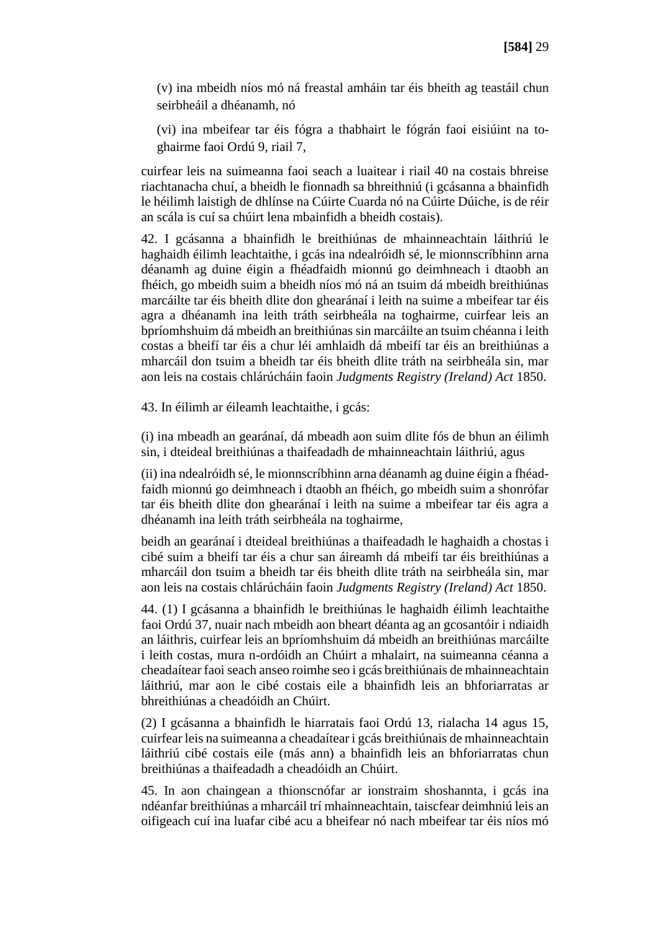(v) ina mbeidh níos mó ná freastal amháin tar éis bheith ag teastáil chun seirbheáil a dhéanamh, nó

(vi) ina mbeifear tar éis fógra a thabhairt le fógrán faoi eisiúint na toghairme faoi Ordú 9, riail 7,

cuirfear leis na suimeanna faoi seach a luaitear i riail 40 na costais bhreise riachtanacha chuí, a bheidh le fionnadh sa bhreithniú (i gcásanna a bhainfidh le héilimh laistigh de dhlínse na Cúirte Cuarda nó na Cúirte Dúiche, is de réir an scála is cuí sa chúirt lena mbainfidh a bheidh costais).

42. I gcásanna a bhainfidh le breithiúnas de mhainneachtain láithriú le haghaidh éilimh leachtaithe, i gcás ina ndealróidh sé, le mionnscríbhinn arna déanamh ag duine éigin a fhéadfaidh mionnú go deimhneach i dtaobh an fhéich, go mbeidh suim a bheidh níos mó ná an tsuim dá mbeidh breithiúnas marcáilte tar éis bheith dlite don ghearánaí i leith na suime a mbeifear tar éis agra a dhéanamh ina leith tráth seirbheála na toghairme, cuirfear leis an bpríomhshuim dá mbeidh an breithiúnas sin marcáilte an tsuim chéanna i leith costas a bheifí tar éis a chur léi amhlaidh dá mbeifí tar éis an breithiúnas a mharcáil don tsuim a bheidh tar éis bheith dlite tráth na seirbheála sin, mar aon leis na costais chlárúcháin faoin *Judgments Registry (Ireland) Act* 1850.

43. In éilimh ar éileamh leachtaithe, i gcás:

(i) ina mbeadh an gearánaí, dá mbeadh aon suim dlite fós de bhun an éilimh sin, i dteideal breithiúnas a thaifeadadh de mhainneachtain láithriú, agus

(ii) ina ndealróidh sé, le mionnscríbhinn arna déanamh ag duine éigin a fhéadfaidh mionnú go deimhneach i dtaobh an fhéich, go mbeidh suim a shonrófar tar éis bheith dlite don ghearánaí i leith na suime a mbeifear tar éis agra a dhéanamh ina leith tráth seirbheála na toghairme,

beidh an gearánaí i dteideal breithiúnas a thaifeadadh le haghaidh a chostas i cibé suim a bheifí tar éis a chur san áireamh dá mbeifí tar éis breithiúnas a mharcáil don tsuim a bheidh tar éis bheith dlite tráth na seirbheála sin, mar aon leis na costais chlárúcháin faoin *Judgments Registry (Ireland) Act* 1850.

44. (1) I gcásanna a bhainfidh le breithiúnas le haghaidh éilimh leachtaithe faoi Ordú 37, nuair nach mbeidh aon bheart déanta ag an gcosantóir i ndiaidh an láithris, cuirfear leis an bpríomhshuim dá mbeidh an breithiúnas marcáilte i leith costas, mura n-ordóidh an Chúirt a mhalairt, na suimeanna céanna a cheadaítear faoi seach anseo roimhe seo i gcás breithiúnais de mhainneachtain láithriú, mar aon le cibé costais eile a bhainfidh leis an bhforiarratas ar bhreithiúnas a cheadóidh an Chúirt.

(2) I gcásanna a bhainfidh le hiarratais faoi Ordú 13, rialacha 14 agus 15, cuirfear leis na suimeanna a cheadaítear i gcás breithiúnais de mhainneachtain láithriú cibé costais eile (más ann) a bhainfidh leis an bhforiarratas chun breithiúnas a thaifeadadh a cheadóidh an Chúirt.

45. In aon chaingean a thionscnófar ar ionstraim shoshannta, i gcás ina ndéanfar breithiúnas a mharcáil trí mhainneachtain, taiscfear deimhniú leis an oifigeach cuí ina luafar cibé acu a bheifear nó nach mbeifear tar éis níos mó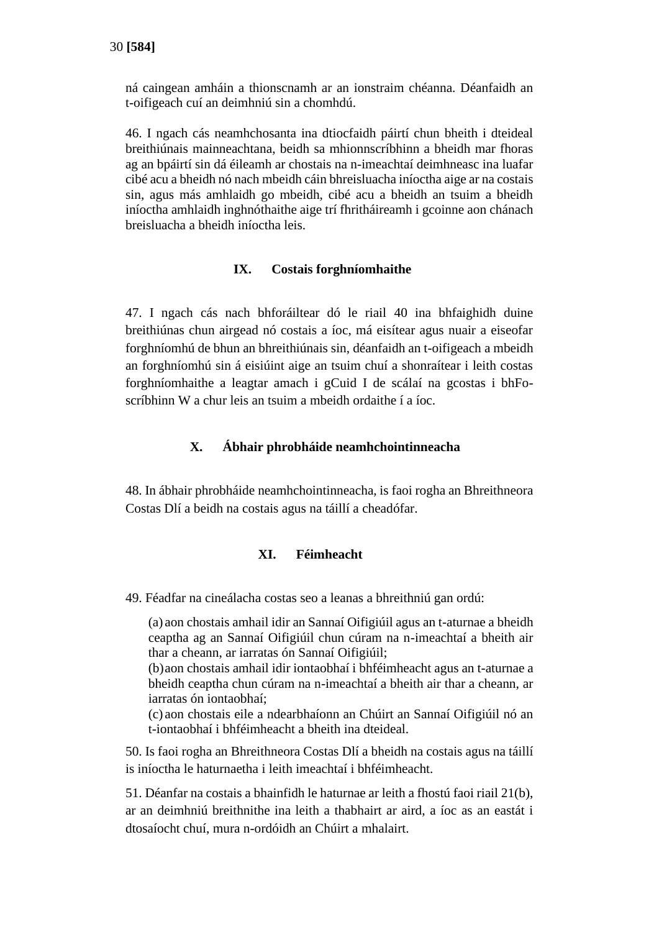ná caingean amháin a thionscnamh ar an ionstraim chéanna. Déanfaidh an t-oifigeach cuí an deimhniú sin a chomhdú.

46. I ngach cás neamhchosanta ina dtiocfaidh páirtí chun bheith i dteideal breithiúnais mainneachtana, beidh sa mhionnscríbhinn a bheidh mar fhoras ag an bpáirtí sin dá éileamh ar chostais na n-imeachtaí deimhneasc ina luafar cibé acu a bheidh nó nach mbeidh cáin bhreisluacha iníoctha aige ar na costais sin, agus más amhlaidh go mbeidh, cibé acu a bheidh an tsuim a bheidh iníoctha amhlaidh inghnóthaithe aige trí fhritháireamh i gcoinne aon chánach breisluacha a bheidh iníoctha leis.

#### **IX. Costais forghníomhaithe**

47. I ngach cás nach bhforáiltear dó le riail 40 ina bhfaighidh duine breithiúnas chun airgead nó costais a íoc, má eisítear agus nuair a eiseofar forghníomhú de bhun an bhreithiúnais sin, déanfaidh an t-oifigeach a mbeidh an forghníomhú sin á eisiúint aige an tsuim chuí a shonraítear i leith costas forghníomhaithe a leagtar amach i gCuid I de scálaí na gcostas i bhFoscríbhinn W a chur leis an tsuim a mbeidh ordaithe í a íoc.

#### **X. Ábhair phrobháide neamhchointinneacha**

48. In ábhair phrobháide neamhchointinneacha, is faoi rogha an Bhreithneora Costas Dlí a beidh na costais agus na táillí a cheadófar.

#### **XI. Féimheacht**

49. Féadfar na cineálacha costas seo a leanas a bhreithniú gan ordú:

(a) aon chostais amhail idir an Sannaí Oifigiúil agus an t-aturnae a bheidh ceaptha ag an Sannaí Oifigiúil chun cúram na n-imeachtaí a bheith air thar a cheann, ar iarratas ón Sannaí Oifigiúil;

(b)aon chostais amhail idir iontaobhaí i bhféimheacht agus an t-aturnae a bheidh ceaptha chun cúram na n-imeachtaí a bheith air thar a cheann, ar iarratas ón iontaobhaí;

(c) aon chostais eile a ndearbhaíonn an Chúirt an Sannaí Oifigiúil nó an t-iontaobhaí i bhféimheacht a bheith ina dteideal.

50. Is faoi rogha an Bhreithneora Costas Dlí a bheidh na costais agus na táillí is iníoctha le haturnaetha i leith imeachtaí i bhféimheacht.

51. Déanfar na costais a bhainfidh le haturnae ar leith a fhostú faoi riail 21(b), ar an deimhniú breithnithe ina leith a thabhairt ar aird, a íoc as an eastát i dtosaíocht chuí, mura n-ordóidh an Chúirt a mhalairt.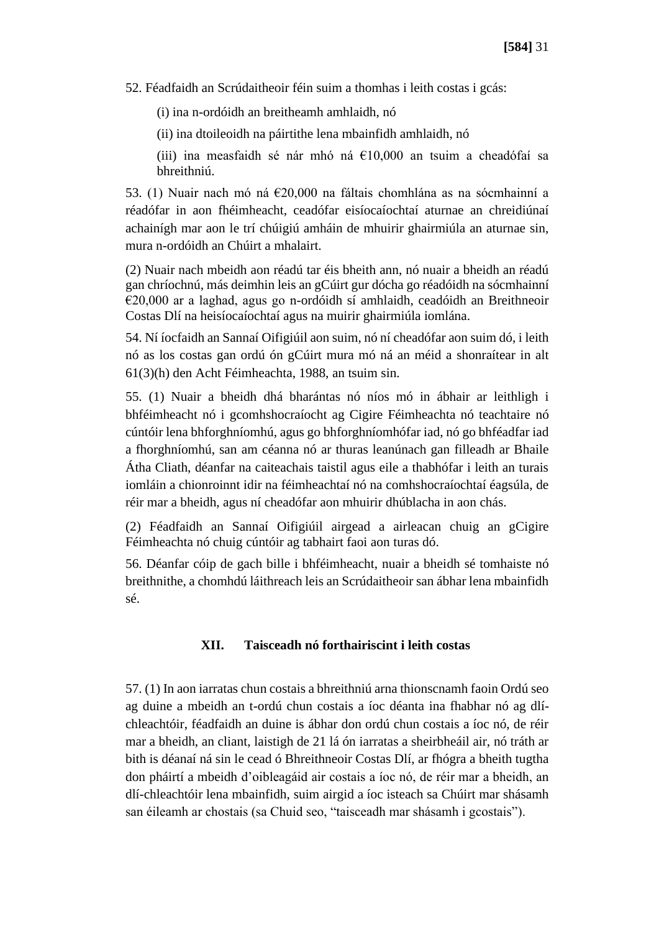52. Féadfaidh an Scrúdaitheoir féin suim a thomhas i leith costas i gcás:

(i) ina n-ordóidh an breitheamh amhlaidh, nó

(ii) ina dtoileoidh na páirtithe lena mbainfidh amhlaidh, nó

(iii) ina measfaidh sé nár mhó ná €10,000 an tsuim a cheadófaí sa bhreithniú.

53. (1) Nuair nach mó ná €20,000 na fáltais chomhlána as na sócmhainní a réadófar in aon fhéimheacht, ceadófar eisíocaíochtaí aturnae an chreidiúnaí achainígh mar aon le trí chúigiú amháin de mhuirir ghairmiúla an aturnae sin, mura n-ordóidh an Chúirt a mhalairt.

(2) Nuair nach mbeidh aon réadú tar éis bheith ann, nó nuair a bheidh an réadú gan chríochnú, más deimhin leis an gCúirt gur dócha go réadóidh na sócmhainní €20,000 ar a laghad, agus go n-ordóidh sí amhlaidh, ceadóidh an Breithneoir Costas Dlí na heisíocaíochtaí agus na muirir ghairmiúla iomlána.

54. Ní íocfaidh an Sannaí Oifigiúil aon suim, nó ní cheadófar aon suim dó, i leith nó as los costas gan ordú ón gCúirt mura mó ná an méid a shonraítear in alt 61(3)(h) den Acht Féimheachta, 1988, an tsuim sin.

55. (1) Nuair a bheidh dhá bharántas nó níos mó in ábhair ar leithligh i bhféimheacht nó i gcomhshocraíocht ag Cigire Féimheachta nó teachtaire nó cúntóir lena bhforghníomhú, agus go bhforghníomhófar iad, nó go bhféadfar iad a fhorghníomhú, san am céanna nó ar thuras leanúnach gan filleadh ar Bhaile Átha Cliath, déanfar na caiteachais taistil agus eile a thabhófar i leith an turais iomláin a chionroinnt idir na féimheachtaí nó na comhshocraíochtaí éagsúla, de réir mar a bheidh, agus ní cheadófar aon mhuirir dhúblacha in aon chás.

(2) Féadfaidh an Sannaí Oifigiúil airgead a airleacan chuig an gCigire Féimheachta nó chuig cúntóir ag tabhairt faoi aon turas dó.

56. Déanfar cóip de gach bille i bhféimheacht, nuair a bheidh sé tomhaiste nó breithnithe, a chomhdú láithreach leis an Scrúdaitheoir san ábhar lena mbainfidh sé.

#### **XII. Taisceadh nó forthairiscint i leith costas**

57. (1) In aon iarratas chun costais a bhreithniú arna thionscnamh faoin Ordú seo ag duine a mbeidh an t-ordú chun costais a íoc déanta ina fhabhar nó ag dlíchleachtóir, féadfaidh an duine is ábhar don ordú chun costais a íoc nó, de réir mar a bheidh, an cliant, laistigh de 21 lá ón iarratas a sheirbheáil air, nó tráth ar bith is déanaí ná sin le cead ó Bhreithneoir Costas Dlí, ar fhógra a bheith tugtha don pháirtí a mbeidh d'oibleagáid air costais a íoc nó, de réir mar a bheidh, an dlí-chleachtóir lena mbainfidh, suim airgid a íoc isteach sa Chúirt mar shásamh san éileamh ar chostais (sa Chuid seo, "taisceadh mar shásamh i gcostais").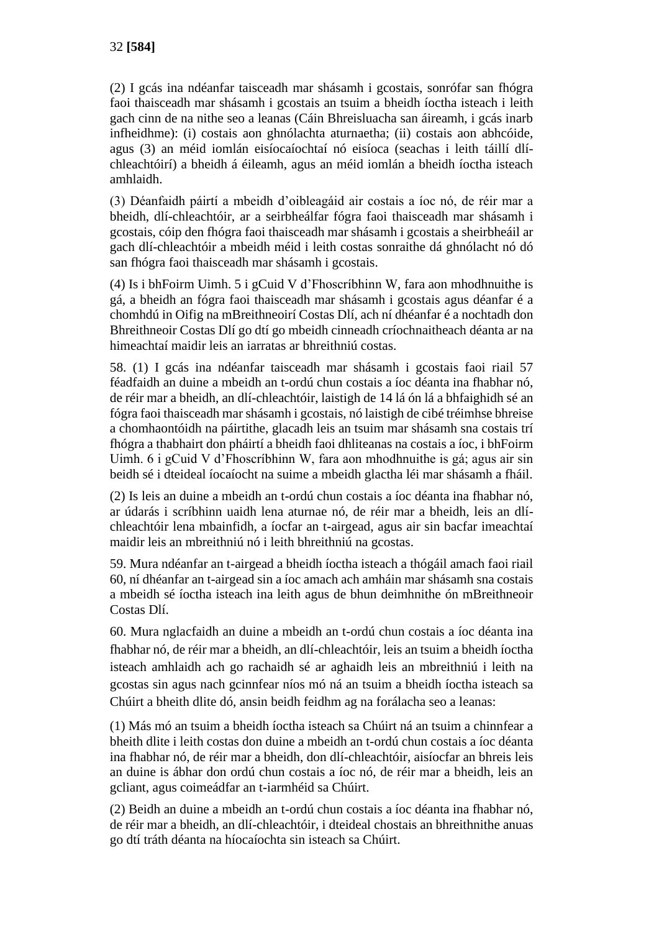(2) I gcás ina ndéanfar taisceadh mar shásamh i gcostais, sonrófar san fhógra faoi thaisceadh mar shásamh i gcostais an tsuim a bheidh íoctha isteach i leith gach cinn de na nithe seo a leanas (Cáin Bhreisluacha san áireamh, i gcás inarb infheidhme): (i) costais aon ghnólachta aturnaetha; (ii) costais aon abhcóide, agus (3) an méid iomlán eisíocaíochtaí nó eisíoca (seachas i leith táillí dlíchleachtóirí) a bheidh á éileamh, agus an méid iomlán a bheidh íoctha isteach amhlaidh.

(3) Déanfaidh páirtí a mbeidh d'oibleagáid air costais a íoc nó, de réir mar a bheidh, dlí-chleachtóir, ar a seirbheálfar fógra faoi thaisceadh mar shásamh i gcostais, cóip den fhógra faoi thaisceadh mar shásamh i gcostais a sheirbheáil ar gach dlí-chleachtóir a mbeidh méid i leith costas sonraithe dá ghnólacht nó dó san fhógra faoi thaisceadh mar shásamh i gcostais.

(4) Is i bhFoirm Uimh. 5 i gCuid V d'Fhoscríbhinn W, fara aon mhodhnuithe is gá, a bheidh an fógra faoi thaisceadh mar shásamh i gcostais agus déanfar é a chomhdú in Oifig na mBreithneoirí Costas Dlí, ach ní dhéanfar é a nochtadh don Bhreithneoir Costas Dlí go dtí go mbeidh cinneadh críochnaitheach déanta ar na himeachtaí maidir leis an iarratas ar bhreithniú costas.

58. (1) I gcás ina ndéanfar taisceadh mar shásamh i gcostais faoi riail 57 féadfaidh an duine a mbeidh an t-ordú chun costais a íoc déanta ina fhabhar nó, de réir mar a bheidh, an dlí-chleachtóir, laistigh de 14 lá ón lá a bhfaighidh sé an fógra faoi thaisceadh mar shásamh i gcostais, nó laistigh de cibé tréimhse bhreise a chomhaontóidh na páirtithe, glacadh leis an tsuim mar shásamh sna costais trí fhógra a thabhairt don pháirtí a bheidh faoi dhliteanas na costais a íoc, i bhFoirm Uimh. 6 i gCuid V d'Fhoscríbhinn W, fara aon mhodhnuithe is gá; agus air sin beidh sé i dteideal íocaíocht na suime a mbeidh glactha léi mar shásamh a fháil.

(2) Is leis an duine a mbeidh an t-ordú chun costais a íoc déanta ina fhabhar nó, ar údarás i scríbhinn uaidh lena aturnae nó, de réir mar a bheidh, leis an dlíchleachtóir lena mbainfidh, a íocfar an t-airgead, agus air sin bacfar imeachtaí maidir leis an mbreithniú nó i leith bhreithniú na gcostas.

59. Mura ndéanfar an t-airgead a bheidh íoctha isteach a thógáil amach faoi riail 60, ní dhéanfar an t-airgead sin a íoc amach ach amháin mar shásamh sna costais a mbeidh sé íoctha isteach ina leith agus de bhun deimhnithe ón mBreithneoir Costas Dlí.

60. Mura nglacfaidh an duine a mbeidh an t-ordú chun costais a íoc déanta ina fhabhar nó, de réir mar a bheidh, an dlí-chleachtóir, leis an tsuim a bheidh íoctha isteach amhlaidh ach go rachaidh sé ar aghaidh leis an mbreithniú i leith na gcostas sin agus nach gcinnfear níos mó ná an tsuim a bheidh íoctha isteach sa Chúirt a bheith dlite dó, ansin beidh feidhm ag na forálacha seo a leanas:

(1) Más mó an tsuim a bheidh íoctha isteach sa Chúirt ná an tsuim a chinnfear a bheith dlite i leith costas don duine a mbeidh an t-ordú chun costais a íoc déanta ina fhabhar nó, de réir mar a bheidh, don dlí-chleachtóir, aisíocfar an bhreis leis an duine is ábhar don ordú chun costais a íoc nó, de réir mar a bheidh, leis an gcliant, agus coimeádfar an t-iarmhéid sa Chúirt.

(2) Beidh an duine a mbeidh an t-ordú chun costais a íoc déanta ina fhabhar nó, de réir mar a bheidh, an dlí-chleachtóir, i dteideal chostais an bhreithnithe anuas go dtí tráth déanta na híocaíochta sin isteach sa Chúirt.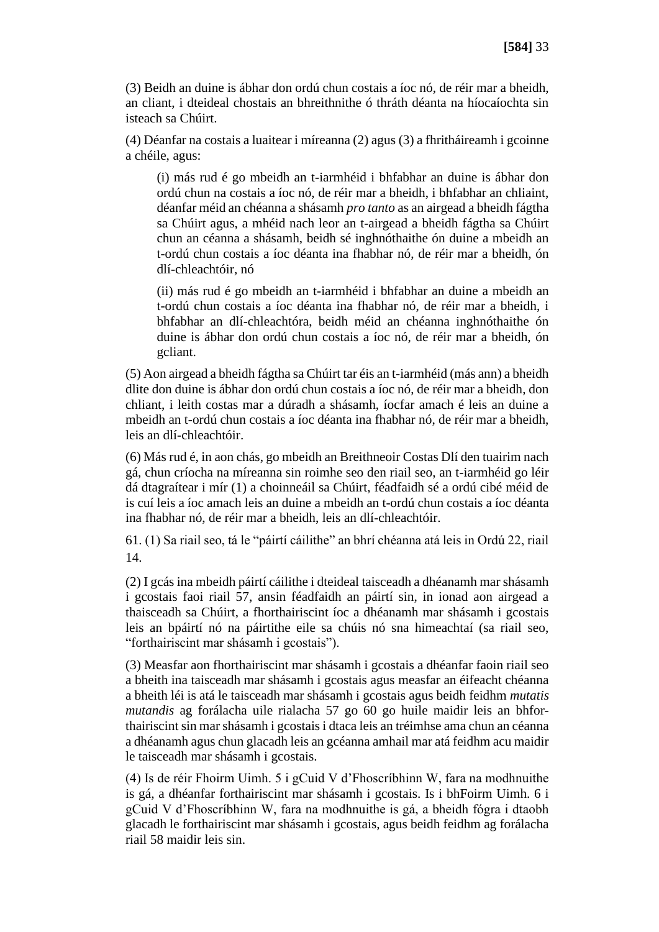(3) Beidh an duine is ábhar don ordú chun costais a íoc nó, de réir mar a bheidh, an cliant, i dteideal chostais an bhreithnithe ó thráth déanta na híocaíochta sin isteach sa Chúirt.

(4) Déanfar na costais a luaitear i míreanna (2) agus (3) a fhritháireamh i gcoinne a chéile, agus:

(i) más rud é go mbeidh an t-iarmhéid i bhfabhar an duine is ábhar don ordú chun na costais a íoc nó, de réir mar a bheidh, i bhfabhar an chliaint, déanfar méid an chéanna a shásamh *pro tanto* as an airgead a bheidh fágtha sa Chúirt agus, a mhéid nach leor an t-airgead a bheidh fágtha sa Chúirt chun an céanna a shásamh, beidh sé inghnóthaithe ón duine a mbeidh an t-ordú chun costais a íoc déanta ina fhabhar nó, de réir mar a bheidh, ón dlí-chleachtóir, nó

(ii) más rud é go mbeidh an t-iarmhéid i bhfabhar an duine a mbeidh an t-ordú chun costais a íoc déanta ina fhabhar nó, de réir mar a bheidh, i bhfabhar an dlí-chleachtóra, beidh méid an chéanna inghnóthaithe ón duine is ábhar don ordú chun costais a íoc nó, de réir mar a bheidh, ón gcliant.

(5) Aon airgead a bheidh fágtha sa Chúirt tar éis an t-iarmhéid (más ann) a bheidh dlite don duine is ábhar don ordú chun costais a íoc nó, de réir mar a bheidh, don chliant, i leith costas mar a dúradh a shásamh, íocfar amach é leis an duine a mbeidh an t-ordú chun costais a íoc déanta ina fhabhar nó, de réir mar a bheidh, leis an dlí-chleachtóir.

(6) Más rud é, in aon chás, go mbeidh an Breithneoir Costas Dlí den tuairim nach gá, chun críocha na míreanna sin roimhe seo den riail seo, an t-iarmhéid go léir dá dtagraítear i mír (1) a choinneáil sa Chúirt, féadfaidh sé a ordú cibé méid de is cuí leis a íoc amach leis an duine a mbeidh an t-ordú chun costais a íoc déanta ina fhabhar nó, de réir mar a bheidh, leis an dlí-chleachtóir.

61. (1) Sa riail seo, tá le "páirtí cáilithe" an bhrí chéanna atá leis in Ordú 22, riail 14.

(2) I gcás ina mbeidh páirtí cáilithe i dteideal taisceadh a dhéanamh mar shásamh i gcostais faoi riail 57, ansin féadfaidh an páirtí sin, in ionad aon airgead a thaisceadh sa Chúirt, a fhorthairiscint íoc a dhéanamh mar shásamh i gcostais leis an bpáirtí nó na páirtithe eile sa chúis nó sna himeachtaí (sa riail seo, "forthairiscint mar shásamh i gcostais").

(3) Measfar aon fhorthairiscint mar shásamh i gcostais a dhéanfar faoin riail seo a bheith ina taisceadh mar shásamh i gcostais agus measfar an éifeacht chéanna a bheith léi is atá le taisceadh mar shásamh i gcostais agus beidh feidhm *mutatis mutandis* ag forálacha uile rialacha 57 go 60 go huile maidir leis an bhforthairiscint sin mar shásamh i gcostais i dtaca leis an tréimhse ama chun an céanna a dhéanamh agus chun glacadh leis an gcéanna amhail mar atá feidhm acu maidir le taisceadh mar shásamh i gcostais.

(4) Is de réir Fhoirm Uimh. 5 i gCuid V d'Fhoscríbhinn W, fara na modhnuithe is gá, a dhéanfar forthairiscint mar shásamh i gcostais. Is i bhFoirm Uimh. 6 i gCuid V d'Fhoscríbhinn W, fara na modhnuithe is gá, a bheidh fógra i dtaobh glacadh le forthairiscint mar shásamh i gcostais, agus beidh feidhm ag forálacha riail 58 maidir leis sin.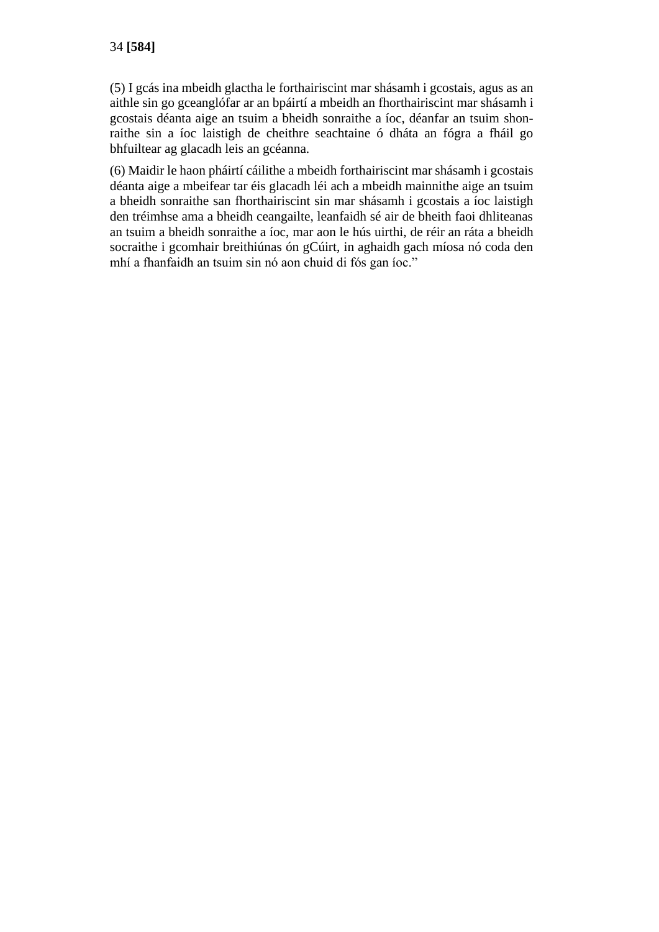(5) I gcás ina mbeidh glactha le forthairiscint mar shásamh i gcostais, agus as an aithle sin go gceanglófar ar an bpáirtí a mbeidh an fhorthairiscint mar shásamh i gcostais déanta aige an tsuim a bheidh sonraithe a íoc, déanfar an tsuim shonraithe sin a íoc laistigh de cheithre seachtaine ó dháta an fógra a fháil go bhfuiltear ag glacadh leis an gcéanna.

(6) Maidir le haon pháirtí cáilithe a mbeidh forthairiscint mar shásamh i gcostais déanta aige a mbeifear tar éis glacadh léi ach a mbeidh mainnithe aige an tsuim a bheidh sonraithe san fhorthairiscint sin mar shásamh i gcostais a íoc laistigh den tréimhse ama a bheidh ceangailte, leanfaidh sé air de bheith faoi dhliteanas an tsuim a bheidh sonraithe a íoc, mar aon le hús uirthi, de réir an ráta a bheidh socraithe i gcomhair breithiúnas ón gCúirt, in aghaidh gach míosa nó coda den mhí a fhanfaidh an tsuim sin nó aon chuid di fós gan íoc."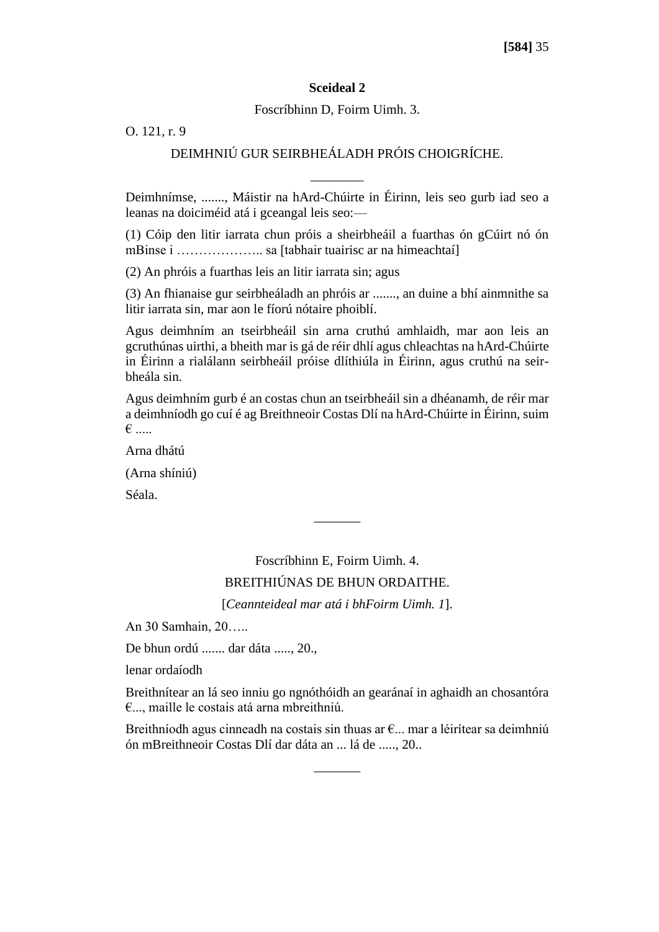#### **Sceideal 2**

Foscríbhinn D, Foirm Uimh. 3.

O. 121, r. 9

# DEIMHNIÚ GUR SEIRBHEÁLADH PRÓIS CHOIGRÍCHE.

\_\_\_\_\_\_\_\_

Deimhnímse, ......., Máistir na hArd-Chúirte in Éirinn, leis seo gurb iad seo a leanas na doiciméid atá i gceangal leis seo:—

(1) Cóip den litir iarrata chun próis a sheirbheáil a fuarthas ón gCúirt nó ón mBinse i ……………….. sa [tabhair tuairisc ar na himeachtaí]

(2) An phróis a fuarthas leis an litir iarrata sin; agus

(3) An fhianaise gur seirbheáladh an phróis ar ......., an duine a bhí ainmnithe sa litir iarrata sin, mar aon le fíorú nótaire phoiblí.

Agus deimhním an tseirbheáil sin arna cruthú amhlaidh, mar aon leis an gcruthúnas uirthi, a bheith mar is gá de réir dhlí agus chleachtas na hArd-Chúirte in Éirinn a rialálann seirbheáil próise dlíthiúla in Éirinn, agus cruthú na seirbheála sin.

Agus deimhním gurb é an costas chun an tseirbheáil sin a dhéanamh, de réir mar a deimhníodh go cuí é ag Breithneoir Costas Dlí na hArd-Chúirte in Éirinn, suim € .....

Arna dhátú

(Arna shíniú)

Séala.

Foscríbhinn E, Foirm Uimh. 4. BREITHIÚNAS DE BHUN ORDAITHE.

 $\overline{\phantom{a}}$ 

[*Ceannteideal mar atá i bhFoirm Uimh. 1*].

An 30 Samhain, 20…..

De bhun ordú ....... dar dáta ....., 20.,

lenar ordaíodh

Breithnítear an lá seo inniu go ngnóthóidh an gearánaí in aghaidh an chosantóra €..., maille le costais atá arna mbreithniú.

Breithníodh agus cinneadh na costais sin thuas ar €... mar a léirítear sa deimhniú ón mBreithneoir Costas Dlí dar dáta an ... lá de ....., 20..

 $\overline{\phantom{a}}$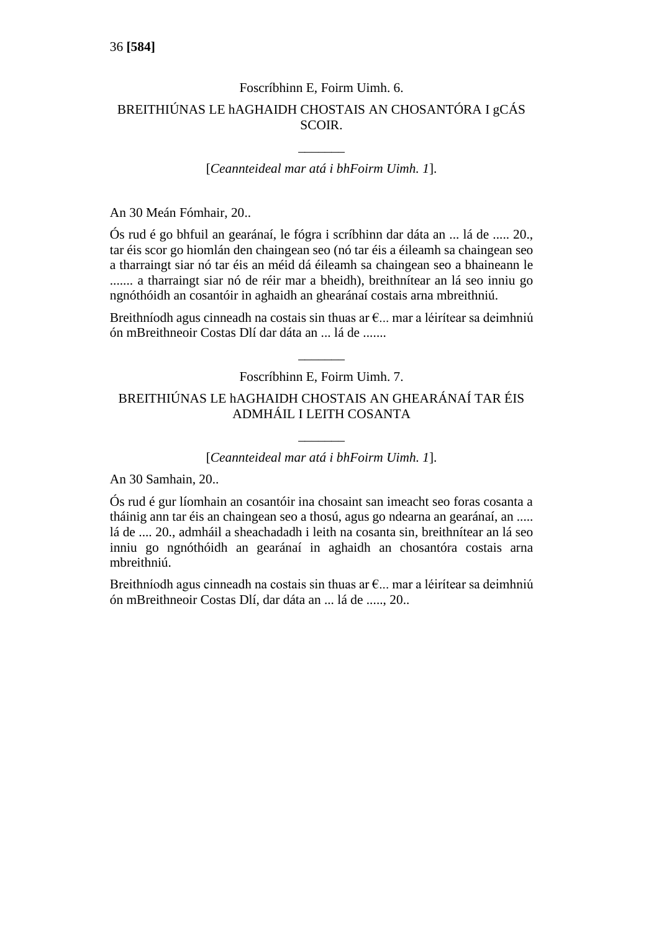# Foscríbhinn E, Foirm Uimh. 6. BREITHIÚNAS LE hAGHAIDH CHOSTAIS AN CHOSANTÓRA I gCÁS SCOIR.

[*Ceannteideal mar atá i bhFoirm Uimh. 1*].

 $\overline{\phantom{a}}$ 

An 30 Meán Fómhair, 20..

Ós rud é go bhfuil an gearánaí, le fógra i scríbhinn dar dáta an ... lá de ..... 20., tar éis scor go hiomlán den chaingean seo (nó tar éis a éileamh sa chaingean seo a tharraingt siar nó tar éis an méid dá éileamh sa chaingean seo a bhaineann le ....... a tharraingt siar nó de réir mar a bheidh), breithnítear an lá seo inniu go ngnóthóidh an cosantóir in aghaidh an ghearánaí costais arna mbreithniú.

Breithníodh agus cinneadh na costais sin thuas ar €... mar a léirítear sa deimhniú ón mBreithneoir Costas Dlí dar dáta an ... lá de .......

> $\overline{\phantom{a}}$ Foscríbhinn E, Foirm Uimh. 7.

# BREITHIÚNAS LE hAGHAIDH CHOSTAIS AN GHEARÁNAÍ TAR ÉIS ADMHÁIL I LEITH COSANTA

# $\overline{\phantom{a}}$ [*Ceannteideal mar atá i bhFoirm Uimh. 1*].

An 30 Samhain, 20..

Ós rud é gur líomhain an cosantóir ina chosaint san imeacht seo foras cosanta a tháinig ann tar éis an chaingean seo a thosú, agus go ndearna an gearánaí, an ..... lá de .... 20., admháil a sheachadadh i leith na cosanta sin, breithnítear an lá seo inniu go ngnóthóidh an gearánaí in aghaidh an chosantóra costais arna mbreithniú.

Breithníodh agus cinneadh na costais sin thuas ar €... mar a léirítear sa deimhniú ón mBreithneoir Costas Dlí, dar dáta an ... lá de ....., 20..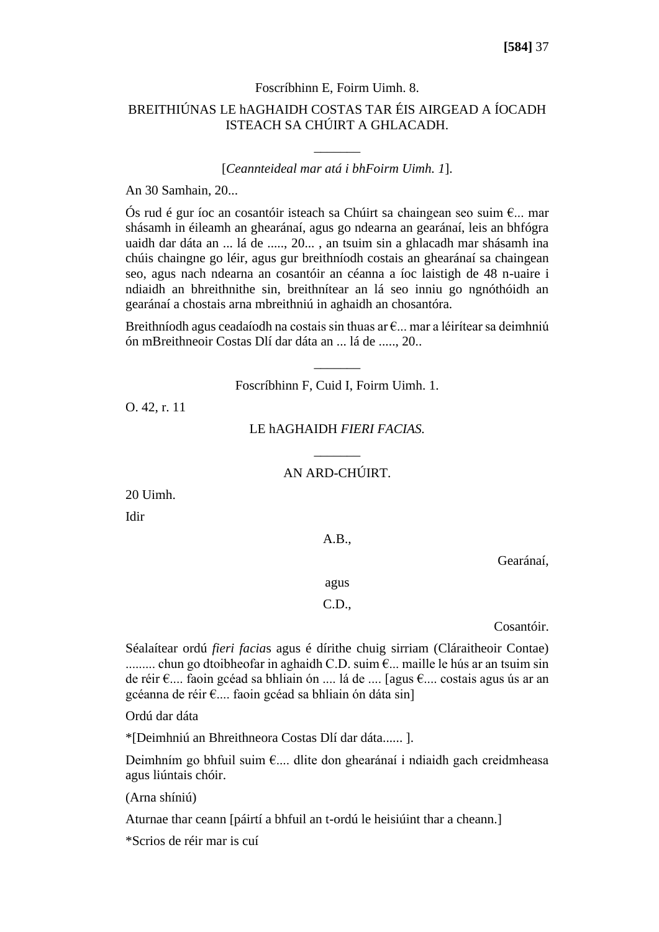#### Foscríbhinn E, Foirm Uimh. 8.

## BREITHIÚNAS LE hAGHAIDH COSTAS TAR ÉIS AIRGEAD A ÍOCADH ISTEACH SA CHÚIRT A GHLACADH.

### [*Ceannteideal mar atá i bhFoirm Uimh. 1*].

 $\overline{\phantom{a}}$ 

An 30 Samhain, 20...

Ós rud é gur íoc an cosantóir isteach sa Chúirt sa chaingean seo suim  $\epsilon_{\cdots}$  mar shásamh in éileamh an ghearánaí, agus go ndearna an gearánaí, leis an bhfógra uaidh dar dáta an ... lá de ....., 20... , an tsuim sin a ghlacadh mar shásamh ina chúis chaingne go léir, agus gur breithníodh costais an ghearánaí sa chaingean seo, agus nach ndearna an cosantóir an céanna a íoc laistigh de 48 n-uaire i ndiaidh an bhreithnithe sin, breithnítear an lá seo inniu go ngnóthóidh an gearánaí a chostais arna mbreithniú in aghaidh an chosantóra.

Breithníodh agus ceadaíodh na costais sin thuas ar  $\epsilon$ ... mar a léirítear sa deimhniú ón mBreithneoir Costas Dlí dar dáta an ... lá de ....., 20..

Foscríbhinn F, Cuid I, Foirm Uimh. 1.

 $\overline{\phantom{a}}$ 

O. 42, r. 11

LE hAGHAIDH *FIERI FACIAS.*

# $\overline{\phantom{a}}$ AN ARD-CHÚIRT.

20 Uimh.

Idir

A.B.,

Gearánaí,

agus

## C.D.,

Cosantóir.

Séalaítear ordú *fieri facia*s agus é dírithe chuig sirriam (Cláraitheoir Contae) ......... chun go dtoibheofar in aghaidh C.D. suim €... maille le hús ar an tsuim sin de réir €.... faoin gcéad sa bhliain ón .... lá de .... [agus €.... costais agus ús ar an gcéanna de réir €.... faoin gcéad sa bhliain ón dáta sin]

Ordú dar dáta

\*[Deimhniú an Bhreithneora Costas Dlí dar dáta...... ].

Deimhním go bhfuil suim €.... dlite don ghearánaí i ndiaidh gach creidmheasa agus liúntais chóir.

(Arna shíniú)

Aturnae thar ceann [páirtí a bhfuil an t-ordú le heisiúint thar a cheann.]

\*Scrios de réir mar is cuí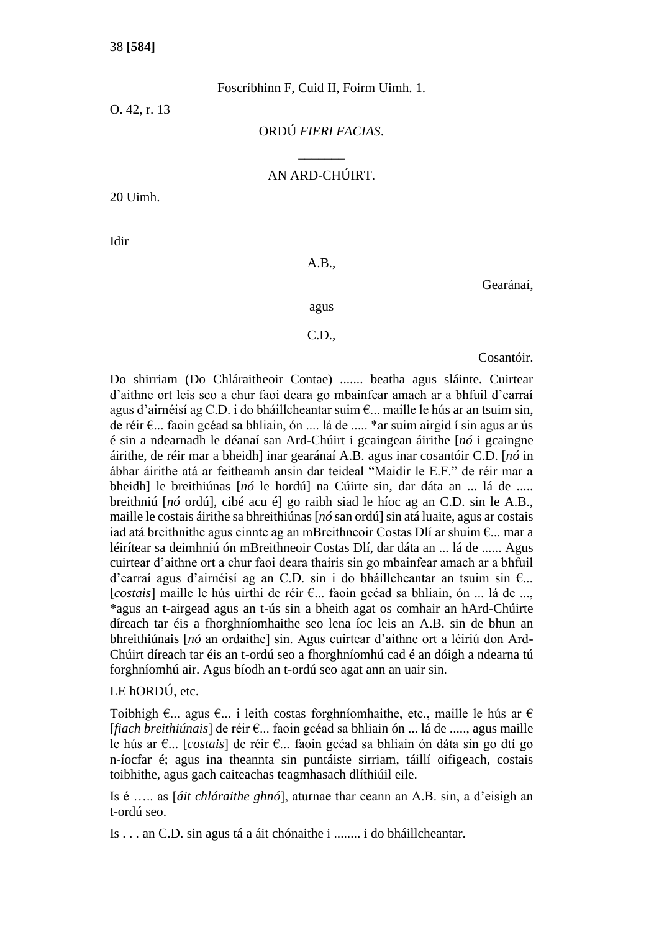Foscríbhinn F, Cuid II, Foirm Uimh. 1.

O. 42, r. 13

ORDÚ *FIERI FACIAS*.

 $\overline{\phantom{a}}$ 

## AN ARD-CHÚIRT.

20 Uimh.

Idir

### A.B.,

Gearánaí,

agus

### C.D.,

Cosantóir.

Do shirriam (Do Chláraitheoir Contae) ....... beatha agus sláinte. Cuirtear d'aithne ort leis seo a chur faoi deara go mbainfear amach ar a bhfuil d'earraí agus d'airnéisí ag C.D. i do bháillcheantar suim  $\epsilon$ ... maille le hús ar an tsuim sin, de réir €... faoin gcéad sa bhliain, ón .... lá de ..... \*ar suim airgid í sin agus ar ús é sin a ndearnadh le déanaí san Ard-Chúirt i gcaingean áirithe [*nó* i gcaingne áirithe, de réir mar a bheidh] inar gearánaí A.B. agus inar cosantóir C.D. [*nó* in ábhar áirithe atá ar feitheamh ansin dar teideal "Maidir le E.F." de réir mar a bheidh] le breithiúnas [*nó* le hordú] na Cúirte sin, dar dáta an ... lá de ..... breithniú [*nó* ordú], cibé acu é] go raibh siad le híoc ag an C.D. sin le A.B., maille le costais áirithe sa bhreithiúnas [*nó* san ordú] sin atá luaite, agus ar costais iad atá breithnithe agus cinnte ag an mBreithneoir Costas Dlí ar shuim €... mar a léirítear sa deimhniú ón mBreithneoir Costas Dlí, dar dáta an ... lá de ...... Agus cuirtear d'aithne ort a chur faoi deara thairis sin go mbainfear amach ar a bhfuil d'earraí agus d'airnéisí ag an C.D. sin i do bháillcheantar an tsuim sin €... [*costais*] maille le hús uirthi de réir €... faoin gcéad sa bhliain, ón ... lá de ..., \*agus an t-airgead agus an t-ús sin a bheith agat os comhair an hArd-Chúirte díreach tar éis a fhorghníomhaithe seo lena íoc leis an A.B. sin de bhun an bhreithiúnais [*nó* an ordaithe] sin. Agus cuirtear d'aithne ort a léiriú don Ard-Chúirt díreach tar éis an t-ordú seo a fhorghníomhú cad é an dóigh a ndearna tú forghníomhú air. Agus bíodh an t-ordú seo agat ann an uair sin.

## LE hORDÚ, etc.

Toibhigh €... agus €... i leith costas forghníomhaithe, etc., maille le hús ar € [*fiach breithiúnais*] de réir €... faoin gcéad sa bhliain ón ... lá de ....., agus maille le hús ar €... [*costais*] de réir €... faoin gcéad sa bhliain ón dáta sin go dtí go n-íocfar é; agus ina theannta sin puntáiste sirriam, táillí oifigeach, costais toibhithe, agus gach caiteachas teagmhasach dlíthiúil eile.

Is é ….. as [*áit chláraithe ghnó*], aturnae thar ceann an A.B. sin, a d'eisigh an t-ordú seo.

Is . . . an C.D. sin agus tá a áit chónaithe i ........ i do bháillcheantar.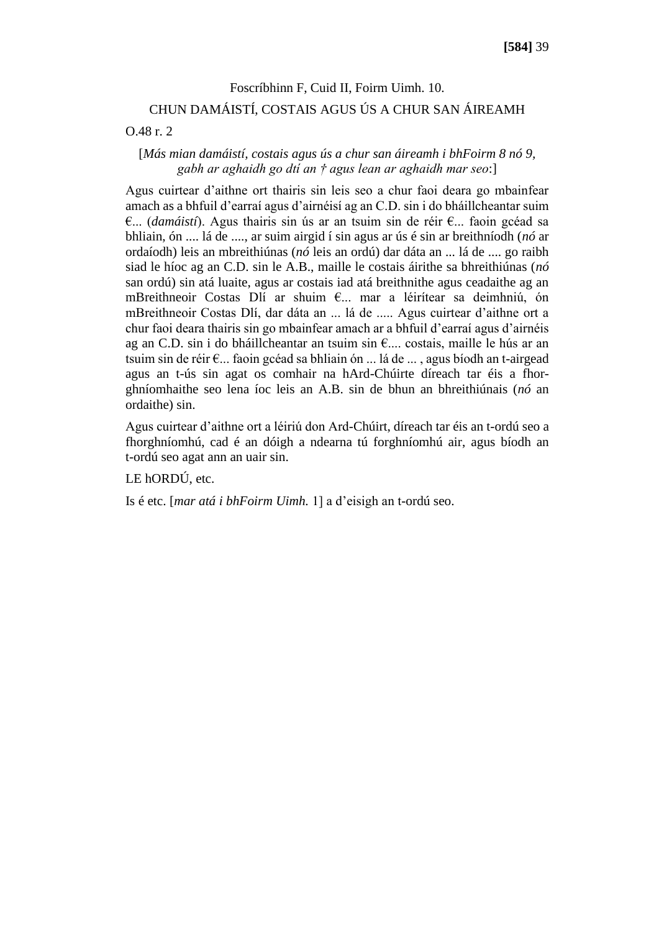# Foscríbhinn F, Cuid II, Foirm Uimh. 10. CHUN DAMÁISTÍ, COSTAIS AGUS ÚS A CHUR SAN ÁIREAMH

#### O.48 r. 2

## [*Más mian damáistí, costais agus ús a chur san áireamh i bhFoirm 8 nó 9, gabh ar aghaidh go dtí an † agus lean ar aghaidh mar seo*:]

Agus cuirtear d'aithne ort thairis sin leis seo a chur faoi deara go mbainfear amach as a bhfuil d'earraí agus d'airnéisí ag an C.D. sin i do bháillcheantar suim €... (*damáistí*). Agus thairis sin ús ar an tsuim sin de réir €... faoin gcéad sa bhliain, ón .... lá de ...., ar suim airgid í sin agus ar ús é sin ar breithníodh (*nó* ar ordaíodh) leis an mbreithiúnas (*nó* leis an ordú) dar dáta an ... lá de .... go raibh siad le híoc ag an C.D. sin le A.B., maille le costais áirithe sa bhreithiúnas (*nó*  san ordú) sin atá luaite, agus ar costais iad atá breithnithe agus ceadaithe ag an mBreithneoir Costas Dlí ar shuim €... mar a léirítear sa deimhniú, ón mBreithneoir Costas Dlí, dar dáta an ... lá de ..... Agus cuirtear d'aithne ort a chur faoi deara thairis sin go mbainfear amach ar a bhfuil d'earraí agus d'airnéis ag an C.D. sin i do bháillcheantar an tsuim sin €.... costais, maille le hús ar an tsuim sin de réir €... faoin gcéad sa bhliain ón ... lá de ... , agus bíodh an t-airgead agus an t-ús sin agat os comhair na hArd-Chúirte díreach tar éis a fhorghníomhaithe seo lena íoc leis an A.B. sin de bhun an bhreithiúnais (*nó* an ordaithe) sin.

Agus cuirtear d'aithne ort a léiriú don Ard-Chúirt, díreach tar éis an t-ordú seo a fhorghníomhú, cad é an dóigh a ndearna tú forghníomhú air, agus bíodh an t-ordú seo agat ann an uair sin.

LE hORDÚ, etc.

Is é etc. [*mar atá i bhFoirm Uimh.* 1] a d'eisigh an t-ordú seo.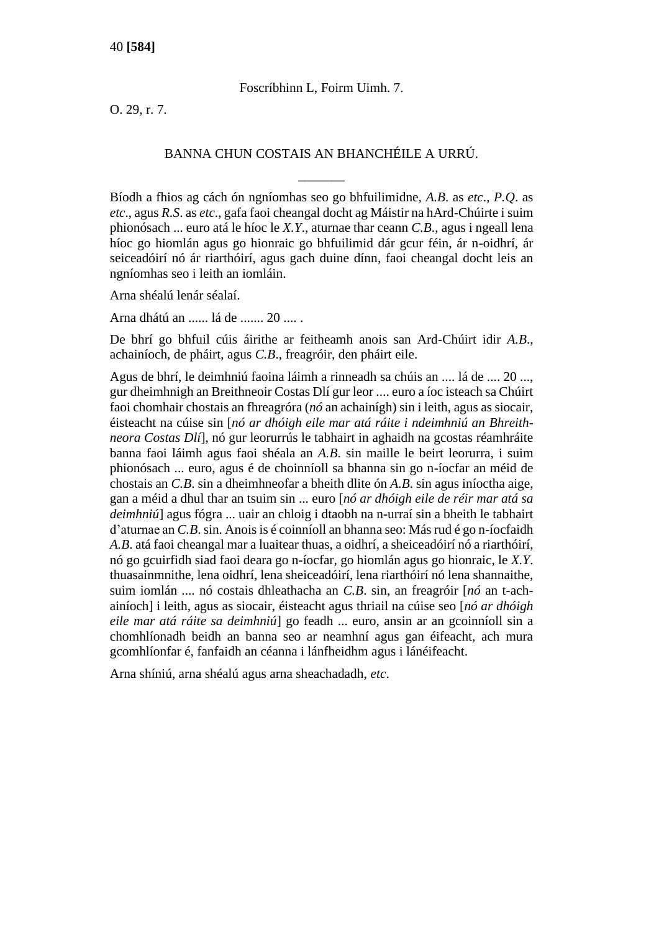## Foscríbhinn L, Foirm Uimh. 7.

O. 29, r. 7.

## BANNA CHUN COSTAIS AN BHANCHÉILE A URRÚ.

 $\overline{\phantom{a}}$ 

Bíodh a fhios ag cách ón ngníomhas seo go bhfuilimidne, *A.B*. as *etc*., *P.Q*. as *etc*., agus *R.S*. as *etc*., gafa faoi cheangal docht ag Máistir na hArd-Chúirte i suim phionósach ... euro atá le híoc le *X.Y*., aturnae thar ceann *C.B*., agus i ngeall lena híoc go hiomlán agus go hionraic go bhfuilimid dár gcur féin, ár n-oidhrí, ár seiceadóirí nó ár riarthóirí, agus gach duine dínn, faoi cheangal docht leis an ngníomhas seo i leith an iomláin.

Arna shéalú lenár séalaí.

Arna dhátú an ...... lá de ....... 20 .... .

De bhrí go bhfuil cúis áirithe ar feitheamh anois san Ard-Chúirt idir *A.B*., achainíoch, de pháirt, agus *C.B*., freagróir, den pháirt eile.

Agus de bhrí, le deimhniú faoina láimh a rinneadh sa chúis an .... lá de .... 20 ..., gur dheimhnigh an Breithneoir Costas Dlí gur leor .... euro a íoc isteach sa Chúirt faoi chomhair chostais an fhreagróra (*nó* an achainígh) sin i leith, agus as siocair, éisteacht na cúise sin [*nó ar dhóigh eile mar atá ráite i ndeimhniú an Bhreithneora Costas Dlí*], nó gur leorurrús le tabhairt in aghaidh na gcostas réamhráite banna faoi láimh agus faoi shéala an *A.B*. sin maille le beirt leorurra, i suim phionósach ... euro, agus é de choinníoll sa bhanna sin go n-íocfar an méid de chostais an *C.B*. sin a dheimhneofar a bheith dlite ón *A.B*. sin agus iníoctha aige, gan a méid a dhul thar an tsuim sin ... euro [*nó ar dhóigh eile de réir mar atá sa deimhniú*] agus fógra ... uair an chloig i dtaobh na n-urraí sin a bheith le tabhairt d'aturnae an *C.B*. sin. Anois is é coinníoll an bhanna seo: Más rud é go n-íocfaidh *A.B*. atá faoi cheangal mar a luaitear thuas, a oidhrí, a sheiceadóirí nó a riarthóirí, nó go gcuirfidh siad faoi deara go n-íocfar, go hiomlán agus go hionraic, le *X.Y*. thuasainmnithe, lena oidhrí, lena sheiceadóirí, lena riarthóirí nó lena shannaithe, suim iomlán .... nó costais dhleathacha an *C.B*. sin, an freagróir [*nó* an t-achainíoch] i leith, agus as siocair, éisteacht agus thriail na cúise seo [*nó ar dhóigh eile mar atá ráite sa deimhniú*] go feadh ... euro, ansin ar an gcoinníoll sin a chomhlíonadh beidh an banna seo ar neamhní agus gan éifeacht, ach mura gcomhlíonfar é, fanfaidh an céanna i lánfheidhm agus i lánéifeacht.

Arna shíniú, arna shéalú agus arna sheachadadh, *etc*.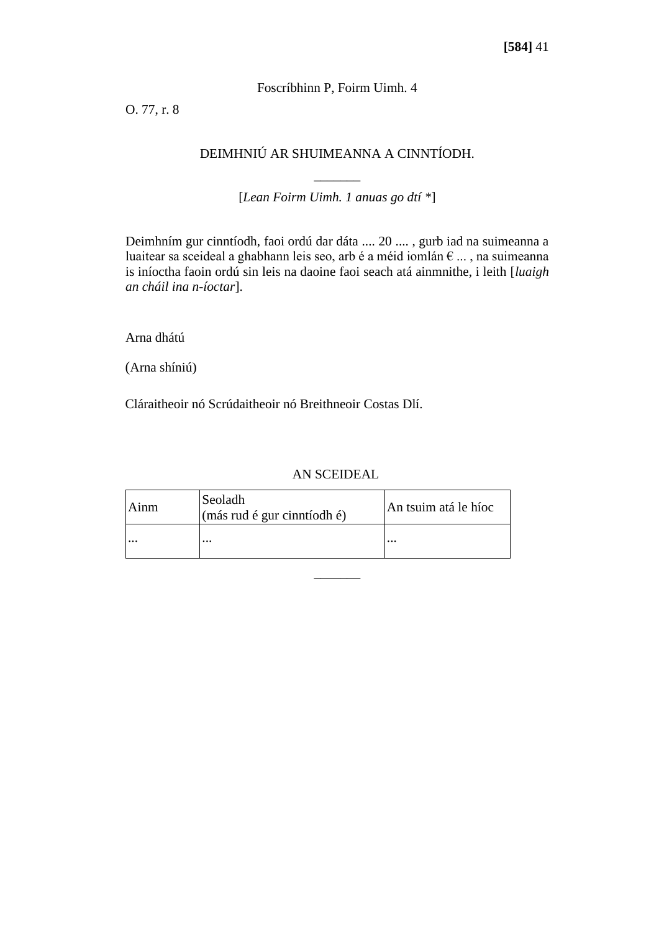## Foscríbhinn P, Foirm Uimh. 4

O. 77, r. 8

# DEIMHNIÚ AR SHUIMEANNA A CINNTÍODH.

 $\overline{\phantom{a}}$ [*Lean Foirm Uimh. 1 anuas go dtí \**]

Deimhním gur cinntíodh, faoi ordú dar dáta .... 20 .... , gurb iad na suimeanna a luaitear sa sceideal a ghabhann leis seo, arb é a méid iomlán € ... , na suimeanna is iníoctha faoin ordú sin leis na daoine faoi seach atá ainmnithe, i leith [*luaigh an cháil ina n-íoctar*].

Arna dhátú

(Arna shíniú)

Cláraitheoir nó Scrúdaitheoir nó Breithneoir Costas Dlí.

## AN SCEIDEAL

 $\overline{\phantom{a}}$ 

| Ainm     | Seoladh<br>$\left(\text{más rud é gur cinntíodh é}\right)$ | An tsuim atá le híoc |
|----------|------------------------------------------------------------|----------------------|
| $\cdots$ | $\cdots$                                                   | $\cdots$             |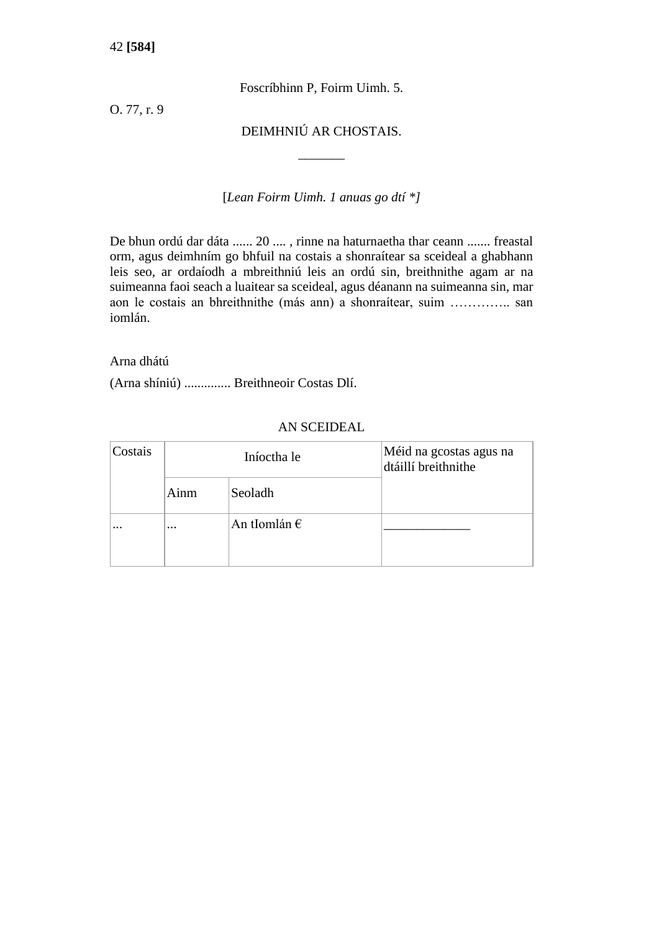Foscríbhinn P, Foirm Uimh. 5.

O. 77, r. 9

DEIMHNIÚ AR CHOSTAIS.

 $\overline{\phantom{a}}$ 

[*Lean Foirm Uimh. 1 anuas go dtí \*]*

De bhun ordú dar dáta ...... 20 .... , rinne na haturnaetha thar ceann ....... freastal orm, agus deimhním go bhfuil na costais a shonraítear sa sceideal a ghabhann leis seo, ar ordaíodh a mbreithniú leis an ordú sin, breithnithe agam ar na suimeanna faoi seach a luaitear sa sceideal, agus déanann na suimeanna sin, mar aon le costais an bhreithnithe (más ann) a shonraítear, suim ………….. san iomlán.

## Arna dhátú

(Arna shíniú) .............. Breithneoir Costas Dlí.

| Costais  | Iníoctha le         |                       | Méid na gcostas agus na<br>dtáillí breithnithe |
|----------|---------------------|-----------------------|------------------------------------------------|
|          | Ainm                | Seoladh               |                                                |
| $\cdots$ | $\cdot \cdot \cdot$ | An tIomlán $\epsilon$ |                                                |

## AN SCEIDEAL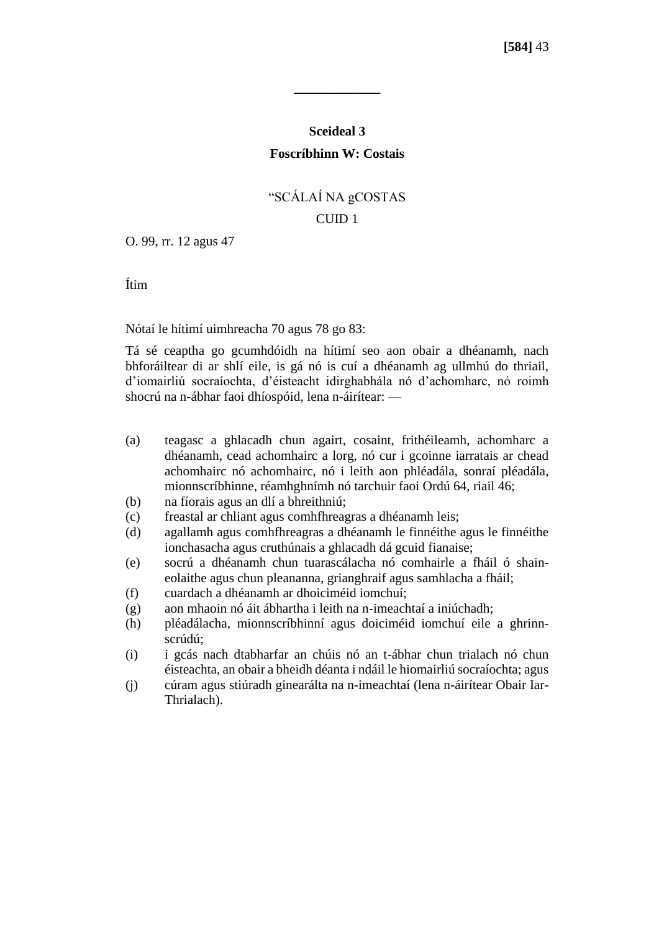# **Sceideal 3 Foscríbhinn W: Costais**

**\_\_\_\_\_\_\_\_\_\_\_\_\_**

# "SCÁLAÍ NA gCOSTAS CUID<sub>1</sub>

O. 99, rr. 12 agus 47

Ítim

Nótaí le hítimí uimhreacha 70 agus 78 go 83:

Tá sé ceaptha go gcumhdóidh na hítimí seo aon obair a dhéanamh, nach bhforáiltear di ar shlí eile, is gá nó is cuí a dhéanamh ag ullmhú do thriail, d'iomairliú socraíochta, d'éisteacht idirghabhála nó d'achomharc, nó roimh shocrú na n-ábhar faoi dhíospóid, lena n-áirítear: —

- (a) teagasc a ghlacadh chun agairt, cosaint, frithéileamh, achomharc a dhéanamh, cead achomhairc a lorg, nó cur i gcoinne iarratais ar chead achomhairc nó achomhairc, nó i leith aon phléadála, sonraí pléadála, mionnscríbhinne, réamhghnímh nó tarchuir faoi Ordú 64, riail 46;
- (b) na fíorais agus an dlí a bhreithniú;
- (c) freastal ar chliant agus comhfhreagras a dhéanamh leis;
- (d) agallamh agus comhfhreagras a dhéanamh le finnéithe agus le finnéithe ionchasacha agus cruthúnais a ghlacadh dá gcuid fianaise;
- (e) socrú a dhéanamh chun tuarascálacha nó comhairle a fháil ó shaineolaithe agus chun pleananna, grianghraif agus samhlacha a fháil;
- (f) cuardach a dhéanamh ar dhoiciméid iomchuí;
- (g) aon mhaoin nó áit ábhartha i leith na n-imeachtaí a iniúchadh;
- (h) pléadálacha, mionnscríbhinní agus doiciméid iomchuí eile a ghrinnscrúdú;
- (i) i gcás nach dtabharfar an chúis nó an t-ábhar chun trialach nó chun éisteachta, an obair a bheidh déanta i ndáil le hiomairliú socraíochta; agus
- (j) cúram agus stiúradh ginearálta na n-imeachtaí (lena n-áirítear Obair Iar-Thrialach).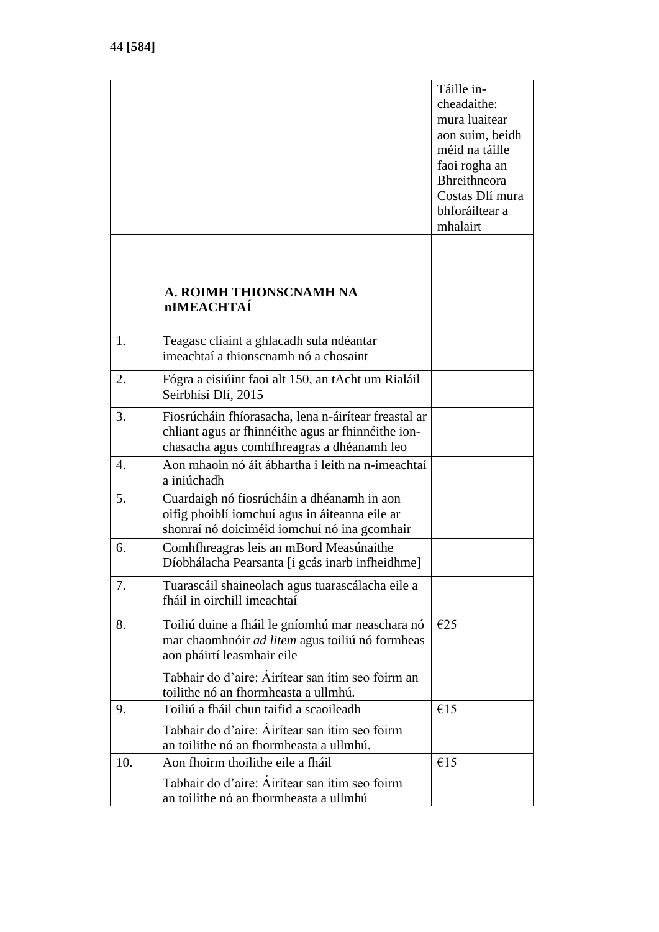|     |                                                                                                                                                          | Táille in-<br>cheadaithe:<br>mura luaitear<br>aon suim, beidh<br>méid na táille       |
|-----|----------------------------------------------------------------------------------------------------------------------------------------------------------|---------------------------------------------------------------------------------------|
|     |                                                                                                                                                          | faoi rogha an<br><b>Bhreithneora</b><br>Costas Dlí mura<br>bhforáiltear a<br>mhalairt |
|     |                                                                                                                                                          |                                                                                       |
|     | A. ROIMH THIONSCNAMH NA<br><b>nIMEACHTAÍ</b>                                                                                                             |                                                                                       |
| 1.  | Teagasc cliaint a ghlacadh sula ndéantar<br>imeachtaí a thionscnamh nó a chosaint                                                                        |                                                                                       |
| 2.  | Fógra a eisiúint faoi alt 150, an tAcht um Rialáil<br>Seirbhísí Dlí, 2015                                                                                |                                                                                       |
| 3.  | Fiosrúcháin fhíorasacha, lena n-áirítear freastal ar<br>chliant agus ar fhinnéithe agus ar fhinnéithe ion-<br>chasacha agus comhfhreagras a dhéanamh leo |                                                                                       |
| 4.  | Aon mhaoin nó áit ábhartha i leith na n-imeachtaí<br>a iniúchadh                                                                                         |                                                                                       |
| 5.  | Cuardaigh nó fiosrúcháin a dhéanamh in aon<br>oifig phoiblí iomchuí agus in áiteanna eile ar<br>shonraí nó doiciméid iomchuí nó ina gcomhair             |                                                                                       |
| 6.  | Comhfhreagras leis an mBord Measúnaithe<br>Díobhálacha Pearsanta [i gcás inarb infheidhme]                                                               |                                                                                       |
| 7.  | Tuarascáil shaineolach agus tuarascálacha eile a<br>fháil in oirchill imeachtaí                                                                          |                                                                                       |
| 8.  | Toiliú duine a fháil le gníomhú mar neaschara nó<br>mar chaomhnóir <i>ad litem</i> agus toiliú nó formheas<br>aon pháirtí leasmhair eile                 | E25                                                                                   |
|     | Tabhair do d'aire: Áirítear san ítim seo foirm an<br>toilithe nó an fhormheasta a ullmhú.                                                                |                                                                                       |
| 9.  | Toiliú a fháil chun taifid a scaoileadh<br>Tabhair do d'aire: Áirítear san ítim seo foirm                                                                | €15                                                                                   |
|     | an toilithe nó an fhormheasta a ullmhú.                                                                                                                  |                                                                                       |
| 10. | Aon fhoirm thoilithe eile a fháil<br>Tabhair do d'aire: Airítear san ítim seo foirm<br>an toilithe nó an fhormheasta a ullmhú                            | €15                                                                                   |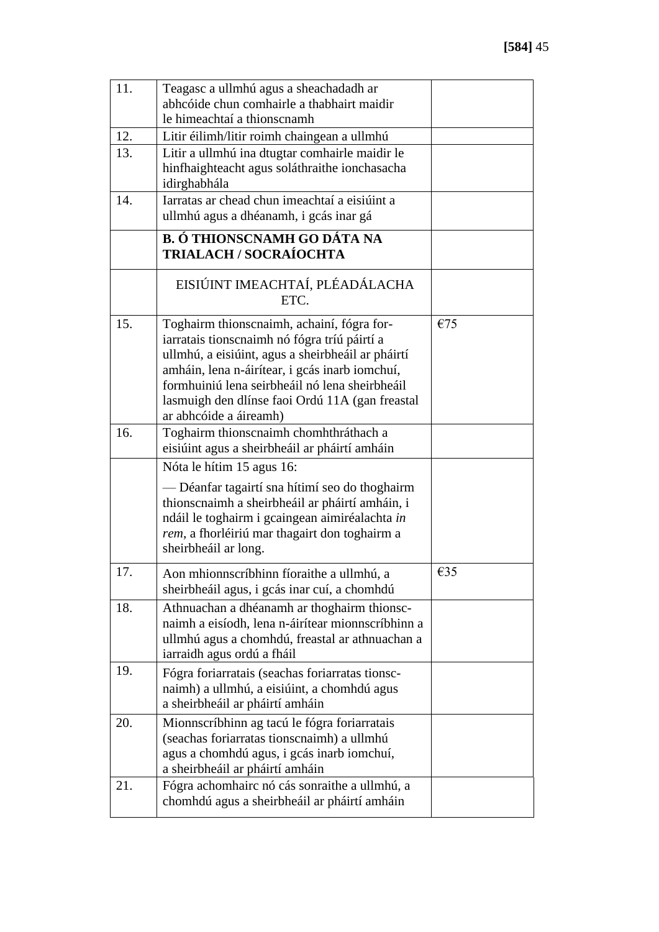| 11. | Teagasc a ullmhú agus a sheachadadh ar<br>abhcóide chun comhairle a thabhairt maidir<br>le himeachtaí a thionscnamh                                                                                                                                                                                                              |     |
|-----|----------------------------------------------------------------------------------------------------------------------------------------------------------------------------------------------------------------------------------------------------------------------------------------------------------------------------------|-----|
| 12. | Litir éilimh/litir roimh chaingean a ullmhú                                                                                                                                                                                                                                                                                      |     |
| 13. | Litir a ullmhú ina dtugtar comhairle maidir le<br>hinfhaighteacht agus soláthraithe ionchasacha<br>idirghabhála                                                                                                                                                                                                                  |     |
| 14. | Iarratas ar chead chun imeachtaí a eisiúint a<br>ullmhú agus a dhéanamh, i gcás inar gá                                                                                                                                                                                                                                          |     |
|     | <b>B. Ó THIONSCNAMH GO DÁTA NA</b><br><b>TRIALACH / SOCRAÍOCHTA</b>                                                                                                                                                                                                                                                              |     |
|     | EISIÚINT IMEACHTAÍ, PLÉADÁLACHA<br>ETC.                                                                                                                                                                                                                                                                                          |     |
| 15. | Toghairm thionscnaimh, achainí, fógra for-<br>iarratais tionscnaimh nó fógra tríú páirtí a<br>ullmhú, a eisiúint, agus a sheirbheáil ar pháirtí<br>amháin, lena n-áirítear, i gcás inarb iomchuí,<br>formhuiniú lena seirbheáil nó lena sheirbheáil<br>lasmuigh den dlínse faoi Ordú 11A (gan freastal<br>ar abhcóide a áireamh) | €75 |
| 16. | Toghairm thionscnaimh chomhthráthach a<br>eisiúint agus a sheirbheáil ar pháirtí amháin                                                                                                                                                                                                                                          |     |
|     | Nóta le hítim 15 agus 16:<br>— Déanfar tagairtí sna hítimí seo do thoghairm<br>thionscnaimh a sheirbheáil ar pháirtí amháin, i<br>ndáil le toghairm i gcaingean aimiréalachta in<br>rem, a fhorléiriú mar thagairt don toghairm a<br>sheirbheáil ar long.                                                                        |     |
| 17  | Aon mhionnscríbhinn fíoraithe a ullmhú, a<br>sheirbheáil agus, i gcás inar cuí, a chomhdú                                                                                                                                                                                                                                        | €35 |
| 18. | Athnuachan a dhéanamh ar thoghairm thionsc-<br>naimh a eisíodh, lena n-áirítear mionnscríbhinn a<br>ullmhú agus a chomhdú, freastal ar athnuachan a<br>iarraidh agus ordú a fháil                                                                                                                                                |     |
| 19. | Fógra foriarratais (seachas foriarratas tionsc-<br>naimh) a ullmhú, a eisiúint, a chomhdú agus<br>a sheirbheáil ar pháirtí amháin                                                                                                                                                                                                |     |
| 20. | Mionnscríbhinn ag tacú le fógra foriarratais<br>(seachas foriarratas tionscnaimh) a ullmhú<br>agus a chomhdú agus, i gcás inarb iomchuí,<br>a sheirbheáil ar pháirtí amháin                                                                                                                                                      |     |
| 21. | Fógra achomhairc nó cás sonraithe a ullmhú, a<br>chomhdú agus a sheirbheáil ar pháirtí amháin                                                                                                                                                                                                                                    |     |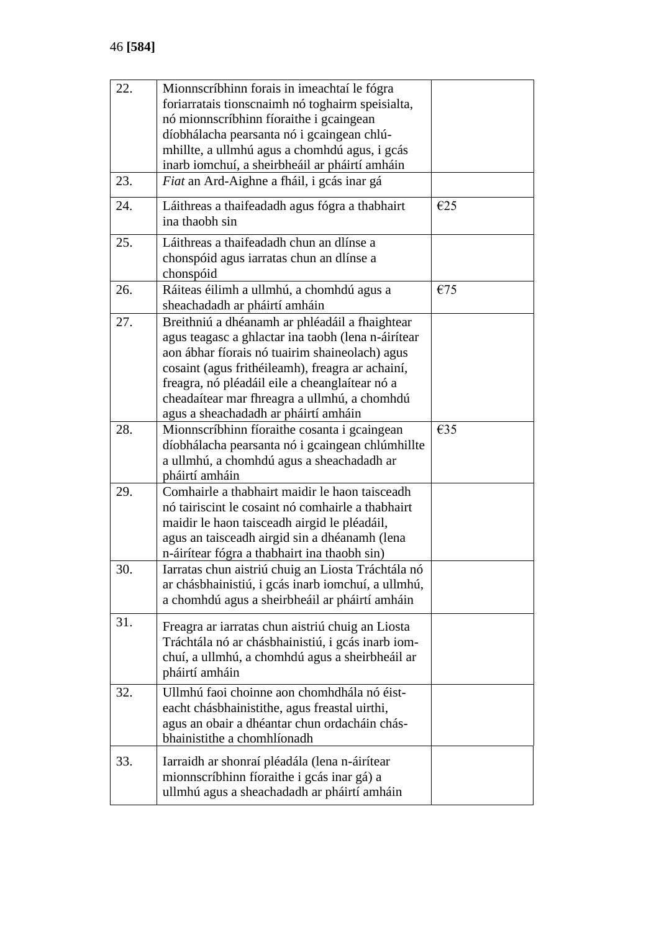| 22. | Mionnscríbhinn forais in imeachtaí le fógra<br>foriarratais tionscnaimh nó toghairm speisialta,<br>nó mionnscríbhinn fíoraithe i gcaingean<br>díobhálacha pearsanta nó i gcaingean chlú-<br>mhillte, a ullmhú agus a chomhdú agus, i gcás<br>inarb iomchuí, a sheirbheáil ar pháirtí amháin                                                          |     |
|-----|------------------------------------------------------------------------------------------------------------------------------------------------------------------------------------------------------------------------------------------------------------------------------------------------------------------------------------------------------|-----|
| 23. | Fiat an Ard-Aighne a fháil, i gcás inar gá                                                                                                                                                                                                                                                                                                           |     |
| 24. | Láithreas a thaifeadadh agus fógra a thabhairt<br>ina thaobh sin                                                                                                                                                                                                                                                                                     | €25 |
| 25. | Láithreas a thaifeadadh chun an dlínse a<br>chonspóid agus iarratas chun an dlínse a<br>chonspóid                                                                                                                                                                                                                                                    |     |
| 26. | Ráiteas éilimh a ullmhú, a chomhdú agus a<br>sheachadadh ar pháirtí amháin                                                                                                                                                                                                                                                                           | €75 |
| 27. | Breithniú a dhéanamh ar phléadáil a fhaightear<br>agus teagasc a ghlactar ina taobh (lena n-áirítear<br>aon ábhar fíorais nó tuairim shaineolach) agus<br>cosaint (agus frithéileamh), freagra ar achainí,<br>freagra, nó pléadáil eile a cheanglaítear nó a<br>cheadaítear mar fhreagra a ullmhú, a chomhdú<br>agus a sheachadadh ar pháirtí amháin |     |
| 28. | Mionnscríbhinn fíoraithe cosanta i gcaingean<br>díobhálacha pearsanta nó i gcaingean chlúmhillte<br>a ullmhú, a chomhdú agus a sheachadadh ar<br>pháirtí amháin                                                                                                                                                                                      | €35 |
| 29. | Comhairle a thabhairt maidir le haon taisceadh<br>nó tairiscint le cosaint nó comhairle a thabhairt<br>maidir le haon taisceadh airgid le pléadáil,<br>agus an taisceadh airgid sin a dhéanamh (lena<br>n-áirítear fógra a thabhairt ina thaobh sin)                                                                                                 |     |
| 30. | Iarratas chun aistriú chuig an Liosta Tráchtála nó<br>ar chásbhainistiú, i gcás inarb iomchuí, a ullmhú,<br>a chomhdú agus a sheirbheáil ar pháirtí amháin                                                                                                                                                                                           |     |
| 31. | Freagra ar iarratas chun aistriú chuig an Liosta<br>Tráchtála nó ar chásbhainistiú, i gcás inarb iom-<br>chuí, a ullmhú, a chomhdú agus a sheirbheáil ar<br>pháirtí amháin                                                                                                                                                                           |     |
| 32. | Ullmhú faoi choinne aon chomhdhála nó éist-<br>eacht chásbhainistithe, agus freastal uirthi,<br>agus an obair a dhéantar chun ordacháin chás-<br>bhainistithe a chomhlíonadh                                                                                                                                                                         |     |
| 33. | Iarraidh ar shonraí pléadála (lena n-áirítear<br>mionnscríbhinn fíoraithe i gcás inar gá) a<br>ullmhú agus a sheachadadh ar pháirtí amháin                                                                                                                                                                                                           |     |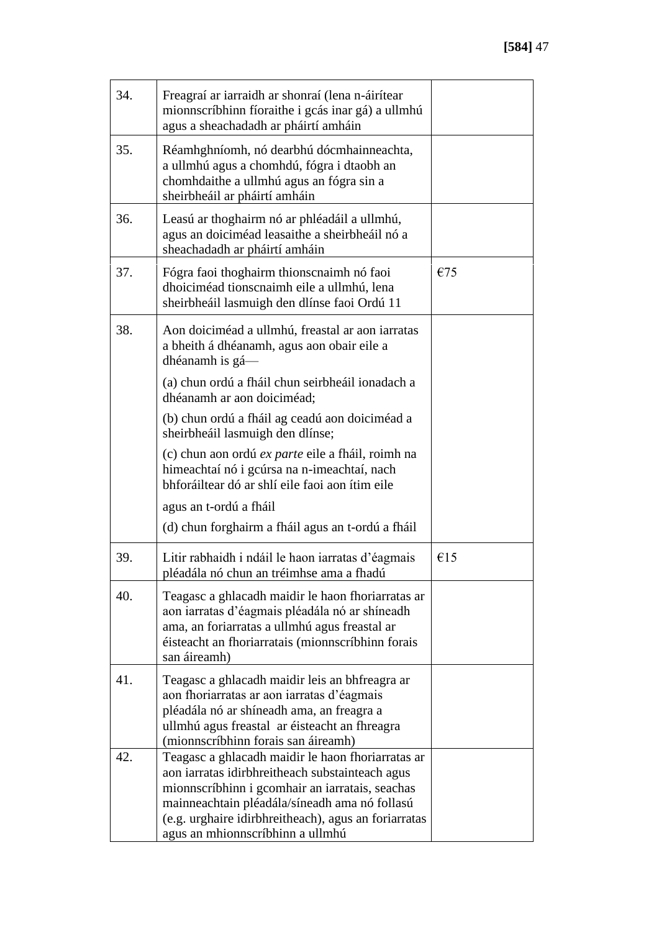| 34. | Freagraí ar iarraidh ar shonraí (lena n-áirítear<br>mionnscríbhinn fíoraithe i gcás inar gá) a ullmhú<br>agus a sheachadadh ar pháirtí amháin                                                                                                                                                        |     |
|-----|------------------------------------------------------------------------------------------------------------------------------------------------------------------------------------------------------------------------------------------------------------------------------------------------------|-----|
| 35. | Réamhghníomh, nó dearbhú dócmhainneachta,<br>a ullmhú agus a chomhdú, fógra i dtaobh an<br>chomhdaithe a ullmhú agus an fógra sin a<br>sheirbheáil ar pháirtí amháin                                                                                                                                 |     |
| 36. | Leasú ar thoghairm nó ar phléadáil a ullmhú,<br>agus an doiciméad leasaithe a sheirbheáil nó a<br>sheachadadh ar pháirtí amháin                                                                                                                                                                      |     |
| 37. | Fógra faoi thoghairm thionscnaimh nó faoi<br>dhoiciméad tionscnaimh eile a ullmhú, lena<br>sheirbheáil lasmuigh den dlínse faoi Ordú 11                                                                                                                                                              | €75 |
| 38. | Aon doiciméad a ullmhú, freastal ar aon iarratas<br>a bheith á dhéanamh, agus aon obair eile a<br>dhéanamh is gá—                                                                                                                                                                                    |     |
|     | (a) chun ordú a fháil chun seirbheáil ionadach a<br>dhéanamh ar aon doiciméad;                                                                                                                                                                                                                       |     |
|     | (b) chun ordú a fháil ag ceadú aon doiciméad a<br>sheirbheáil lasmuigh den dlínse;                                                                                                                                                                                                                   |     |
|     | (c) chun aon ordú <i>ex parte</i> eile a fháil, roimh na<br>himeachtaí nó i gcúrsa na n-imeachtaí, nach<br>bhforáiltear dó ar shlí eile faoi aon ítim eile                                                                                                                                           |     |
|     | agus an t-ordú a fháil                                                                                                                                                                                                                                                                               |     |
|     | (d) chun forghairm a fháil agus an t-ordú a fháil                                                                                                                                                                                                                                                    |     |
| 39. | Litir rabhaidh i ndáil le haon iarratas d'éagmais<br>pléadála nó chun an tréimhse ama a fhadú                                                                                                                                                                                                        | €15 |
| 40. | Teagasc a ghlacadh maidir le haon fhoriarratas ar<br>aon iarratas d'éagmais pléadála nó ar shíneadh<br>ama, an foriarratas a ullmhú agus freastal ar<br>éisteacht an fhoriarratais (mionnscríbhinn forais<br>san áireamh)                                                                            |     |
| 41. | Teagasc a ghlacadh maidir leis an bhfreagra ar<br>aon fhoriarratas ar aon iarratas d'éagmais<br>pléadála nó ar shíneadh ama, an freagra a<br>ullmhú agus freastal ar éisteacht an fhreagra<br>(mionnscríbhinn forais san áireamh)                                                                    |     |
| 42. | Teagasc a ghlacadh maidir le haon fhoriarratas ar<br>aon iarratas idirbhreitheach substainteach agus<br>mionnscríbhinn i gcomhair an iarratais, seachas<br>mainneachtain pléadála/síneadh ama nó follasú<br>(e.g. urghaire idirbhreitheach), agus an foriarratas<br>agus an mhionnscríbhinn a ullmhú |     |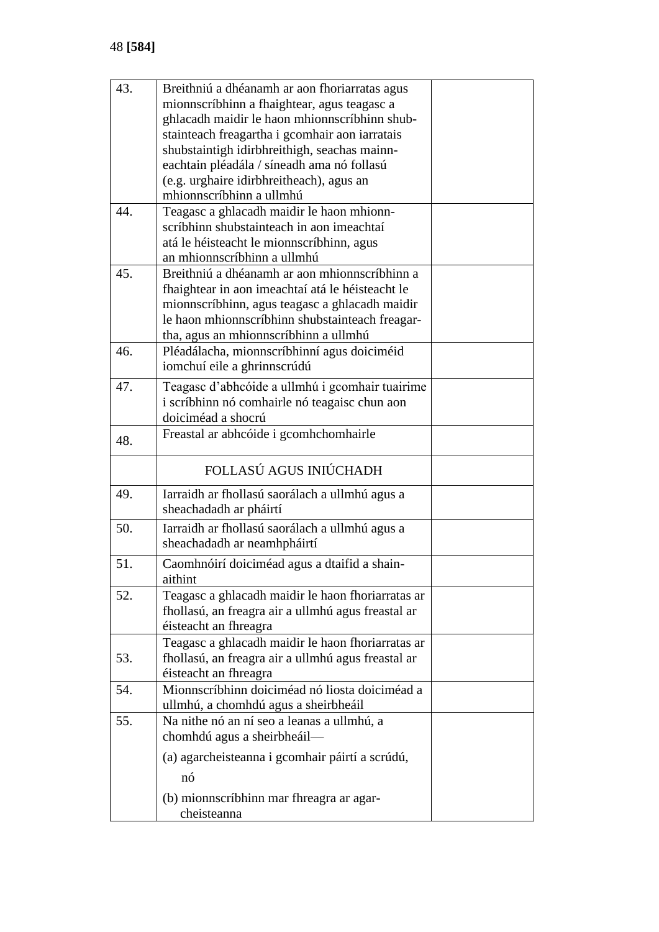| 43. | Breithniú a dhéanamh ar aon fhoriarratas agus      |  |
|-----|----------------------------------------------------|--|
|     | mionnscríbhinn a fhaightear, agus teagasc a        |  |
|     | ghlacadh maidir le haon mhionnscríbhinn shub-      |  |
|     | stainteach freagartha i gcomhair aon iarratais     |  |
|     | shubstaintigh idirbhreithigh, seachas mainn-       |  |
|     | eachtain pléadála / síneadh ama nó follasú         |  |
|     | (e.g. urghaire idirbhreitheach), agus an           |  |
|     | mhionnscríbhinn a ullmhú                           |  |
| 44. | Teagasc a ghlacadh maidir le haon mhionn-          |  |
|     | scríbhinn shubstainteach in aon imeachtaí          |  |
|     | atá le héisteacht le mionnscríbhinn, agus          |  |
|     | an mhionnscríbhinn a ullmhú                        |  |
| 45. | Breithniú a dhéanamh ar aon mhionnscríbhinn a      |  |
|     | fhaightear in aon imeachtaí atá le héisteacht le   |  |
|     | mionnscríbhinn, agus teagasc a ghlacadh maidir     |  |
|     | le haon mhionnscríbhinn shubstainteach freagar-    |  |
|     | tha, agus an mhionnscríbhinn a ullmhú              |  |
| 46. | Pléadálacha, mionnscríbhinní agus doiciméid        |  |
|     | iomchuí eile a ghrinnscrúdú                        |  |
|     |                                                    |  |
| 47. | Teagasc d'abhcóide a ullmhú i gcomhair tuairime    |  |
|     | i scríbhinn nó comhairle nó teagaisc chun aon      |  |
|     | doiciméad a shocrú                                 |  |
| 48. | Freastal ar abhcóide i gcomhchomhairle             |  |
|     | FOLLASÚ AGUS INIÚCHADH                             |  |
| 49. | Iarraidh ar fhollasú saorálach a ullmhú agus a     |  |
|     | sheachadadh ar pháirtí                             |  |
| 50. | Iarraidh ar fhollasú saorálach a ullmhú agus a     |  |
|     | sheachadadh ar neamhpháirtí                        |  |
| 51. |                                                    |  |
|     | Caomhnóirí doiciméad agus a dtaifid a shain-       |  |
|     | aithint                                            |  |
| 52. | Teagasc a ghlacadh maidir le haon fhoriarratas ar  |  |
|     | fhollasú, an freagra air a ullmhú agus freastal ar |  |
|     | éisteacht an fhreagra                              |  |
|     | Teagasc a ghlacadh maidir le haon fhoriarratas ar  |  |
| 53. | fhollasú, an freagra air a ullmhú agus freastal ar |  |
|     | éisteacht an fhreagra                              |  |
| 54. | Mionnscríbhinn doiciméad nó liosta doiciméad a     |  |
|     | ullmhú, a chomhdú agus a sheirbheáil               |  |
| 55. | Na nithe nó an ní seo a leanas a ullmhú, a         |  |
|     | chomhdú agus a sheirbheáil-                        |  |
|     | (a) agarcheisteanna i gcomhair páirtí a scrúdú,    |  |
|     | nó                                                 |  |
|     |                                                    |  |
|     | (b) mionnscríbhinn mar fhreagra ar agar-           |  |
|     | cheisteanna                                        |  |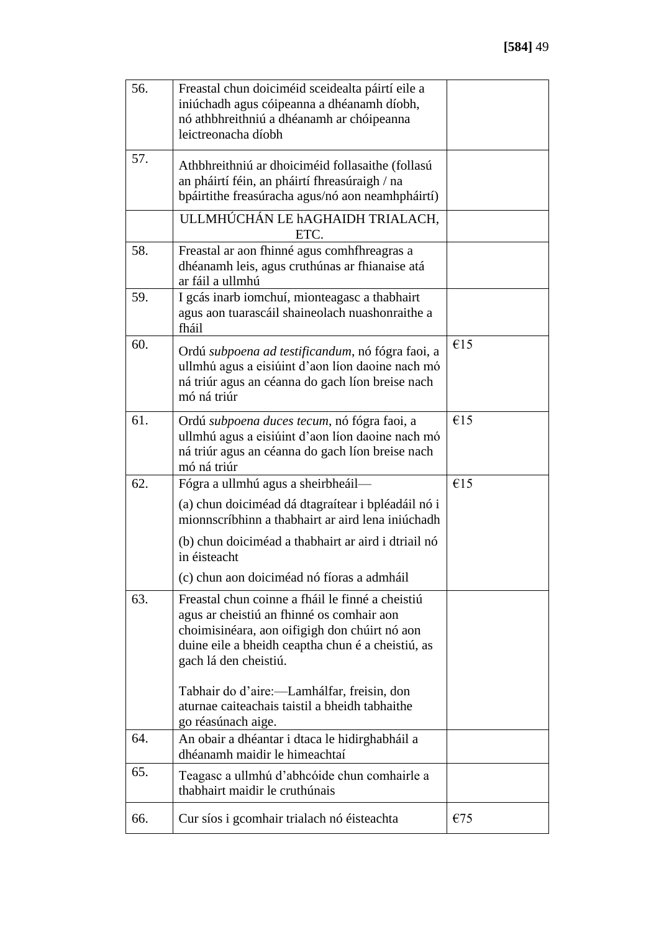| 56. | Freastal chun doiciméid sceidealta páirtí eile a<br>iniúchadh agus cóipeanna a dhéanamh díobh,<br>nó athbhreithniú a dhéanamh ar chóipeanna<br>leictreonacha díobh                                                           |     |
|-----|------------------------------------------------------------------------------------------------------------------------------------------------------------------------------------------------------------------------------|-----|
| 57. | Athbhreithniú ar dhoiciméid follasaithe (follasú<br>an pháirtí féin, an pháirtí fhreasúraigh / na<br>bpáirtithe freasúracha agus/nó aon neamhpháirtí)                                                                        |     |
|     | ULLMHÚCHÁN LE hAGHAIDH TRIALACH,<br>ETC.                                                                                                                                                                                     |     |
| 58. | Freastal ar aon fhinné agus comhfhreagras a<br>dhéanamh leis, agus cruthúnas ar fhianaise atá<br>ar fáil a ullmhú                                                                                                            |     |
| 59. | I gcás inarb iomchuí, mionteagasc a thabhairt<br>agus aon tuarascáil shaineolach nuashonraithe a<br>fháil                                                                                                                    |     |
| 60. | Ordú subpoena ad testificandum, nó fógra faoi, a<br>ullmhú agus a eisiúint d'aon líon daoine nach mó<br>ná triúr agus an céanna do gach líon breise nach<br>mó ná triúr                                                      | €15 |
| 61. | Ordú subpoena duces tecum, nó fógra faoi, a<br>ullmhú agus a eisiúint d'aon líon daoine nach mó<br>ná triúr agus an céanna do gach líon breise nach<br>mó ná triúr                                                           | €15 |
| 62. | Fógra a ullmhú agus a sheirbheáil—                                                                                                                                                                                           | €15 |
|     | (a) chun doiciméad dá dtagraítear i bpléadáil nó i<br>mionnscríbhinn a thabhairt ar aird lena iniúchadh                                                                                                                      |     |
|     | (b) chun doiciméad a thabhairt ar aird i dtriail nó<br>in éisteacht                                                                                                                                                          |     |
|     | (c) chun aon doiciméad nó fíoras a admháil                                                                                                                                                                                   |     |
| 63. | Freastal chun coinne a fháil le finné a cheistiú<br>agus ar cheistiú an fhinné os comhair aon<br>choimisinéara, aon oifigigh don chúirt nó aon<br>duine eile a bheidh ceaptha chun é a cheistiú, as<br>gach lá den cheistiú. |     |
|     | Tabhair do d'aire:—Lamhálfar, freisin, don<br>aturnae caiteachais taistil a bheidh tabhaithe<br>go réasúnach aige.                                                                                                           |     |
| 64. | An obair a dhéantar i dtaca le hidirghabháil a<br>dhéanamh maidir le himeachtaí                                                                                                                                              |     |
| 65. | Teagasc a ullmhú d'abhcóide chun comhairle a<br>thabhairt maidir le cruthúnais                                                                                                                                               |     |
| 66. | Cur síos i gcomhair trialach nó éisteachta                                                                                                                                                                                   | €75 |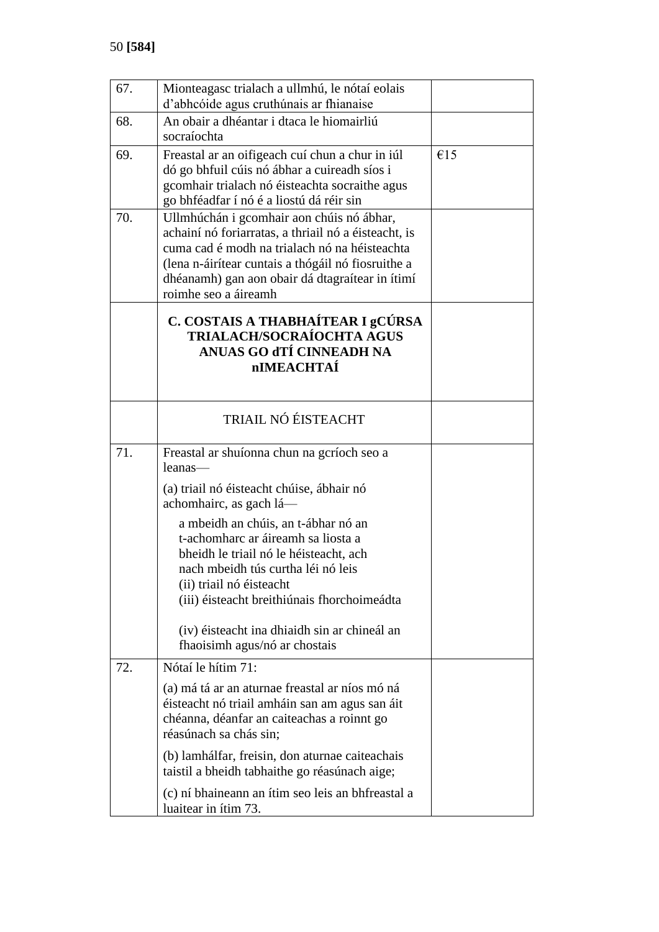| 67. | Mionteagasc trialach a ullmhú, le nótaí eolais<br>d'abhcóide agus cruthúnais ar fhianaise                                                                                                                                                                                           |     |
|-----|-------------------------------------------------------------------------------------------------------------------------------------------------------------------------------------------------------------------------------------------------------------------------------------|-----|
| 68. | An obair a dhéantar i dtaca le hiomairliú<br>socraíochta                                                                                                                                                                                                                            |     |
| 69. | Freastal ar an oifigeach cuí chun a chur in iúl<br>dó go bhfuil cúis nó ábhar a cuireadh síos i<br>gcomhair trialach nó éisteachta socraithe agus<br>go bhféadfar í nó é a liostú dá réir sin                                                                                       | €15 |
| 70. | Ullmhúchán i gcomhair aon chúis nó ábhar,<br>achainí nó foriarratas, a thriail nó a éisteacht, is<br>cuma cad é modh na trialach nó na héisteachta<br>(lena n-áirítear cuntais a thógáil nó fiosruithe a<br>dhéanamh) gan aon obair dá dtagraítear in ítimí<br>roimhe seo a áireamh |     |
|     | C. COSTAIS A THABHAÍTEAR I gCÚRSA<br>TRIALACH/SOCRAÍOCHTA AGUS<br>ANUAS GO dTÍ CINNEADH NA<br><b>nIMEACHTAÍ</b>                                                                                                                                                                     |     |
|     | TRIAIL NÓ ÉISTEACHT                                                                                                                                                                                                                                                                 |     |
| 71. | Freastal ar shuíonna chun na gcríoch seo a<br>leanas—<br>(a) triail nó éisteacht chúise, ábhair nó                                                                                                                                                                                  |     |
|     | achomhairc, as gach lá—<br>a mbeidh an chúis, an t-ábhar nó an<br>t-achomharc ar áireamh sa liosta a<br>bheidh le triail nó le héisteacht, ach<br>nach mbeidh tús curtha léi nó leis<br>(ii) triail nó éisteacht<br>(iii) éisteacht breithiúnais fhorchoimeádta                     |     |
|     | (iv) éisteacht ina dhiaidh sin ar chineál an<br>fhaoisimh agus/nó ar chostais                                                                                                                                                                                                       |     |
| 72. | Nótaí le hítim 71:                                                                                                                                                                                                                                                                  |     |
|     | (a) má tá ar an aturnae freastal ar níos mó ná<br>éisteacht nó triail amháin san am agus san áit<br>chéanna, déanfar an caiteachas a roinnt go<br>réasúnach sa chás sin;                                                                                                            |     |
|     | (b) lamhálfar, freisin, don aturnae caiteachais<br>taistil a bheidh tabhaithe go réasúnach aige;                                                                                                                                                                                    |     |
|     | (c) ní bhaineann an ítim seo leis an bhfreastal a<br>luaitear in ítim 73.                                                                                                                                                                                                           |     |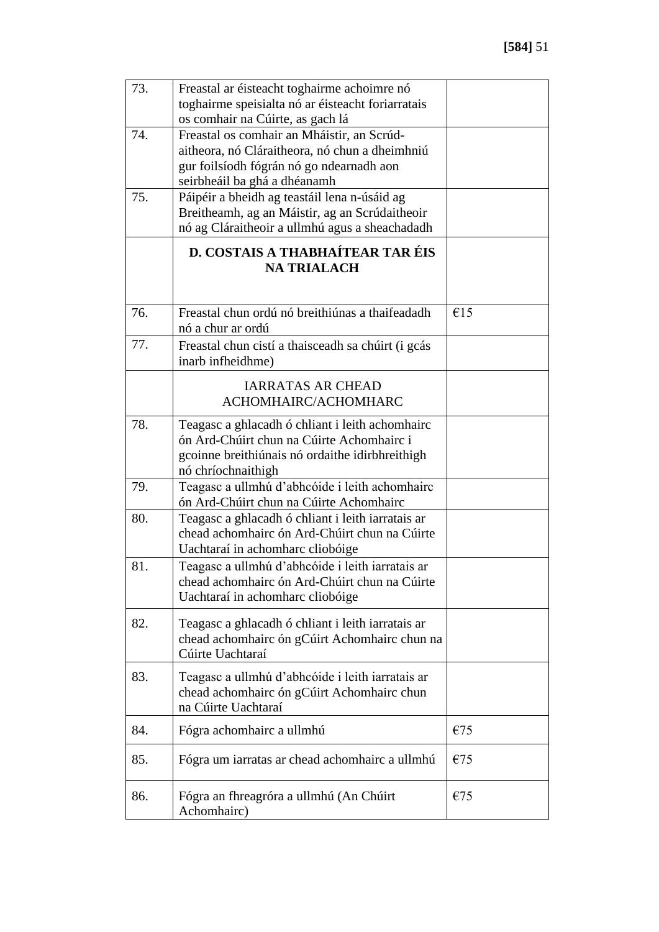| 73. | Freastal ar éisteacht toghairme achoimre nó<br>toghairme speisialta nó ar éisteacht foriarratais<br>os comhair na Cúirte, as gach lá                                     |     |
|-----|--------------------------------------------------------------------------------------------------------------------------------------------------------------------------|-----|
| 74. | Freastal os comhair an Mháistir, an Scrúd-<br>aitheora, nó Cláraitheora, nó chun a dheimhniú<br>gur foilsíodh fógrán nó go ndearnadh aon<br>seirbheáil ba ghá a dhéanamh |     |
| 75. | Páipéir a bheidh ag teastáil lena n-úsáid ag<br>Breitheamh, ag an Máistir, ag an Scrúdaitheoir<br>nó ag Cláraitheoir a ullmhú agus a sheachadadh                         |     |
|     | <b>D. COSTAIS A THABHAÍTEAR TAR ÉIS</b><br><b>NA TRIALACH</b>                                                                                                            |     |
| 76. | Freastal chun ordú nó breithiúnas a thaifeadadh<br>nó a chur ar ordú                                                                                                     | €15 |
| 77. | Freastal chun cistí a thaisceadh sa chúirt (i gcás<br>inarb infheidhme)                                                                                                  |     |
|     | <b>IARRATAS AR CHEAD</b><br>ACHOMHAIRC/ACHOMHARC                                                                                                                         |     |
| 78. | Teagasc a ghlacadh ó chliant i leith achomhairc<br>ón Ard-Chúirt chun na Cúirte Achomhairc i<br>gcoinne breithiúnais nó ordaithe idirbhreithigh<br>nó chríochnaithigh    |     |
| 79. | Teagasc a ullmhú d'abhcóide i leith achomhairc<br>ón Ard-Chúirt chun na Cúirte Achomhairc                                                                                |     |
| 80. | Teagasc a ghlacadh ó chliant i leith iarratais ar<br>chead achomhairc ón Ard-Chúirt chun na Cúirte<br>Uachtaraí in achomharc cliobóige                                   |     |
| 81. | Teagasc a ullmhú d'abhcóide i leith iarratais ar<br>chead achomhairc ón Ard-Chúirt chun na Cúirte<br>Uachtaraí in achomharc cliobóige                                    |     |
| 82. | Teagasc a ghlacadh ó chliant i leith iarratais ar<br>chead achomhairc ón gCúirt Achomhairc chun na<br>Cúirte Uachtaraí                                                   |     |
| 83. | Teagasc a ullmhú d'abhcóide i leith iarratais ar<br>chead achomhairc ón gCúirt Achomhairc chun<br>na Cúirte Uachtaraí                                                    |     |
| 84. | Fógra achomhairc a ullmhú                                                                                                                                                | €75 |
| 85. | Fógra um iarratas ar chead achomhairc a ullmhú                                                                                                                           | €75 |
| 86. | Fógra an fhreagróra a ullmhú (An Chúirt<br>Achomhairc)                                                                                                                   | €75 |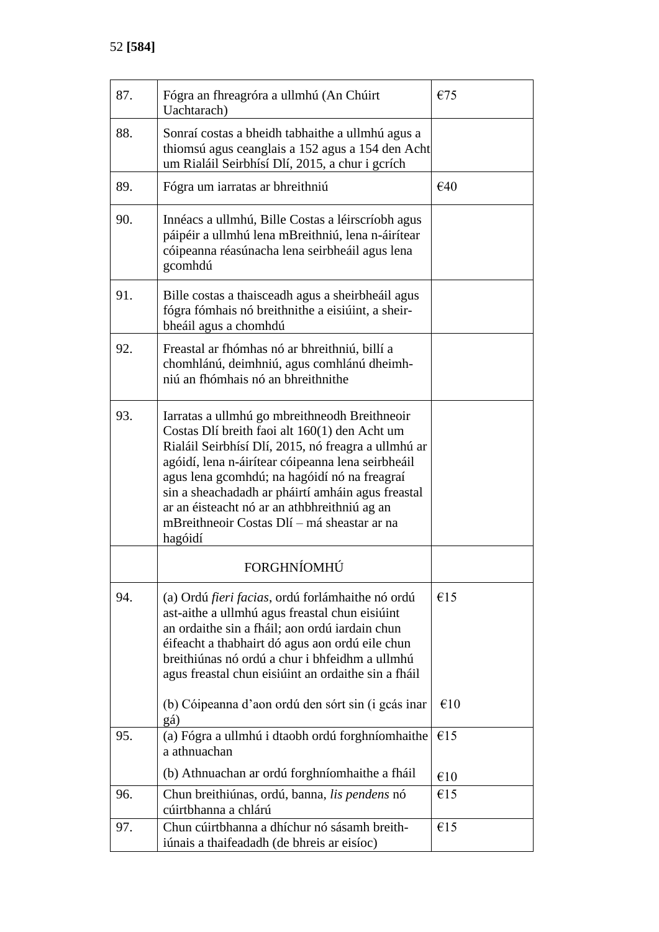| 87. | Fógra an fhreagróra a ullmhú (An Chúirt<br>Uachtarach)                                                                                                                                                                                                                                                                                                                                                                    | €75 |
|-----|---------------------------------------------------------------------------------------------------------------------------------------------------------------------------------------------------------------------------------------------------------------------------------------------------------------------------------------------------------------------------------------------------------------------------|-----|
| 88. | Sonraí costas a bheidh tabhaithe a ullmhú agus a<br>thiomsú agus ceanglais a 152 agus a 154 den Acht<br>um Rialáil Seirbhísí Dlí, 2015, a chur i gcrích                                                                                                                                                                                                                                                                   |     |
| 89. | Fógra um iarratas ar bhreithniú                                                                                                                                                                                                                                                                                                                                                                                           | €40 |
| 90. | Innéacs a ullmhú, Bille Costas a léirscríobh agus<br>páipéir a ullmhú lena mBreithniú, lena n-áirítear<br>cóipeanna réasúnacha lena seirbheáil agus lena<br>gcomhdú                                                                                                                                                                                                                                                       |     |
| 91. | Bille costas a thaisceadh agus a sheirbheáil agus<br>fógra fómhais nó breithnithe a eisiúint, a sheir-<br>bheáil agus a chomhdú                                                                                                                                                                                                                                                                                           |     |
| 92. | Freastal ar fhómhas nó ar bhreithniú, billí a<br>chomhlánú, deimhniú, agus comhlánú dheimh-<br>niú an fhómhais nó an bhreithnithe                                                                                                                                                                                                                                                                                         |     |
| 93. | Iarratas a ullmhú go mbreithneodh Breithneoir<br>Costas Dlí breith faoi alt 160(1) den Acht um<br>Rialáil Seirbhísí Dlí, 2015, nó freagra a ullmhú ar<br>agóidí, lena n-áirítear cóipeanna lena seirbheáil<br>agus lena gcomhdú; na hagóidí nó na freagraí<br>sin a sheachadadh ar pháirtí amháin agus freastal<br>ar an éisteacht nó ar an athbhreithniú ag an<br>mBreithneoir Costas Dlí - má sheastar ar na<br>hagóidí |     |
|     | FORGHNÍOMHÚ                                                                                                                                                                                                                                                                                                                                                                                                               |     |
| 94. | (a) Ordú <i>fieri facias</i> , ordú forlámhaithe nó ordú<br>ast-aithe a ullmhú agus freastal chun eisiúint<br>an ordaithe sin a fháil; aon ordú iardain chun<br>éifeacht a thabhairt dó agus aon ordú eile chun<br>breithiúnas nó ordú a chur i bhfeidhm a ullmhú<br>agus freastal chun eisiúint an ordaithe sin a fháil                                                                                                  | €15 |
|     | (b) Cóipeanna d'aon ordú den sórt sin (i gcás inar<br>gá)                                                                                                                                                                                                                                                                                                                                                                 | €10 |
| 95. | (a) Fógra a ullmhú i dtaobh ordú forghníomhaithe<br>a athnuachan                                                                                                                                                                                                                                                                                                                                                          | €15 |
|     | (b) Athnuachan ar ordú forghníomhaithe a fháil                                                                                                                                                                                                                                                                                                                                                                            | €10 |
| 96. | Chun breithiúnas, ordú, banna, lis pendens nó<br>cúirtbhanna a chlárú                                                                                                                                                                                                                                                                                                                                                     | €15 |
| 97. | Chun cúirtbhanna a dhíchur nó sásamh breith-<br>iúnais a thaifeadadh (de bhreis ar eisíoc)                                                                                                                                                                                                                                                                                                                                | €15 |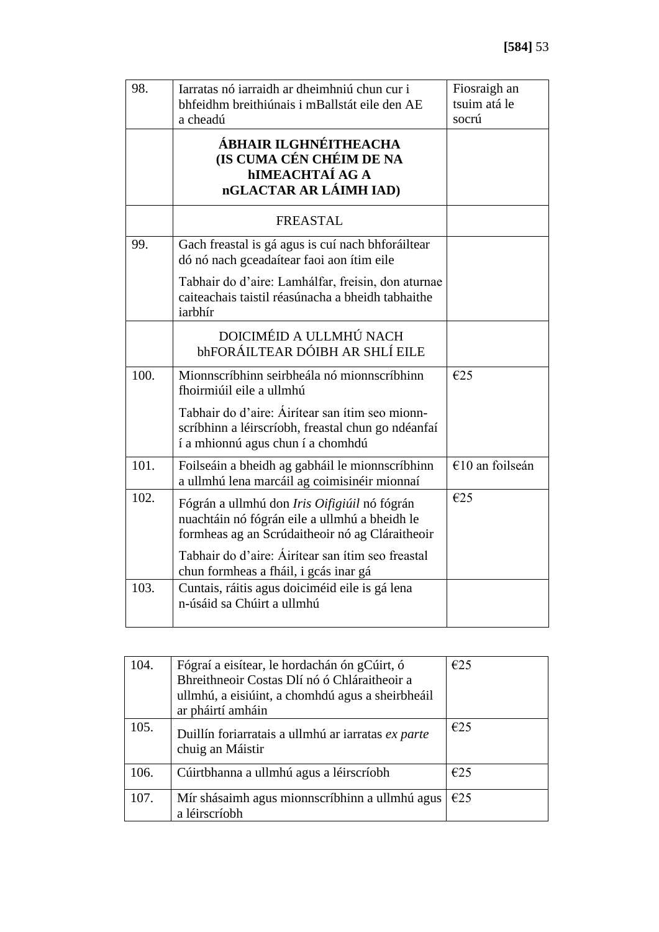| 98.  | Iarratas nó iarraidh ar dheimhniú chun cur i<br>bhfeidhm breithiúnais i mBallstát eile den AE                                                    | Fiosraigh an<br>tsuim atá le |
|------|--------------------------------------------------------------------------------------------------------------------------------------------------|------------------------------|
|      | a cheadú<br>ÁBHAIR ILGHNÉITHEACHA<br>(IS CUMA CÉN CHÉIM DE NA<br><b>hIMEACHTAÍ AG A</b><br>nGLACTAR AR LÁIMH IAD)                                | socrú                        |
|      | <b>FREASTAL</b>                                                                                                                                  |                              |
| 99.  | Gach freastal is gá agus is cuí nach bhforáiltear<br>dó nó nach gceadaítear faoi aon ítim eile                                                   |                              |
|      | Tabhair do d'aire: Lamhálfar, freisin, don aturnae<br>caiteachais taistil réasúnacha a bheidh tabhaithe<br>iarbhír                               |                              |
|      | DOICIMÉID A ULLMHÚ NACH<br>bhFORÁILTEAR DÓIBH AR SHLÍ EILE                                                                                       |                              |
| 100. | Mionnscríbhinn seirbheála nó mionnscríbhinn<br>fhoirmiúil eile a ullmhú                                                                          | €25                          |
|      | Tabhair do d'aire: Áirítear san ítim seo mionn-<br>scríbhinn a léirscríobh, freastal chun go ndéanfaí<br>í a mhionnú agus chun í a chomhdú       |                              |
| 101. | Foilseáin a bheidh ag gabháil le mionnscríbhinn<br>a ullmhú lena marcáil ag coimisinéir mionnaí                                                  | €10 an foilseán              |
| 102. | Fógrán a ullmhú don Iris Oifigiúil nó fógrán<br>nuachtáin nó fógrán eile a ullmhú a bheidh le<br>formheas ag an Scrúdaitheoir nó ag Cláraitheoir | E25                          |
|      | Tabhair do d'aire: Áirítear san ítim seo freastal<br>chun formheas a fháil, i gcás inar gá                                                       |                              |
| 103. | Cuntais, ráitis agus doiciméid eile is gá lena<br>n-úsáid sa Chúirt a ullmhú                                                                     |                              |

| 104. | Fógraí a eisítear, le hordachán ón gCúirt, ó<br>Bhreithneoir Costas Dlí nó ó Chláraitheoir a<br>ullmhú, a eisiúint, a chomhdú agus a sheirbheáil<br>ar pháirtí amháin | E25 |
|------|-----------------------------------------------------------------------------------------------------------------------------------------------------------------------|-----|
| 105. | Duillín foriarratais a ullmhú ar iarratas ex parte<br>chuig an Máistir                                                                                                | E25 |
| 106. | Cúirtbhanna a ullmhú agus a léirscríobh                                                                                                                               | E25 |
| 107. | Mír shásaimh agus mionnscríbhinn a ullmhú agus<br>a léirscríobh                                                                                                       | E25 |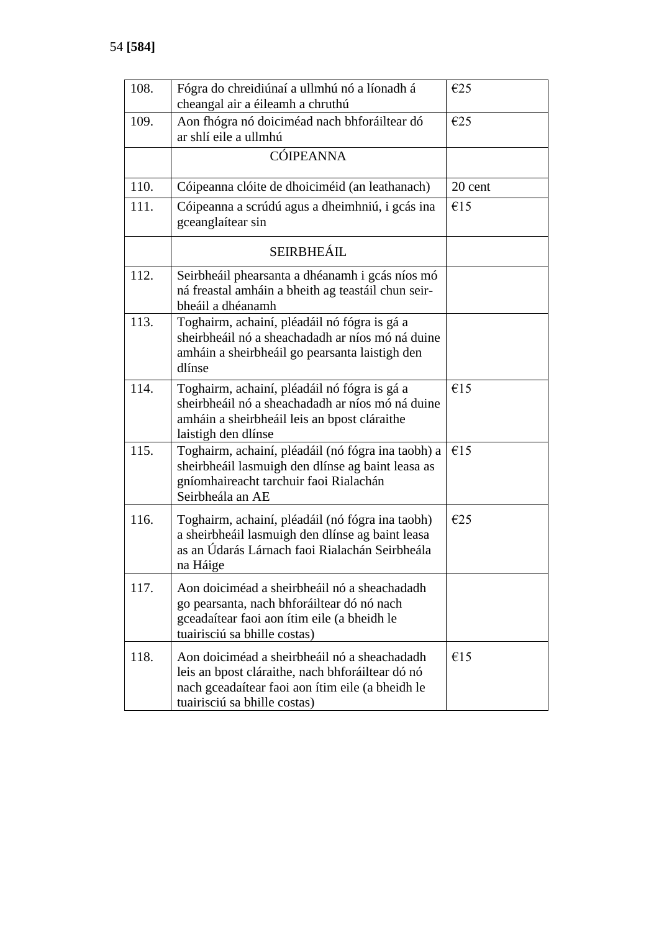| 108. | Fógra do chreidiúnaí a ullmhú nó a líonadh á<br>cheangal air a éileamh a chruthú                                                                                                     | E25     |
|------|--------------------------------------------------------------------------------------------------------------------------------------------------------------------------------------|---------|
| 109. | Aon fhógra nó doiciméad nach bhforáiltear dó<br>ar shlí eile a ullmhú                                                                                                                | E25     |
|      | <b>CÓIPEANNA</b>                                                                                                                                                                     |         |
| 110. | Cóipeanna clóite de dhoiciméid (an leathanach)                                                                                                                                       | 20 cent |
| 111. | Cóipeanna a scrúdú agus a dheimhniú, i gcás ina<br>gceanglaítear sin                                                                                                                 | €15     |
|      | SEIRBHEÁIL                                                                                                                                                                           |         |
| 112. | Seirbheáil phearsanta a dhéanamh i gcás níos mó<br>ná freastal amháin a bheith ag teastáil chun seir-<br>bheáil a dhéanamh                                                           |         |
| 113. | Toghairm, achainí, pléadáil nó fógra is gá a<br>sheirbheáil nó a sheachadadh ar níos mó ná duine<br>amháin a sheirbheáil go pearsanta laistigh den<br>dlínse                         |         |
| 114. | Toghairm, achainí, pléadáil nó fógra is gá a<br>sheirbheáil nó a sheachadadh ar níos mó ná duine<br>amháin a sheirbheáil leis an bpost cláraithe<br>laistigh den dlínse              | €15     |
| 115. | Toghairm, achainí, pléadáil (nó fógra ina taobh) a<br>sheirbheáil lasmuigh den dlínse ag baint leasa as<br>gníomhaireacht tarchuir faoi Rialachán<br>Seirbheála an AE                | €15     |
| 116. | Toghairm, achainí, pléadáil (nó fógra ina taobh)<br>a sheirbheáil lasmuigh den dlínse ag baint leasa<br>as an Údarás Lárnach faoi Rialachán Seirbheála<br>na Háige                   | E25     |
| 117. | Aon doiciméad a sheirbheáil nó a sheachadadh<br>go pearsanta, nach bhforáiltear dó nó nach<br>gceadaítear faoi aon ítim eile (a bheidh le<br>tuairisciú sa bhille costas)            |         |
| 118. | Aon doiciméad a sheirbheáil nó a sheachadadh<br>leis an bpost cláraithe, nach bhforáiltear dó nó<br>nach gceadaítear faoi aon ítim eile (a bheidh le<br>tuairisciú sa bhille costas) | €15     |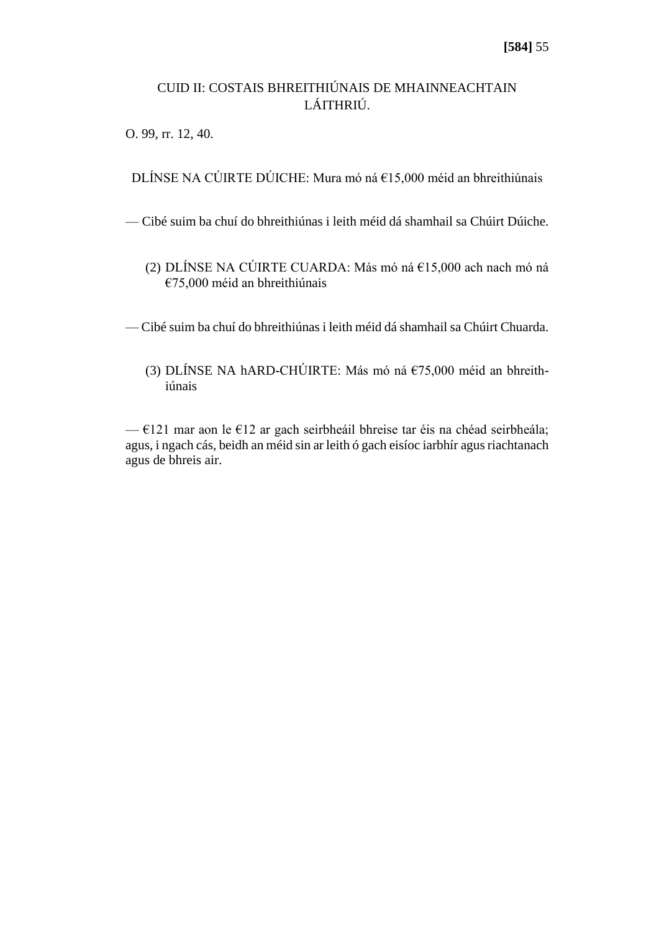# CUID II: COSTAIS BHREITHIÚNAIS DE MHAINNEACHTAIN LÁITHRIÚ.

O. 99, rr. 12, 40.

DLÍNSE NA CÚIRTE DÚICHE: Mura mó ná €15,000 méid an bhreithiúnais

— Cibé suim ba chuí do bhreithiúnas i leith méid dá shamhail sa Chúirt Dúiche.

(2) DLÍNSE NA CÚIRTE CUARDA: Más mó ná €15,000 ach nach mó ná €75,000 méid an bhreithiúnais

— Cibé suim ba chuí do bhreithiúnas i leith méid dá shamhail sa Chúirt Chuarda.

(3) DLÍNSE NA hARD-CHÚIRTE: Más mó ná €75,000 méid an bhreithiúnais

—  $E121$  mar aon le  $E12$  ar gach seirbheáil bhreise tar éis na chéad seirbheála; agus, i ngach cás, beidh an méid sin ar leith ó gach eisíoc iarbhír agus riachtanach agus de bhreis air.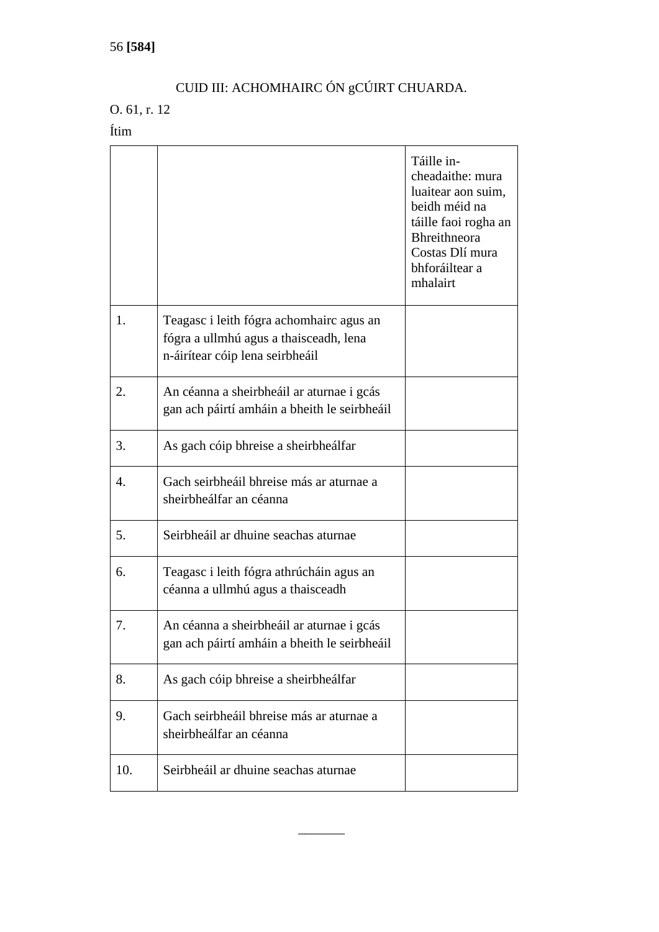# CUID III: ACHOMHAIRC ÓN gCÚIRT CHUARDA.

# O. 61, r. 12

Ítim

|     |                                                                                                                       | Táille in-<br>cheadaithe: mura<br>luaitear aon suim,<br>beidh méid na<br>táille faoi rogha an<br><b>Bhreithneora</b><br>Costas Dlí mura<br>bhforáiltear a<br>mhalairt |
|-----|-----------------------------------------------------------------------------------------------------------------------|-----------------------------------------------------------------------------------------------------------------------------------------------------------------------|
| 1.  | Teagasc i leith fógra achomhairc agus an<br>fógra a ullmhú agus a thaisceadh, lena<br>n-áirítear cóip lena seirbheáil |                                                                                                                                                                       |
| 2.  | An céanna a sheirbheáil ar aturnae i gcás<br>gan ach páirtí amháin a bheith le seirbheáil                             |                                                                                                                                                                       |
| 3.  | As gach cóip bhreise a sheirbheálfar                                                                                  |                                                                                                                                                                       |
| 4.  | Gach seirbheáil bhreise más ar aturnae a<br>sheirbheálfar an céanna                                                   |                                                                                                                                                                       |
| 5.  | Seirbheáil ar dhuine seachas aturnae                                                                                  |                                                                                                                                                                       |
| 6.  | Teagasc i leith fógra athrúcháin agus an<br>céanna a ullmhú agus a thaisceadh                                         |                                                                                                                                                                       |
| 7.  | An céanna a sheirbheáil ar aturnae i gcás<br>gan ach páirtí amháin a bheith le seirbheáil                             |                                                                                                                                                                       |
| 8.  | As gach cóip bhreise a sheirbheálfar                                                                                  |                                                                                                                                                                       |
| 9.  | Gach seirbheáil bhreise más ar aturnae a<br>sheirbheálfar an céanna                                                   |                                                                                                                                                                       |
| 10. | Seirbheáil ar dhuine seachas aturnae                                                                                  |                                                                                                                                                                       |

 $\overline{\phantom{a}}$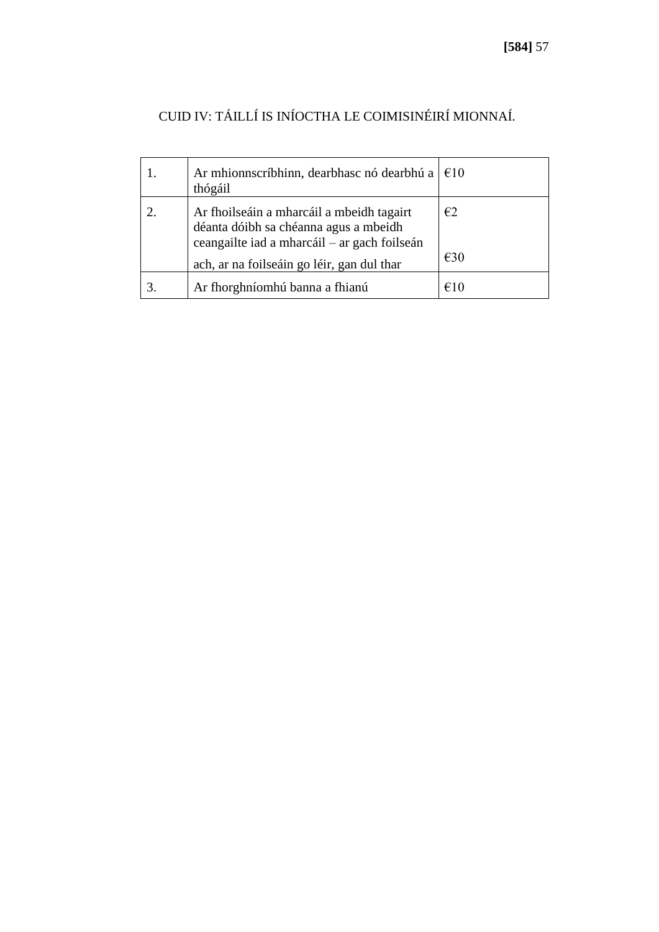| Ar mhionnscríbhinn, dearbhasc nó dearbhú a $\in$ 10<br>thógáil                                                                                                                   |                     |
|----------------------------------------------------------------------------------------------------------------------------------------------------------------------------------|---------------------|
| Ar fhoilseáin a mharcáil a mbeidh tagairt<br>déanta dóibh sa chéanna agus a mbeidh<br>ceangailte iad a mharcáil – ar gach foilseán<br>ach, ar na foilseáin go léir, gan dul thar | E2<br>$\epsilon$ 30 |
| Ar fhorghníomhú banna a fhianú                                                                                                                                                   | €10                 |

# CUID IV: TÁILLÍ IS INÍOCTHA LE COIMISINÉIRÍ MIONNAÍ.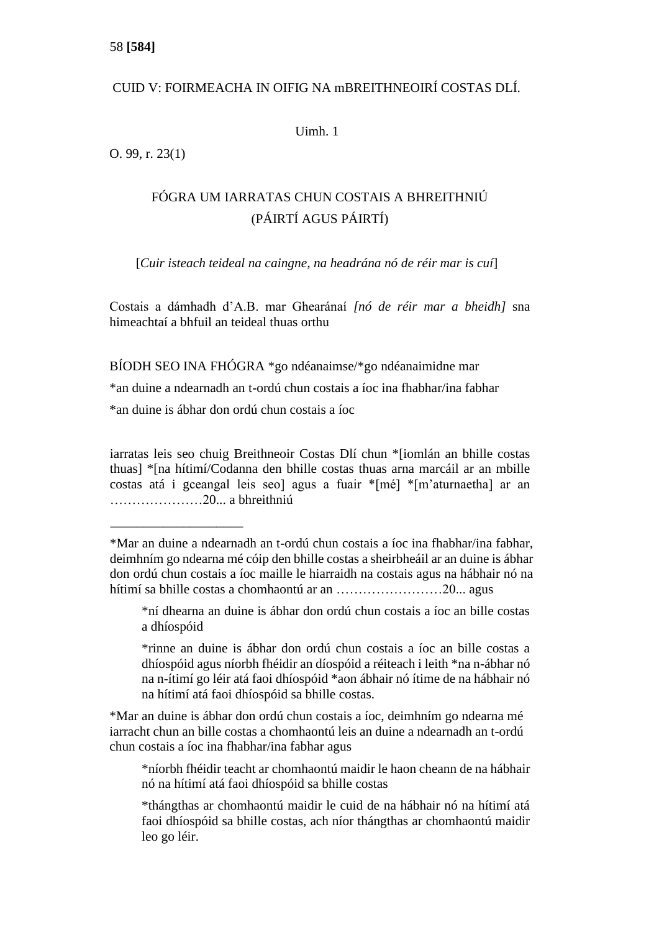# CUID V: FOIRMEACHA IN OIFIG NA mBREITHNEOIRÍ COSTAS DLÍ.

Uimh. 1

O. 99, r. 23(1)

# FÓGRA UM IARRATAS CHUN COSTAIS A BHREITHNIÚ (PÁIRTÍ AGUS PÁIRTÍ)

[*Cuir isteach teideal na caingne, na headrána nó de réir mar is cuí*]

Costais a dámhadh d'A.B. mar Ghearánaí *[nó de réir mar a bheidh]* sna himeachtaí a bhfuil an teideal thuas orthu

BÍODH SEO INA FHÓGRA \*go ndéanaimse/\*go ndéanaimidne mar

\*an duine a ndearnadh an t-ordú chun costais a íoc ina fhabhar/ina fabhar

\*an duine is ábhar don ordú chun costais a íoc

\_\_\_\_\_\_\_\_\_\_\_\_\_\_\_\_\_\_\_\_

iarratas leis seo chuig Breithneoir Costas Dlí chun \*[iomlán an bhille costas thuas] \*[na hítimí/Codanna den bhille costas thuas arna marcáil ar an mbille costas atá i gceangal leis seo] agus a fuair \*[mé] \*[m'aturnaetha] ar an …………………20... a bhreithniú

\*níorbh fhéidir teacht ar chomhaontú maidir le haon cheann de na hábhair nó na hítimí atá faoi dhíospóid sa bhille costas

<sup>\*</sup>Mar an duine a ndearnadh an t-ordú chun costais a íoc ina fhabhar/ina fabhar, deimhním go ndearna mé cóip den bhille costas a sheirbheáil ar an duine is ábhar don ordú chun costais a íoc maille le hiarraidh na costais agus na hábhair nó na hítimí sa bhille costas a chomhaontú ar an ……………………20... agus

<sup>\*</sup>ní dhearna an duine is ábhar don ordú chun costais a íoc an bille costas a dhíospóid

<sup>\*</sup>rinne an duine is ábhar don ordú chun costais a íoc an bille costas a dhíospóid agus níorbh fhéidir an díospóid a réiteach i leith \*na n-ábhar nó na n-ítimí go léir atá faoi dhíospóid \*aon ábhair nó ítime de na hábhair nó na hítimí atá faoi dhíospóid sa bhille costas.

<sup>\*</sup>Mar an duine is ábhar don ordú chun costais a íoc, deimhním go ndearna mé iarracht chun an bille costas a chomhaontú leis an duine a ndearnadh an t-ordú chun costais a íoc ina fhabhar/ina fabhar agus

<sup>\*</sup>thángthas ar chomhaontú maidir le cuid de na hábhair nó na hítimí atá faoi dhíospóid sa bhille costas, ach níor thángthas ar chomhaontú maidir leo go léir.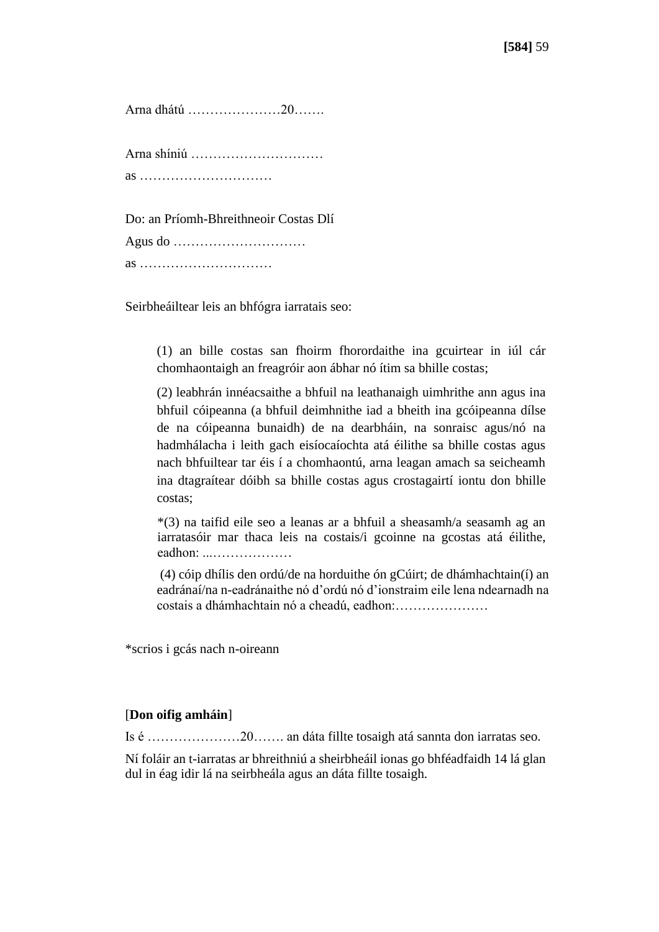Arna dhátú …………………20…….

Arna shíniú ………………………… as …………………………

Do: an Príomh-Bhreithneoir Costas Dlí Agus do …………………………

as …………………………

Seirbheáiltear leis an bhfógra iarratais seo:

(1) an bille costas san fhoirm fhorordaithe ina gcuirtear in iúl cár chomhaontaigh an freagróir aon ábhar nó ítim sa bhille costas;

(2) leabhrán innéacsaithe a bhfuil na leathanaigh uimhrithe ann agus ina bhfuil cóipeanna (a bhfuil deimhnithe iad a bheith ina gcóipeanna dílse de na cóipeanna bunaidh) de na dearbháin, na sonraisc agus/nó na hadmhálacha i leith gach eisíocaíochta atá éilithe sa bhille costas agus nach bhfuiltear tar éis í a chomhaontú, arna leagan amach sa seicheamh ina dtagraítear dóibh sa bhille costas agus crostagairtí iontu don bhille costas;

\*(3) na taifid eile seo a leanas ar a bhfuil a sheasamh/a seasamh ag an iarratasóir mar thaca leis na costais/i gcoinne na gcostas atá éilithe, eadhon: ...………………

(4) cóip dhílis den ordú/de na horduithe ón gCúirt; de dhámhachtain(í) an eadránaí/na n-eadránaithe nó d'ordú nó d'ionstraim eile lena ndearnadh na costais a dhámhachtain nó a cheadú, eadhon:…………………

\*scrios i gcás nach n-oireann

### [**Don oifig amháin**]

Is é …………………20……. an dáta fillte tosaigh atá sannta don iarratas seo.

Ní foláir an t-iarratas ar bhreithniú a sheirbheáil ionas go bhféadfaidh 14 lá glan dul in éag idir lá na seirbheála agus an dáta fillte tosaigh.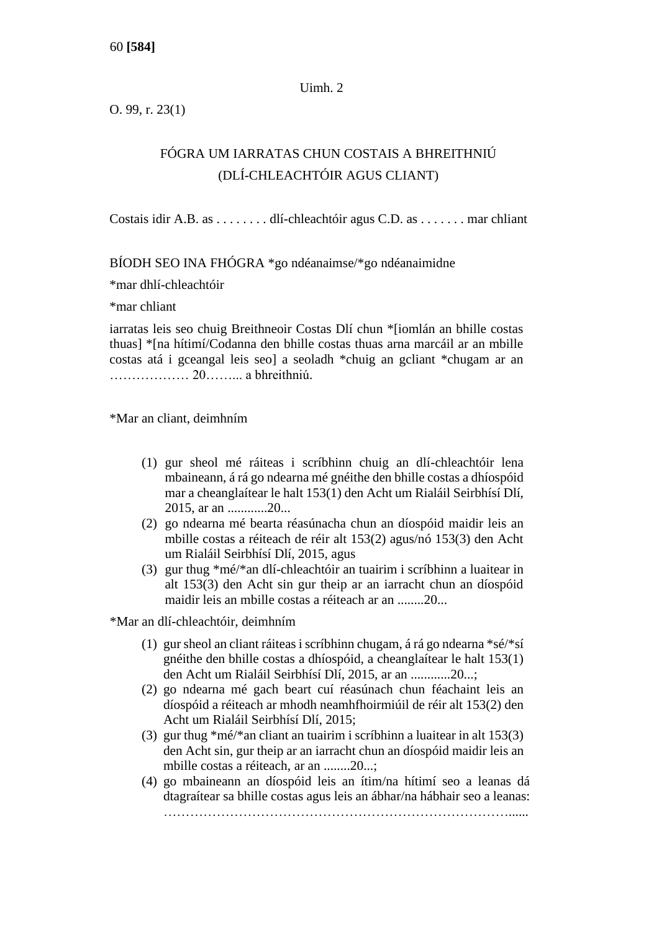### Uimh. 2

O. 99, r. 23(1)

# FÓGRA UM IARRATAS CHUN COSTAIS A BHREITHNIÚ (DLÍ-CHLEACHTÓIR AGUS CLIANT)

Costais idir A.B. as . . . . . . . . dlí-chleachtóir agus C.D. as . . . . . . . mar chliant

BÍODH SEO INA FHÓGRA \*go ndéanaimse/\*go ndéanaimidne

\*mar dhlí-chleachtóir

\*mar chliant

iarratas leis seo chuig Breithneoir Costas Dlí chun \*[iomlán an bhille costas thuas] \*[na hítimí/Codanna den bhille costas thuas arna marcáil ar an mbille costas atá i gceangal leis seo] a seoladh \*chuig an gcliant \*chugam ar an ……………… 20……... a bhreithniú.

\*Mar an cliant, deimhním

- (1) gur sheol mé ráiteas i scríbhinn chuig an dlí-chleachtóir lena mbaineann, á rá go ndearna mé gnéithe den bhille costas a dhíospóid mar a cheanglaítear le halt 153(1) den Acht um Rialáil Seirbhísí Dlí, 2015, ar an ............20...
- (2) go ndearna mé bearta réasúnacha chun an díospóid maidir leis an mbille costas a réiteach de réir alt 153(2) agus/nó 153(3) den Acht um Rialáil Seirbhísí Dlí, 2015, agus
- (3) gur thug \*mé/\*an dlí-chleachtóir an tuairim i scríbhinn a luaitear in alt 153(3) den Acht sin gur theip ar an iarracht chun an díospóid maidir leis an mbille costas a réiteach ar an ........20...

\*Mar an dlí-chleachtóir, deimhním

- (1) gur sheol an cliant ráiteas i scríbhinn chugam, á rá go ndearna \*sé/\*sí gnéithe den bhille costas a dhíospóid, a cheanglaítear le halt 153(1) den Acht um Rialáil Seirbhísí Dlí, 2015, ar an ............20...;
- (2) go ndearna mé gach beart cuí réasúnach chun féachaint leis an díospóid a réiteach ar mhodh neamhfhoirmiúil de réir alt 153(2) den Acht um Rialáil Seirbhísí Dlí, 2015;
- (3) gur thug \*mé/\*an cliant an tuairim i scríbhinn a luaitear in alt 153(3) den Acht sin, gur theip ar an iarracht chun an díospóid maidir leis an mbille costas a réiteach, ar an ........20...;
- (4) go mbaineann an díospóid leis an ítim/na hítimí seo a leanas dá dtagraítear sa bhille costas agus leis an ábhar/na hábhair seo a leanas: ……………………………………………………………………......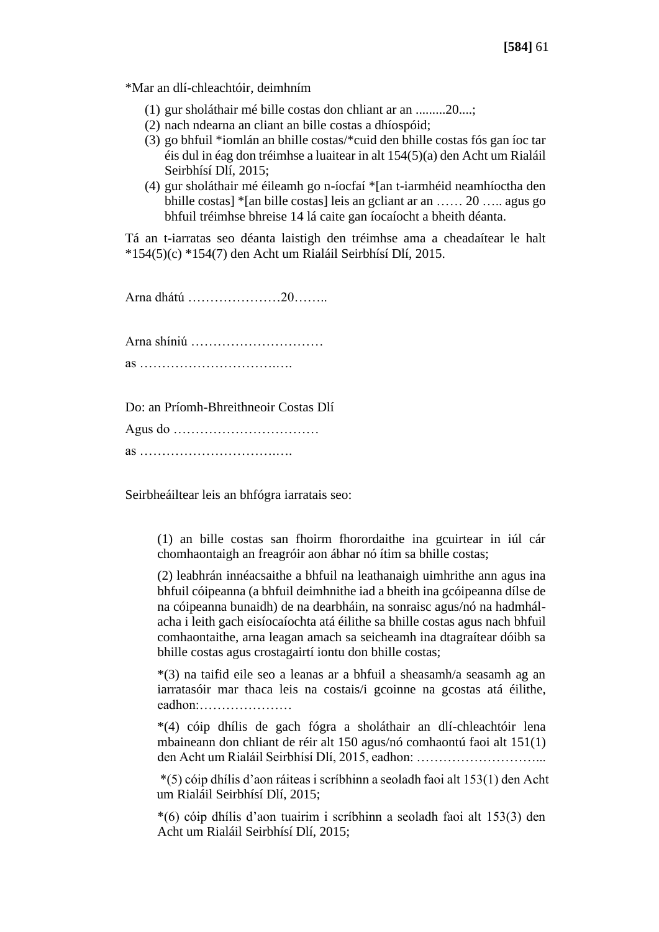\*Mar an dlí-chleachtóir, deimhním

- (1) gur sholáthair mé bille costas don chliant ar an .........20....;
- (2) nach ndearna an cliant an bille costas a dhíospóid;
- (3) go bhfuil \*iomlán an bhille costas/\*cuid den bhille costas fós gan íoc tar éis dul in éag don tréimhse a luaitear in alt 154(5)(a) den Acht um Rialáil Seirbhísí Dlí, 2015;
- (4) gur sholáthair mé éileamh go n-íocfaí \*[an t-iarmhéid neamhíoctha den bhille costas] \*[an bille costas] leis an gcliant ar an …… 20 ….. agus go bhfuil tréimhse bhreise 14 lá caite gan íocaíocht a bheith déanta.

Tá an t-iarratas seo déanta laistigh den tréimhse ama a cheadaítear le halt \*154(5)(c) \*154(7) den Acht um Rialáil Seirbhísí Dlí, 2015.

Arna dhátú …………………20……..

Arna shíniú ………………………… as ………………………….….

Do: an Príomh-Bhreithneoir Costas Dlí

Agus do …………………………… as ………………………….….

Seirbheáiltear leis an bhfógra iarratais seo:

(1) an bille costas san fhoirm fhorordaithe ina gcuirtear in iúl cár chomhaontaigh an freagróir aon ábhar nó ítim sa bhille costas;

(2) leabhrán innéacsaithe a bhfuil na leathanaigh uimhrithe ann agus ina bhfuil cóipeanna (a bhfuil deimhnithe iad a bheith ina gcóipeanna dílse de na cóipeanna bunaidh) de na dearbháin, na sonraisc agus/nó na hadmhálacha i leith gach eisíocaíochta atá éilithe sa bhille costas agus nach bhfuil comhaontaithe, arna leagan amach sa seicheamh ina dtagraítear dóibh sa bhille costas agus crostagairtí iontu don bhille costas;

\*(3) na taifid eile seo a leanas ar a bhfuil a sheasamh/a seasamh ag an iarratasóir mar thaca leis na costais/i gcoinne na gcostas atá éilithe, eadhon:…………………

\*(4) cóip dhílis de gach fógra a sholáthair an dlí-chleachtóir lena mbaineann don chliant de réir alt 150 agus/nó comhaontú faoi alt 151(1) den Acht um Rialáil Seirbhísí Dlí, 2015, eadhon: ………………………...

\*(5) cóip dhílis d'aon ráiteas i scríbhinn a seoladh faoi alt 153(1) den Acht um Rialáil Seirbhísí Dlí, 2015;

\*(6) cóip dhílis d'aon tuairim i scríbhinn a seoladh faoi alt 153(3) den Acht um Rialáil Seirbhísí Dlí, 2015;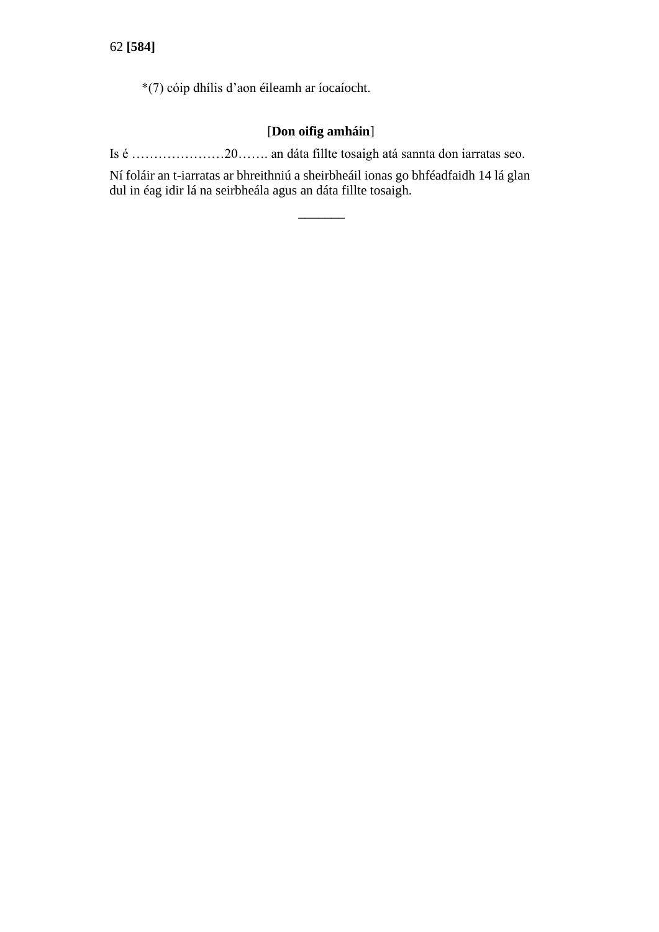\*(7) cóip dhílis d'aon éileamh ar íocaíocht.

## [**Don oifig amháin**]

Is é …………………20……. an dáta fillte tosaigh atá sannta don iarratas seo.

Ní foláir an t-iarratas ar bhreithniú a sheirbheáil ionas go bhféadfaidh 14 lá glan dul in éag idir lá na seirbheála agus an dáta fillte tosaigh.

 $\overline{\phantom{a}}$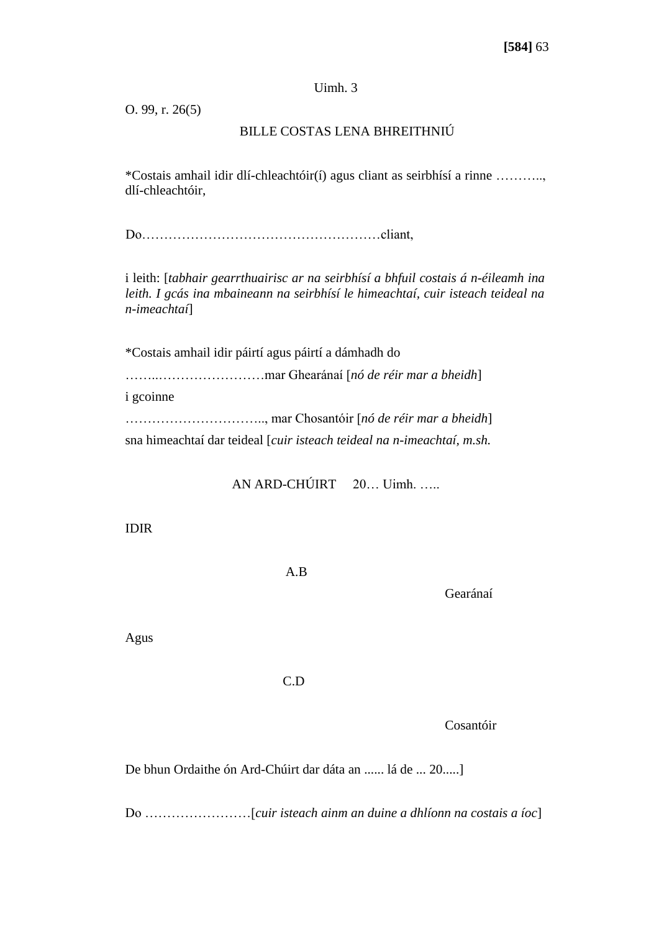## Uimh. 3

O. 99, r. 26(5)

## BILLE COSTAS LENA BHREITHNIÚ

\*Costais amhail idir dlí-chleachtóir(í) agus cliant as seirbhísí a rinne ……….., dlí-chleachtóir,

Do………………………………………………cliant,

i leith: [*tabhair gearrthuairisc ar na seirbhísí a bhfuil costais á n-éileamh ina leith. I gcás ina mbaineann na seirbhísí le himeachtaí, cuir isteach teideal na n-imeachtaí*]

\*Costais amhail idir páirtí agus páirtí a dámhadh do

……..……………………mar Ghearánaí [*nó de réir mar a bheidh*]

i gcoinne

………………………….., mar Chosantóir [*nó de réir mar a bheidh*]

sna himeachtaí dar teideal [*cuir isteach teideal na n-imeachtaí, m.sh.* 

AN ARD-CHÚIRT 20… Uimh. …..

IDIR

A.B

Gearánaí

Agus

C.D

Cosantóir

De bhun Ordaithe ón Ard-Chúirt dar dáta an ...... lá de ... 20.....]

Do ……………………[*cuir isteach ainm an duine a dhlíonn na costais a íoc*]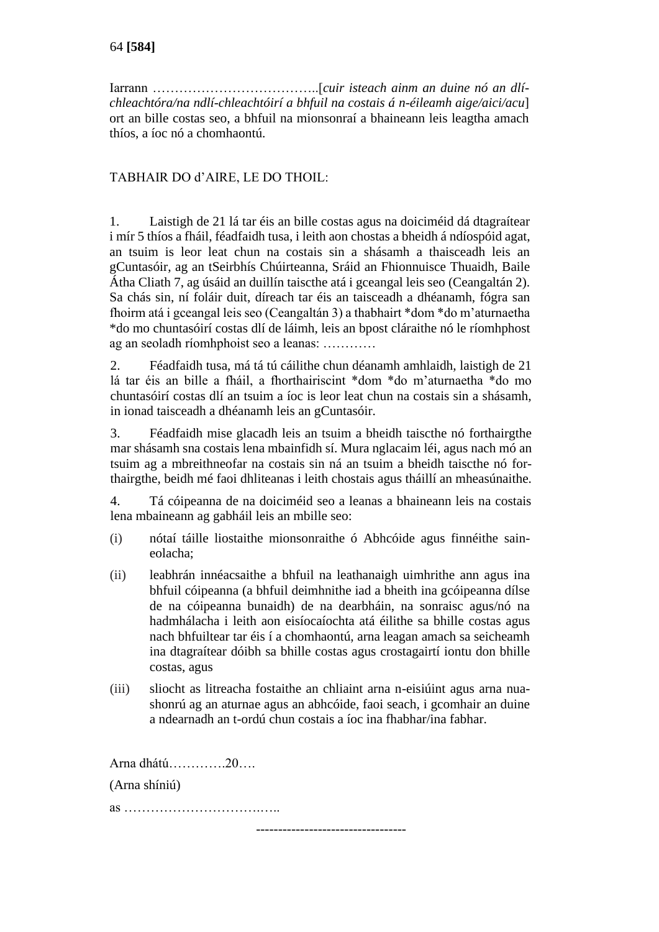Iarrann ………………………………..[*cuir isteach ainm an duine nó an dlíchleachtóra/na ndlí-chleachtóirí a bhfuil na costais á n-éileamh aige/aici/acu*] ort an bille costas seo, a bhfuil na mionsonraí a bhaineann leis leagtha amach thíos, a íoc nó a chomhaontú.

## TABHAIR DO d'AIRE, LE DO THOIL:

1. Laistigh de 21 lá tar éis an bille costas agus na doiciméid dá dtagraítear i mír 5 thíos a fháil, féadfaidh tusa, i leith aon chostas a bheidh á ndíospóid agat, an tsuim is leor leat chun na costais sin a shásamh a thaisceadh leis an gCuntasóir, ag an tSeirbhís Chúirteanna, Sráid an Fhionnuisce Thuaidh, Baile Átha Cliath 7, ag úsáid an duillín taiscthe atá i gceangal leis seo (Ceangaltán 2). Sa chás sin, ní foláir duit, díreach tar éis an taisceadh a dhéanamh, fógra san fhoirm atá i gceangal leis seo (Ceangaltán 3) a thabhairt \*dom \*do m'aturnaetha \*do mo chuntasóirí costas dlí de láimh, leis an bpost cláraithe nó le ríomhphost ag an seoladh ríomhphoist seo a leanas: …………

2. Féadfaidh tusa, má tá tú cáilithe chun déanamh amhlaidh, laistigh de 21 lá tar éis an bille a fháil, a fhorthairiscint \*dom \*do m'aturnaetha \*do mo chuntasóirí costas dlí an tsuim a íoc is leor leat chun na costais sin a shásamh, in ionad taisceadh a dhéanamh leis an gCuntasóir.

3. Féadfaidh mise glacadh leis an tsuim a bheidh taiscthe nó forthairgthe mar shásamh sna costais lena mbainfidh sí. Mura nglacaim léi, agus nach mó an tsuim ag a mbreithneofar na costais sin ná an tsuim a bheidh taiscthe nó forthairgthe, beidh mé faoi dhliteanas i leith chostais agus tháillí an mheasúnaithe.

4. Tá cóipeanna de na doiciméid seo a leanas a bhaineann leis na costais lena mbaineann ag gabháil leis an mbille seo:

- (i) nótaí táille liostaithe mionsonraithe ó Abhcóide agus finnéithe saineolacha;
- (ii) leabhrán innéacsaithe a bhfuil na leathanaigh uimhrithe ann agus ina bhfuil cóipeanna (a bhfuil deimhnithe iad a bheith ina gcóipeanna dílse de na cóipeanna bunaidh) de na dearbháin, na sonraisc agus/nó na hadmhálacha i leith aon eisíocaíochta atá éilithe sa bhille costas agus nach bhfuiltear tar éis í a chomhaontú, arna leagan amach sa seicheamh ina dtagraítear dóibh sa bhille costas agus crostagairtí iontu don bhille costas, agus
- (iii) sliocht as litreacha fostaithe an chliaint arna n-eisiúint agus arna nuashonrú ag an aturnae agus an abhcóide, faoi seach, i gcomhair an duine a ndearnadh an t-ordú chun costais a íoc ina fhabhar/ina fabhar.

Arna dhátú………….20…. (Arna shíniú) as ………………………….….. ----------------------------------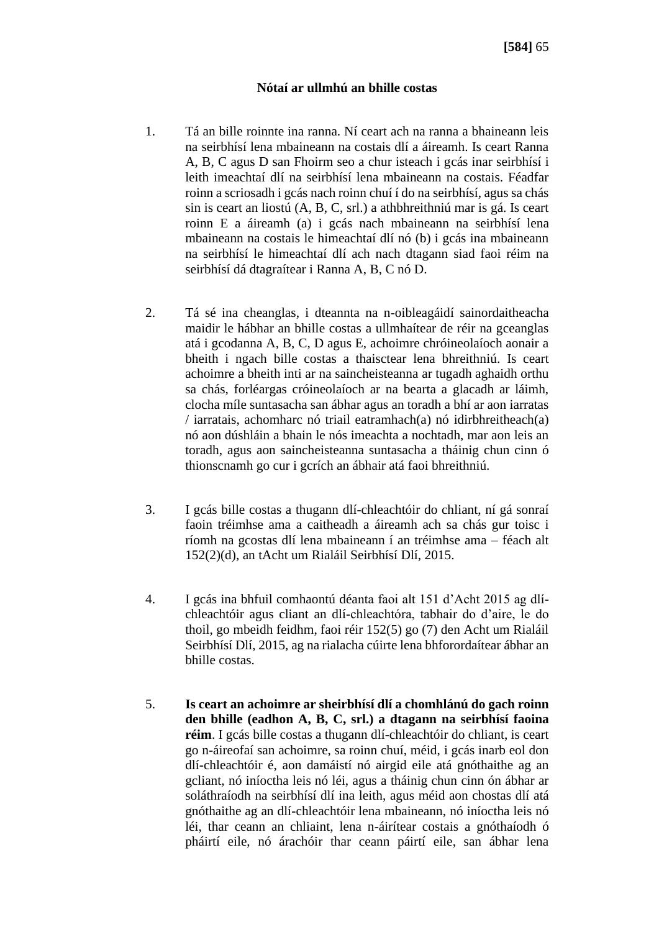## **Nótaí ar ullmhú an bhille costas**

- 1. Tá an bille roinnte ina ranna. Ní ceart ach na ranna a bhaineann leis na seirbhísí lena mbaineann na costais dlí a áireamh. Is ceart Ranna A, B, C agus D san Fhoirm seo a chur isteach i gcás inar seirbhísí i leith imeachtaí dlí na seirbhísí lena mbaineann na costais. Féadfar roinn a scriosadh i gcás nach roinn chuí í do na seirbhísí, agus sa chás sin is ceart an liostú (A, B, C, srl.) a athbhreithniú mar is gá. Is ceart roinn E a áireamh (a) i gcás nach mbaineann na seirbhísí lena mbaineann na costais le himeachtaí dlí nó (b) i gcás ina mbaineann na seirbhísí le himeachtaí dlí ach nach dtagann siad faoi réim na seirbhísí dá dtagraítear i Ranna A, B, C nó D.
- 2. Tá sé ina cheanglas, i dteannta na n-oibleagáidí sainordaitheacha maidir le hábhar an bhille costas a ullmhaítear de réir na gceanglas atá i gcodanna A, B, C, D agus E, achoimre chróineolaíoch aonair a bheith i ngach bille costas a thaisctear lena bhreithniú. Is ceart achoimre a bheith inti ar na saincheisteanna ar tugadh aghaidh orthu sa chás, forléargas cróineolaíoch ar na bearta a glacadh ar láimh, clocha míle suntasacha san ábhar agus an toradh a bhí ar aon iarratas / iarratais, achomharc nó triail eatramhach(a) nó idirbhreitheach(a) nó aon dúshláin a bhain le nós imeachta a nochtadh, mar aon leis an toradh, agus aon saincheisteanna suntasacha a tháinig chun cinn ó thionscnamh go cur i gcrích an ábhair atá faoi bhreithniú.
- 3. I gcás bille costas a thugann dlí-chleachtóir do chliant, ní gá sonraí faoin tréimhse ama a caitheadh a áireamh ach sa chás gur toisc i ríomh na gcostas dlí lena mbaineann í an tréimhse ama – féach alt 152(2)(d), an tAcht um Rialáil Seirbhísí Dlí, 2015.
- 4. I gcás ina bhfuil comhaontú déanta faoi alt 151 d'Acht 2015 ag dlíchleachtóir agus cliant an dlí-chleachtóra, tabhair do d'aire, le do thoil, go mbeidh feidhm, faoi réir 152(5) go (7) den Acht um Rialáil Seirbhísí Dlí, 2015, ag na rialacha cúirte lena bhforordaítear ábhar an bhille costas.
- 5. **Is ceart an achoimre ar sheirbhísí dlí a chomhlánú do gach roinn den bhille (eadhon A, B, C, srl.) a dtagann na seirbhísí faoina réim**. I gcás bille costas a thugann dlí-chleachtóir do chliant, is ceart go n-áireofaí san achoimre, sa roinn chuí, méid, i gcás inarb eol don dlí-chleachtóir é, aon damáistí nó airgid eile atá gnóthaithe ag an gcliant, nó iníoctha leis nó léi, agus a tháinig chun cinn ón ábhar ar soláthraíodh na seirbhísí dlí ina leith, agus méid aon chostas dlí atá gnóthaithe ag an dlí-chleachtóir lena mbaineann, nó iníoctha leis nó léi, thar ceann an chliaint, lena n-áirítear costais a gnóthaíodh ó pháirtí eile, nó árachóir thar ceann páirtí eile, san ábhar lena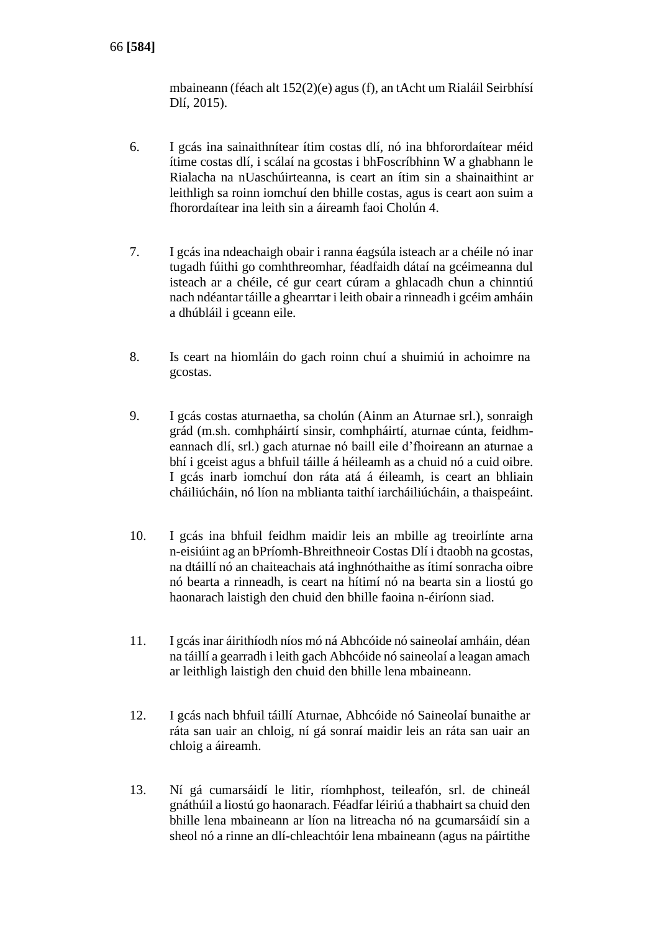mbaineann (féach alt 152(2)(e) agus (f), an tAcht um Rialáil Seirbhísí Dlí, 2015).

- 6. I gcás ina sainaithnítear ítim costas dlí, nó ina bhforordaítear méid ítime costas dlí, i scálaí na gcostas i bhFoscríbhinn W a ghabhann le Rialacha na nUaschúirteanna, is ceart an ítim sin a shainaithint ar leithligh sa roinn iomchuí den bhille costas, agus is ceart aon suim a fhorordaítear ina leith sin a áireamh faoi Cholún 4.
- 7. I gcás ina ndeachaigh obair i ranna éagsúla isteach ar a chéile nó inar tugadh fúithi go comhthreomhar, féadfaidh dátaí na gcéimeanna dul isteach ar a chéile, cé gur ceart cúram a ghlacadh chun a chinntiú nach ndéantar táille a ghearrtar i leith obair a rinneadh i gcéim amháin a dhúbláil i gceann eile.
- 8. Is ceart na hiomláin do gach roinn chuí a shuimiú in achoimre na gcostas.
- 9. I gcás costas aturnaetha, sa cholún (Ainm an Aturnae srl.), sonraigh grád (m.sh. comhpháirtí sinsir, comhpháirtí, aturnae cúnta, feidhmeannach dlí, srl.) gach aturnae nó baill eile d'fhoireann an aturnae a bhí i gceist agus a bhfuil táille á héileamh as a chuid nó a cuid oibre. I gcás inarb iomchuí don ráta atá á éileamh, is ceart an bhliain cháiliúcháin, nó líon na mblianta taithí iarcháiliúcháin, a thaispeáint.
- 10. I gcás ina bhfuil feidhm maidir leis an mbille ag treoirlínte arna n-eisiúint ag an bPríomh-Bhreithneoir Costas Dlí i dtaobh na gcostas, na dtáillí nó an chaiteachais atá inghnóthaithe as ítimí sonracha oibre nó bearta a rinneadh, is ceart na hítimí nó na bearta sin a liostú go haonarach laistigh den chuid den bhille faoina n-éiríonn siad.
- 11. I gcás inar áirithíodh níos mó ná Abhcóide nó saineolaí amháin, déan na táillí a gearradh i leith gach Abhcóide nó saineolaí a leagan amach ar leithligh laistigh den chuid den bhille lena mbaineann.
- 12. I gcás nach bhfuil táillí Aturnae, Abhcóide nó Saineolaí bunaithe ar ráta san uair an chloig, ní gá sonraí maidir leis an ráta san uair an chloig a áireamh.
- 13. Ní gá cumarsáidí le litir, ríomhphost, teileafón, srl. de chineál gnáthúil a liostú go haonarach. Féadfar léiriú a thabhairt sa chuid den bhille lena mbaineann ar líon na litreacha nó na gcumarsáidí sin a sheol nó a rinne an dlí-chleachtóir lena mbaineann (agus na páirtithe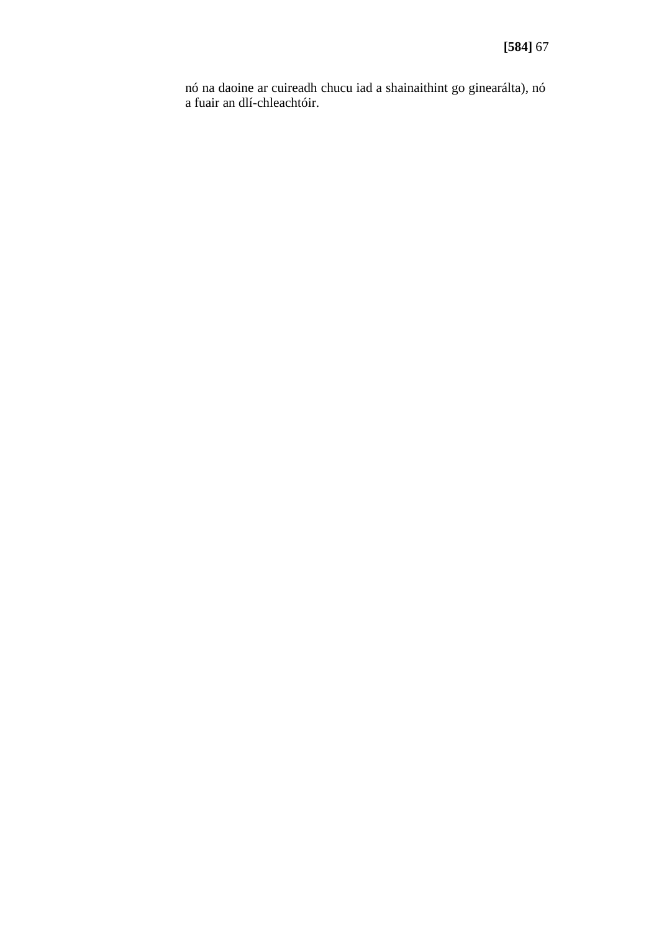nó na daoine ar cuireadh chucu iad a shainaithint go ginearálta), nó a fuair an dlí-chleachtóir.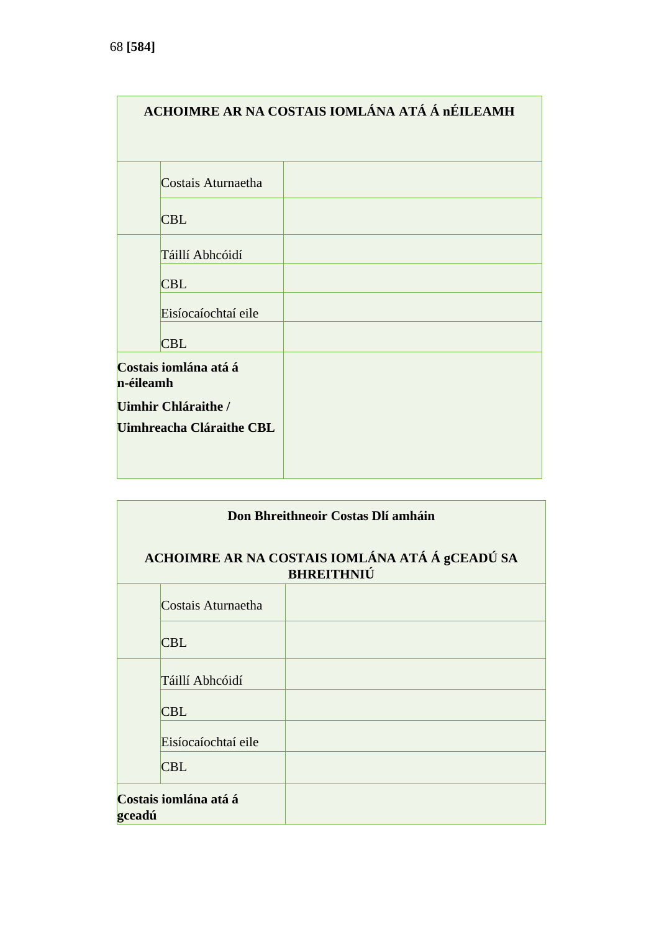| ACHOIMRE AR NA COSTAIS IOMLÁNA ATÁ Á nÉILEAMH |  |  |  |  |  |
|-----------------------------------------------|--|--|--|--|--|
|                                               |  |  |  |  |  |
| Costais Aturnaetha                            |  |  |  |  |  |
| <b>CBL</b>                                    |  |  |  |  |  |
| Táillí Abhcóidí                               |  |  |  |  |  |
| <b>CBL</b>                                    |  |  |  |  |  |
| Eisíocaíochtaí eile                           |  |  |  |  |  |
| <b>CBL</b>                                    |  |  |  |  |  |
| Costais iomlána atá á<br>n-éileamh            |  |  |  |  |  |
| Uimhir Chláraithe /                           |  |  |  |  |  |
| Uimhreacha Cláraithe CBL                      |  |  |  |  |  |
|                                               |  |  |  |  |  |

| Don Bhreithneoir Costas Dlí amháin |                                                                     |  |  |  |  |
|------------------------------------|---------------------------------------------------------------------|--|--|--|--|
|                                    | ACHOIMRE AR NA COSTAIS IOMLÁNA ATÁ Á gCEADÚ SA<br><b>BHREITHNIÚ</b> |  |  |  |  |
| Costais Aturnaetha                 |                                                                     |  |  |  |  |
| <b>CBL</b>                         |                                                                     |  |  |  |  |
| Táillí Abhcóidí                    |                                                                     |  |  |  |  |
| <b>CBL</b>                         |                                                                     |  |  |  |  |
| Eisíocaíochtaí eile                |                                                                     |  |  |  |  |
| <b>CBL</b>                         |                                                                     |  |  |  |  |
| Costais iomlána atá á<br>gceadú    |                                                                     |  |  |  |  |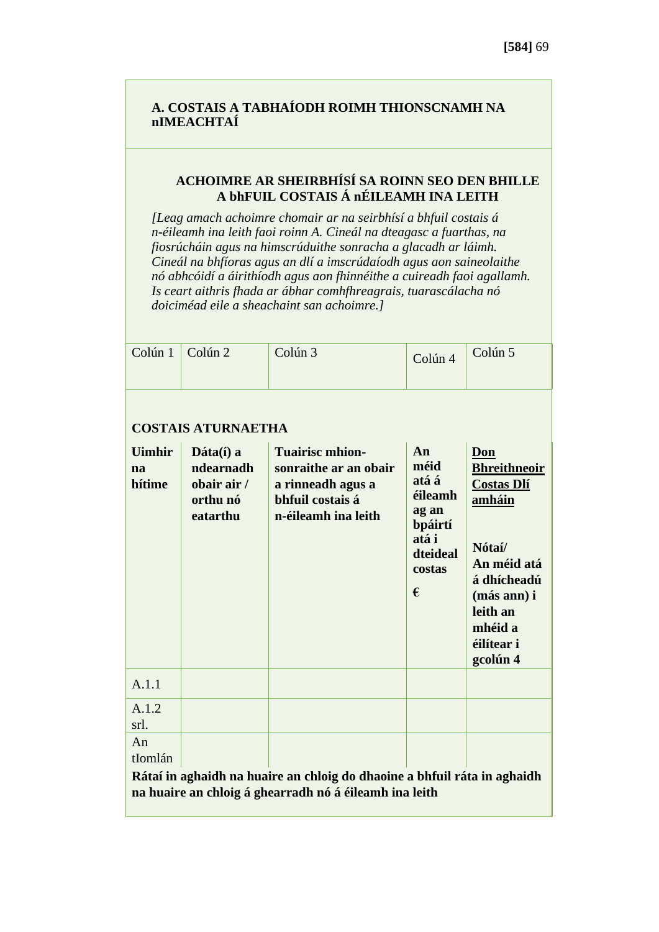# **A. COSTAIS A TABHAÍODH ROIMH THIONSCNAMH NA nIMEACHTAÍ**

# **ACHOIMRE AR SHEIRBHÍSÍ SA ROINN SEO DEN BHILLE A bhFUIL COSTAIS Á nÉILEAMH INA LEITH**

*[Leag amach achoimre chomair ar na seirbhísí a bhfuil costais á n-éileamh ina leith faoi roinn A. Cineál na dteagasc a fuarthas, na fiosrúcháin agus na himscrúduithe sonracha a glacadh ar láimh. Cineál na bhfíoras agus an dlí a imscrúdaíodh agus aon saineolaithe nó abhcóidí a áirithíodh agus aon fhinnéithe a cuireadh faoi agallamh. Is ceart aithris fhada ar ábhar comhfhreagrais, tuarascálacha nó doiciméad eile a sheachaint san achoimre.]*

| Colún 1                       | Colún <sub>2</sub>                                                           | Colún <sub>3</sub>                                                                                                                 | Colún 4                                                                                | Colún 5                                                                                                                                                           |
|-------------------------------|------------------------------------------------------------------------------|------------------------------------------------------------------------------------------------------------------------------------|----------------------------------------------------------------------------------------|-------------------------------------------------------------------------------------------------------------------------------------------------------------------|
|                               | <b>COSTAIS ATURNAETHA</b>                                                    |                                                                                                                                    |                                                                                        |                                                                                                                                                                   |
| <b>Uimhir</b><br>na<br>hítime | $\mathbf{D}$ áta $(i)$ a<br>ndearnadh<br>obair air /<br>orthu nó<br>eatarthu | <b>Tuairisc mhion-</b><br>sonraithe ar an obair<br>a rinneadh agus a<br>bhfuil costais á<br>n-éileamh ina leith                    | An<br>méid<br>atá á<br>éileamh<br>ag an<br>bpáirtí<br>atá i<br>dteideal<br>costas<br>€ | Don<br><b>Bhreithneoir</b><br><b>Costas Dlí</b><br>amháin<br>Nótaí/<br>An méid atá<br>á dhícheadú<br>(más ann) i<br>leith an<br>mhéid a<br>éilítear i<br>gcolún 4 |
| A.1.1                         |                                                                              |                                                                                                                                    |                                                                                        |                                                                                                                                                                   |
| A.1.2<br>srl.                 |                                                                              |                                                                                                                                    |                                                                                        |                                                                                                                                                                   |
| An<br>tIomlán                 |                                                                              |                                                                                                                                    |                                                                                        |                                                                                                                                                                   |
|                               |                                                                              | Rátaí in aghaidh na huaire an chloig do dhaoine a bhfuil ráta in aghaidh<br>na huaire an chloig á ghearradh nó á éileamh ina leith |                                                                                        |                                                                                                                                                                   |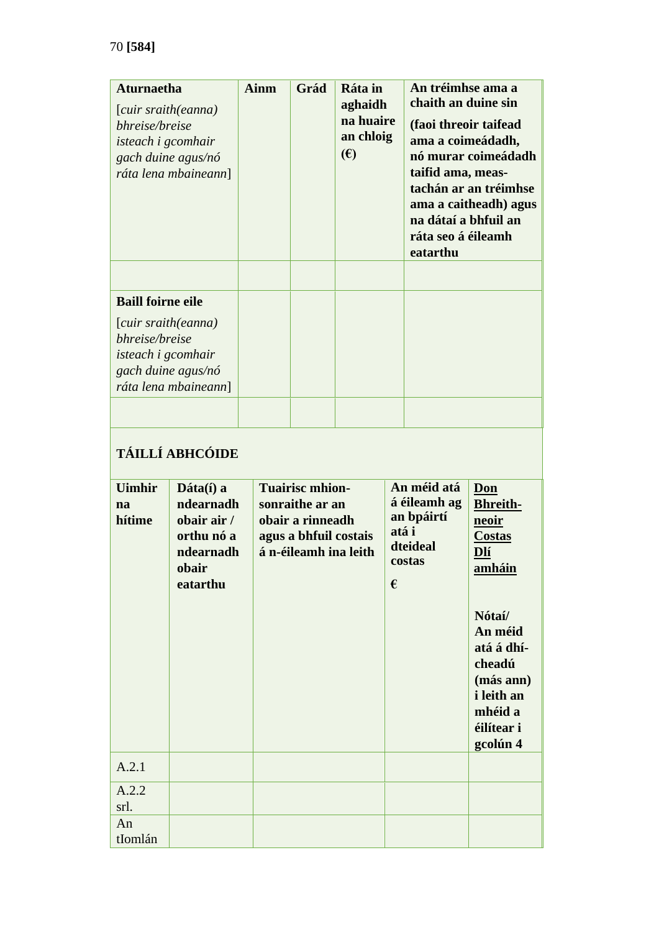| <b>Aturnaetha</b><br>[cuir sraith(eanna)<br>bhreise/breise<br>isteach i gcomhair                          | gach duine agus/nó<br>ráta lena mbaineann]                                            | <b>Ainm</b> | An tréimhse ama a<br>Ráta in<br>Grád<br>chaith an duine sin<br>aghaidh<br>na huaire<br>(faoi threoir taifead<br>an chloig<br>ama a coimeádadh,<br>$(\epsilon)$<br>taifid ama, meas-<br>na dátaí a bhfuil an<br>ráta seo á éileamh<br>eatarthu |  | nó murar coimeádadh<br>tachán ar an tréimhse<br>ama a caitheadh) agus |                                                                          |                                                                                                                                                                                       |
|-----------------------------------------------------------------------------------------------------------|---------------------------------------------------------------------------------------|-------------|-----------------------------------------------------------------------------------------------------------------------------------------------------------------------------------------------------------------------------------------------|--|-----------------------------------------------------------------------|--------------------------------------------------------------------------|---------------------------------------------------------------------------------------------------------------------------------------------------------------------------------------|
| <b>Baill foirne eile</b>                                                                                  |                                                                                       |             |                                                                                                                                                                                                                                               |  |                                                                       |                                                                          |                                                                                                                                                                                       |
| [cuir sraith(eanna)<br>bhreise/breise<br>isteach i gcomhair<br>gach duine agus/nó<br>ráta lena mbaineann] |                                                                                       |             |                                                                                                                                                                                                                                               |  |                                                                       |                                                                          |                                                                                                                                                                                       |
|                                                                                                           | <b>TÁILLÍ ABHCÓIDE</b>                                                                |             |                                                                                                                                                                                                                                               |  |                                                                       |                                                                          |                                                                                                                                                                                       |
| <b>Uimhir</b><br>na<br>hítime                                                                             | Dáta(í) a<br>ndearnadh<br>obair air /<br>orthu nó a<br>ndearnadh<br>obair<br>eatarthu |             | <b>Tuairisc mhion-</b><br>sonraithe ar an<br>obair a rinneadh<br>agus a bhfuil costais<br>á n-éileamh ina leith                                                                                                                               |  | €                                                                     | An méid atá<br>á éileamh ag<br>an bpáirtí<br>atá i<br>dteideal<br>costas | Don<br><b>Bhreith-</b><br>neoir<br><b>Costas</b><br>Dlí<br>amháin<br>Nótaí/<br>An méid<br>atá á dhí-<br>cheadú<br>(más ann)<br><i>i</i> leith an<br>mhéid a<br>éilítear i<br>gcolún 4 |
| A.2.1                                                                                                     |                                                                                       |             |                                                                                                                                                                                                                                               |  |                                                                       |                                                                          |                                                                                                                                                                                       |
| A.2.2<br>srl.                                                                                             |                                                                                       |             |                                                                                                                                                                                                                                               |  |                                                                       |                                                                          |                                                                                                                                                                                       |
| An<br>tIomlán                                                                                             |                                                                                       |             |                                                                                                                                                                                                                                               |  |                                                                       |                                                                          |                                                                                                                                                                                       |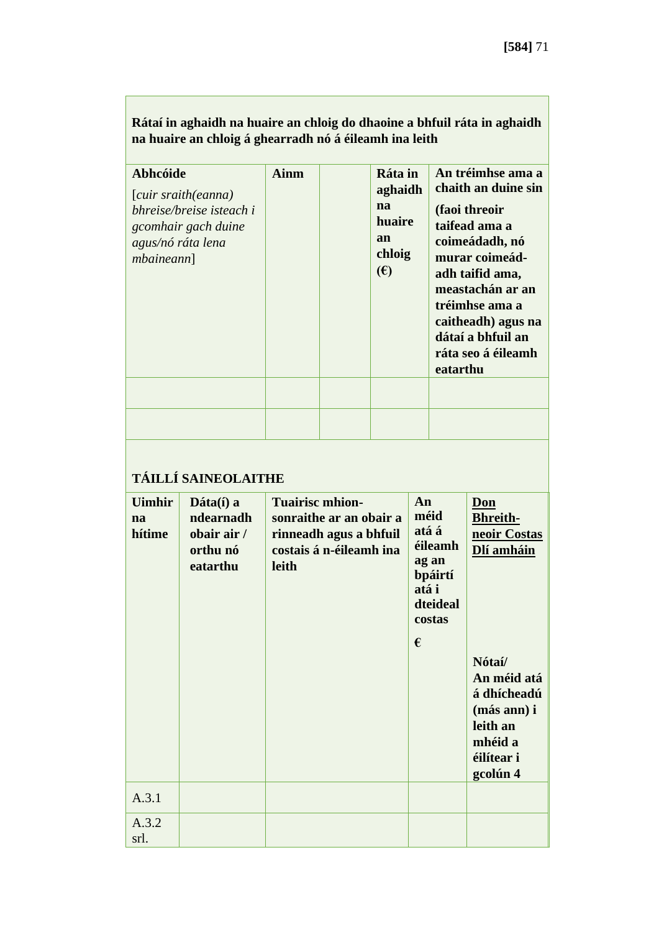|                                                                                                                            | na huaire an chloig á ghearradh nó á éileamh ina leith                       |                                                                                                                        |  |                          |                                                                                                                                                                                                                                                                                                |                                                                                                                                                              |  |
|----------------------------------------------------------------------------------------------------------------------------|------------------------------------------------------------------------------|------------------------------------------------------------------------------------------------------------------------|--|--------------------------|------------------------------------------------------------------------------------------------------------------------------------------------------------------------------------------------------------------------------------------------------------------------------------------------|--------------------------------------------------------------------------------------------------------------------------------------------------------------|--|
| <b>Abhcóide</b><br>[cuir sraith(eanna)<br>bhreise/breise isteach i<br>gcomhair gach duine<br>agus/nó ráta lena<br>mbainen] |                                                                              | <b>Ainm</b>                                                                                                            |  | na<br>an<br>$(\epsilon)$ | An tréimhse ama a<br>Ráta in<br>chaith an duine sin<br>aghaidh<br>(faoi threoir<br>huaire<br>taifead ama a<br>coimeádadh, nó<br>chloig<br>murar coimeád-<br>adh taifid ama,<br>meastachán ar an<br>tréimhse ama a<br>caitheadh) agus na<br>dátaí a bhfuil an<br>ráta seo á éileamh<br>eatarthu |                                                                                                                                                              |  |
|                                                                                                                            |                                                                              |                                                                                                                        |  |                          |                                                                                                                                                                                                                                                                                                |                                                                                                                                                              |  |
|                                                                                                                            | TÁILLÍ SAINEOLAITHE                                                          |                                                                                                                        |  |                          |                                                                                                                                                                                                                                                                                                |                                                                                                                                                              |  |
| <b>Uimhir</b><br>na<br>hítime                                                                                              | $\mathbf{D}$ áta $(i)$ a<br>ndearnadh<br>obair air /<br>orthu nó<br>eatarthu | <b>Tuairisc mhion-</b><br>sonraithe ar an obair a<br>rinneadh agus a bhfuil<br>costais á n-éileamh ina<br><b>leith</b> |  | An<br>méid<br>atá i<br>€ | atá á<br>éileamh<br>ag an<br>bpáirtí<br>dteideal<br>costas                                                                                                                                                                                                                                     | Don<br><b>Bhreith-</b><br>neoir Costas<br>Dlí amháin<br>Nótaí/<br>An méid atá<br>á dhícheadú<br>(más ann) i<br>leith an<br>mhéid a<br>éilítear i<br>gcolún 4 |  |
| A.3.1                                                                                                                      |                                                                              |                                                                                                                        |  |                          |                                                                                                                                                                                                                                                                                                |                                                                                                                                                              |  |
| A.3.2<br>srl.                                                                                                              |                                                                              |                                                                                                                        |  |                          |                                                                                                                                                                                                                                                                                                |                                                                                                                                                              |  |

**Rátaí in aghaidh na huaire an chloig do dhaoine a bhfuil ráta in aghaidh na huaire an chloig á ghearradh nó á éileamh ina leith**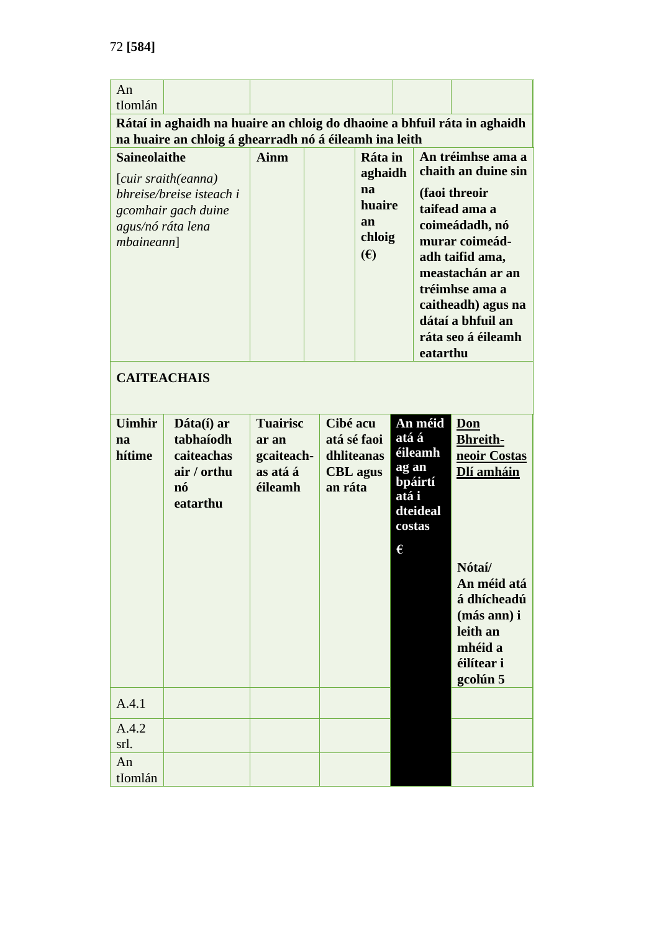| An                       |                                                                          |                 |                            |                      |       |                     |                                    |
|--------------------------|--------------------------------------------------------------------------|-----------------|----------------------------|----------------------|-------|---------------------|------------------------------------|
| tIomlán                  |                                                                          |                 |                            |                      |       |                     |                                    |
|                          | Rátaí in aghaidh na huaire an chloig do dhaoine a bhfuil ráta in aghaidh |                 |                            |                      |       |                     |                                    |
|                          | na huaire an chloig á ghearradh nó á éileamh ina leith                   |                 |                            |                      |       |                     |                                    |
| <b>Saineolaithe</b>      |                                                                          | <b>Ainm</b>     |                            | Ráta in              |       |                     | An tréimhse ama a                  |
| [cuir sraith(eanna)      |                                                                          |                 |                            | aghaidh              |       | chaith an duine sin |                                    |
| bhreise/breise isteach i |                                                                          |                 |                            | na                   |       | (faoi threoir       |                                    |
| gcomhair gach duine      |                                                                          |                 |                            | huaire               |       |                     | taifead ama a                      |
| agus/nó ráta lena        |                                                                          |                 |                            | an                   |       |                     | coimeádadh, nó                     |
| mbainen]                 |                                                                          |                 |                            | chloig               |       |                     | murar coimeád-                     |
|                          |                                                                          |                 |                            | (E)                  |       |                     | adh taifid ama,                    |
|                          |                                                                          |                 |                            |                      |       |                     | meastachán ar an<br>tréimhse ama a |
|                          |                                                                          |                 |                            |                      |       |                     | caitheadh) agus na                 |
|                          |                                                                          |                 |                            |                      |       |                     | dátaí a bhfuil an                  |
|                          |                                                                          |                 |                            |                      |       |                     | ráta seo á éileamh                 |
|                          |                                                                          |                 |                            |                      |       | eatarthu            |                                    |
|                          |                                                                          |                 |                            |                      |       |                     |                                    |
| <b>CAITEACHAIS</b>       |                                                                          |                 |                            |                      |       |                     |                                    |
|                          |                                                                          |                 |                            |                      |       |                     |                                    |
| <b>Uimhir</b>            | Dáta(í) ar                                                               | <b>Tuairisc</b> | An méid<br>Cibé acu<br>Don |                      |       |                     |                                    |
| na                       | tabhaíodh                                                                | ar an           |                            | atá á<br>atá sé faoi |       |                     | <b>Bhreith-</b>                    |
| hítime                   | caiteachas                                                               | gcaiteach-      | dhliteanas                 |                      |       | éileamh             | neoir Costas                       |
|                          | air / orthu                                                              | as atá á        |                            | <b>CBL</b> agus      | ag an | bpáirtí             | Dlí amháin                         |
|                          | nó                                                                       | éileamh         | an ráta                    |                      | atá i |                     |                                    |
|                          | eatarthu                                                                 |                 |                            |                      |       | dteideal            |                                    |
|                          |                                                                          |                 |                            |                      |       | costas              |                                    |
|                          |                                                                          |                 |                            |                      | €     |                     |                                    |
|                          |                                                                          |                 |                            |                      |       |                     | Nótaí/                             |
|                          |                                                                          |                 |                            |                      |       |                     | An méid atá                        |
|                          |                                                                          |                 |                            |                      |       |                     | á dhícheadú                        |
|                          |                                                                          |                 |                            |                      |       |                     | (más ann) i                        |
|                          |                                                                          |                 |                            |                      |       |                     | leith an                           |
|                          |                                                                          |                 |                            |                      |       |                     | mhéid a                            |
|                          |                                                                          |                 |                            |                      |       |                     | éilítear i                         |
|                          |                                                                          |                 |                            |                      |       |                     | gcolún 5                           |
| A.4.1                    |                                                                          |                 |                            |                      |       |                     |                                    |
| A.4.2                    |                                                                          |                 |                            |                      |       |                     |                                    |
| srl.                     |                                                                          |                 |                            |                      |       |                     |                                    |
|                          |                                                                          |                 |                            |                      |       |                     |                                    |
| An                       |                                                                          |                 |                            |                      |       |                     |                                    |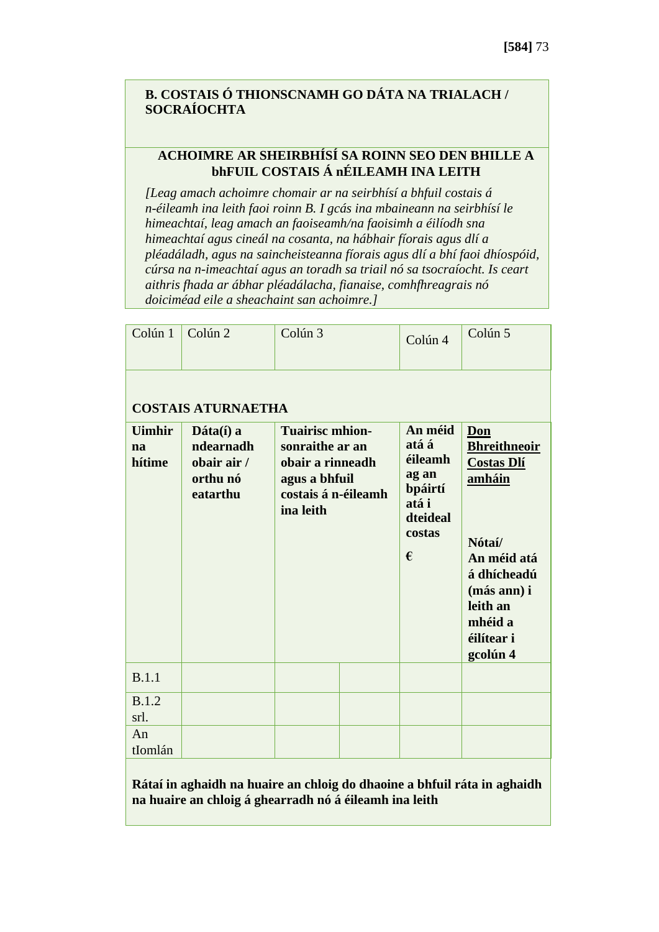#### **B. COSTAIS Ó THIONSCNAMH GO DÁTA NA TRIALACH / SOCRAÍOCHTA**

#### **ACHOIMRE AR SHEIRBHÍSÍ SA ROINN SEO DEN BHILLE A bhFUIL COSTAIS Á nÉILEAMH INA LEITH**

*[Leag amach achoimre chomair ar na seirbhísí a bhfuil costais á n-éileamh ina leith faoi roinn B. I gcás ina mbaineann na seirbhísí le himeachtaí, leag amach an faoiseamh/na faoisimh a éilíodh sna himeachtaí agus cineál na cosanta, na hábhair fíorais agus dlí a pléadáladh, agus na saincheisteanna fíorais agus dlí a bhí faoi dhíospóid, cúrsa na n-imeachtaí agus an toradh sa triail nó sa tsocraíocht. Is ceart aithris fhada ar ábhar pléadálacha, fianaise, comhfhreagrais nó doiciméad eile a sheachaint san achoimre.]*

| Colún 1                       | Colún <sub>2</sub>                                                           | Colún <sub>3</sub>                                                                                                 |  | Colún 4                                                                             | Colún 5                                                                                                                                                           |  |  |  |  |  |
|-------------------------------|------------------------------------------------------------------------------|--------------------------------------------------------------------------------------------------------------------|--|-------------------------------------------------------------------------------------|-------------------------------------------------------------------------------------------------------------------------------------------------------------------|--|--|--|--|--|
|                               | <b>COSTAIS ATURNAETHA</b>                                                    |                                                                                                                    |  |                                                                                     |                                                                                                                                                                   |  |  |  |  |  |
| <b>Uimhir</b><br>na<br>hítime | $\mathbf{D}$ áta $(i)$ a<br>ndearnadh<br>obair air /<br>orthu nó<br>eatarthu | <b>Tuairisc mhion-</b><br>sonraithe ar an<br>obair a rinneadh<br>agus a bhfuil<br>costais á n-éileamh<br>ina leith |  | An méid<br>atá á<br>éileamh<br>ag an<br>bpáirtí<br>atá i<br>dteideal<br>costas<br>€ | Don<br><b>Bhreithneoir</b><br><b>Costas Dlí</b><br>amháin<br>Nótaí/<br>An méid atá<br>á dhícheadú<br>(más ann) i<br>leith an<br>mhéid a<br>éilítear i<br>gcolún 4 |  |  |  |  |  |
| <b>B.1.1</b>                  |                                                                              |                                                                                                                    |  |                                                                                     |                                                                                                                                                                   |  |  |  |  |  |
| <b>B.1.2</b><br>srl.          |                                                                              |                                                                                                                    |  |                                                                                     |                                                                                                                                                                   |  |  |  |  |  |
| An<br>tIomlán                 |                                                                              |                                                                                                                    |  |                                                                                     |                                                                                                                                                                   |  |  |  |  |  |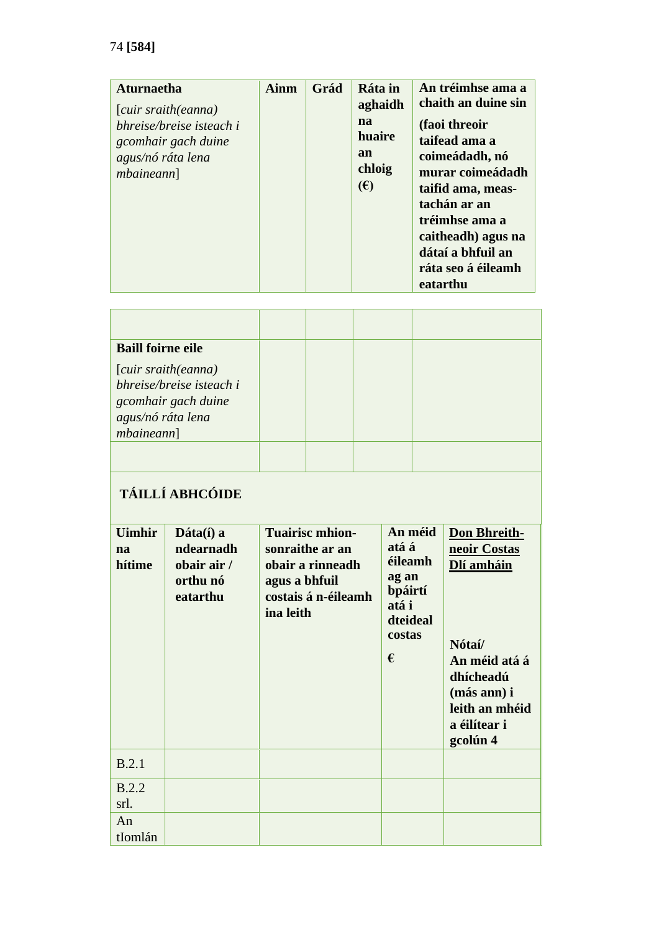| <b>Aturnaetha</b><br>(cuir sraith(eanna)<br>bhreise/breise isteach i<br>gcomhair gach duine<br>agus/nó ráta lena<br><i>mbaineann</i> ] | Ainm | Grád | Ráta in<br>aghaidh<br>na<br>huaire<br>an<br>chloig<br>(E) | An tréimhse ama a<br>chaith an duine sin<br>(faoi threoir<br>taifead ama a<br>coimeádadh, nó<br>murar coimeádadh<br>taifid ama, meas-<br>tachán ar an<br>tréimhse ama a<br>caitheadh) agus na<br>dátaí a bhfuil an<br>ráta seo á éileamh<br>eatarthu |
|----------------------------------------------------------------------------------------------------------------------------------------|------|------|-----------------------------------------------------------|------------------------------------------------------------------------------------------------------------------------------------------------------------------------------------------------------------------------------------------------------|
|----------------------------------------------------------------------------------------------------------------------------------------|------|------|-----------------------------------------------------------|------------------------------------------------------------------------------------------------------------------------------------------------------------------------------------------------------------------------------------------------------|

| <b>Baill foirne eile</b>                |                                                                        |                                                                                                                    |  |  |                                                                                     |                                                                                                                                                 |
|-----------------------------------------|------------------------------------------------------------------------|--------------------------------------------------------------------------------------------------------------------|--|--|-------------------------------------------------------------------------------------|-------------------------------------------------------------------------------------------------------------------------------------------------|
| agus/nó ráta lena<br><i>mbaineann</i> ] | [cuir sraith(eanna)<br>bhreise/breise isteach i<br>gcomhair gach duine |                                                                                                                    |  |  |                                                                                     |                                                                                                                                                 |
|                                         | <b>TÁILLÍ ABHCÓIDE</b>                                                 |                                                                                                                    |  |  |                                                                                     |                                                                                                                                                 |
| <b>Uimhir</b><br>na<br>hítime           | Dáta(í) a<br>ndearnadh<br>obair air /<br>orthu nó<br>eatarthu          | <b>Tuairisc mhion-</b><br>sonraithe ar an<br>obair a rinneadh<br>agus a bhfuil<br>costais á n-éileamh<br>ina leith |  |  | An méid<br>atá á<br>éileamh<br>ag an<br>bpáirtí<br>atá i<br>dteideal<br>costas<br>€ | Don Bhreith-<br>neoir Costas<br>Dlí amháin<br>Nótaí/<br>An méid atá á<br>dhícheadú<br>(más ann) i<br>leith an mhéid<br>a éilítear i<br>gcolún 4 |
| B.2.1                                   |                                                                        |                                                                                                                    |  |  |                                                                                     |                                                                                                                                                 |
| <b>B.2.2</b><br>srl.                    |                                                                        |                                                                                                                    |  |  |                                                                                     |                                                                                                                                                 |
| An<br>tIomlán                           |                                                                        |                                                                                                                    |  |  |                                                                                     |                                                                                                                                                 |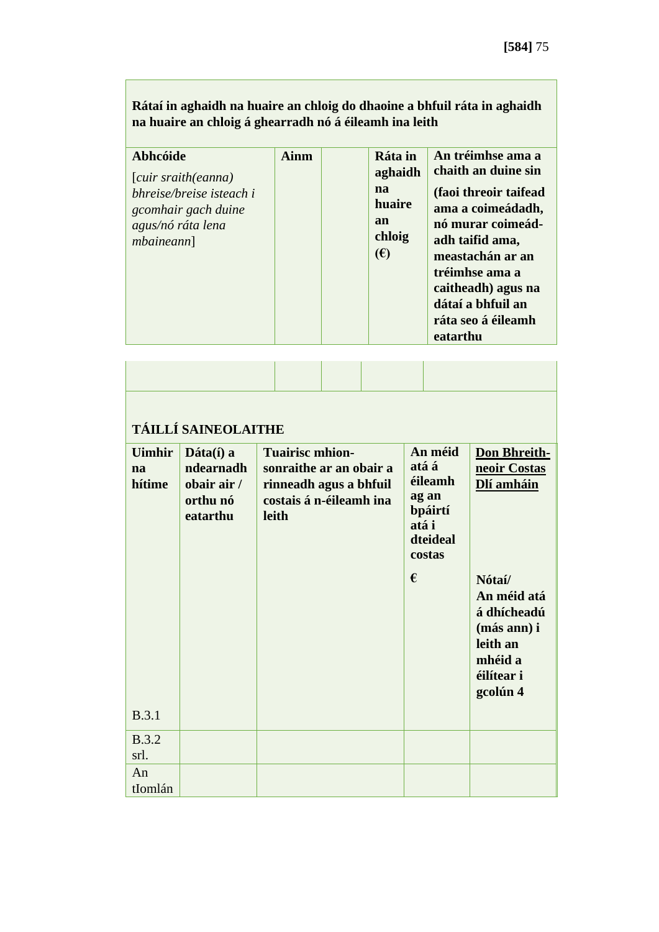| <b>Abhcóide</b><br>(cuir sraith(eanna)<br>bhreise/breise isteach i<br>gcomhair gach duine<br>agus/nó ráta lena<br><i>mbaineann</i> ] | <b>Ainm</b> | Ráta in<br>aghaidh<br>na<br>huaire<br>an<br>chloig | An tréimhse ama a<br>chaith an duine sin<br>(faoi threoir taifead<br>ama a coimeádadh,<br>nó murar coimeád-<br>adh taifid ama, |
|--------------------------------------------------------------------------------------------------------------------------------------|-------------|----------------------------------------------------|--------------------------------------------------------------------------------------------------------------------------------|
|                                                                                                                                      |             | $(\epsilon)$                                       | meastachán ar an<br>tréimhse ama a<br>caitheadh) agus na<br>dátaí a bhfuil an<br>ráta seo á éileamh<br>eatarthu                |

| TÁILLÍ SAINEOLAITHE           |                                                                              |                                                                                                                 |                                                                                |                                                                                                      |  |  |  |  |
|-------------------------------|------------------------------------------------------------------------------|-----------------------------------------------------------------------------------------------------------------|--------------------------------------------------------------------------------|------------------------------------------------------------------------------------------------------|--|--|--|--|
| <b>Uimhir</b><br>na<br>hítime | $\mathbf{D}$ áta $(i)$ a<br>ndearnadh<br>obair air /<br>orthu nó<br>eatarthu | <b>Tuairisc mhion-</b><br>sonraithe ar an obair a<br>rinneadh agus a bhfuil<br>costais á n-éileamh ina<br>leith | An méid<br>atá á<br>éileamh<br>ag an<br>bpáirtí<br>atá i<br>dteideal<br>costas | <b>Don Bhreith-</b><br>neoir Costas<br>Dlí amháin                                                    |  |  |  |  |
|                               |                                                                              |                                                                                                                 | €                                                                              | Nótaí/<br>An méid atá<br>á dhícheadú<br>(más ann) i<br>leith an<br>mhéid a<br>éilítear i<br>gcolún 4 |  |  |  |  |
| B.3.1                         |                                                                              |                                                                                                                 |                                                                                |                                                                                                      |  |  |  |  |
| <b>B.3.2</b><br>srl.          |                                                                              |                                                                                                                 |                                                                                |                                                                                                      |  |  |  |  |
| An<br>tIomlán                 |                                                                              |                                                                                                                 |                                                                                |                                                                                                      |  |  |  |  |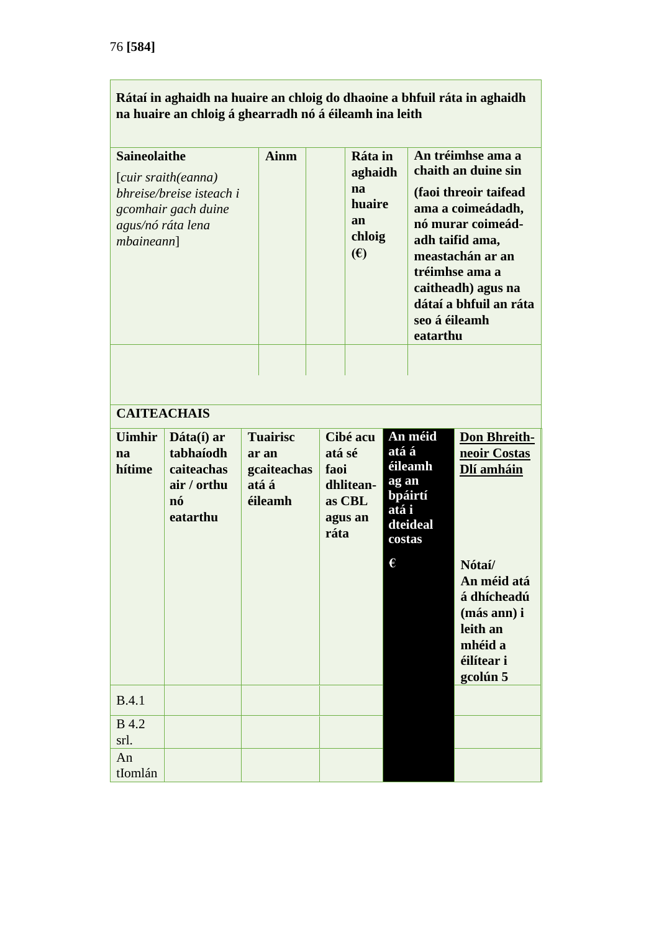| <b>Saineolaithe</b><br>[cuir sraith(eanna)<br>bhreise/breise isteach i<br>gcomhair gach duine<br>agus/nó ráta lena<br><i>mbaineann</i> ] |                                                                        | <b>Ainm</b>                                                 |                        | Ráta in<br>aghaidh<br>na<br>huaire<br>an<br>chloig<br>(E) |                                        | An tréimhse ama a<br>chaith an duine sin<br>(faoi threoir taifead<br>ama a coimeádadh,<br>nó murar coimeád-<br>adh taifid ama,<br>meastachán ar an<br>tréimhse ama a<br>caitheadh) agus na<br>dátaí a bhfuil an ráta<br>seo á éileamh<br>eatarthu |                                                                                                                                                           |
|------------------------------------------------------------------------------------------------------------------------------------------|------------------------------------------------------------------------|-------------------------------------------------------------|------------------------|-----------------------------------------------------------|----------------------------------------|---------------------------------------------------------------------------------------------------------------------------------------------------------------------------------------------------------------------------------------------------|-----------------------------------------------------------------------------------------------------------------------------------------------------------|
|                                                                                                                                          | <b>CAITEACHAIS</b>                                                     |                                                             |                        |                                                           |                                        |                                                                                                                                                                                                                                                   |                                                                                                                                                           |
|                                                                                                                                          |                                                                        |                                                             |                        |                                                           |                                        |                                                                                                                                                                                                                                                   |                                                                                                                                                           |
| <b>Uimhir</b><br>na<br>hítime                                                                                                            | Dáta(í) ar<br>tabhaíodh<br>caiteachas<br>air / orthu<br>nó<br>eatarthu | <b>Tuairisc</b><br>ar an<br>gcaiteachas<br>atá á<br>éileamh | atá sé<br>faoi<br>ráta | Cibé acu<br>dhlitean-<br>as CBL<br>agus an                | atá á<br>ag an<br>atá i<br>costas<br>€ | An méid<br>éileamh<br>bpáirtí<br>dteideal                                                                                                                                                                                                         | <b>Don Bhreith-</b><br>neoir Costas<br>Dlí amháin<br>Nótaí/<br>An méid atá<br>á dhícheadú<br>(más ann) i<br>leith an<br>mhéid a<br>éilítear i<br>gcolún 5 |
| B.4.1                                                                                                                                    |                                                                        |                                                             |                        |                                                           |                                        |                                                                                                                                                                                                                                                   |                                                                                                                                                           |
| <b>B</b> 4.2<br>srl.                                                                                                                     |                                                                        |                                                             |                        |                                                           |                                        |                                                                                                                                                                                                                                                   |                                                                                                                                                           |
| An<br>tIomlán                                                                                                                            |                                                                        |                                                             |                        |                                                           |                                        |                                                                                                                                                                                                                                                   |                                                                                                                                                           |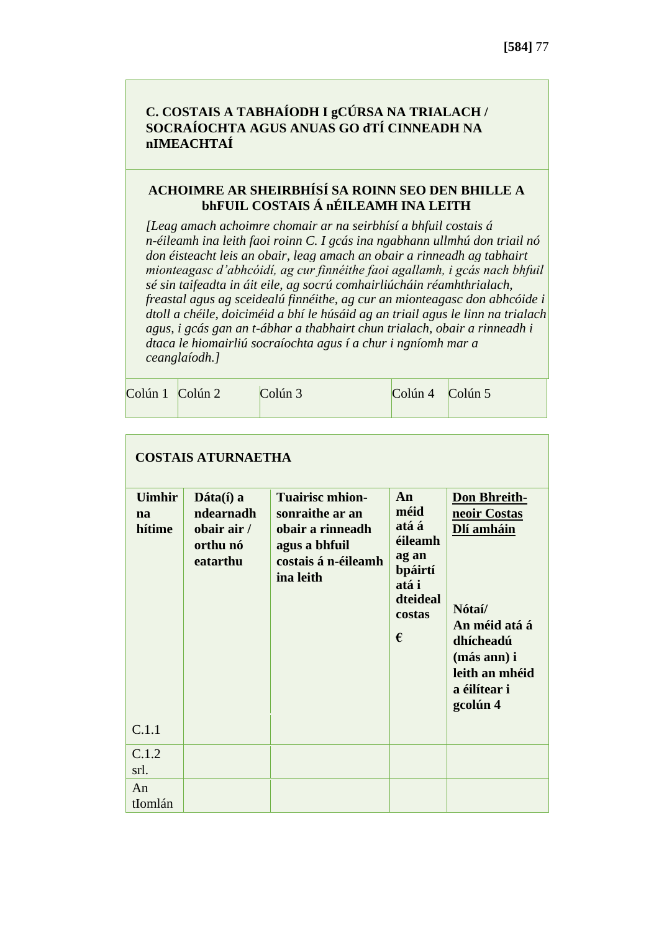### **C. COSTAIS A TABHAÍODH I gCÚRSA NA TRIALACH / SOCRAÍOCHTA AGUS ANUAS GO dTÍ CINNEADH NA nIMEACHTAÍ**

#### **ACHOIMRE AR SHEIRBHÍSÍ SA ROINN SEO DEN BHILLE A bhFUIL COSTAIS Á nÉILEAMH INA LEITH**

*[Leag amach achoimre chomair ar na seirbhísí a bhfuil costais á n-éileamh ina leith faoi roinn C. I gcás ina ngabhann ullmhú don triail nó don éisteacht leis an obair, leag amach an obair a rinneadh ag tabhairt mionteagasc d'abhcóidí, ag cur finnéithe faoi agallamh, i gcás nach bhfuil sé sin taifeadta in áit eile, ag socrú comhairliúcháin réamhthrialach, freastal agus ag sceidealú finnéithe, ag cur an mionteagasc don abhcóide i dtoll a chéile, doiciméid a bhí le húsáid ag an triail agus le linn na trialach agus, i gcás gan an t-ábhar a thabhairt chun trialach, obair a rinneadh i dtaca le hiomairliú socraíochta agus í a chur i ngníomh mar a ceanglaíodh.]*

|  | $Colún 1$ $Colún 2$ | Colún 3 | $\left  \text{Colún 4} \right $ $\left  \text{Colún 5} \right $ |  |
|--|---------------------|---------|-----------------------------------------------------------------|--|
|--|---------------------|---------|-----------------------------------------------------------------|--|

| <b>COSTAIS ATURNAETHA</b>     |                                                                              |                                                                                                                    |                                                                                        |                                                                                                                                                 |  |  |  |  |
|-------------------------------|------------------------------------------------------------------------------|--------------------------------------------------------------------------------------------------------------------|----------------------------------------------------------------------------------------|-------------------------------------------------------------------------------------------------------------------------------------------------|--|--|--|--|
| <b>Uimhir</b><br>na<br>hítime | $\mathbf{D}$ áta $(i)$ a<br>ndearnadh<br>obair air /<br>orthu nó<br>eatarthu | <b>Tuairisc mhion-</b><br>sonraithe ar an<br>obair a rinneadh<br>agus a bhfuil<br>costais á n-éileamh<br>ina leith | An<br>méid<br>atá á<br>éileamh<br>ag an<br>bpáirtí<br>atá i<br>dteideal<br>costas<br>€ | Don Bhreith-<br>neoir Costas<br>Dlí amháin<br>Nótaí/<br>An méid atá á<br>dhícheadú<br>(más ann) i<br>leith an mhéid<br>a éilítear i<br>gcolún 4 |  |  |  |  |
| C.1.1                         |                                                                              |                                                                                                                    |                                                                                        |                                                                                                                                                 |  |  |  |  |
| C.1.2<br>srl.                 |                                                                              |                                                                                                                    |                                                                                        |                                                                                                                                                 |  |  |  |  |
| An<br>tIomlán                 |                                                                              |                                                                                                                    |                                                                                        |                                                                                                                                                 |  |  |  |  |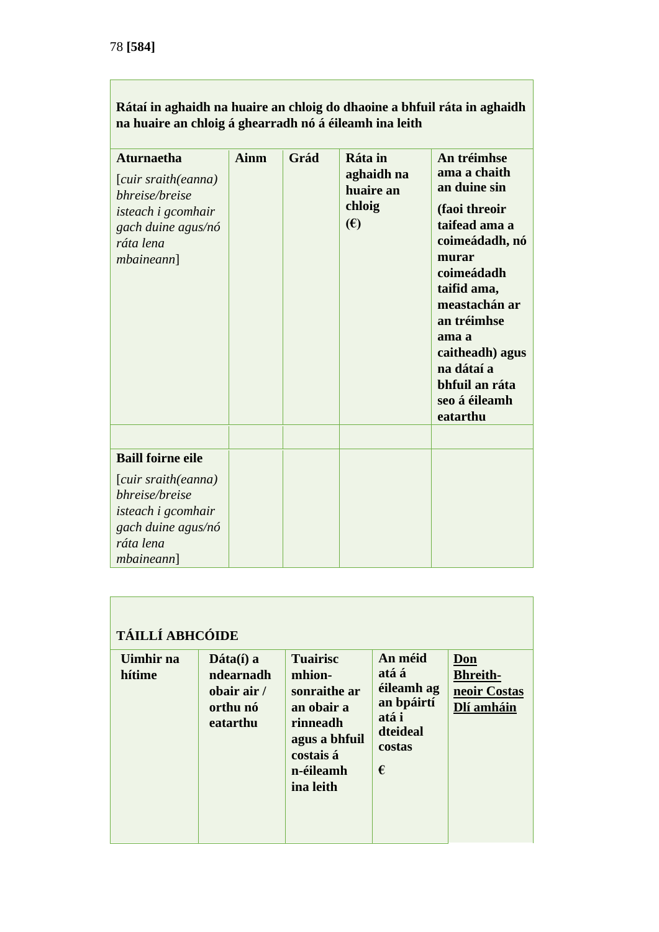| <b>Aturnaetha</b><br>[cuir sraith(eanna)<br>bhreise/breise<br>isteach i gcomhair<br>gach duine agus/nó<br>ráta lena<br><i>mbaineann</i> ] | <b>Ainm</b> | Grád | Ráta in<br>aghaidh na<br>huaire an<br>chloig<br>$(\epsilon)$ | An tréimhse<br>ama a chaith<br>an duine sin<br>(faoi threoir<br>taifead ama a<br>coimeádadh, nó<br>murar<br>coimeádadh<br>taifid ama,<br>meastachán ar<br>an tréimhse<br>ama a<br>caitheadh) agus<br>na dátaí a<br>bhfuil an ráta<br>seo á éileamh<br>eatarthu |
|-------------------------------------------------------------------------------------------------------------------------------------------|-------------|------|--------------------------------------------------------------|----------------------------------------------------------------------------------------------------------------------------------------------------------------------------------------------------------------------------------------------------------------|
| <b>Baill foirne eile</b>                                                                                                                  |             |      |                                                              |                                                                                                                                                                                                                                                                |
| [cuir sraith(eanna)<br>bhreise/breise<br>isteach i gcomhair<br>gach duine agus/nó<br>ráta lena<br><i>mbaineann</i> ]                      |             |      |                                                              |                                                                                                                                                                                                                                                                |

| <b>TÁILLÍ ABHCÓIDE</b> |                                                                                         |                                                                                                                             |                                                                                  |                                                      |  |  |  |  |
|------------------------|-----------------------------------------------------------------------------------------|-----------------------------------------------------------------------------------------------------------------------------|----------------------------------------------------------------------------------|------------------------------------------------------|--|--|--|--|
| Uimhir na<br>hítime    | $\mathbf{Dáta}(\hat{\mathbf{i}})$ a<br>ndearnadh<br>obair air /<br>orthu nó<br>eatarthu | <b>Tuairisc</b><br>mhion-<br>sonraithe ar<br>an obair a<br>rinneadh<br>agus a bhfuil<br>costais á<br>n-éileamh<br>ina leith | An méid<br>atá á<br>éileamh ag<br>an bpáirtí<br>atá i<br>dteideal<br>costas<br>€ | Don<br><b>Bhreith-</b><br>neoir Costas<br>Dlí amháin |  |  |  |  |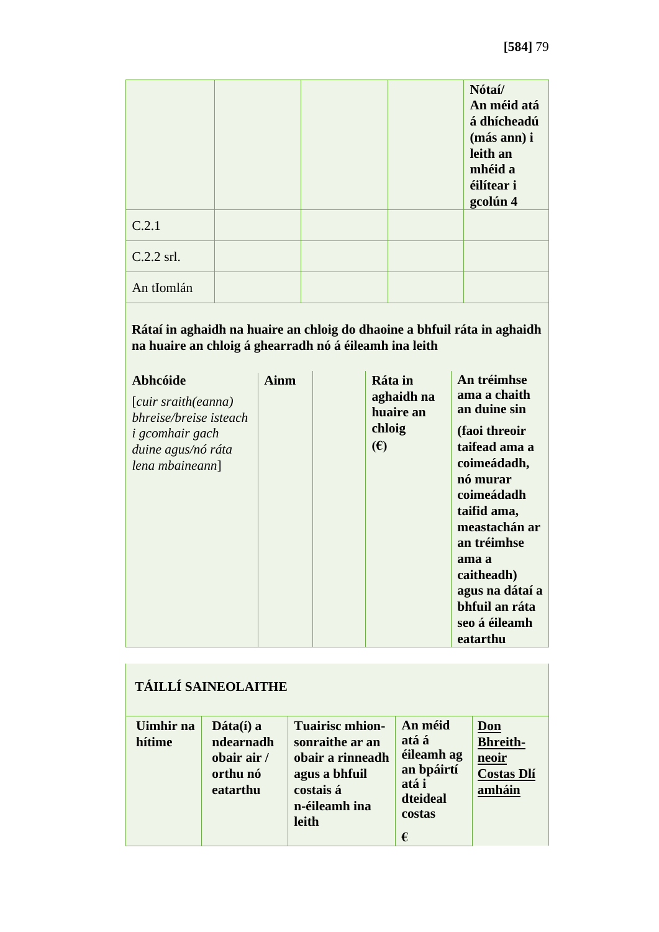|            |  | Nótaí/<br>An méid atá<br>á dhícheadú<br>(más ann) i<br>leith an<br>mhéid a<br>éilítear i<br>gcolún 4 |
|------------|--|------------------------------------------------------------------------------------------------------|
| C.2.1      |  |                                                                                                      |
| C.2.2 srl. |  |                                                                                                      |
| An tIomlán |  |                                                                                                      |

| Abhcóide<br>(cuir sraith(eanna)<br>bhreise/breise isteach<br><i>i</i> gcomhair gach<br>duine agus/nó ráta<br>lena mbaineann] | Ainm | Ráta in<br>aghaidh na<br>huaire an<br>chloig<br>(E) | An tréimhse<br>ama a chaith<br>an duine sin<br>(faoi threoir<br>taifead ama a<br>coimeádadh,<br>nó murar<br>coimeádadh<br>taifid ama,<br>meastachán ar<br>an tréimhse<br>ama a<br>caitheadh)<br>agus na dátaí a<br>bhfuil an ráta<br>seo á éileamh<br>eatarthu |
|------------------------------------------------------------------------------------------------------------------------------|------|-----------------------------------------------------|----------------------------------------------------------------------------------------------------------------------------------------------------------------------------------------------------------------------------------------------------------------|
|------------------------------------------------------------------------------------------------------------------------------|------|-----------------------------------------------------|----------------------------------------------------------------------------------------------------------------------------------------------------------------------------------------------------------------------------------------------------------------|

| <b>TÁILLÍ SAINEOLAITHE</b> |                                                                              |                                                                                                                       |                                                                                  |                                                                       |  |  |
|----------------------------|------------------------------------------------------------------------------|-----------------------------------------------------------------------------------------------------------------------|----------------------------------------------------------------------------------|-----------------------------------------------------------------------|--|--|
| Uimhir na<br>hítime        | $\mathbf{D}$ áta $(i)$ a<br>ndearnadh<br>obair air /<br>orthu nó<br>eatarthu | <b>Tuairisc mhion-</b><br>sonraithe ar an<br>obair a rinneadh<br>agus a bhfuil<br>costais á<br>n-éileamh ina<br>leith | An méid<br>atá á<br>éileamh ag<br>an bpáirtí<br>atá i<br>dteideal<br>costas<br>€ | <u>Don</u><br><b>Bhreith-</b><br>neoir<br><b>Costas Dlí</b><br>amháin |  |  |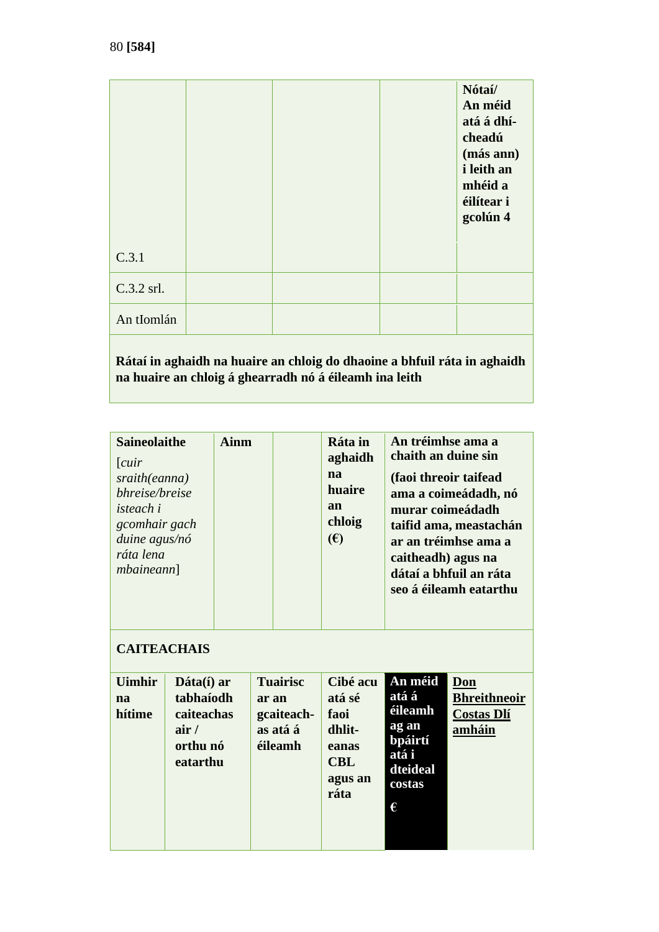|            |                                                                          | Nótaí/<br>An méid<br>atá á dhí-<br>cheadú<br>(más ann)<br><i>i</i> leith an<br>mhéid a<br>éilítear i<br>gcolún 4 |
|------------|--------------------------------------------------------------------------|------------------------------------------------------------------------------------------------------------------|
| C.3.1      |                                                                          |                                                                                                                  |
| C.3.2 srl. |                                                                          |                                                                                                                  |
| An tIomlán |                                                                          |                                                                                                                  |
|            | Rátaí in aghaidh na huaire an chloig do dhaoine a bhfuil ráta in aghaidh |                                                                                                                  |

**na huaire an chloig á ghearradh nó á éileamh ina leith**

| <b>Saineolaithe</b><br><b>Ainm</b><br>[cur]<br>na<br>sraith(eanna)<br>bhreise/breise<br>an<br><i>isteach i</i><br>gcomhair gach<br>(E)<br>duine agus/nó<br>ráta lena<br>mbainen] |                                                                       | Ráta in<br>aghaidh<br>huaire<br>chloig | An tréimhse ama a<br>chaith an duine sin<br>(faoi threoir taifead<br>murar coimeádadh<br>caitheadh) agus na | ama a coimeádadh, nó<br>taifid ama, meastachán<br>ar an tréimhse ama a<br>dátaí a bhfuil an ráta<br>seo á éileamh eatarthu |                                                                                            |                                                           |
|----------------------------------------------------------------------------------------------------------------------------------------------------------------------------------|-----------------------------------------------------------------------|----------------------------------------|-------------------------------------------------------------------------------------------------------------|----------------------------------------------------------------------------------------------------------------------------|--------------------------------------------------------------------------------------------|-----------------------------------------------------------|
| <b>CAITEACHAIS</b><br><b>Uimhir</b><br>na<br>hítime                                                                                                                              | Dáta(í) ar<br>tabhaíodh<br>caiteachas<br>air/<br>orthu nó<br>eatarthu |                                        | <b>Tuairisc</b><br>ar an<br>gcaiteach-<br>as atá á<br>éileamh                                               | Cibé acu<br>atá sé<br>faoi<br>dhlit-<br>eanas<br><b>CBL</b><br>agus an<br>ráta                                             | An méid<br>atá á<br><u>éileamh</u><br>ag an<br>bpáirtí<br>atá i<br>dteideal<br>costas<br>€ | Don<br><b>Bhreithneoir</b><br><b>Costas Dlí</b><br>amháin |

and the contract of the contract of

ı

the contract of the contract of the contract of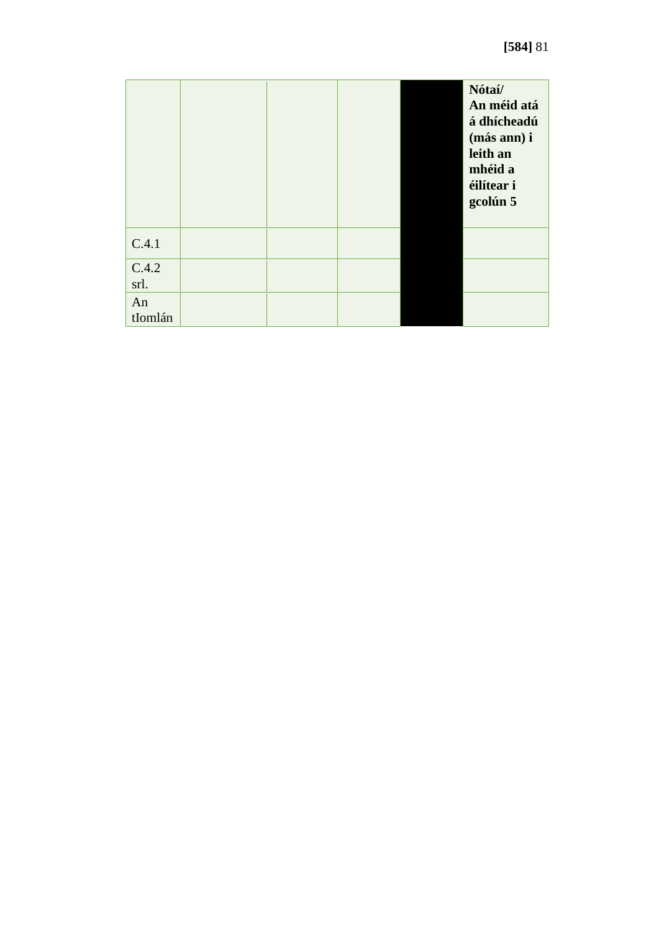|               |  |  | Nótaí/<br>An méid atá<br>á dhícheadú<br>(más ann) i<br>leith an<br>mhéid a<br>éilítear i<br>gcolún 5 |
|---------------|--|--|------------------------------------------------------------------------------------------------------|
| C.4.1         |  |  |                                                                                                      |
| C.4.2<br>srl. |  |  |                                                                                                      |
| An<br>tIomlán |  |  |                                                                                                      |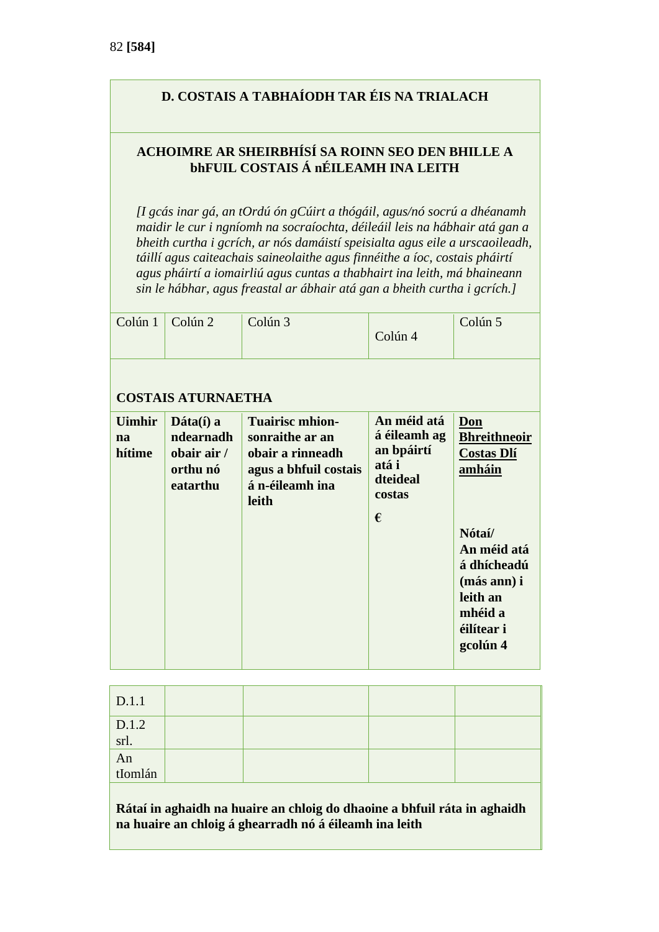## **D. COSTAIS A TABHAÍODH TAR ÉIS NA TRIALACH**

#### **ACHOIMRE AR SHEIRBHÍSÍ SA ROINN SEO DEN BHILLE A bhFUIL COSTAIS Á nÉILEAMH INA LEITH**

*[I gcás inar gá, an tOrdú ón gCúirt a thógáil, agus/nó socrú a dhéanamh maidir le cur i ngníomh na socraíochta, déileáil leis na hábhair atá gan a bheith curtha i gcrích, ar nós damáistí speisialta agus eile a urscaoileadh, táillí agus caiteachais saineolaithe agus finnéithe a íoc, costais pháirtí agus pháirtí a iomairliú agus cuntas a thabhairt ina leith, má bhaineann sin le hábhar, agus freastal ar ábhair atá gan a bheith curtha i gcrích.]*

| Colún 1<br>Colún 2<br>Colún <sub>3</sub><br>Colún 5<br>Colún 4<br><b>COSTAIS ATURNAETHA</b><br>An méid atá<br>Dáta(í) a<br><b>Tuairisc mhion-</b><br><b>Uimhir</b><br>Don<br>á éileamh ag<br>ndearnadh<br>sonraithe ar an<br><b>Bhreithneoir</b><br>na<br>an bpáirtí<br>hítime<br>obair air /<br>obair a rinneadh<br><b>Costas Dlí</b><br>atá i<br>amháin<br>orthu nó<br>agus a bhfuil costais<br>dteideal<br>á n-éileamh ina<br>eatarthu<br>costas<br>leith<br>€<br>Nótaí/<br>An méid atá<br>á dhícheadú<br>(más ann) i<br>leith an<br>mhéid a<br>éilítear i<br>gcolún 4 |  |  |  |
|---------------------------------------------------------------------------------------------------------------------------------------------------------------------------------------------------------------------------------------------------------------------------------------------------------------------------------------------------------------------------------------------------------------------------------------------------------------------------------------------------------------------------------------------------------------------------|--|--|--|
|                                                                                                                                                                                                                                                                                                                                                                                                                                                                                                                                                                           |  |  |  |
|                                                                                                                                                                                                                                                                                                                                                                                                                                                                                                                                                                           |  |  |  |
|                                                                                                                                                                                                                                                                                                                                                                                                                                                                                                                                                                           |  |  |  |

| D.1.1         |  |  |
|---------------|--|--|
| D.1.2<br>srl. |  |  |
| An<br>tIomlán |  |  |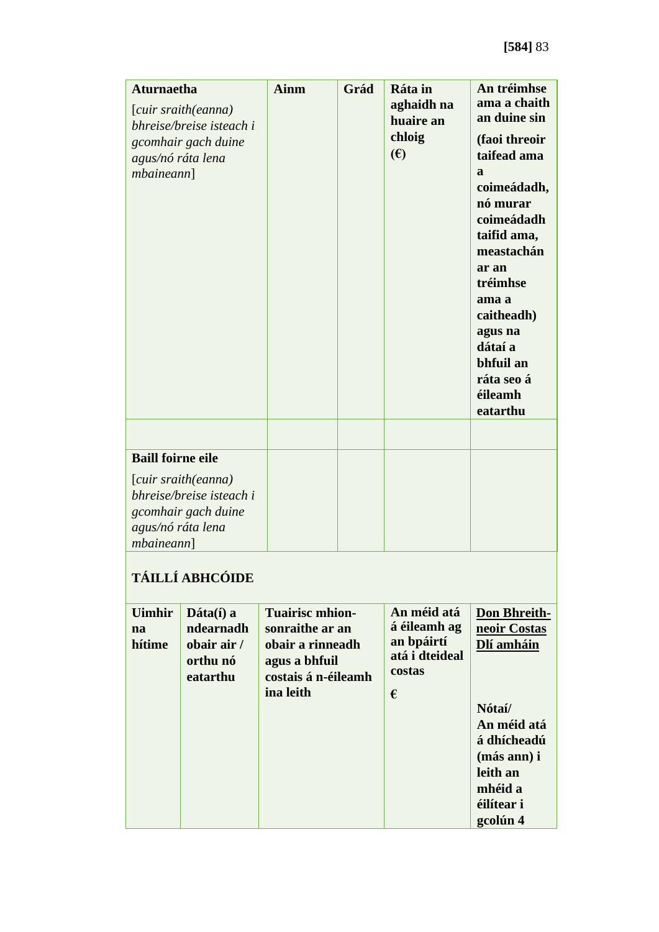| <b>Aturnaetha</b><br>[cuir sraith(eanna)<br>bhreise/breise isteach i<br>gcomhair gach duine<br>agus/nó ráta lena<br><i>mbaineann</i> ] | <b>Ainm</b> | Grád | Ráta in<br>aghaidh na<br>huaire an<br>chloig<br>$(\epsilon)$ | An tréimhse<br>ama a chaith<br>an duine sin<br>(faoi threoir<br>taifead ama<br>a<br>coimeádadh,<br>nó murar<br>coimeádadh<br>taifid ama,<br>meastachán<br>ar an<br>tréimhse<br>ama a<br>caitheadh)<br>agus na<br>dátaí a<br>bhfuil an<br>ráta seo á<br>éileamh<br>eatarthu |
|----------------------------------------------------------------------------------------------------------------------------------------|-------------|------|--------------------------------------------------------------|----------------------------------------------------------------------------------------------------------------------------------------------------------------------------------------------------------------------------------------------------------------------------|
| <b>Baill foirne eile</b>                                                                                                               |             |      |                                                              |                                                                                                                                                                                                                                                                            |
| [cuir sraith(eanna)<br>bhreise/breise isteach i<br>gcomhair gach duine<br>agus/nó ráta lena<br><i>mbaineann</i> ]                      |             |      |                                                              |                                                                                                                                                                                                                                                                            |

# **TÁILLÍ ABHCÓIDE**

| <b>Uimhir</b><br>na<br>hítime | $\mathbf{D}$ áta $(i)$ a<br>ndearnadh<br>obair air /<br>orthu nó<br>eatarthu | <b>Tuairisc mhion-</b><br>sonraithe ar an<br>obair a rinneadh<br>agus a bhfuil<br>costais á n-éileamh<br>ina leith | An méid atá<br>á éileamh ag<br>an bpáirtí<br>atá i dteideal<br>costas<br>€ | <b>Don Bhreith-</b><br>neoir Costas<br>Dlí amháin<br>Nótaí/<br>An méid atá<br>á dhícheadú<br>(más ann) i<br>leith an<br>mhéid a<br>éilítear i<br>gcolún 4 |
|-------------------------------|------------------------------------------------------------------------------|--------------------------------------------------------------------------------------------------------------------|----------------------------------------------------------------------------|-----------------------------------------------------------------------------------------------------------------------------------------------------------|
|-------------------------------|------------------------------------------------------------------------------|--------------------------------------------------------------------------------------------------------------------|----------------------------------------------------------------------------|-----------------------------------------------------------------------------------------------------------------------------------------------------------|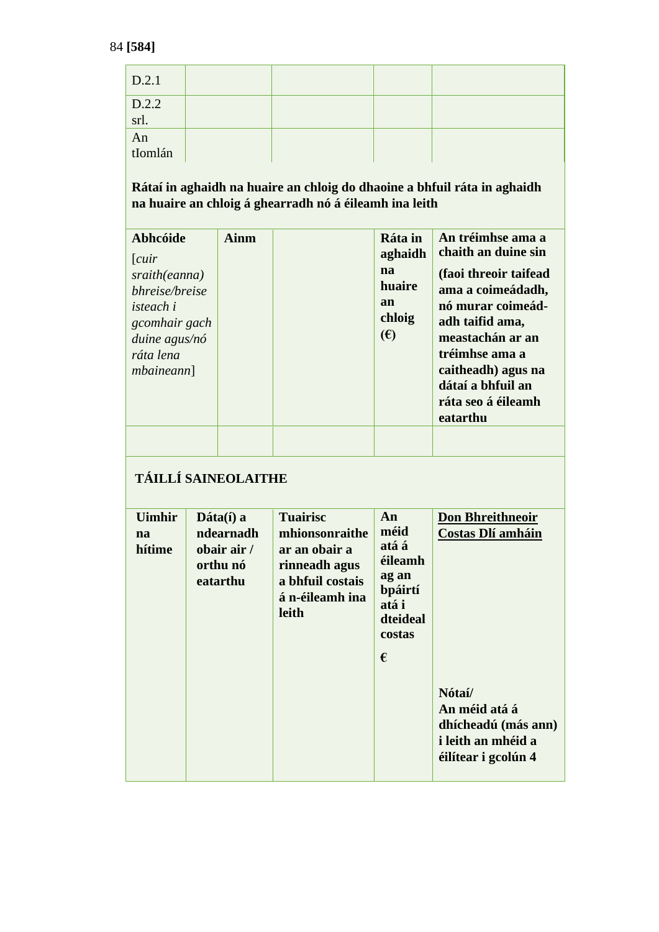| D.2.1           |  |  |
|-----------------|--|--|
| $D.2.2$<br>srl. |  |  |
| An<br>tIomlán   |  |  |

| Abhcóide<br>[cur]<br>sraith(eanna)<br>bhreise/breise<br><i>isteach i</i><br>gcomhair gach<br>duine agus/nó<br>ráta lena<br><i>mbaineann</i> ] | <b>Ainm</b> | Ráta in<br>aghaidh<br>na<br>huaire<br>an<br>chloig<br>(E) | An tréimhse ama a<br>chaith an duine sin<br>(faoi threoir taifead<br>ama a coimeádadh,<br>nó murar coimeád-<br>adh taifid ama,<br>meastachán ar an<br>tréimhse ama a<br>caitheadh) agus na<br>dátaí a bhfuil an<br>ráta seo á éileamh<br>eatarthu |
|-----------------------------------------------------------------------------------------------------------------------------------------------|-------------|-----------------------------------------------------------|---------------------------------------------------------------------------------------------------------------------------------------------------------------------------------------------------------------------------------------------------|
|                                                                                                                                               |             |                                                           |                                                                                                                                                                                                                                                   |

# **TÁILLÍ SAINEOLAITHE**

| <b>Uimhir</b><br>na<br>hítime | $\mathbf{D}$ áta $(i)$ a<br>ndearnadh<br>obair air /<br>orthu nó<br>eatarthu | <b>Tuairisc</b><br>mhionsonraithe<br>ar an obair a<br>rinneadh agus<br>a bhfuil costais<br>á n-éileamh ina<br>leith | An<br>méid<br>atá á<br>éileamh<br>ag an<br>bpáirtí<br>atá i<br>dteideal<br>costas<br>€ | <b>Don Bhreithneoir</b><br><b>Costas Dlí amháin</b>                                         |
|-------------------------------|------------------------------------------------------------------------------|---------------------------------------------------------------------------------------------------------------------|----------------------------------------------------------------------------------------|---------------------------------------------------------------------------------------------|
|                               |                                                                              |                                                                                                                     |                                                                                        | Nótaí/<br>An méid atá á<br>dhícheadú (más ann)<br>i leith an mhéid a<br>éilítear i gcolún 4 |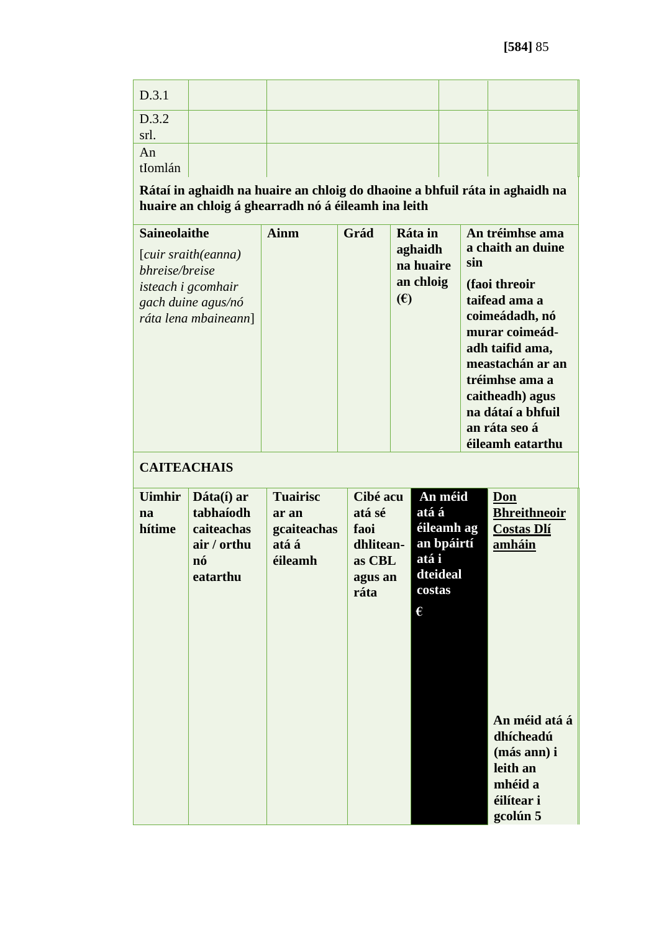| D.3.1                                                             |  |  |
|-------------------------------------------------------------------|--|--|
| $\begin{array}{ c c }\nD.3.2 \\ \hline\n\text{srl.}\n\end{array}$ |  |  |
| An<br>tIomlán                                                     |  |  |

| an ráta seo á | <b>Saineolaithe</b><br>[cuir sraith(eanna)<br>bhreise/breise<br><i>isteach i gcomhair</i><br>gach duine agus/nó<br>ráta lena mbaineann] | Ainm | Grád | Ráta in<br>aghaidh<br>na huaire<br>an chloig<br>$(\epsilon)$ | An tréimhse ama<br>a chaith an duine<br>sin<br>(faoi threoir<br>taifead ama a<br>coimeádadh, nó<br>murar coimeád-<br>adh taifid ama,<br>meastachán ar an<br>tréimhse ama a<br>caitheadh) agus<br>na dátaí a bhfuil<br>éileamh eatarthu |
|---------------|-----------------------------------------------------------------------------------------------------------------------------------------|------|------|--------------------------------------------------------------|----------------------------------------------------------------------------------------------------------------------------------------------------------------------------------------------------------------------------------------|
|---------------|-----------------------------------------------------------------------------------------------------------------------------------------|------|------|--------------------------------------------------------------|----------------------------------------------------------------------------------------------------------------------------------------------------------------------------------------------------------------------------------------|

### **CAITEACHAIS**

| <b>Uimhir</b><br>na<br>hítime | Dáta(í) ar<br>tabhaíodh<br>caiteachas<br>air / orthu<br>nó<br>eatarthu | <b>Tuairisc</b><br>ar an<br>gcaiteachas<br>atá á<br>éileamh | Cibé acu<br>atá sé<br>faoi<br>dhlitean-<br>as CBL<br>agus an<br>ráta | An méid<br>atá á<br>éileamh ag<br>an bpáirtí<br>atá i<br>dteideal<br>costas<br>€ | Don<br><b>Bhreithneoir</b><br><b>Costas Dlí</b><br>amháin                                  |
|-------------------------------|------------------------------------------------------------------------|-------------------------------------------------------------|----------------------------------------------------------------------|----------------------------------------------------------------------------------|--------------------------------------------------------------------------------------------|
|                               |                                                                        |                                                             |                                                                      |                                                                                  | An méid atá á<br>dhícheadú<br>(más ann) i<br>leith an<br>mhéid a<br>éilítear i<br>gcolún 5 |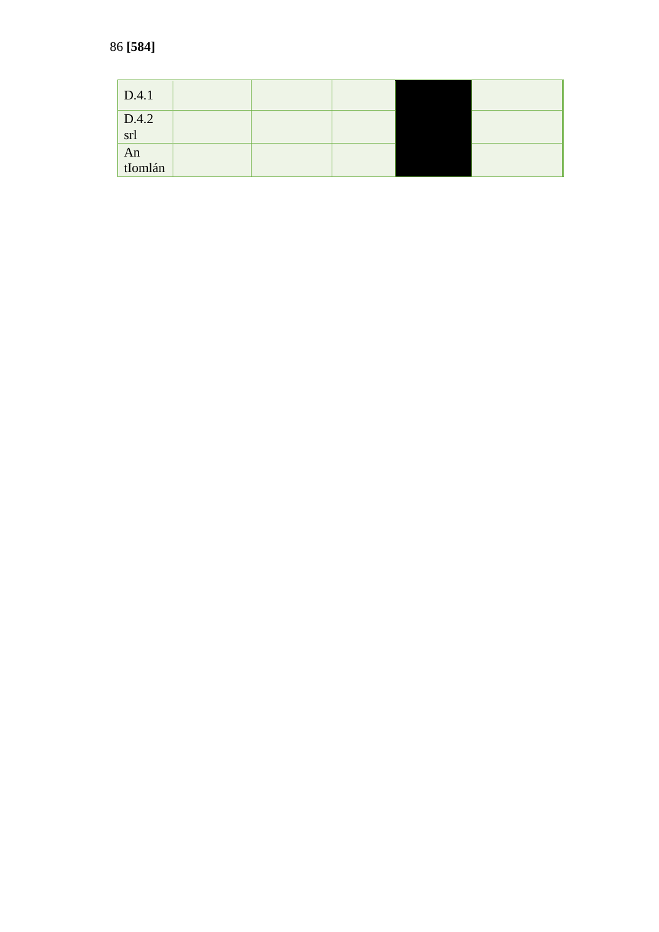| D.4.1                                                                    |  |  |  |
|--------------------------------------------------------------------------|--|--|--|
| $\left  \begin{array}{c} \text{D.4.2} \\ \text{srl} \end{array} \right $ |  |  |  |
| An<br>tIomlán                                                            |  |  |  |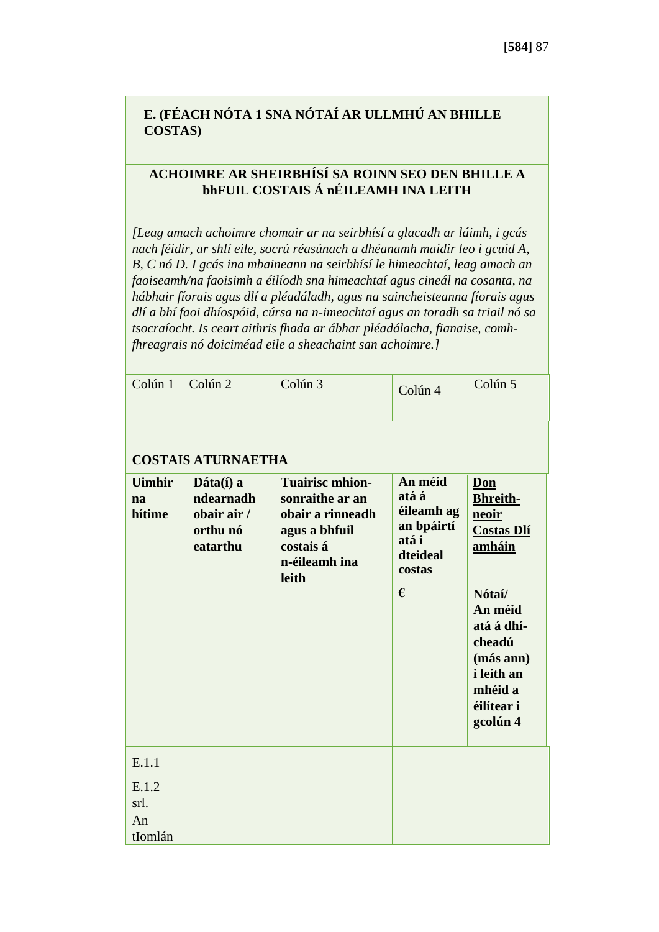## **E. (FÉACH NÓTA 1 SNA NÓTAÍ AR ULLMHÚ AN BHILLE COSTAS)**

#### **ACHOIMRE AR SHEIRBHÍSÍ SA ROINN SEO DEN BHILLE A bhFUIL COSTAIS Á nÉILEAMH INA LEITH**

*[Leag amach achoimre chomair ar na seirbhísí a glacadh ar láimh, i gcás nach féidir, ar shlí eile, socrú réasúnach a dhéanamh maidir leo i gcuid A, B, C nó D. I gcás ina mbaineann na seirbhísí le himeachtaí, leag amach an faoiseamh/na faoisimh a éilíodh sna himeachtaí agus cineál na cosanta, na hábhair fíorais agus dlí a pléadáladh, agus na saincheisteanna fíorais agus dlí a bhí faoi dhíospóid, cúrsa na n-imeachtaí agus an toradh sa triail nó sa tsocraíocht. Is ceart aithris fhada ar ábhar pléadálacha, fianaise, comhfhreagrais nó doiciméad eile a sheachaint san achoimre.]*

| Colún 1                       | Colún <sub>2</sub>                                            | Colún <sub>3</sub>                                                                                                    | Colún 4                                                                          | Colún 5                                                                                                                                                                            |  |  |  |  |
|-------------------------------|---------------------------------------------------------------|-----------------------------------------------------------------------------------------------------------------------|----------------------------------------------------------------------------------|------------------------------------------------------------------------------------------------------------------------------------------------------------------------------------|--|--|--|--|
| <b>COSTAIS ATURNAETHA</b>     |                                                               |                                                                                                                       |                                                                                  |                                                                                                                                                                                    |  |  |  |  |
| <b>Uimhir</b><br>na<br>hítime | Dáta(í) a<br>ndearnadh<br>obair air /<br>orthu nó<br>eatarthu | <b>Tuairisc mhion-</b><br>sonraithe ar an<br>obair a rinneadh<br>agus a bhfuil<br>costais á<br>n-éileamh ina<br>leith | An méid<br>atá á<br>éileamh ag<br>an bpáirtí<br>atá i<br>dteideal<br>costas<br>€ | Don<br><b>Bhreith-</b><br>neoir<br><b>Costas Dlí</b><br>amháin<br>Nótaí/<br>An méid<br>atá á dhí-<br>cheadú<br>(más ann)<br><i>i</i> leith an<br>mhéid a<br>éilítear i<br>gcolún 4 |  |  |  |  |
| E.1.1                         |                                                               |                                                                                                                       |                                                                                  |                                                                                                                                                                                    |  |  |  |  |
| E.1.2<br>srl.                 |                                                               |                                                                                                                       |                                                                                  |                                                                                                                                                                                    |  |  |  |  |
| An<br>tIomlán                 |                                                               |                                                                                                                       |                                                                                  |                                                                                                                                                                                    |  |  |  |  |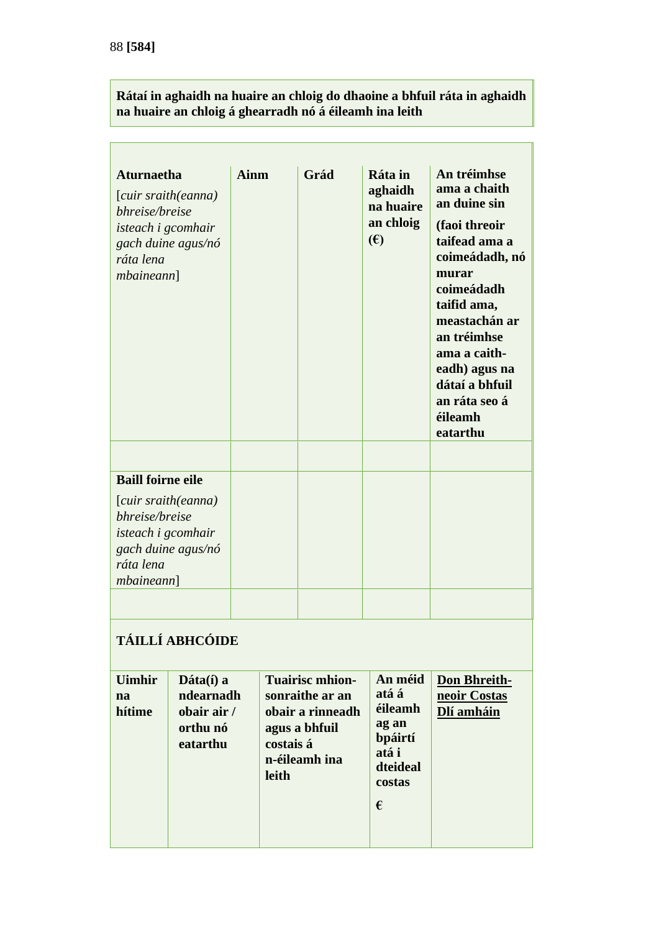Ē

| <b>Aturnaetha</b><br>bhreise/breise<br>isteach i gcomhair<br>ráta lena<br>mbainen]             | [cuir sraith(eanna)<br>gach duine agus/nó                     | <b>Ainm</b>  | Grád                                                                                                         | Ráta in<br>aghaidh<br>na huaire<br>an chloig<br>(E)                                 | An tréimhse<br>ama a chaith<br>an duine sin<br>(faoi threoir<br>taifead ama a<br>coimeádadh, nó<br>murar<br>coimeádadh<br>taifid ama,<br>meastachán ar<br>an tréimhse<br>ama a caith-<br>eadh) agus na<br>dátaí a bhfuil<br>an ráta seo á<br>éileamh<br>eatarthu |  |
|------------------------------------------------------------------------------------------------|---------------------------------------------------------------|--------------|--------------------------------------------------------------------------------------------------------------|-------------------------------------------------------------------------------------|------------------------------------------------------------------------------------------------------------------------------------------------------------------------------------------------------------------------------------------------------------------|--|
|                                                                                                |                                                               |              |                                                                                                              |                                                                                     |                                                                                                                                                                                                                                                                  |  |
| <b>Baill foirne eile</b>                                                                       |                                                               |              |                                                                                                              |                                                                                     |                                                                                                                                                                                                                                                                  |  |
| [cuir sraith(eanna)<br>bhreise/breise<br>isteach i gcomhair<br>ráta lena<br><i>mbaineann</i> ] | gach duine agus/nó                                            |              |                                                                                                              |                                                                                     |                                                                                                                                                                                                                                                                  |  |
|                                                                                                |                                                               |              |                                                                                                              |                                                                                     |                                                                                                                                                                                                                                                                  |  |
| TÁILLÍ ABHCÓIDE                                                                                |                                                               |              |                                                                                                              |                                                                                     |                                                                                                                                                                                                                                                                  |  |
| <b>Uimhir</b><br>na<br>hítime                                                                  | Dáta(í) a<br>ndearnadh<br>obair air /<br>orthu nó<br>eatarthu | <b>leith</b> | <b>Tuairisc mhion-</b><br>sonraithe ar an<br>obair a rinneadh<br>agus a bhfuil<br>costais á<br>n-éileamh ina | An méid<br>atá á<br>éileamh<br>ag an<br>bpáirtí<br>atá i<br>dteideal<br>costas<br>€ | <b>Don Bhreith-</b><br>neoir Costas<br>Dlí amháin                                                                                                                                                                                                                |  |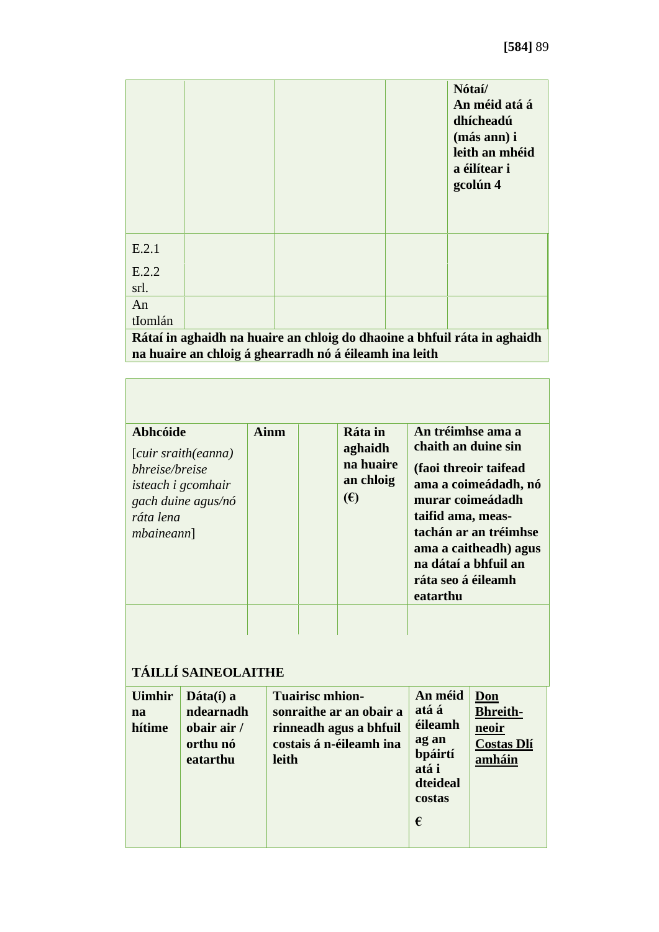|                                                                          |  |  |  | Nótaí/<br>An méid atá á<br>dhícheadú<br>(más ann) i<br>leith an mhéid<br>a éilítear i<br>gcolún 4 |  |
|--------------------------------------------------------------------------|--|--|--|---------------------------------------------------------------------------------------------------|--|
| E.2.1                                                                    |  |  |  |                                                                                                   |  |
| E.2.2                                                                    |  |  |  |                                                                                                   |  |
| srl.                                                                     |  |  |  |                                                                                                   |  |
| An                                                                       |  |  |  |                                                                                                   |  |
| tIomlán                                                                  |  |  |  |                                                                                                   |  |
| Rátaí in aghaidh na huaire an chloig do dhaoine a bhfuil ráta in aghaidh |  |  |  |                                                                                                   |  |
| na huaire an chloig á ghearradh nó á éileamh ina leith                   |  |  |  |                                                                                                   |  |

| Abhcóide<br>[cuir sraith(eanna)<br>bhreise/breise<br><i>isteach i gcomhair</i><br>gach duine agus/nó<br>ráta lena<br><i>mbaineann</i> ] | Ainm | Ráta in<br>aghaidh<br>na huaire<br>an chloig<br>$(\epsilon)$ | An tréimhse ama a<br>chaith an duine sin<br>(faoi threoir taifead<br>ama a coimeádadh, nó<br>murar coimeádadh<br>taifid ama, meas-<br>tachán ar an tréimhse<br>ama a caitheadh) agus<br>na dátaí a bhfuil an<br>ráta seo á éileamh<br>eatarthu |
|-----------------------------------------------------------------------------------------------------------------------------------------|------|--------------------------------------------------------------|------------------------------------------------------------------------------------------------------------------------------------------------------------------------------------------------------------------------------------------------|
|                                                                                                                                         |      |                                                              |                                                                                                                                                                                                                                                |

## **TÁILLÍ SAINEOLAITHE**

| <b>Uimhir</b><br>na<br>hítime | $\mathbf{Dáta}(\hat{\mathbf{i}})$ a<br>ndearnadh<br>obair air /<br>orthu nó<br>eatarthu | <b>Tuairisc mhion-</b><br>sonraithe ar an obair a<br>rinneadh agus a bhfuil<br>costais á n-éileamh ina<br>leith | An méid<br>atá á<br>éileamh<br>ag an<br>bpáirtí<br>atá i<br>dteideal<br>costas<br>€ | Don<br><b>Bhreith-</b><br>neoir<br><b>Costas Dlí</b><br>amháin |
|-------------------------------|-----------------------------------------------------------------------------------------|-----------------------------------------------------------------------------------------------------------------|-------------------------------------------------------------------------------------|----------------------------------------------------------------|
|-------------------------------|-----------------------------------------------------------------------------------------|-----------------------------------------------------------------------------------------------------------------|-------------------------------------------------------------------------------------|----------------------------------------------------------------|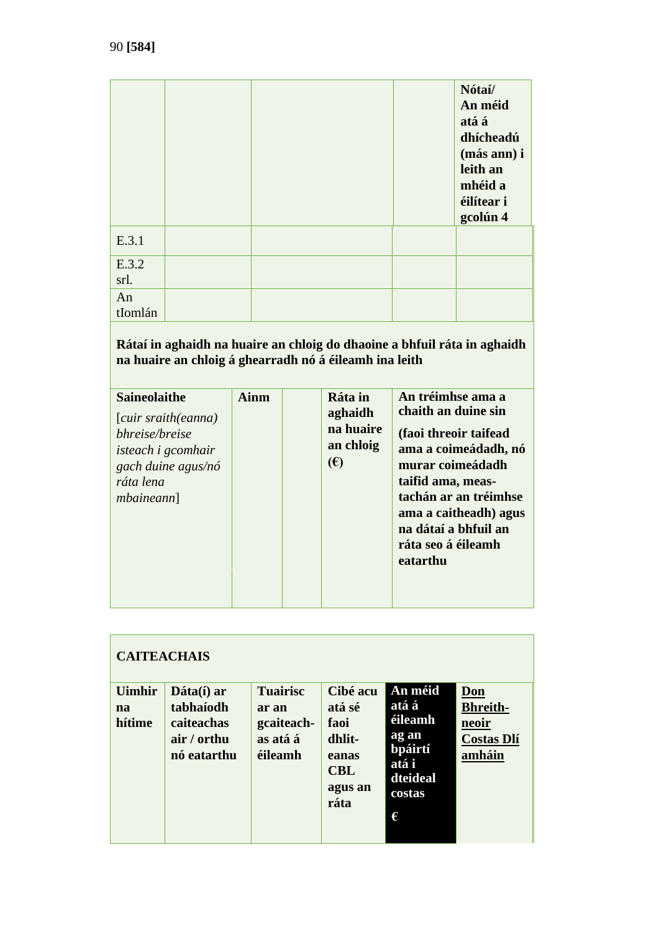|               |  | Nótaí/<br>An méid<br>atá á<br>dhícheadú<br>(más ann) i<br>leith an<br>mhéid a<br>éilítear i<br>gcolún 4 |
|---------------|--|---------------------------------------------------------------------------------------------------------|
| E.3.1         |  |                                                                                                         |
| E.3.2<br>srl. |  |                                                                                                         |
| An<br>tIomlán |  |                                                                                                         |

| <b>Saineolaithe</b><br>[cuir sraith(eanna)<br>bhreise/breise<br><i>isteach i gcomhair</i><br>gach duine agus/nó<br>ráta lena<br><i>mbaineann</i> ] | Ainm | Ráta in<br>aghaidh<br>na huaire<br>an chloig<br>$(\epsilon)$ | An tréimhse ama a<br>chaith an duine sin<br>(faoi threoir taifead<br>ama a coimeádadh, nó<br>murar coimeádadh<br>taifid ama, meas-<br>tachán ar an tréimhse<br>ama a caitheadh) agus<br>na dátaí a bhfuil an<br>ráta seo á éileamh<br>eatarthu |
|----------------------------------------------------------------------------------------------------------------------------------------------------|------|--------------------------------------------------------------|------------------------------------------------------------------------------------------------------------------------------------------------------------------------------------------------------------------------------------------------|
|                                                                                                                                                    |      |                                                              |                                                                                                                                                                                                                                                |

| <b>CAITEACHAIS</b>            |                                                                     |                                                               |                                                                                |                                                                                     |                                                                |  |  |
|-------------------------------|---------------------------------------------------------------------|---------------------------------------------------------------|--------------------------------------------------------------------------------|-------------------------------------------------------------------------------------|----------------------------------------------------------------|--|--|
| <b>Uimhir</b><br>na<br>hítime | Dáta(í) ar<br>tabhaíodh<br>caiteachas<br>air / orthu<br>nó eatarthu | <b>Tuairisc</b><br>ar an<br>gcaiteach-<br>as atá á<br>éileamh | Cibé acu<br>atá sé<br>faoi<br>dhlit-<br>eanas<br><b>CBL</b><br>agus an<br>ráta | An méid<br>atá á<br>éileamh<br>ag an<br>bpáirtí<br>atá i<br>dteideal<br>costas<br>€ | Don<br><b>Bhreith-</b><br>neoir<br><b>Costas Dlí</b><br>amháin |  |  |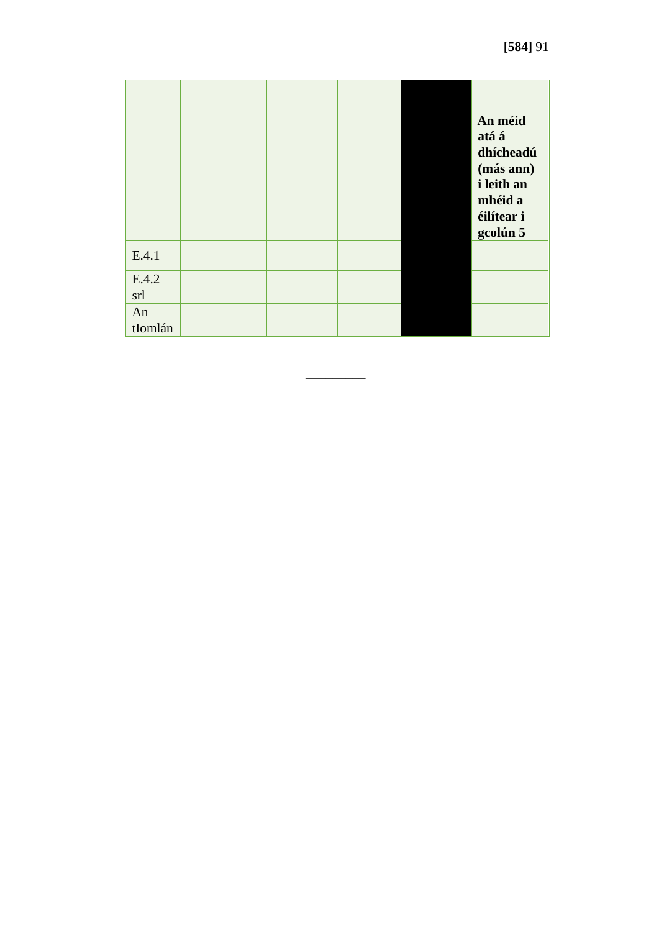|               |  |  | An méid<br>atá á<br>dhícheadú<br>(más ann)<br>i leith an<br>mhéid a<br>éilítear i<br>gcolún 5 |
|---------------|--|--|-----------------------------------------------------------------------------------------------|
| E.4.1         |  |  |                                                                                               |
| E.4.2<br>srl  |  |  |                                                                                               |
| An<br>tIomlán |  |  |                                                                                               |

\_\_\_\_\_\_\_\_\_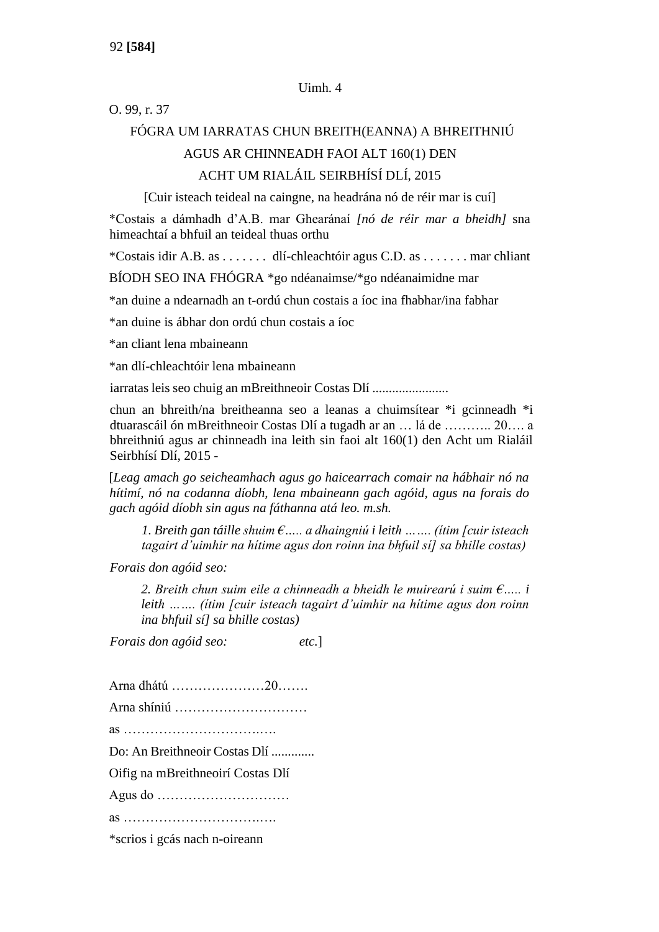#### Uimh. 4

#### O. 99, r. 37

## FÓGRA UM IARRATAS CHUN BREITH(EANNA) A BHREITHNIÚ AGUS AR CHINNEADH FAOI ALT 160(1) DEN ACHT UM RIALÁIL SEIRBHÍSÍ DLÍ, 2015

[Cuir isteach teideal na caingne, na headrána nó de réir mar is cuí]

\*Costais a dámhadh d'A.B. mar Ghearánaí *[nó de réir mar a bheidh]* sna himeachtaí a bhfuil an teideal thuas orthu

\*Costais idir A.B. as . . . . . . . dlí-chleachtóir agus C.D. as . . . . . . . mar chliant

BÍODH SEO INA FHÓGRA \*go ndéanaimse/\*go ndéanaimidne mar

\*an duine a ndearnadh an t-ordú chun costais a íoc ina fhabhar/ina fabhar

\*an duine is ábhar don ordú chun costais a íoc

\*an cliant lena mbaineann

\*an dlí-chleachtóir lena mbaineann

iarratas leis seo chuig an mBreithneoir Costas Dlí .......................

chun an bhreith/na breitheanna seo a leanas a chuimsítear \*i gcinneadh \*i dtuarascáil ón mBreithneoir Costas Dlí a tugadh ar an … lá de ……….. 20…. a bhreithniú agus ar chinneadh ina leith sin faoi alt 160(1) den Acht um Rialáil Seirbhísí Dlí, 2015 -

[*Leag amach go seicheamhach agus go haicearrach comair na hábhair nó na hítimí, nó na codanna díobh, lena mbaineann gach agóid, agus na forais do gach agóid díobh sin agus na fáthanna atá leo. m.sh.*

*1. Breith gan táille shuim €….. a dhaingniú i leith ……. (ítim [cuir isteach tagairt d'uimhir na hítime agus don roinn ina bhfuil sí] sa bhille costas)*

*Forais don agóid seo:*

*2. Breith chun suim eile a chinneadh a bheidh le muirearú i suim €….. i leith ……. (ítim [cuir isteach tagairt d'uimhir na hítime agus don roinn ina bhfuil sí] sa bhille costas)*

*Forais don agóid seo: etc.*]

Arna dhátú …………………20……. Arna shíniú ………………………… as ………………………….…. Do: An Breithneoir Costas Dlí ............. Oifig na mBreithneoirí Costas Dlí Agus do ………………………… as ………………………….…. \*scrios i gcás nach n-oireann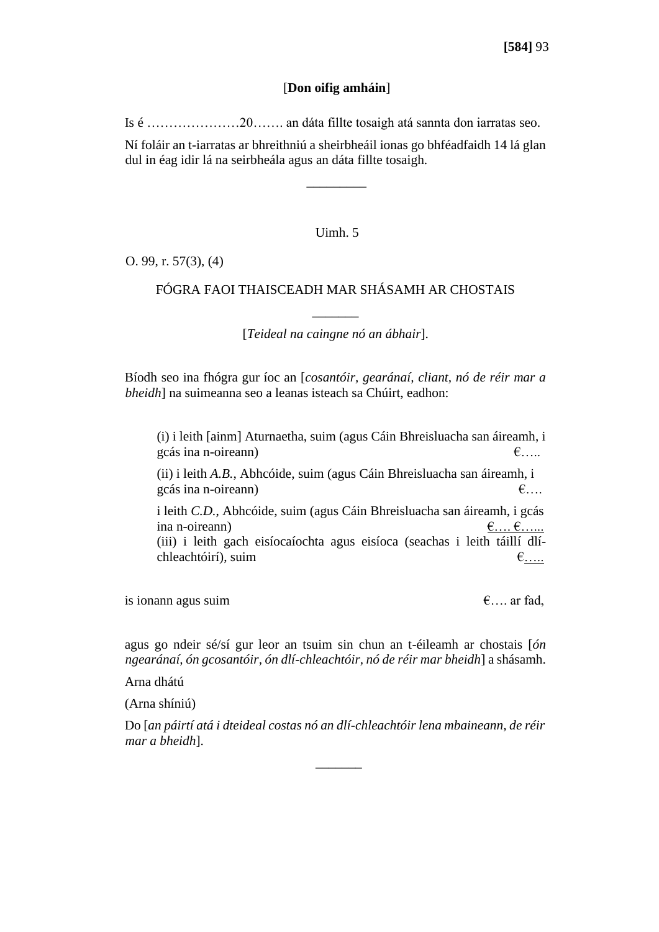#### [**Don oifig amháin**]

Is é …………………20……. an dáta fillte tosaigh atá sannta don iarratas seo.

Ní foláir an t-iarratas ar bhreithniú a sheirbheáil ionas go bhféadfaidh 14 lá glan dul in éag idir lá na seirbheála agus an dáta fillte tosaigh.

 $\overline{\phantom{a}}$  ,  $\overline{\phantom{a}}$  ,  $\overline{\phantom{a}}$  ,  $\overline{\phantom{a}}$  ,  $\overline{\phantom{a}}$  ,  $\overline{\phantom{a}}$  ,  $\overline{\phantom{a}}$  ,  $\overline{\phantom{a}}$  ,  $\overline{\phantom{a}}$  ,  $\overline{\phantom{a}}$  ,  $\overline{\phantom{a}}$  ,  $\overline{\phantom{a}}$  ,  $\overline{\phantom{a}}$  ,  $\overline{\phantom{a}}$  ,  $\overline{\phantom{a}}$  ,  $\overline{\phantom{a}}$ 

#### Uimh. 5

O. 99, r. 57(3), (4)

#### FÓGRA FAOI THAISCEADH MAR SHÁSAMH AR CHOSTAIS

 $\overline{\phantom{a}}$ [*Teideal na caingne nó an ábhair*].

Bíodh seo ina fhógra gur íoc an [*cosantóir, gearánaí, cliant, nó de réir mar a bheidh*] na suimeanna seo a leanas isteach sa Chúirt, eadhon:

(i) i leith [ainm] Aturnaetha, suim (agus Cáin Bhreisluacha san áireamh, i gcás ina n-oireann)  $\epsilon$ ….

(ii) i leith *A.B.*, Abhcóide, suim (agus Cáin Bhreisluacha san áireamh, i gcás ina n-oireann)  $\epsilon$ ….

i leith *C.D.*, Abhcóide, suim (agus Cáin Bhreisluacha san áireamh, i gcás ina n-oireann)  $\underline{\epsilon} \dots \underline{\epsilon} \dots$ (iii) i leith gach eisíocaíochta agus eisíoca (seachas i leith táillí dlíchleachtóirí), suim  $\epsilon_{\dots}$ 

is ionann agus suim  $\epsilon$ ... ar fad,

agus go ndeir sé/sí gur leor an tsuim sin chun an t-éileamh ar chostais [*ón ngearánaí, ón gcosantóir, ón dlí-chleachtóir, nó de réir mar bheidh*] a shásamh.

Arna dhátú

(Arna shíniú)

Do [*an páirtí atá i dteideal costas nó an dlí-chleachtóir lena mbaineann, de réir mar a bheidh*].

 $\overline{\phantom{a}}$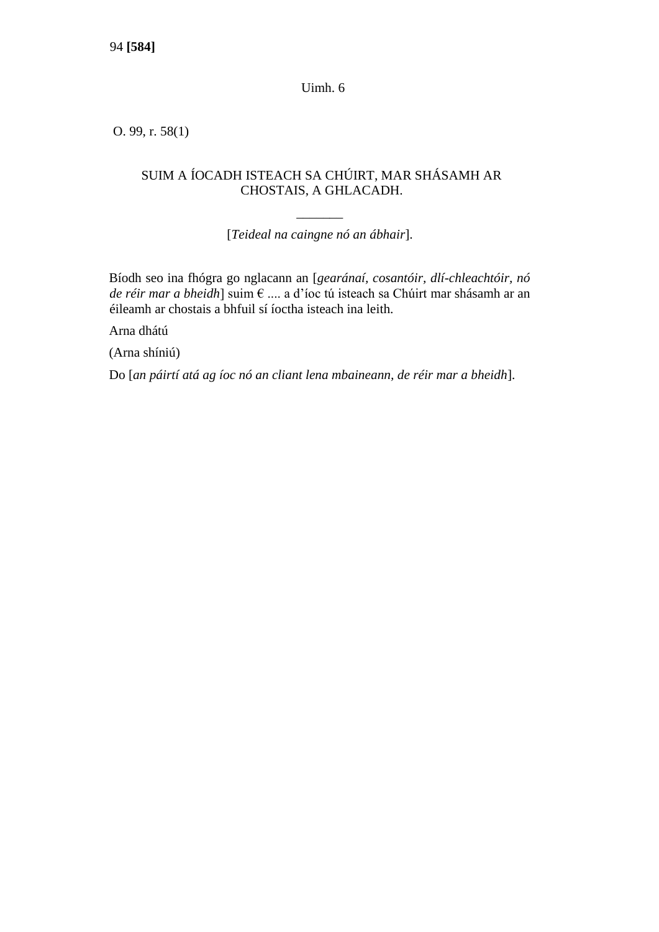Uimh. 6

O. 99, r. 58(1)

#### SUIM A ÍOCADH ISTEACH SA CHÚIRT, MAR SHÁSAMH AR CHOSTAIS, A GHLACADH.

 $\overline{\phantom{a}}$ [*Teideal na caingne nó an ábhair*].

Bíodh seo ina fhógra go nglacann an [*gearánaí, cosantóir, dlí-chleachtóir, nó de réir mar a bheidh*] suim € .... a d'íoc tú isteach sa Chúirt mar shásamh ar an éileamh ar chostais a bhfuil sí íoctha isteach ina leith.

Arna dhátú

(Arna shíniú)

Do [*an páirtí atá ag íoc nó an cliant lena mbaineann, de réir mar a bheidh*].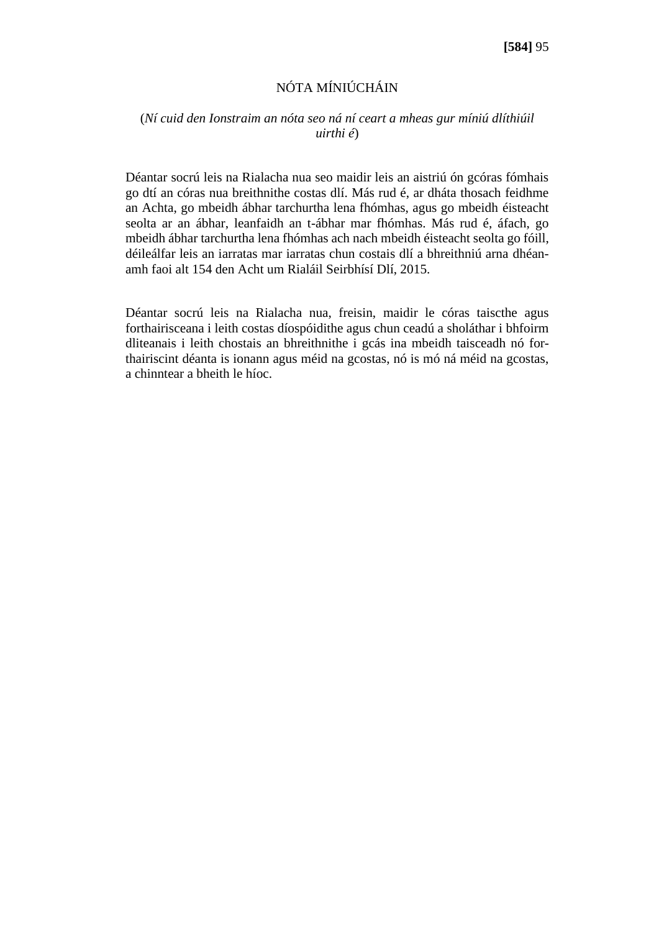#### NÓTA MÍNIÚCHÁIN

#### (*Ní cuid den Ionstraim an nóta seo ná ní ceart a mheas gur míniú dlíthiúil uirthi é*)

Déantar socrú leis na Rialacha nua seo maidir leis an aistriú ón gcóras fómhais go dtí an córas nua breithnithe costas dlí. Más rud é, ar dháta thosach feidhme an Achta, go mbeidh ábhar tarchurtha lena fhómhas, agus go mbeidh éisteacht seolta ar an ábhar, leanfaidh an t-ábhar mar fhómhas. Más rud é, áfach, go mbeidh ábhar tarchurtha lena fhómhas ach nach mbeidh éisteacht seolta go fóill, déileálfar leis an iarratas mar iarratas chun costais dlí a bhreithniú arna dhéanamh faoi alt 154 den Acht um Rialáil Seirbhísí Dlí, 2015.

Déantar socrú leis na Rialacha nua, freisin, maidir le córas taiscthe agus forthairisceana i leith costas díospóidithe agus chun ceadú a sholáthar i bhfoirm dliteanais i leith chostais an bhreithnithe i gcás ina mbeidh taisceadh nó forthairiscint déanta is ionann agus méid na gcostas, nó is mó ná méid na gcostas, a chinntear a bheith le híoc.